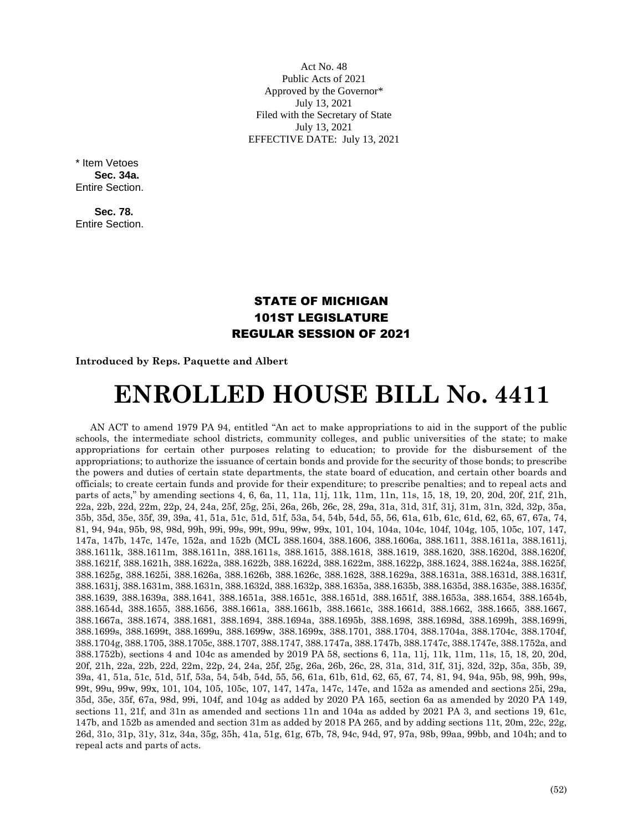Act No. 48 Public Acts of 2021 Approved by the Governor\* July 13, 2021 Filed with the Secretary of State July 13, 2021 EFFECTIVE DATE: July 13, 2021

\* Item Vetoes **Sec. 34a.**  Entire Section.

**Sec. 78.** Entire Section.

## STATE OF MICHIGAN 101ST LEGISLATURE REGULAR SESSION OF 2021

## **Introduced by Reps. Paquette and Albert**

## **ENROLLED HOUSE BILL No. 4411**

AN ACT to amend 1979 PA 94, entitled "An act to make appropriations to aid in the support of the public schools, the intermediate school districts, community colleges, and public universities of the state; to make appropriations for certain other purposes relating to education; to provide for the disbursement of the appropriations; to authorize the issuance of certain bonds and provide for the security of those bonds; to prescribe the powers and duties of certain state departments, the state board of education, and certain other boards and officials; to create certain funds and provide for their expenditure; to prescribe penalties; and to repeal acts and parts of acts," by amending sections 4, 6, 6a, 11, 11a, 11j, 11k, 11m, 11n, 11s, 15, 18, 19, 20, 20d, 20f, 21f, 21h, 22a, 22b, 22d, 22m, 22p, 24, 24a, 25f, 25g, 25i, 26a, 26b, 26c, 28, 29a, 31a, 31d, 31f, 31j, 31m, 31n, 32d, 32p, 35a, 35b, 35d, 35e, 35f, 39, 39a, 41, 51a, 51c, 51d, 51f, 53a, 54, 54b, 54d, 55, 56, 61a, 61b, 61c, 61d, 62, 65, 67, 67a, 74, 81, 94, 94a, 95b, 98, 98d, 99h, 99i, 99s, 99t, 99u, 99w, 99x, 101, 104, 104a, 104c, 104f, 104g, 105, 105c, 107, 147, 147a, 147b, 147c, 147e, 152a, and 152b (MCL 388.1604, 388.1606, 388.1606a, 388.1611, 388.1611a, 388.1611j, 388.1611k, 388.1611m, 388.1611n, 388.1611s, 388.1615, 388.1618, 388.1619, 388.1620, 388.1620d, 388.1620f, 388.1621f, 388.1621h, 388.1622a, 388.1622b, 388.1622d, 388.1622m, 388.1622p, 388.1624, 388.1624a, 388.1625f, 388.1625g, 388.1625i, 388.1626a, 388.1626b, 388.1626c, 388.1628, 388.1629a, 388.1631a, 388.1631d, 388.1631f, 388.1631j, 388.1631m, 388.1631n, 388.1632d, 388.1632p, 388.1635a, 388.1635b, 388.1635d, 388.1635e, 388.1635f, 388.1639, 388.1639a, 388.1641, 388.1651a, 388.1651c, 388.1651d, 388.1651f, 388.1653a, 388.1654, 388.1654b, 388.1654d, 388.1655, 388.1656, 388.1661a, 388.1661b, 388.1661c, 388.1661d, 388.1662, 388.1665, 388.1667, 388.1667a, 388.1674, 388.1681, 388.1694, 388.1694a, 388.1695b, 388.1698, 388.1698d, 388.1699h, 388.1699i, 388.1699s, 388.1699t, 388.1699u, 388.1699w, 388.1699x, 388.1701, 388.1704, 388.1704a, 388.1704c, 388.1704f, 388.1704g, 388.1705, 388.1705c, 388.1707, 388.1747, 388.1747a, 388.1747b, 388.1747c, 388.1747e, 388.1752a, and 388.1752b), sections 4 and 104c as amended by 2019 PA 58, sections 6, 11a, 11j, 11k, 11m, 11s, 15, 18, 20, 20d, 20f, 21h, 22a, 22b, 22d, 22m, 22p, 24, 24a, 25f, 25g, 26a, 26b, 26c, 28, 31a, 31d, 31f, 31j, 32d, 32p, 35a, 35b, 39, 39a, 41, 51a, 51c, 51d, 51f, 53a, 54, 54b, 54d, 55, 56, 61a, 61b, 61d, 62, 65, 67, 74, 81, 94, 94a, 95b, 98, 99h, 99s, 99t, 99u, 99w, 99x, 101, 104, 105, 105c, 107, 147, 147a, 147c, 147e, and 152a as amended and sections 25i, 29a, 35d, 35e, 35f, 67a, 98d, 99i, 104f, and 104g as added by 2020 PA 165, section 6a as amended by 2020 PA 149, sections 11, 21f, and 31n as amended and sections 11n and 104a as added by 2021 PA 3, and sections 19, 61c, 147b, and 152b as amended and section 31m as added by 2018 PA 265, and by adding sections 11t, 20m, 22c, 22g, 26d, 31o, 31p, 31y, 31z, 34a, 35g, 35h, 41a, 51g, 61g, 67b, 78, 94c, 94d, 97, 97a, 98b, 99aa, 99bb, and 104h; and to repeal acts and parts of acts.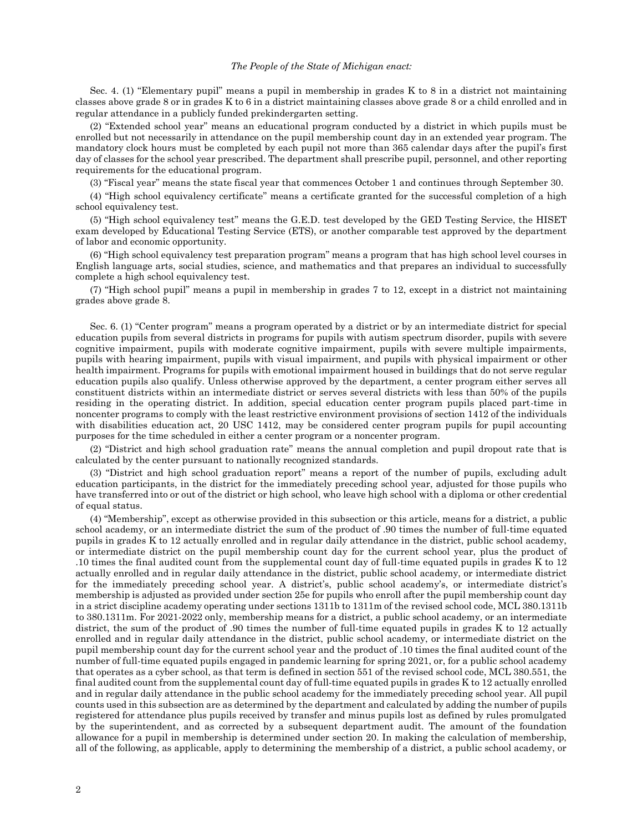## *The People of the State of Michigan enact:*

Sec. 4. (1) "Elementary pupil" means a pupil in membership in grades K to 8 in a district not maintaining classes above grade 8 or in grades K to 6 in a district maintaining classes above grade 8 or a child enrolled and in regular attendance in a publicly funded prekindergarten setting.

(2) "Extended school year" means an educational program conducted by a district in which pupils must be enrolled but not necessarily in attendance on the pupil membership count day in an extended year program. The mandatory clock hours must be completed by each pupil not more than 365 calendar days after the pupil's first day of classes for the school year prescribed. The department shall prescribe pupil, personnel, and other reporting requirements for the educational program.

(3) "Fiscal year" means the state fiscal year that commences October 1 and continues through September 30.

(4) "High school equivalency certificate" means a certificate granted for the successful completion of a high school equivalency test.

(5) "High school equivalency test" means the G.E.D. test developed by the GED Testing Service, the HISET exam developed by Educational Testing Service (ETS), or another comparable test approved by the department of labor and economic opportunity.

(6) "High school equivalency test preparation program" means a program that has high school level courses in English language arts, social studies, science, and mathematics and that prepares an individual to successfully complete a high school equivalency test.

(7) "High school pupil" means a pupil in membership in grades 7 to 12, except in a district not maintaining grades above grade 8.

Sec. 6. (1) "Center program" means a program operated by a district or by an intermediate district for special education pupils from several districts in programs for pupils with autism spectrum disorder, pupils with severe cognitive impairment, pupils with moderate cognitive impairment, pupils with severe multiple impairments, pupils with hearing impairment, pupils with visual impairment, and pupils with physical impairment or other health impairment. Programs for pupils with emotional impairment housed in buildings that do not serve regular education pupils also qualify. Unless otherwise approved by the department, a center program either serves all constituent districts within an intermediate district or serves several districts with less than 50% of the pupils residing in the operating district. In addition, special education center program pupils placed part-time in noncenter programs to comply with the least restrictive environment provisions of section 1412 of the individuals with disabilities education act, 20 USC 1412, may be considered center program pupils for pupil accounting purposes for the time scheduled in either a center program or a noncenter program.

(2) "District and high school graduation rate" means the annual completion and pupil dropout rate that is calculated by the center pursuant to nationally recognized standards.

(3) "District and high school graduation report" means a report of the number of pupils, excluding adult education participants, in the district for the immediately preceding school year, adjusted for those pupils who have transferred into or out of the district or high school, who leave high school with a diploma or other credential of equal status.

(4) "Membership", except as otherwise provided in this subsection or this article, means for a district, a public school academy, or an intermediate district the sum of the product of .90 times the number of full-time equated pupils in grades K to 12 actually enrolled and in regular daily attendance in the district, public school academy, or intermediate district on the pupil membership count day for the current school year, plus the product of .10 times the final audited count from the supplemental count day of full-time equated pupils in grades K to 12 actually enrolled and in regular daily attendance in the district, public school academy, or intermediate district for the immediately preceding school year. A district's, public school academy's, or intermediate district's membership is adjusted as provided under section 25e for pupils who enroll after the pupil membership count day in a strict discipline academy operating under sections 1311b to 1311m of the revised school code, MCL 380.1311b to 380.1311m. For 2021-2022 only, membership means for a district, a public school academy, or an intermediate district, the sum of the product of .90 times the number of full-time equated pupils in grades K to 12 actually enrolled and in regular daily attendance in the district, public school academy, or intermediate district on the pupil membership count day for the current school year and the product of .10 times the final audited count of the number of full-time equated pupils engaged in pandemic learning for spring 2021, or, for a public school academy that operates as a cyber school, as that term is defined in section 551 of the revised school code, MCL 380.551, the final audited count from the supplemental count day of full-time equated pupils in grades K to 12 actually enrolled and in regular daily attendance in the public school academy for the immediately preceding school year. All pupil counts used in this subsection are as determined by the department and calculated by adding the number of pupils registered for attendance plus pupils received by transfer and minus pupils lost as defined by rules promulgated by the superintendent, and as corrected by a subsequent department audit. The amount of the foundation allowance for a pupil in membership is determined under section 20. In making the calculation of membership, all of the following, as applicable, apply to determining the membership of a district, a public school academy, or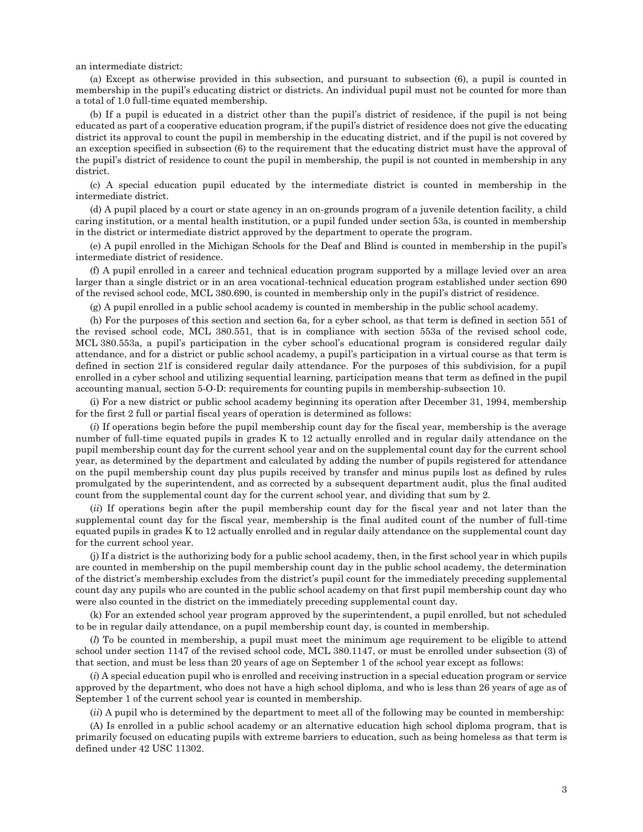an intermediate district:

(a) Except as otherwise provided in this subsection, and pursuant to subsection (6), a pupil is counted in membership in the pupil's educating district or districts. An individual pupil must not be counted for more than a total of 1.0 full-time equated membership.

(b) If a pupil is educated in a district other than the pupil's district of residence, if the pupil is not being educated as part of a cooperative education program, if the pupil's district of residence does not give the educating district its approval to count the pupil in membership in the educating district, and if the pupil is not covered by an exception specified in subsection (6) to the requirement that the educating district must have the approval of the pupil's district of residence to count the pupil in membership, the pupil is not counted in membership in any district.

(c) A special education pupil educated by the intermediate district is counted in membership in the intermediate district.

(d) A pupil placed by a court or state agency in an on-grounds program of a juvenile detention facility, a child caring institution, or a mental health institution, or a pupil funded under section 53a, is counted in membership in the district or intermediate district approved by the department to operate the program.

(e) A pupil enrolled in the Michigan Schools for the Deaf and Blind is counted in membership in the pupil's intermediate district of residence.

(f) A pupil enrolled in a career and technical education program supported by a millage levied over an area larger than a single district or in an area vocational-technical education program established under section 690 of the revised school code, MCL 380.690, is counted in membership only in the pupil's district of residence.

(g) A pupil enrolled in a public school academy is counted in membership in the public school academy.

(h) For the purposes of this section and section 6a, for a cyber school, as that term is defined in section 551 of the revised school code, MCL 380.551, that is in compliance with section 553a of the revised school code, MCL 380.553a, a pupil's participation in the cyber school's educational program is considered regular daily attendance, and for a district or public school academy, a pupil's participation in a virtual course as that term is defined in section 21f is considered regular daily attendance. For the purposes of this subdivision, for a pupil enrolled in a cyber school and utilizing sequential learning, participation means that term as defined in the pupil accounting manual, section 5-O-D: requirements for counting pupils in membership-subsection 10.

(i) For a new district or public school academy beginning its operation after December 31, 1994, membership for the first 2 full or partial fiscal years of operation is determined as follows:

(*i*) If operations begin before the pupil membership count day for the fiscal year, membership is the average number of full-time equated pupils in grades K to 12 actually enrolled and in regular daily attendance on the pupil membership count day for the current school year and on the supplemental count day for the current school year, as determined by the department and calculated by adding the number of pupils registered for attendance on the pupil membership count day plus pupils received by transfer and minus pupils lost as defined by rules promulgated by the superintendent, and as corrected by a subsequent department audit, plus the final audited count from the supplemental count day for the current school year, and dividing that sum by 2.

(*ii*) If operations begin after the pupil membership count day for the fiscal year and not later than the supplemental count day for the fiscal year, membership is the final audited count of the number of full-time equated pupils in grades K to 12 actually enrolled and in regular daily attendance on the supplemental count day for the current school year.

(j) If a district is the authorizing body for a public school academy, then, in the first school year in which pupils are counted in membership on the pupil membership count day in the public school academy, the determination of the district's membership excludes from the district's pupil count for the immediately preceding supplemental count day any pupils who are counted in the public school academy on that first pupil membership count day who were also counted in the district on the immediately preceding supplemental count day.

(k) For an extended school year program approved by the superintendent, a pupil enrolled, but not scheduled to be in regular daily attendance, on a pupil membership count day, is counted in membership.

(*l*) To be counted in membership, a pupil must meet the minimum age requirement to be eligible to attend school under section 1147 of the revised school code, MCL 380.1147, or must be enrolled under subsection (3) of that section, and must be less than 20 years of age on September 1 of the school year except as follows:

(*i*) A special education pupil who is enrolled and receiving instruction in a special education program or service approved by the department, who does not have a high school diploma, and who is less than 26 years of age as of September 1 of the current school year is counted in membership.

(*ii*) A pupil who is determined by the department to meet all of the following may be counted in membership:

(A) Is enrolled in a public school academy or an alternative education high school diploma program, that is primarily focused on educating pupils with extreme barriers to education, such as being homeless as that term is defined under 42 USC 11302.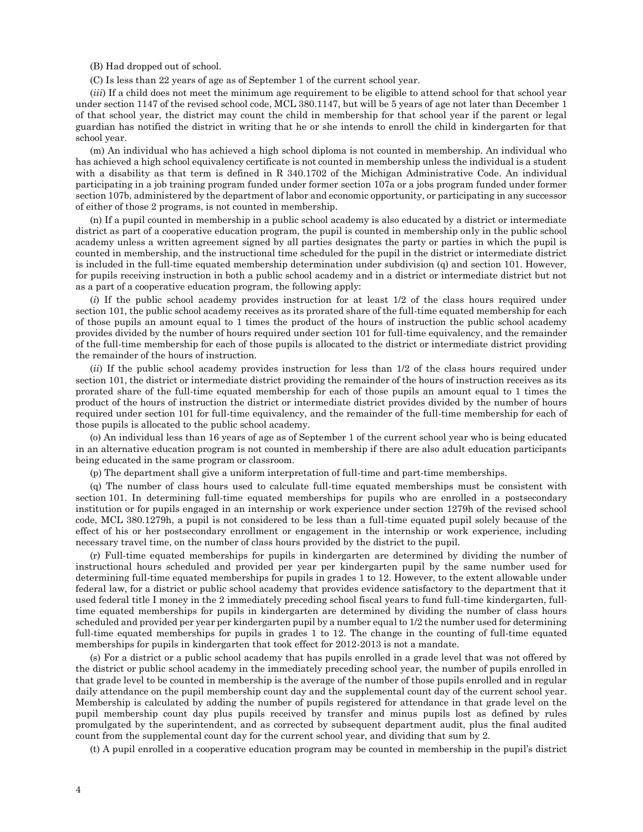(B) Had dropped out of school.

(C) Is less than 22 years of age as of September 1 of the current school year.

(*iii*) If a child does not meet the minimum age requirement to be eligible to attend school for that school year under section 1147 of the revised school code, MCL 380.1147, but will be 5 years of age not later than December 1 of that school year, the district may count the child in membership for that school year if the parent or legal guardian has notified the district in writing that he or she intends to enroll the child in kindergarten for that school year.

(m) An individual who has achieved a high school diploma is not counted in membership. An individual who has achieved a high school equivalency certificate is not counted in membership unless the individual is a student with a disability as that term is defined in R 340.1702 of the Michigan Administrative Code. An individual participating in a job training program funded under former section 107a or a jobs program funded under former section 107b, administered by the department of labor and economic opportunity, or participating in any successor of either of those 2 programs, is not counted in membership.

(n) If a pupil counted in membership in a public school academy is also educated by a district or intermediate district as part of a cooperative education program, the pupil is counted in membership only in the public school academy unless a written agreement signed by all parties designates the party or parties in which the pupil is counted in membership, and the instructional time scheduled for the pupil in the district or intermediate district is included in the full-time equated membership determination under subdivision (q) and section 101. However, for pupils receiving instruction in both a public school academy and in a district or intermediate district but not as a part of a cooperative education program, the following apply:

(*i*) If the public school academy provides instruction for at least 1/2 of the class hours required under section 101, the public school academy receives as its prorated share of the full-time equated membership for each of those pupils an amount equal to 1 times the product of the hours of instruction the public school academy provides divided by the number of hours required under section 101 for full-time equivalency, and the remainder of the full-time membership for each of those pupils is allocated to the district or intermediate district providing the remainder of the hours of instruction.

(*ii*) If the public school academy provides instruction for less than 1/2 of the class hours required under section 101, the district or intermediate district providing the remainder of the hours of instruction receives as its prorated share of the full-time equated membership for each of those pupils an amount equal to 1 times the product of the hours of instruction the district or intermediate district provides divided by the number of hours required under section 101 for full-time equivalency, and the remainder of the full-time membership for each of those pupils is allocated to the public school academy.

(o) An individual less than 16 years of age as of September 1 of the current school year who is being educated in an alternative education program is not counted in membership if there are also adult education participants being educated in the same program or classroom.

(p) The department shall give a uniform interpretation of full-time and part-time memberships.

(q) The number of class hours used to calculate full-time equated memberships must be consistent with section 101. In determining full-time equated memberships for pupils who are enrolled in a postsecondary institution or for pupils engaged in an internship or work experience under section 1279h of the revised school code, MCL 380.1279h, a pupil is not considered to be less than a full-time equated pupil solely because of the effect of his or her postsecondary enrollment or engagement in the internship or work experience, including necessary travel time, on the number of class hours provided by the district to the pupil.

(r) Full-time equated memberships for pupils in kindergarten are determined by dividing the number of instructional hours scheduled and provided per year per kindergarten pupil by the same number used for determining full-time equated memberships for pupils in grades 1 to 12. However, to the extent allowable under federal law, for a district or public school academy that provides evidence satisfactory to the department that it used federal title I money in the 2 immediately preceding school fiscal years to fund full-time kindergarten, fulltime equated memberships for pupils in kindergarten are determined by dividing the number of class hours scheduled and provided per year per kindergarten pupil by a number equal to 1/2 the number used for determining full-time equated memberships for pupils in grades 1 to 12. The change in the counting of full-time equated memberships for pupils in kindergarten that took effect for 2012-2013 is not a mandate.

(s) For a district or a public school academy that has pupils enrolled in a grade level that was not offered by the district or public school academy in the immediately preceding school year, the number of pupils enrolled in that grade level to be counted in membership is the average of the number of those pupils enrolled and in regular daily attendance on the pupil membership count day and the supplemental count day of the current school year. Membership is calculated by adding the number of pupils registered for attendance in that grade level on the pupil membership count day plus pupils received by transfer and minus pupils lost as defined by rules promulgated by the superintendent, and as corrected by subsequent department audit, plus the final audited count from the supplemental count day for the current school year, and dividing that sum by 2.

(t) A pupil enrolled in a cooperative education program may be counted in membership in the pupil's district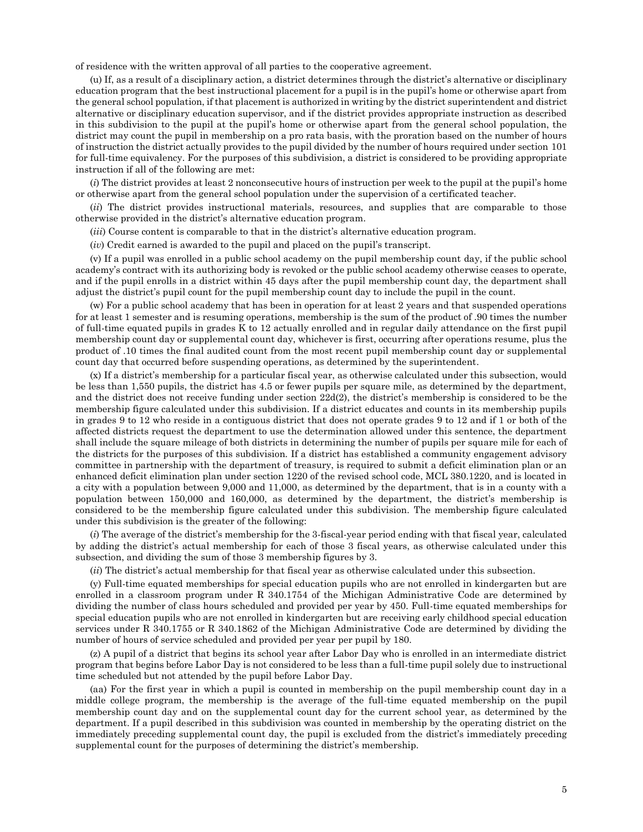of residence with the written approval of all parties to the cooperative agreement.

(u) If, as a result of a disciplinary action, a district determines through the district's alternative or disciplinary education program that the best instructional placement for a pupil is in the pupil's home or otherwise apart from the general school population, if that placement is authorized in writing by the district superintendent and district alternative or disciplinary education supervisor, and if the district provides appropriate instruction as described in this subdivision to the pupil at the pupil's home or otherwise apart from the general school population, the district may count the pupil in membership on a pro rata basis, with the proration based on the number of hours of instruction the district actually provides to the pupil divided by the number of hours required under section 101 for full-time equivalency. For the purposes of this subdivision, a district is considered to be providing appropriate instruction if all of the following are met:

(*i*) The district provides at least 2 nonconsecutive hours of instruction per week to the pupil at the pupil's home or otherwise apart from the general school population under the supervision of a certificated teacher.

(*ii*) The district provides instructional materials, resources, and supplies that are comparable to those otherwise provided in the district's alternative education program.

(*iii*) Course content is comparable to that in the district's alternative education program.

(*iv*) Credit earned is awarded to the pupil and placed on the pupil's transcript.

(v) If a pupil was enrolled in a public school academy on the pupil membership count day, if the public school academy's contract with its authorizing body is revoked or the public school academy otherwise ceases to operate, and if the pupil enrolls in a district within 45 days after the pupil membership count day, the department shall adjust the district's pupil count for the pupil membership count day to include the pupil in the count.

(w) For a public school academy that has been in operation for at least 2 years and that suspended operations for at least 1 semester and is resuming operations, membership is the sum of the product of .90 times the number of full-time equated pupils in grades K to 12 actually enrolled and in regular daily attendance on the first pupil membership count day or supplemental count day, whichever is first, occurring after operations resume, plus the product of .10 times the final audited count from the most recent pupil membership count day or supplemental count day that occurred before suspending operations, as determined by the superintendent.

(x) If a district's membership for a particular fiscal year, as otherwise calculated under this subsection, would be less than 1,550 pupils, the district has 4.5 or fewer pupils per square mile, as determined by the department, and the district does not receive funding under section 22d(2), the district's membership is considered to be the membership figure calculated under this subdivision. If a district educates and counts in its membership pupils in grades 9 to 12 who reside in a contiguous district that does not operate grades 9 to 12 and if 1 or both of the affected districts request the department to use the determination allowed under this sentence, the department shall include the square mileage of both districts in determining the number of pupils per square mile for each of the districts for the purposes of this subdivision. If a district has established a community engagement advisory committee in partnership with the department of treasury, is required to submit a deficit elimination plan or an enhanced deficit elimination plan under section 1220 of the revised school code, MCL 380.1220, and is located in a city with a population between 9,000 and 11,000, as determined by the department, that is in a county with a population between 150,000 and 160,000, as determined by the department, the district's membership is considered to be the membership figure calculated under this subdivision. The membership figure calculated under this subdivision is the greater of the following:

(*i*) The average of the district's membership for the 3-fiscal-year period ending with that fiscal year, calculated by adding the district's actual membership for each of those 3 fiscal years, as otherwise calculated under this subsection, and dividing the sum of those 3 membership figures by 3.

(*ii*) The district's actual membership for that fiscal year as otherwise calculated under this subsection.

(y) Full-time equated memberships for special education pupils who are not enrolled in kindergarten but are enrolled in a classroom program under R 340.1754 of the Michigan Administrative Code are determined by dividing the number of class hours scheduled and provided per year by 450. Full-time equated memberships for special education pupils who are not enrolled in kindergarten but are receiving early childhood special education services under R 340.1755 or R 340.1862 of the Michigan Administrative Code are determined by dividing the number of hours of service scheduled and provided per year per pupil by 180.

(z) A pupil of a district that begins its school year after Labor Day who is enrolled in an intermediate district program that begins before Labor Day is not considered to be less than a full-time pupil solely due to instructional time scheduled but not attended by the pupil before Labor Day.

(aa) For the first year in which a pupil is counted in membership on the pupil membership count day in a middle college program, the membership is the average of the full-time equated membership on the pupil membership count day and on the supplemental count day for the current school year, as determined by the department. If a pupil described in this subdivision was counted in membership by the operating district on the immediately preceding supplemental count day, the pupil is excluded from the district's immediately preceding supplemental count for the purposes of determining the district's membership.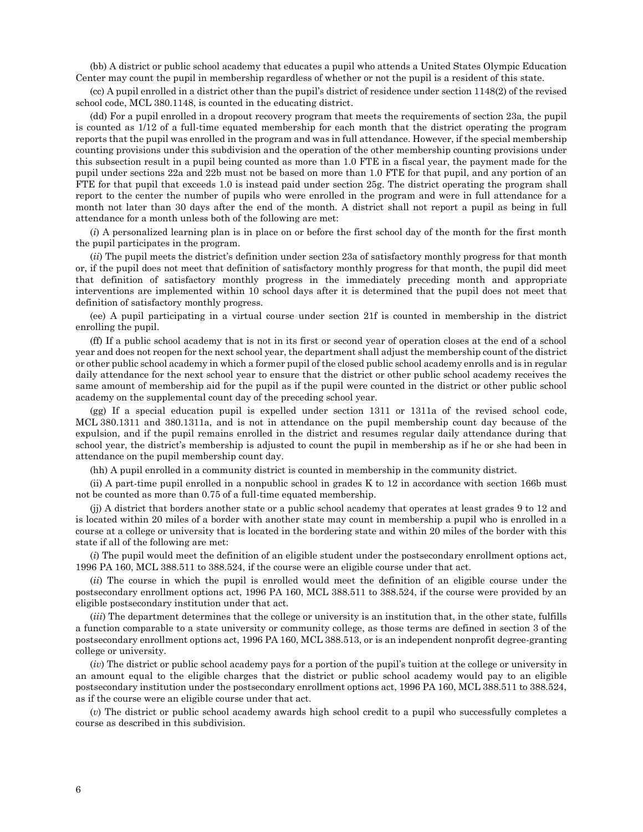(bb) A district or public school academy that educates a pupil who attends a United States Olympic Education Center may count the pupil in membership regardless of whether or not the pupil is a resident of this state.

(cc) A pupil enrolled in a district other than the pupil's district of residence under section 1148(2) of the revised school code, MCL 380.1148, is counted in the educating district.

(dd) For a pupil enrolled in a dropout recovery program that meets the requirements of section 23a, the pupil is counted as 1/12 of a full-time equated membership for each month that the district operating the program reports that the pupil was enrolled in the program and was in full attendance. However, if the special membership counting provisions under this subdivision and the operation of the other membership counting provisions under this subsection result in a pupil being counted as more than 1.0 FTE in a fiscal year, the payment made for the pupil under sections 22a and 22b must not be based on more than 1.0 FTE for that pupil, and any portion of an FTE for that pupil that exceeds 1.0 is instead paid under section 25g. The district operating the program shall report to the center the number of pupils who were enrolled in the program and were in full attendance for a month not later than 30 days after the end of the month. A district shall not report a pupil as being in full attendance for a month unless both of the following are met:

(*i*) A personalized learning plan is in place on or before the first school day of the month for the first month the pupil participates in the program.

(*ii*) The pupil meets the district's definition under section 23a of satisfactory monthly progress for that month or, if the pupil does not meet that definition of satisfactory monthly progress for that month, the pupil did meet that definition of satisfactory monthly progress in the immediately preceding month and appropriate interventions are implemented within 10 school days after it is determined that the pupil does not meet that definition of satisfactory monthly progress.

(ee) A pupil participating in a virtual course under section 21f is counted in membership in the district enrolling the pupil.

(ff) If a public school academy that is not in its first or second year of operation closes at the end of a school year and does not reopen for the next school year, the department shall adjust the membership count of the district or other public school academy in which a former pupil of the closed public school academy enrolls and is in regular daily attendance for the next school year to ensure that the district or other public school academy receives the same amount of membership aid for the pupil as if the pupil were counted in the district or other public school academy on the supplemental count day of the preceding school year.

(gg) If a special education pupil is expelled under section 1311 or 1311a of the revised school code, MCL 380.1311 and 380.1311a, and is not in attendance on the pupil membership count day because of the expulsion, and if the pupil remains enrolled in the district and resumes regular daily attendance during that school year, the district's membership is adjusted to count the pupil in membership as if he or she had been in attendance on the pupil membership count day.

(hh) A pupil enrolled in a community district is counted in membership in the community district.

(ii) A part-time pupil enrolled in a nonpublic school in grades K to 12 in accordance with section 166b must not be counted as more than 0.75 of a full-time equated membership.

(jj) A district that borders another state or a public school academy that operates at least grades 9 to 12 and is located within 20 miles of a border with another state may count in membership a pupil who is enrolled in a course at a college or university that is located in the bordering state and within 20 miles of the border with this state if all of the following are met:

(*i*) The pupil would meet the definition of an eligible student under the postsecondary enrollment options act, 1996 PA 160, MCL 388.511 to 388.524, if the course were an eligible course under that act.

(*ii*) The course in which the pupil is enrolled would meet the definition of an eligible course under the postsecondary enrollment options act, 1996 PA 160, MCL 388.511 to 388.524, if the course were provided by an eligible postsecondary institution under that act.

(*iii*) The department determines that the college or university is an institution that, in the other state, fulfills a function comparable to a state university or community college, as those terms are defined in section 3 of the postsecondary enrollment options act, 1996 PA 160, MCL 388.513, or is an independent nonprofit degree-granting college or university.

(*iv*) The district or public school academy pays for a portion of the pupil's tuition at the college or university in an amount equal to the eligible charges that the district or public school academy would pay to an eligible postsecondary institution under the postsecondary enrollment options act, 1996 PA 160, MCL 388.511 to 388.524, as if the course were an eligible course under that act.

(*v*) The district or public school academy awards high school credit to a pupil who successfully completes a course as described in this subdivision.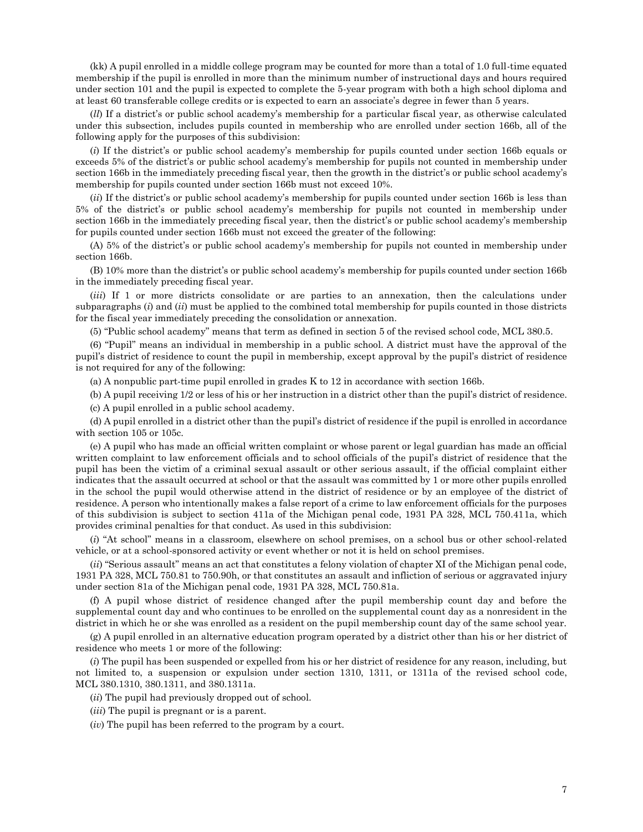(kk) A pupil enrolled in a middle college program may be counted for more than a total of 1.0 full-time equated membership if the pupil is enrolled in more than the minimum number of instructional days and hours required under section 101 and the pupil is expected to complete the 5-year program with both a high school diploma and at least 60 transferable college credits or is expected to earn an associate's degree in fewer than 5 years.

(*ll*) If a district's or public school academy's membership for a particular fiscal year, as otherwise calculated under this subsection, includes pupils counted in membership who are enrolled under section 166b, all of the following apply for the purposes of this subdivision:

(*i*) If the district's or public school academy's membership for pupils counted under section 166b equals or exceeds 5% of the district's or public school academy's membership for pupils not counted in membership under section 166b in the immediately preceding fiscal year, then the growth in the district's or public school academy's membership for pupils counted under section 166b must not exceed 10%.

(*ii*) If the district's or public school academy's membership for pupils counted under section 166b is less than 5% of the district's or public school academy's membership for pupils not counted in membership under section 166b in the immediately preceding fiscal year, then the district's or public school academy's membership for pupils counted under section 166b must not exceed the greater of the following:

(A) 5% of the district's or public school academy's membership for pupils not counted in membership under section 166b.

(B) 10% more than the district's or public school academy's membership for pupils counted under section 166b in the immediately preceding fiscal year.

(*iii*) If 1 or more districts consolidate or are parties to an annexation, then the calculations under subparagraphs (*i*) and (*ii*) must be applied to the combined total membership for pupils counted in those districts for the fiscal year immediately preceding the consolidation or annexation.

(5) "Public school academy" means that term as defined in section 5 of the revised school code, MCL 380.5.

(6) "Pupil" means an individual in membership in a public school. A district must have the approval of the pupil's district of residence to count the pupil in membership, except approval by the pupil's district of residence is not required for any of the following:

(a) A nonpublic part-time pupil enrolled in grades K to 12 in accordance with section 166b.

(b) A pupil receiving 1/2 or less of his or her instruction in a district other than the pupil's district of residence. (c) A pupil enrolled in a public school academy.

(d) A pupil enrolled in a district other than the pupil's district of residence if the pupil is enrolled in accordance with section 105 or 105c.

(e) A pupil who has made an official written complaint or whose parent or legal guardian has made an official written complaint to law enforcement officials and to school officials of the pupil's district of residence that the pupil has been the victim of a criminal sexual assault or other serious assault, if the official complaint either indicates that the assault occurred at school or that the assault was committed by 1 or more other pupils enrolled in the school the pupil would otherwise attend in the district of residence or by an employee of the district of residence. A person who intentionally makes a false report of a crime to law enforcement officials for the purposes of this subdivision is subject to section 411a of the Michigan penal code, 1931 PA 328, MCL 750.411a, which provides criminal penalties for that conduct. As used in this subdivision:

(*i*) "At school" means in a classroom, elsewhere on school premises, on a school bus or other school-related vehicle, or at a school-sponsored activity or event whether or not it is held on school premises.

(*ii*) "Serious assault" means an act that constitutes a felony violation of chapter XI of the Michigan penal code, 1931 PA 328, MCL 750.81 to 750.90h, or that constitutes an assault and infliction of serious or aggravated injury under section 81a of the Michigan penal code, 1931 PA 328, MCL 750.81a.

(f) A pupil whose district of residence changed after the pupil membership count day and before the supplemental count day and who continues to be enrolled on the supplemental count day as a nonresident in the district in which he or she was enrolled as a resident on the pupil membership count day of the same school year.

(g) A pupil enrolled in an alternative education program operated by a district other than his or her district of residence who meets 1 or more of the following:

(*i*) The pupil has been suspended or expelled from his or her district of residence for any reason, including, but not limited to, a suspension or expulsion under section 1310, 1311, or 1311a of the revised school code, MCL 380.1310, 380.1311, and 380.1311a.

(*ii*) The pupil had previously dropped out of school.

(*iii*) The pupil is pregnant or is a parent.

(*iv*) The pupil has been referred to the program by a court.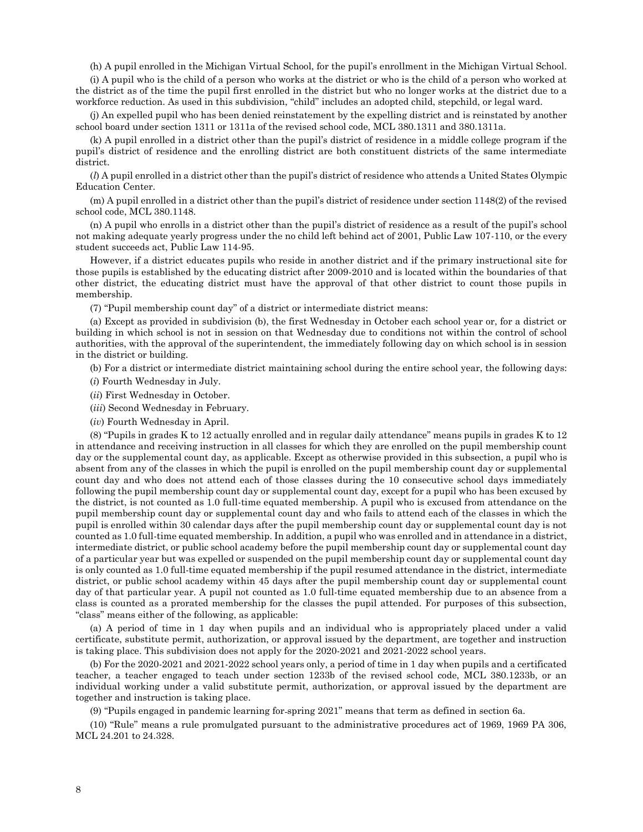(h) A pupil enrolled in the Michigan Virtual School, for the pupil's enrollment in the Michigan Virtual School.

(i) A pupil who is the child of a person who works at the district or who is the child of a person who worked at the district as of the time the pupil first enrolled in the district but who no longer works at the district due to a workforce reduction. As used in this subdivision, "child" includes an adopted child, stepchild, or legal ward.

(j) An expelled pupil who has been denied reinstatement by the expelling district and is reinstated by another school board under section 1311 or 1311a of the revised school code, MCL 380.1311 and 380.1311a.

(k) A pupil enrolled in a district other than the pupil's district of residence in a middle college program if the pupil's district of residence and the enrolling district are both constituent districts of the same intermediate district.

(*l*) A pupil enrolled in a district other than the pupil's district of residence who attends a United States Olympic Education Center.

(m) A pupil enrolled in a district other than the pupil's district of residence under section 1148(2) of the revised school code, MCL 380.1148.

(n) A pupil who enrolls in a district other than the pupil's district of residence as a result of the pupil's school not making adequate yearly progress under the no child left behind act of 2001, Public Law 107-110, or the every student succeeds act, Public Law 114-95.

However, if a district educates pupils who reside in another district and if the primary instructional site for those pupils is established by the educating district after 2009-2010 and is located within the boundaries of that other district, the educating district must have the approval of that other district to count those pupils in membership.

(7) "Pupil membership count day" of a district or intermediate district means:

(a) Except as provided in subdivision (b), the first Wednesday in October each school year or, for a district or building in which school is not in session on that Wednesday due to conditions not within the control of school authorities, with the approval of the superintendent, the immediately following day on which school is in session in the district or building.

(b) For a district or intermediate district maintaining school during the entire school year, the following days:

(*i*) Fourth Wednesday in July.

- (*ii*) First Wednesday in October.
- (*iii*) Second Wednesday in February.
- (*iv*) Fourth Wednesday in April.

(8) "Pupils in grades K to 12 actually enrolled and in regular daily attendance" means pupils in grades K to 12 in attendance and receiving instruction in all classes for which they are enrolled on the pupil membership count day or the supplemental count day, as applicable. Except as otherwise provided in this subsection, a pupil who is absent from any of the classes in which the pupil is enrolled on the pupil membership count day or supplemental count day and who does not attend each of those classes during the 10 consecutive school days immediately following the pupil membership count day or supplemental count day, except for a pupil who has been excused by the district, is not counted as 1.0 full-time equated membership. A pupil who is excused from attendance on the pupil membership count day or supplemental count day and who fails to attend each of the classes in which the pupil is enrolled within 30 calendar days after the pupil membership count day or supplemental count day is not counted as 1.0 full-time equated membership. In addition, a pupil who was enrolled and in attendance in a district, intermediate district, or public school academy before the pupil membership count day or supplemental count day of a particular year but was expelled or suspended on the pupil membership count day or supplemental count day is only counted as 1.0 full-time equated membership if the pupil resumed attendance in the district, intermediate district, or public school academy within 45 days after the pupil membership count day or supplemental count day of that particular year. A pupil not counted as 1.0 full-time equated membership due to an absence from a class is counted as a prorated membership for the classes the pupil attended. For purposes of this subsection, "class" means either of the following, as applicable:

(a) A period of time in 1 day when pupils and an individual who is appropriately placed under a valid certificate, substitute permit, authorization, or approval issued by the department, are together and instruction is taking place. This subdivision does not apply for the 2020-2021 and 2021-2022 school years.

(b) For the 2020-2021 and 2021-2022 school years only, a period of time in 1 day when pupils and a certificated teacher, a teacher engaged to teach under section 1233b of the revised school code, MCL 380.1233b, or an individual working under a valid substitute permit, authorization, or approval issued by the department are together and instruction is taking place.

(9) "Pupils engaged in pandemic learning for spring 2021" means that term as defined in section 6a.

(10) "Rule" means a rule promulgated pursuant to the administrative procedures act of 1969, 1969 PA 306, MCL 24.201 to 24.328.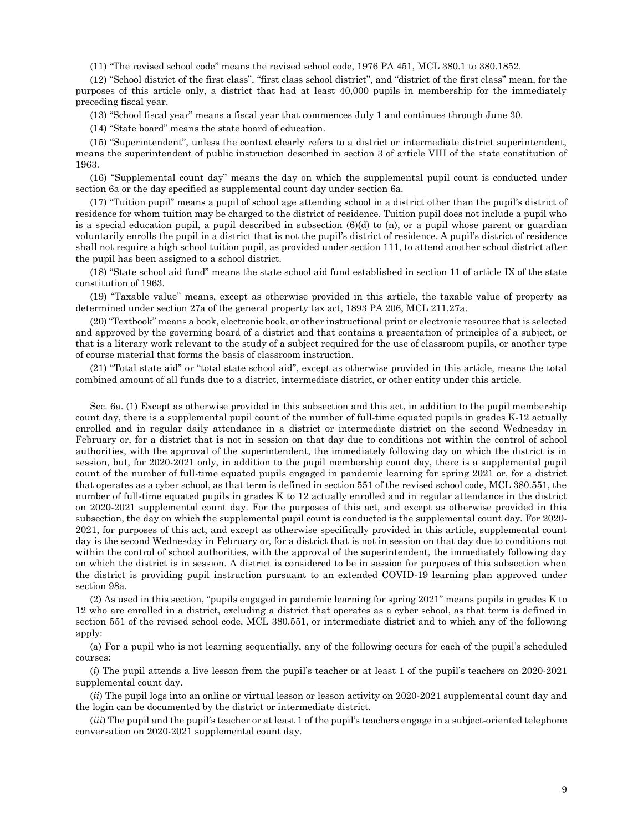(11) "The revised school code" means the revised school code, 1976 PA 451, MCL 380.1 to 380.1852.

(12) "School district of the first class", "first class school district", and "district of the first class" mean, for the purposes of this article only, a district that had at least 40,000 pupils in membership for the immediately preceding fiscal year.

(13) "School fiscal year" means a fiscal year that commences July 1 and continues through June 30.

(14) "State board" means the state board of education.

(15) "Superintendent", unless the context clearly refers to a district or intermediate district superintendent, means the superintendent of public instruction described in section 3 of article VIII of the state constitution of 1963.

(16) "Supplemental count day" means the day on which the supplemental pupil count is conducted under section 6a or the day specified as supplemental count day under section 6a.

(17) "Tuition pupil" means a pupil of school age attending school in a district other than the pupil's district of residence for whom tuition may be charged to the district of residence. Tuition pupil does not include a pupil who is a special education pupil, a pupil described in subsection  $(6)(d)$  to  $(n)$ , or a pupil whose parent or guardian voluntarily enrolls the pupil in a district that is not the pupil's district of residence. A pupil's district of residence shall not require a high school tuition pupil, as provided under section 111, to attend another school district after the pupil has been assigned to a school district.

(18) "State school aid fund" means the state school aid fund established in section 11 of article IX of the state constitution of 1963.

(19) "Taxable value" means, except as otherwise provided in this article, the taxable value of property as determined under section 27a of the general property tax act, 1893 PA 206, MCL 211.27a.

(20) "Textbook" means a book, electronic book, or other instructional print or electronic resource that is selected and approved by the governing board of a district and that contains a presentation of principles of a subject, or that is a literary work relevant to the study of a subject required for the use of classroom pupils, or another type of course material that forms the basis of classroom instruction.

(21) "Total state aid" or "total state school aid", except as otherwise provided in this article, means the total combined amount of all funds due to a district, intermediate district, or other entity under this article.

Sec. 6a. (1) Except as otherwise provided in this subsection and this act, in addition to the pupil membership count day, there is a supplemental pupil count of the number of full-time equated pupils in grades K-12 actually enrolled and in regular daily attendance in a district or intermediate district on the second Wednesday in February or, for a district that is not in session on that day due to conditions not within the control of school authorities, with the approval of the superintendent, the immediately following day on which the district is in session, but, for 2020-2021 only, in addition to the pupil membership count day, there is a supplemental pupil count of the number of full-time equated pupils engaged in pandemic learning for spring 2021 or, for a district that operates as a cyber school, as that term is defined in section 551 of the revised school code, MCL 380.551, the number of full-time equated pupils in grades K to 12 actually enrolled and in regular attendance in the district on 2020-2021 supplemental count day. For the purposes of this act, and except as otherwise provided in this subsection, the day on which the supplemental pupil count is conducted is the supplemental count day. For 2020- 2021, for purposes of this act, and except as otherwise specifically provided in this article, supplemental count day is the second Wednesday in February or, for a district that is not in session on that day due to conditions not within the control of school authorities, with the approval of the superintendent, the immediately following day on which the district is in session. A district is considered to be in session for purposes of this subsection when the district is providing pupil instruction pursuant to an extended COVID-19 learning plan approved under section 98a.

(2) As used in this section, "pupils engaged in pandemic learning for spring 2021" means pupils in grades K to 12 who are enrolled in a district, excluding a district that operates as a cyber school, as that term is defined in section 551 of the revised school code, MCL 380.551, or intermediate district and to which any of the following apply:

(a) For a pupil who is not learning sequentially, any of the following occurs for each of the pupil's scheduled courses:

(*i*) The pupil attends a live lesson from the pupil's teacher or at least 1 of the pupil's teachers on 2020-2021 supplemental count day.

(*ii*) The pupil logs into an online or virtual lesson or lesson activity on 2020-2021 supplemental count day and the login can be documented by the district or intermediate district.

(*iii*) The pupil and the pupil's teacher or at least 1 of the pupil's teachers engage in a subject-oriented telephone conversation on 2020-2021 supplemental count day.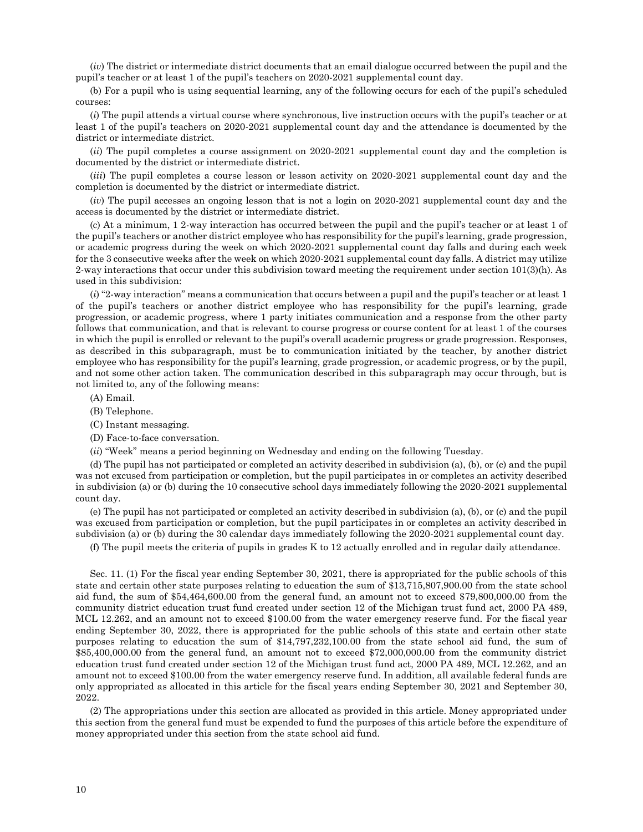(*iv*) The district or intermediate district documents that an email dialogue occurred between the pupil and the pupil's teacher or at least 1 of the pupil's teachers on 2020-2021 supplemental count day.

(b) For a pupil who is using sequential learning, any of the following occurs for each of the pupil's scheduled courses:

(*i*) The pupil attends a virtual course where synchronous, live instruction occurs with the pupil's teacher or at least 1 of the pupil's teachers on 2020-2021 supplemental count day and the attendance is documented by the district or intermediate district.

(*ii*) The pupil completes a course assignment on 2020-2021 supplemental count day and the completion is documented by the district or intermediate district.

(*iii*) The pupil completes a course lesson or lesson activity on 2020-2021 supplemental count day and the completion is documented by the district or intermediate district.

(*iv*) The pupil accesses an ongoing lesson that is not a login on 2020-2021 supplemental count day and the access is documented by the district or intermediate district.

(c) At a minimum, 1 2-way interaction has occurred between the pupil and the pupil's teacher or at least 1 of the pupil's teachers or another district employee who has responsibility for the pupil's learning, grade progression, or academic progress during the week on which 2020-2021 supplemental count day falls and during each week for the 3 consecutive weeks after the week on which 2020-2021 supplemental count day falls. A district may utilize 2-way interactions that occur under this subdivision toward meeting the requirement under section 101(3)(h). As used in this subdivision:

(*i*) "2-way interaction" means a communication that occurs between a pupil and the pupil's teacher or at least 1 of the pupil's teachers or another district employee who has responsibility for the pupil's learning, grade progression, or academic progress, where 1 party initiates communication and a response from the other party follows that communication, and that is relevant to course progress or course content for at least 1 of the courses in which the pupil is enrolled or relevant to the pupil's overall academic progress or grade progression. Responses, as described in this subparagraph, must be to communication initiated by the teacher, by another district employee who has responsibility for the pupil's learning, grade progression, or academic progress, or by the pupil, and not some other action taken. The communication described in this subparagraph may occur through, but is not limited to, any of the following means:

(A) Email.

- (B) Telephone.
- (C) Instant messaging.
- (D) Face-to-face conversation.
- (*ii*) "Week" means a period beginning on Wednesday and ending on the following Tuesday.

(d) The pupil has not participated or completed an activity described in subdivision (a), (b), or (c) and the pupil was not excused from participation or completion, but the pupil participates in or completes an activity described in subdivision (a) or (b) during the 10 consecutive school days immediately following the 2020-2021 supplemental count day.

(e) The pupil has not participated or completed an activity described in subdivision (a), (b), or (c) and the pupil was excused from participation or completion, but the pupil participates in or completes an activity described in subdivision (a) or (b) during the 30 calendar days immediately following the 2020-2021 supplemental count day.

(f) The pupil meets the criteria of pupils in grades K to 12 actually enrolled and in regular daily attendance.

Sec. 11. (1) For the fiscal year ending September 30, 2021, there is appropriated for the public schools of this state and certain other state purposes relating to education the sum of \$13,715,807,900.00 from the state school aid fund, the sum of \$54,464,600.00 from the general fund, an amount not to exceed \$79,800,000.00 from the community district education trust fund created under section 12 of the Michigan trust fund act, 2000 PA 489, MCL 12.262, and an amount not to exceed \$100.00 from the water emergency reserve fund. For the fiscal year ending September 30, 2022, there is appropriated for the public schools of this state and certain other state purposes relating to education the sum of \$14,797,232,100.00 from the state school aid fund, the sum of \$85,400,000.00 from the general fund, an amount not to exceed \$72,000,000.00 from the community district education trust fund created under section 12 of the Michigan trust fund act, 2000 PA 489, MCL 12.262, and an amount not to exceed \$100.00 from the water emergency reserve fund. In addition, all available federal funds are only appropriated as allocated in this article for the fiscal years ending September 30, 2021 and September 30, 2022.

(2) The appropriations under this section are allocated as provided in this article. Money appropriated under this section from the general fund must be expended to fund the purposes of this article before the expenditure of money appropriated under this section from the state school aid fund.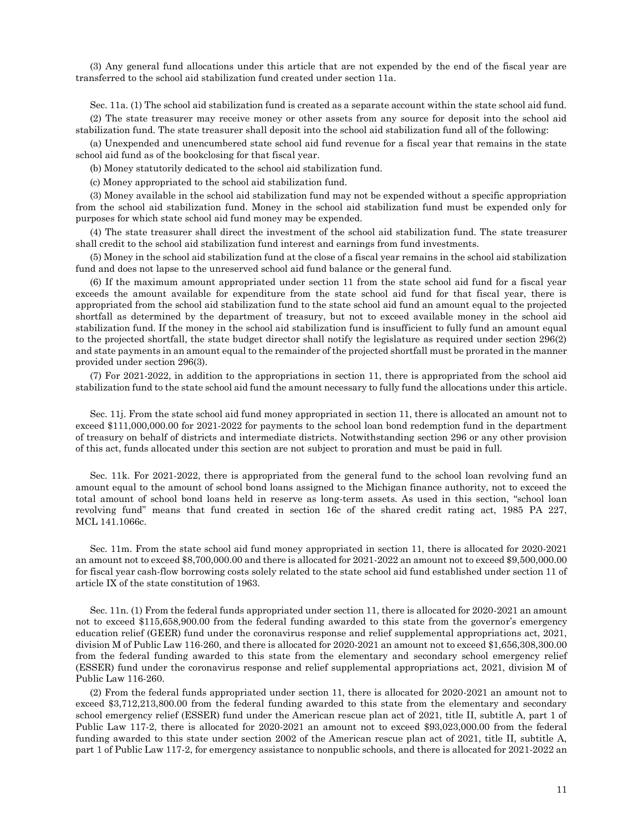(3) Any general fund allocations under this article that are not expended by the end of the fiscal year are transferred to the school aid stabilization fund created under section 11a.

Sec. 11a. (1) The school aid stabilization fund is created as a separate account within the state school aid fund. (2) The state treasurer may receive money or other assets from any source for deposit into the school aid stabilization fund. The state treasurer shall deposit into the school aid stabilization fund all of the following:

(a) Unexpended and unencumbered state school aid fund revenue for a fiscal year that remains in the state school aid fund as of the bookclosing for that fiscal year.

(b) Money statutorily dedicated to the school aid stabilization fund.

(c) Money appropriated to the school aid stabilization fund.

(3) Money available in the school aid stabilization fund may not be expended without a specific appropriation from the school aid stabilization fund. Money in the school aid stabilization fund must be expended only for purposes for which state school aid fund money may be expended.

(4) The state treasurer shall direct the investment of the school aid stabilization fund. The state treasurer shall credit to the school aid stabilization fund interest and earnings from fund investments.

(5) Money in the school aid stabilization fund at the close of a fiscal year remains in the school aid stabilization fund and does not lapse to the unreserved school aid fund balance or the general fund.

(6) If the maximum amount appropriated under section 11 from the state school aid fund for a fiscal year exceeds the amount available for expenditure from the state school aid fund for that fiscal year, there is appropriated from the school aid stabilization fund to the state school aid fund an amount equal to the projected shortfall as determined by the department of treasury, but not to exceed available money in the school aid stabilization fund. If the money in the school aid stabilization fund is insufficient to fully fund an amount equal to the projected shortfall, the state budget director shall notify the legislature as required under section 296(2) and state payments in an amount equal to the remainder of the projected shortfall must be prorated in the manner provided under section 296(3).

(7) For 2021-2022, in addition to the appropriations in section 11, there is appropriated from the school aid stabilization fund to the state school aid fund the amount necessary to fully fund the allocations under this article.

Sec. 11j. From the state school aid fund money appropriated in section 11, there is allocated an amount not to exceed \$111,000,000.00 for 2021-2022 for payments to the school loan bond redemption fund in the department of treasury on behalf of districts and intermediate districts. Notwithstanding section 296 or any other provision of this act, funds allocated under this section are not subject to proration and must be paid in full.

Sec. 11k. For 2021-2022, there is appropriated from the general fund to the school loan revolving fund an amount equal to the amount of school bond loans assigned to the Michigan finance authority, not to exceed the total amount of school bond loans held in reserve as long-term assets. As used in this section, "school loan revolving fund" means that fund created in section 16c of the shared credit rating act, 1985 PA 227, MCL 141.1066c.

Sec. 11m. From the state school aid fund money appropriated in section 11, there is allocated for 2020-2021 an amount not to exceed \$8,700,000.00 and there is allocated for 2021-2022 an amount not to exceed \$9,500,000.00 for fiscal year cash-flow borrowing costs solely related to the state school aid fund established under section 11 of article IX of the state constitution of 1963.

Sec. 11n. (1) From the federal funds appropriated under section 11, there is allocated for 2020-2021 an amount not to exceed \$115,658,900.00 from the federal funding awarded to this state from the governor's emergency education relief (GEER) fund under the coronavirus response and relief supplemental appropriations act, 2021, division M of Public Law 116-260, and there is allocated for 2020-2021 an amount not to exceed \$1,656,308,300.00 from the federal funding awarded to this state from the elementary and secondary school emergency relief (ESSER) fund under the coronavirus response and relief supplemental appropriations act, 2021, division M of Public Law 116-260.

(2) From the federal funds appropriated under section 11, there is allocated for 2020-2021 an amount not to exceed \$3,712,213,800.00 from the federal funding awarded to this state from the elementary and secondary school emergency relief (ESSER) fund under the American rescue plan act of 2021, title II, subtitle A, part 1 of Public Law 117-2, there is allocated for 2020-2021 an amount not to exceed \$93,023,000.00 from the federal funding awarded to this state under section 2002 of the American rescue plan act of 2021, title II, subtitle A, part 1 of Public Law 117-2, for emergency assistance to nonpublic schools, and there is allocated for 2021-2022 an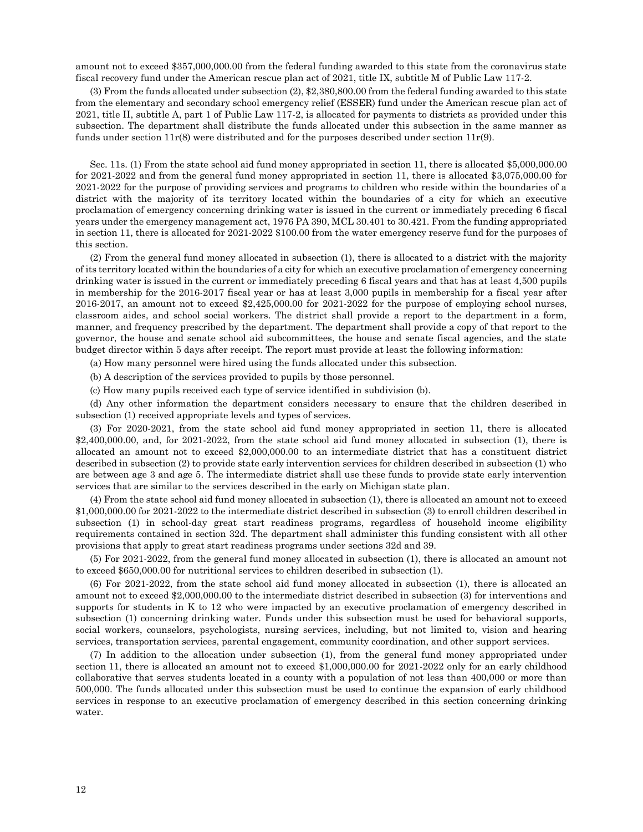amount not to exceed \$357,000,000.00 from the federal funding awarded to this state from the coronavirus state fiscal recovery fund under the American rescue plan act of 2021, title IX, subtitle M of Public Law 117-2.

(3) From the funds allocated under subsection (2), \$2,380,800.00 from the federal funding awarded to this state from the elementary and secondary school emergency relief (ESSER) fund under the American rescue plan act of 2021, title II, subtitle A, part 1 of Public Law 117-2, is allocated for payments to districts as provided under this subsection. The department shall distribute the funds allocated under this subsection in the same manner as funds under section  $11r(8)$  were distributed and for the purposes described under section  $11r(9)$ .

Sec. 11s. (1) From the state school aid fund money appropriated in section 11, there is allocated \$5,000,000.00 for 2021-2022 and from the general fund money appropriated in section 11, there is allocated \$3,075,000.00 for 2021-2022 for the purpose of providing services and programs to children who reside within the boundaries of a district with the majority of its territory located within the boundaries of a city for which an executive proclamation of emergency concerning drinking water is issued in the current or immediately preceding 6 fiscal years under the emergency management act, 1976 PA 390, MCL 30.401 to 30.421. From the funding appropriated in section 11, there is allocated for 2021-2022 \$100.00 from the water emergency reserve fund for the purposes of this section.

(2) From the general fund money allocated in subsection (1), there is allocated to a district with the majority of its territory located within the boundaries of a city for which an executive proclamation of emergency concerning drinking water is issued in the current or immediately preceding 6 fiscal years and that has at least 4,500 pupils in membership for the 2016-2017 fiscal year or has at least 3,000 pupils in membership for a fiscal year after 2016-2017, an amount not to exceed \$2,425,000.00 for 2021-2022 for the purpose of employing school nurses, classroom aides, and school social workers. The district shall provide a report to the department in a form, manner, and frequency prescribed by the department. The department shall provide a copy of that report to the governor, the house and senate school aid subcommittees, the house and senate fiscal agencies, and the state budget director within 5 days after receipt. The report must provide at least the following information:

(a) How many personnel were hired using the funds allocated under this subsection.

- (b) A description of the services provided to pupils by those personnel.
- (c) How many pupils received each type of service identified in subdivision (b).

(d) Any other information the department considers necessary to ensure that the children described in subsection (1) received appropriate levels and types of services.

(3) For 2020-2021, from the state school aid fund money appropriated in section 11, there is allocated \$2,400,000.00, and, for 2021-2022, from the state school aid fund money allocated in subsection (1), there is allocated an amount not to exceed \$2,000,000.00 to an intermediate district that has a constituent district described in subsection (2) to provide state early intervention services for children described in subsection (1) who are between age 3 and age 5. The intermediate district shall use these funds to provide state early intervention services that are similar to the services described in the early on Michigan state plan.

(4) From the state school aid fund money allocated in subsection (1), there is allocated an amount not to exceed \$1,000,000.00 for 2021-2022 to the intermediate district described in subsection (3) to enroll children described in subsection (1) in school-day great start readiness programs, regardless of household income eligibility requirements contained in section 32d. The department shall administer this funding consistent with all other provisions that apply to great start readiness programs under sections 32d and 39.

(5) For 2021-2022, from the general fund money allocated in subsection (1), there is allocated an amount not to exceed \$650,000.00 for nutritional services to children described in subsection (1).

(6) For 2021-2022, from the state school aid fund money allocated in subsection (1), there is allocated an amount not to exceed \$2,000,000.00 to the intermediate district described in subsection (3) for interventions and supports for students in K to 12 who were impacted by an executive proclamation of emergency described in subsection (1) concerning drinking water. Funds under this subsection must be used for behavioral supports, social workers, counselors, psychologists, nursing services, including, but not limited to, vision and hearing services, transportation services, parental engagement, community coordination, and other support services.

(7) In addition to the allocation under subsection (1), from the general fund money appropriated under section 11, there is allocated an amount not to exceed \$1,000,000.00 for 2021-2022 only for an early childhood collaborative that serves students located in a county with a population of not less than 400,000 or more than 500,000. The funds allocated under this subsection must be used to continue the expansion of early childhood services in response to an executive proclamation of emergency described in this section concerning drinking water.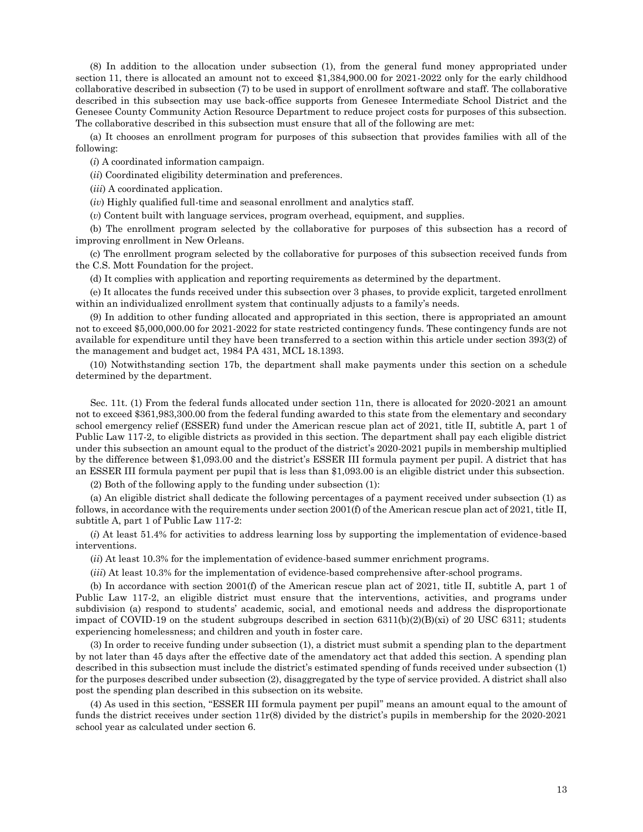(8) In addition to the allocation under subsection (1), from the general fund money appropriated under section 11, there is allocated an amount not to exceed \$1,384,900.00 for 2021-2022 only for the early childhood collaborative described in subsection (7) to be used in support of enrollment software and staff. The collaborative described in this subsection may use back-office supports from Genesee Intermediate School District and the Genesee County Community Action Resource Department to reduce project costs for purposes of this subsection. The collaborative described in this subsection must ensure that all of the following are met:

(a) It chooses an enrollment program for purposes of this subsection that provides families with all of the following:

(*i*) A coordinated information campaign.

(*ii*) Coordinated eligibility determination and preferences.

(*iii*) A coordinated application.

(*iv*) Highly qualified full-time and seasonal enrollment and analytics staff.

(*v*) Content built with language services, program overhead, equipment, and supplies.

(b) The enrollment program selected by the collaborative for purposes of this subsection has a record of improving enrollment in New Orleans.

(c) The enrollment program selected by the collaborative for purposes of this subsection received funds from the C.S. Mott Foundation for the project.

(d) It complies with application and reporting requirements as determined by the department.

(e) It allocates the funds received under this subsection over 3 phases, to provide explicit, targeted enrollment within an individualized enrollment system that continually adjusts to a family's needs.

(9) In addition to other funding allocated and appropriated in this section, there is appropriated an amount not to exceed \$5,000,000.00 for 2021-2022 for state restricted contingency funds. These contingency funds are not available for expenditure until they have been transferred to a section within this article under section 393(2) of the management and budget act, 1984 PA 431, MCL 18.1393.

(10) Notwithstanding section 17b, the department shall make payments under this section on a schedule determined by the department.

Sec. 11t. (1) From the federal funds allocated under section 11n, there is allocated for 2020-2021 an amount not to exceed \$361,983,300.00 from the federal funding awarded to this state from the elementary and secondary school emergency relief (ESSER) fund under the American rescue plan act of 2021, title II, subtitle A, part 1 of Public Law 117-2, to eligible districts as provided in this section. The department shall pay each eligible district under this subsection an amount equal to the product of the district's 2020-2021 pupils in membership multiplied by the difference between \$1,093.00 and the district's ESSER III formula payment per pupil. A district that has an ESSER III formula payment per pupil that is less than \$1,093.00 is an eligible district under this subsection.

(2) Both of the following apply to the funding under subsection (1):

(a) An eligible district shall dedicate the following percentages of a payment received under subsection (1) as follows, in accordance with the requirements under section 2001(f) of the American rescue plan act of 2021, title II, subtitle A, part 1 of Public Law 117-2:

(*i*) At least 51.4% for activities to address learning loss by supporting the implementation of evidence-based interventions.

(*ii*) At least 10.3% for the implementation of evidence-based summer enrichment programs.

(*iii*) At least 10.3% for the implementation of evidence-based comprehensive after-school programs.

(b) In accordance with section 2001(f) of the American rescue plan act of 2021, title II, subtitle A, part 1 of Public Law 117-2, an eligible district must ensure that the interventions, activities, and programs under subdivision (a) respond to students' academic, social, and emotional needs and address the disproportionate impact of COVID-19 on the student subgroups described in section  $6311(b)(2)(B)(xi)$  of 20 USC 6311; students experiencing homelessness; and children and youth in foster care.

(3) In order to receive funding under subsection (1), a district must submit a spending plan to the department by not later than 45 days after the effective date of the amendatory act that added this section. A spending plan described in this subsection must include the district's estimated spending of funds received under subsection (1) for the purposes described under subsection (2), disaggregated by the type of service provided. A district shall also post the spending plan described in this subsection on its website.

(4) As used in this section, "ESSER III formula payment per pupil" means an amount equal to the amount of funds the district receives under section  $11r(8)$  divided by the district's pupils in membership for the 2020-2021 school year as calculated under section 6.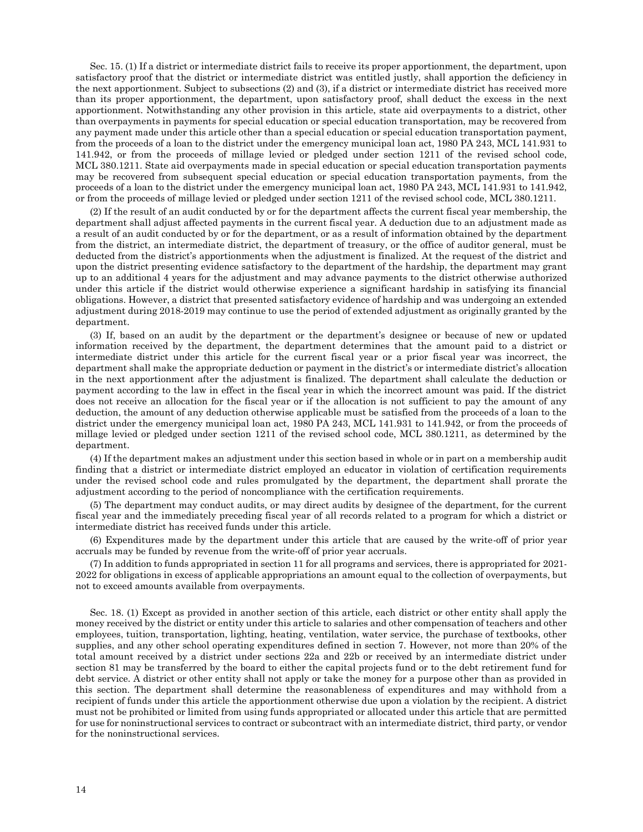Sec. 15. (1) If a district or intermediate district fails to receive its proper apportionment, the department, upon satisfactory proof that the district or intermediate district was entitled justly, shall apportion the deficiency in the next apportionment. Subject to subsections (2) and (3), if a district or intermediate district has received more than its proper apportionment, the department, upon satisfactory proof, shall deduct the excess in the next apportionment. Notwithstanding any other provision in this article, state aid overpayments to a district, other than overpayments in payments for special education or special education transportation, may be recovered from any payment made under this article other than a special education or special education transportation payment, from the proceeds of a loan to the district under the emergency municipal loan act, 1980 PA 243, MCL 141.931 to 141.942, or from the proceeds of millage levied or pledged under section 1211 of the revised school code, MCL 380.1211. State aid overpayments made in special education or special education transportation payments may be recovered from subsequent special education or special education transportation payments, from the proceeds of a loan to the district under the emergency municipal loan act, 1980 PA 243, MCL 141.931 to 141.942, or from the proceeds of millage levied or pledged under section 1211 of the revised school code, MCL 380.1211.

(2) If the result of an audit conducted by or for the department affects the current fiscal year membership, the department shall adjust affected payments in the current fiscal year. A deduction due to an adjustment made as a result of an audit conducted by or for the department, or as a result of information obtained by the department from the district, an intermediate district, the department of treasury, or the office of auditor general, must be deducted from the district's apportionments when the adjustment is finalized. At the request of the district and upon the district presenting evidence satisfactory to the department of the hardship, the department may grant up to an additional 4 years for the adjustment and may advance payments to the district otherwise authorized under this article if the district would otherwise experience a significant hardship in satisfying its financial obligations. However, a district that presented satisfactory evidence of hardship and was undergoing an extended adjustment during 2018-2019 may continue to use the period of extended adjustment as originally granted by the department.

(3) If, based on an audit by the department or the department's designee or because of new or updated information received by the department, the department determines that the amount paid to a district or intermediate district under this article for the current fiscal year or a prior fiscal year was incorrect, the department shall make the appropriate deduction or payment in the district's or intermediate district's allocation in the next apportionment after the adjustment is finalized. The department shall calculate the deduction or payment according to the law in effect in the fiscal year in which the incorrect amount was paid. If the district does not receive an allocation for the fiscal year or if the allocation is not sufficient to pay the amount of any deduction, the amount of any deduction otherwise applicable must be satisfied from the proceeds of a loan to the district under the emergency municipal loan act, 1980 PA 243, MCL 141.931 to 141.942, or from the proceeds of millage levied or pledged under section 1211 of the revised school code, MCL 380.1211, as determined by the department.

(4) If the department makes an adjustment under this section based in whole or in part on a membership audit finding that a district or intermediate district employed an educator in violation of certification requirements under the revised school code and rules promulgated by the department, the department shall prorate the adjustment according to the period of noncompliance with the certification requirements.

(5) The department may conduct audits, or may direct audits by designee of the department, for the current fiscal year and the immediately preceding fiscal year of all records related to a program for which a district or intermediate district has received funds under this article.

(6) Expenditures made by the department under this article that are caused by the write-off of prior year accruals may be funded by revenue from the write-off of prior year accruals.

(7) In addition to funds appropriated in section 11 for all programs and services, there is appropriated for 2021- 2022 for obligations in excess of applicable appropriations an amount equal to the collection of overpayments, but not to exceed amounts available from overpayments.

Sec. 18. (1) Except as provided in another section of this article, each district or other entity shall apply the money received by the district or entity under this article to salaries and other compensation of teachers and other employees, tuition, transportation, lighting, heating, ventilation, water service, the purchase of textbooks, other supplies, and any other school operating expenditures defined in section 7. However, not more than 20% of the total amount received by a district under sections 22a and 22b or received by an intermediate district under section 81 may be transferred by the board to either the capital projects fund or to the debt retirement fund for debt service. A district or other entity shall not apply or take the money for a purpose other than as provided in this section. The department shall determine the reasonableness of expenditures and may withhold from a recipient of funds under this article the apportionment otherwise due upon a violation by the recipient. A district must not be prohibited or limited from using funds appropriated or allocated under this article that are permitted for use for noninstructional services to contract or subcontract with an intermediate district, third party, or vendor for the noninstructional services.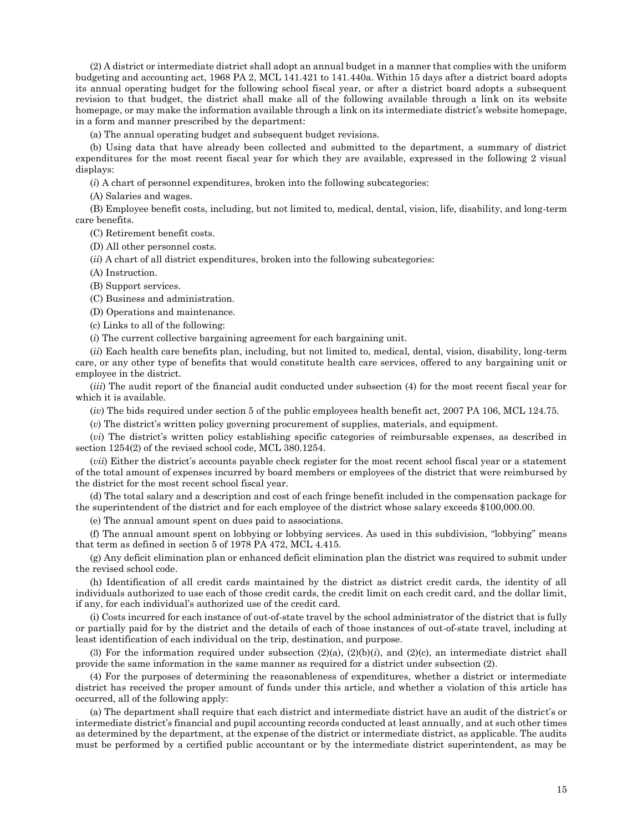(2) A district or intermediate district shall adopt an annual budget in a manner that complies with the uniform budgeting and accounting act, 1968 PA 2, MCL 141.421 to 141.440a. Within 15 days after a district board adopts its annual operating budget for the following school fiscal year, or after a district board adopts a subsequent revision to that budget, the district shall make all of the following available through a link on its website homepage, or may make the information available through a link on its intermediate district's website homepage, in a form and manner prescribed by the department:

(a) The annual operating budget and subsequent budget revisions.

(b) Using data that have already been collected and submitted to the department, a summary of district expenditures for the most recent fiscal year for which they are available, expressed in the following 2 visual displays:

(*i*) A chart of personnel expenditures, broken into the following subcategories:

(A) Salaries and wages.

(B) Employee benefit costs, including, but not limited to, medical, dental, vision, life, disability, and long-term care benefits.

(C) Retirement benefit costs.

(D) All other personnel costs.

(*ii*) A chart of all district expenditures, broken into the following subcategories:

(A) Instruction.

(B) Support services.

(C) Business and administration.

(D) Operations and maintenance.

(c) Links to all of the following:

(*i*) The current collective bargaining agreement for each bargaining unit.

(*ii*) Each health care benefits plan, including, but not limited to, medical, dental, vision, disability, long-term care, or any other type of benefits that would constitute health care services, offered to any bargaining unit or employee in the district.

(*iii*) The audit report of the financial audit conducted under subsection (4) for the most recent fiscal year for which it is available.

(*iv*) The bids required under section 5 of the public employees health benefit act, 2007 PA 106, MCL 124.75.

(*v*) The district's written policy governing procurement of supplies, materials, and equipment.

(*vi*) The district's written policy establishing specific categories of reimbursable expenses, as described in section 1254(2) of the revised school code, MCL 380.1254.

(*vii*) Either the district's accounts payable check register for the most recent school fiscal year or a statement of the total amount of expenses incurred by board members or employees of the district that were reimbursed by the district for the most recent school fiscal year.

(d) The total salary and a description and cost of each fringe benefit included in the compensation package for the superintendent of the district and for each employee of the district whose salary exceeds \$100,000.00.

(e) The annual amount spent on dues paid to associations.

(f) The annual amount spent on lobbying or lobbying services. As used in this subdivision, "lobbying" means that term as defined in section 5 of 1978 PA 472, MCL 4.415.

(g) Any deficit elimination plan or enhanced deficit elimination plan the district was required to submit under the revised school code.

(h) Identification of all credit cards maintained by the district as district credit cards, the identity of all individuals authorized to use each of those credit cards, the credit limit on each credit card, and the dollar limit, if any, for each individual's authorized use of the credit card.

(i) Costs incurred for each instance of out-of-state travel by the school administrator of the district that is fully or partially paid for by the district and the details of each of those instances of out-of-state travel, including at least identification of each individual on the trip, destination, and purpose.

(3) For the information required under subsection (2)(a), (2)(b)(*i*), and (2)(c), an intermediate district shall provide the same information in the same manner as required for a district under subsection (2).

(4) For the purposes of determining the reasonableness of expenditures, whether a district or intermediate district has received the proper amount of funds under this article, and whether a violation of this article has occurred, all of the following apply:

(a) The department shall require that each district and intermediate district have an audit of the district's or intermediate district's financial and pupil accounting records conducted at least annually, and at such other times as determined by the department, at the expense of the district or intermediate district, as applicable. The audits must be performed by a certified public accountant or by the intermediate district superintendent, as may be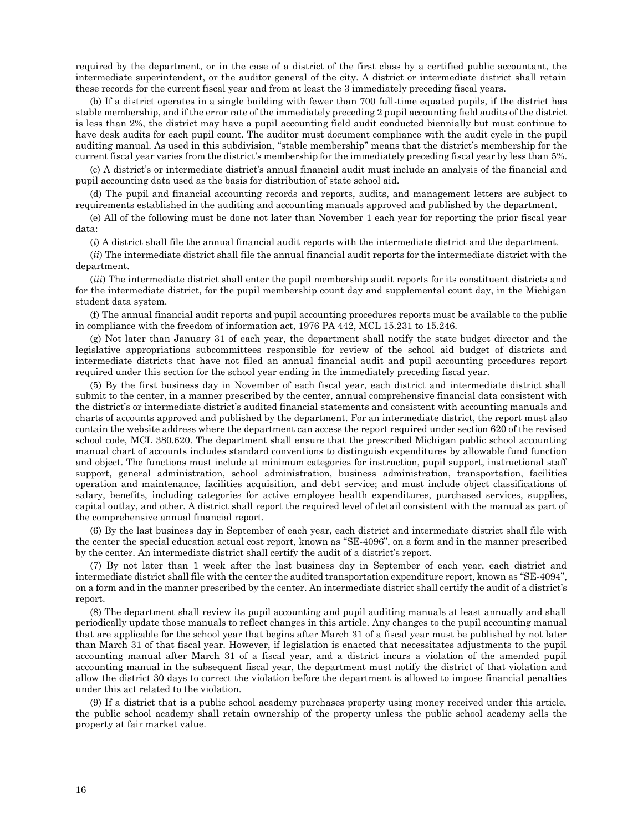required by the department, or in the case of a district of the first class by a certified public accountant, the intermediate superintendent, or the auditor general of the city. A district or intermediate district shall retain these records for the current fiscal year and from at least the 3 immediately preceding fiscal years.

(b) If a district operates in a single building with fewer than 700 full-time equated pupils, if the district has stable membership, and if the error rate of the immediately preceding 2 pupil accounting field audits of the district is less than 2%, the district may have a pupil accounting field audit conducted biennially but must continue to have desk audits for each pupil count. The auditor must document compliance with the audit cycle in the pupil auditing manual. As used in this subdivision, "stable membership" means that the district's membership for the current fiscal year varies from the district's membership for the immediately preceding fiscal year by less than 5%.

(c) A district's or intermediate district's annual financial audit must include an analysis of the financial and pupil accounting data used as the basis for distribution of state school aid.

(d) The pupil and financial accounting records and reports, audits, and management letters are subject to requirements established in the auditing and accounting manuals approved and published by the department.

(e) All of the following must be done not later than November 1 each year for reporting the prior fiscal year data:

(*i*) A district shall file the annual financial audit reports with the intermediate district and the department.

(*ii*) The intermediate district shall file the annual financial audit reports for the intermediate district with the department.

(*iii*) The intermediate district shall enter the pupil membership audit reports for its constituent districts and for the intermediate district, for the pupil membership count day and supplemental count day, in the Michigan student data system.

(f) The annual financial audit reports and pupil accounting procedures reports must be available to the public in compliance with the freedom of information act, 1976 PA 442, MCL 15.231 to 15.246.

(g) Not later than January 31 of each year, the department shall notify the state budget director and the legislative appropriations subcommittees responsible for review of the school aid budget of districts and intermediate districts that have not filed an annual financial audit and pupil accounting procedures report required under this section for the school year ending in the immediately preceding fiscal year.

(5) By the first business day in November of each fiscal year, each district and intermediate district shall submit to the center, in a manner prescribed by the center, annual comprehensive financial data consistent with the district's or intermediate district's audited financial statements and consistent with accounting manuals and charts of accounts approved and published by the department. For an intermediate district, the report must also contain the website address where the department can access the report required under section 620 of the revised school code, MCL 380.620. The department shall ensure that the prescribed Michigan public school accounting manual chart of accounts includes standard conventions to distinguish expenditures by allowable fund function and object. The functions must include at minimum categories for instruction, pupil support, instructional staff support, general administration, school administration, business administration, transportation, facilities operation and maintenance, facilities acquisition, and debt service; and must include object classifications of salary, benefits, including categories for active employee health expenditures, purchased services, supplies, capital outlay, and other. A district shall report the required level of detail consistent with the manual as part of the comprehensive annual financial report.

(6) By the last business day in September of each year, each district and intermediate district shall file with the center the special education actual cost report, known as "SE-4096", on a form and in the manner prescribed by the center. An intermediate district shall certify the audit of a district's report.

(7) By not later than 1 week after the last business day in September of each year, each district and intermediate district shall file with the center the audited transportation expenditure report, known as "SE-4094", on a form and in the manner prescribed by the center. An intermediate district shall certify the audit of a district's report.

(8) The department shall review its pupil accounting and pupil auditing manuals at least annually and shall periodically update those manuals to reflect changes in this article. Any changes to the pupil accounting manual that are applicable for the school year that begins after March 31 of a fiscal year must be published by not later than March 31 of that fiscal year. However, if legislation is enacted that necessitates adjustments to the pupil accounting manual after March 31 of a fiscal year, and a district incurs a violation of the amended pupil accounting manual in the subsequent fiscal year, the department must notify the district of that violation and allow the district 30 days to correct the violation before the department is allowed to impose financial penalties under this act related to the violation.

(9) If a district that is a public school academy purchases property using money received under this article, the public school academy shall retain ownership of the property unless the public school academy sells the property at fair market value.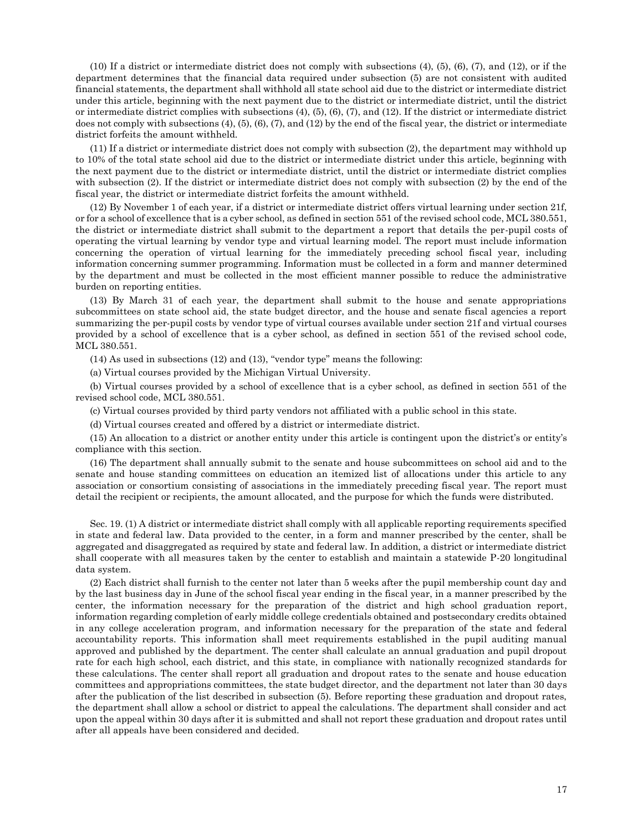(10) If a district or intermediate district does not comply with subsections (4), (5), (6), (7), and (12), or if the department determines that the financial data required under subsection (5) are not consistent with audited financial statements, the department shall withhold all state school aid due to the district or intermediate district under this article, beginning with the next payment due to the district or intermediate district, until the district or intermediate district complies with subsections (4), (5), (6), (7), and (12). If the district or intermediate district does not comply with subsections (4), (5), (6), (7), and (12) by the end of the fiscal year, the district or intermediate district forfeits the amount withheld.

(11) If a district or intermediate district does not comply with subsection (2), the department may withhold up to 10% of the total state school aid due to the district or intermediate district under this article, beginning with the next payment due to the district or intermediate district, until the district or intermediate district complies with subsection (2). If the district or intermediate district does not comply with subsection (2) by the end of the fiscal year, the district or intermediate district forfeits the amount withheld.

(12) By November 1 of each year, if a district or intermediate district offers virtual learning under section 21f, or for a school of excellence that is a cyber school, as defined in section 551 of the revised school code, MCL 380.551, the district or intermediate district shall submit to the department a report that details the per-pupil costs of operating the virtual learning by vendor type and virtual learning model. The report must include information concerning the operation of virtual learning for the immediately preceding school fiscal year, including information concerning summer programming. Information must be collected in a form and manner determined by the department and must be collected in the most efficient manner possible to reduce the administrative burden on reporting entities.

(13) By March 31 of each year, the department shall submit to the house and senate appropriations subcommittees on state school aid, the state budget director, and the house and senate fiscal agencies a report summarizing the per-pupil costs by vendor type of virtual courses available under section 21f and virtual courses provided by a school of excellence that is a cyber school, as defined in section 551 of the revised school code, MCL 380.551.

(14) As used in subsections (12) and (13), "vendor type" means the following:

(a) Virtual courses provided by the Michigan Virtual University.

(b) Virtual courses provided by a school of excellence that is a cyber school, as defined in section 551 of the revised school code, MCL 380.551.

(c) Virtual courses provided by third party vendors not affiliated with a public school in this state.

(d) Virtual courses created and offered by a district or intermediate district.

(15) An allocation to a district or another entity under this article is contingent upon the district's or entity's compliance with this section.

(16) The department shall annually submit to the senate and house subcommittees on school aid and to the senate and house standing committees on education an itemized list of allocations under this article to any association or consortium consisting of associations in the immediately preceding fiscal year. The report must detail the recipient or recipients, the amount allocated, and the purpose for which the funds were distributed.

Sec. 19. (1) A district or intermediate district shall comply with all applicable reporting requirements specified in state and federal law. Data provided to the center, in a form and manner prescribed by the center, shall be aggregated and disaggregated as required by state and federal law. In addition, a district or intermediate district shall cooperate with all measures taken by the center to establish and maintain a statewide P-20 longitudinal data system.

(2) Each district shall furnish to the center not later than 5 weeks after the pupil membership count day and by the last business day in June of the school fiscal year ending in the fiscal year, in a manner prescribed by the center, the information necessary for the preparation of the district and high school graduation report, information regarding completion of early middle college credentials obtained and postsecondary credits obtained in any college acceleration program, and information necessary for the preparation of the state and federal accountability reports. This information shall meet requirements established in the pupil auditing manual approved and published by the department. The center shall calculate an annual graduation and pupil dropout rate for each high school, each district, and this state, in compliance with nationally recognized standards for these calculations. The center shall report all graduation and dropout rates to the senate and house education committees and appropriations committees, the state budget director, and the department not later than 30 days after the publication of the list described in subsection (5). Before reporting these graduation and dropout rates, the department shall allow a school or district to appeal the calculations. The department shall consider and act upon the appeal within 30 days after it is submitted and shall not report these graduation and dropout rates until after all appeals have been considered and decided.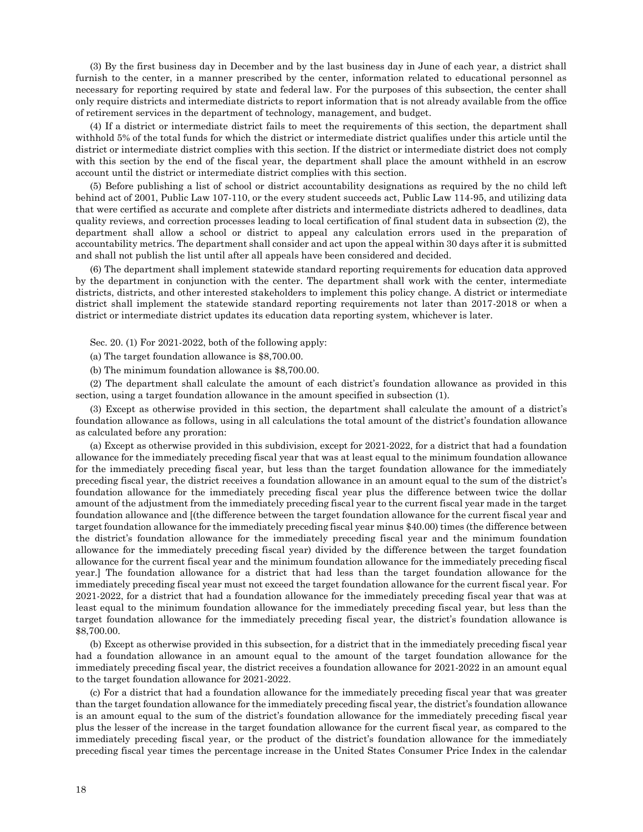(3) By the first business day in December and by the last business day in June of each year, a district shall furnish to the center, in a manner prescribed by the center, information related to educational personnel as necessary for reporting required by state and federal law. For the purposes of this subsection, the center shall only require districts and intermediate districts to report information that is not already available from the office of retirement services in the department of technology, management, and budget.

(4) If a district or intermediate district fails to meet the requirements of this section, the department shall withhold 5% of the total funds for which the district or intermediate district qualifies under this article until the district or intermediate district complies with this section. If the district or intermediate district does not comply with this section by the end of the fiscal year, the department shall place the amount withheld in an escrow account until the district or intermediate district complies with this section.

(5) Before publishing a list of school or district accountability designations as required by the no child left behind act of 2001, Public Law 107-110, or the every student succeeds act, Public Law 114-95, and utilizing data that were certified as accurate and complete after districts and intermediate districts adhered to deadlines, data quality reviews, and correction processes leading to local certification of final student data in subsection (2), the department shall allow a school or district to appeal any calculation errors used in the preparation of accountability metrics. The department shall consider and act upon the appeal within 30 days after it is submitted and shall not publish the list until after all appeals have been considered and decided.

(6) The department shall implement statewide standard reporting requirements for education data approved by the department in conjunction with the center. The department shall work with the center, intermediate districts, districts, and other interested stakeholders to implement this policy change. A district or intermediate district shall implement the statewide standard reporting requirements not later than 2017-2018 or when a district or intermediate district updates its education data reporting system, whichever is later.

Sec. 20. (1) For 2021-2022, both of the following apply:

(a) The target foundation allowance is \$8,700.00.

(b) The minimum foundation allowance is \$8,700.00.

(2) The department shall calculate the amount of each district's foundation allowance as provided in this section, using a target foundation allowance in the amount specified in subsection (1).

(3) Except as otherwise provided in this section, the department shall calculate the amount of a district's foundation allowance as follows, using in all calculations the total amount of the district's foundation allowance as calculated before any proration:

(a) Except as otherwise provided in this subdivision, except for 2021-2022, for a district that had a foundation allowance for the immediately preceding fiscal year that was at least equal to the minimum foundation allowance for the immediately preceding fiscal year, but less than the target foundation allowance for the immediately preceding fiscal year, the district receives a foundation allowance in an amount equal to the sum of the district's foundation allowance for the immediately preceding fiscal year plus the difference between twice the dollar amount of the adjustment from the immediately preceding fiscal year to the current fiscal year made in the target foundation allowance and [(the difference between the target foundation allowance for the current fiscal year and target foundation allowance for the immediately preceding fiscal year minus \$40.00) times (the difference between the district's foundation allowance for the immediately preceding fiscal year and the minimum foundation allowance for the immediately preceding fiscal year) divided by the difference between the target foundation allowance for the current fiscal year and the minimum foundation allowance for the immediately preceding fiscal year.] The foundation allowance for a district that had less than the target foundation allowance for the immediately preceding fiscal year must not exceed the target foundation allowance for the current fiscal year. For 2021-2022, for a district that had a foundation allowance for the immediately preceding fiscal year that was at least equal to the minimum foundation allowance for the immediately preceding fiscal year, but less than the target foundation allowance for the immediately preceding fiscal year, the district's foundation allowance is \$8,700.00.

(b) Except as otherwise provided in this subsection, for a district that in the immediately preceding fiscal year had a foundation allowance in an amount equal to the amount of the target foundation allowance for the immediately preceding fiscal year, the district receives a foundation allowance for 2021-2022 in an amount equal to the target foundation allowance for 2021-2022.

(c) For a district that had a foundation allowance for the immediately preceding fiscal year that was greater than the target foundation allowance for the immediately preceding fiscal year, the district's foundation allowance is an amount equal to the sum of the district's foundation allowance for the immediately preceding fiscal year plus the lesser of the increase in the target foundation allowance for the current fiscal year, as compared to the immediately preceding fiscal year, or the product of the district's foundation allowance for the immediately preceding fiscal year times the percentage increase in the United States Consumer Price Index in the calendar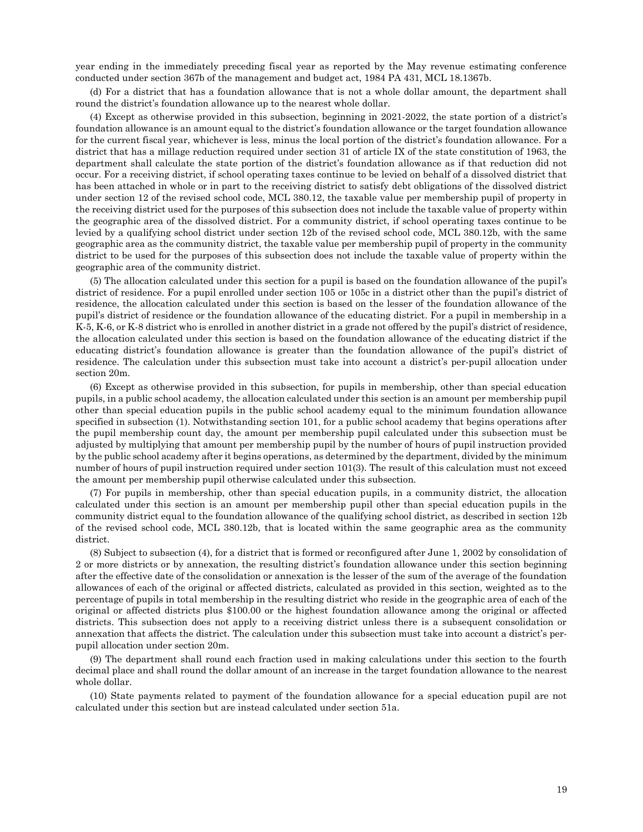year ending in the immediately preceding fiscal year as reported by the May revenue estimating conference conducted under section 367b of the management and budget act, 1984 PA 431, MCL 18.1367b.

(d) For a district that has a foundation allowance that is not a whole dollar amount, the department shall round the district's foundation allowance up to the nearest whole dollar.

(4) Except as otherwise provided in this subsection, beginning in 2021-2022, the state portion of a district's foundation allowance is an amount equal to the district's foundation allowance or the target foundation allowance for the current fiscal year, whichever is less, minus the local portion of the district's foundation allowance. For a district that has a millage reduction required under section 31 of article IX of the state constitution of 1963, the department shall calculate the state portion of the district's foundation allowance as if that reduction did not occur. For a receiving district, if school operating taxes continue to be levied on behalf of a dissolved district that has been attached in whole or in part to the receiving district to satisfy debt obligations of the dissolved district under section 12 of the revised school code, MCL 380.12, the taxable value per membership pupil of property in the receiving district used for the purposes of this subsection does not include the taxable value of property within the geographic area of the dissolved district. For a community district, if school operating taxes continue to be levied by a qualifying school district under section 12b of the revised school code, MCL 380.12b, with the same geographic area as the community district, the taxable value per membership pupil of property in the community district to be used for the purposes of this subsection does not include the taxable value of property within the geographic area of the community district.

(5) The allocation calculated under this section for a pupil is based on the foundation allowance of the pupil's district of residence. For a pupil enrolled under section 105 or 105c in a district other than the pupil's district of residence, the allocation calculated under this section is based on the lesser of the foundation allowance of the pupil's district of residence or the foundation allowance of the educating district. For a pupil in membership in a K-5, K-6, or K-8 district who is enrolled in another district in a grade not offered by the pupil's district of residence, the allocation calculated under this section is based on the foundation allowance of the educating district if the educating district's foundation allowance is greater than the foundation allowance of the pupil's district of residence. The calculation under this subsection must take into account a district's per-pupil allocation under section 20m.

(6) Except as otherwise provided in this subsection, for pupils in membership, other than special education pupils, in a public school academy, the allocation calculated under this section is an amount per membership pupil other than special education pupils in the public school academy equal to the minimum foundation allowance specified in subsection (1). Notwithstanding section 101, for a public school academy that begins operations after the pupil membership count day, the amount per membership pupil calculated under this subsection must be adjusted by multiplying that amount per membership pupil by the number of hours of pupil instruction provided by the public school academy after it begins operations, as determined by the department, divided by the minimum number of hours of pupil instruction required under section 101(3). The result of this calculation must not exceed the amount per membership pupil otherwise calculated under this subsection.

(7) For pupils in membership, other than special education pupils, in a community district, the allocation calculated under this section is an amount per membership pupil other than special education pupils in the community district equal to the foundation allowance of the qualifying school district, as described in section 12b of the revised school code, MCL 380.12b, that is located within the same geographic area as the community district.

(8) Subject to subsection (4), for a district that is formed or reconfigured after June 1, 2002 by consolidation of 2 or more districts or by annexation, the resulting district's foundation allowance under this section beginning after the effective date of the consolidation or annexation is the lesser of the sum of the average of the foundation allowances of each of the original or affected districts, calculated as provided in this section, weighted as to the percentage of pupils in total membership in the resulting district who reside in the geographic area of each of the original or affected districts plus \$100.00 or the highest foundation allowance among the original or affected districts. This subsection does not apply to a receiving district unless there is a subsequent consolidation or annexation that affects the district. The calculation under this subsection must take into account a district's perpupil allocation under section 20m.

(9) The department shall round each fraction used in making calculations under this section to the fourth decimal place and shall round the dollar amount of an increase in the target foundation allowance to the nearest whole dollar.

(10) State payments related to payment of the foundation allowance for a special education pupil are not calculated under this section but are instead calculated under section 51a.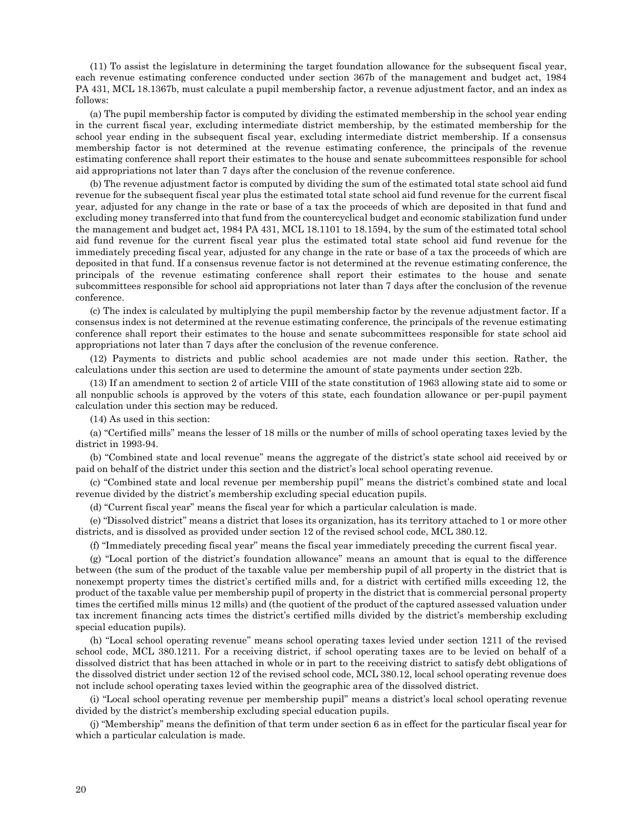(11) To assist the legislature in determining the target foundation allowance for the subsequent fiscal year, each revenue estimating conference conducted under section 367b of the management and budget act, 1984 PA 431, MCL 18.1367b, must calculate a pupil membership factor, a revenue adjustment factor, and an index as follows:

(a) The pupil membership factor is computed by dividing the estimated membership in the school year ending in the current fiscal year, excluding intermediate district membership, by the estimated membership for the school year ending in the subsequent fiscal year, excluding intermediate district membership. If a consensus membership factor is not determined at the revenue estimating conference, the principals of the revenue estimating conference shall report their estimates to the house and senate subcommittees responsible for school aid appropriations not later than 7 days after the conclusion of the revenue conference.

(b) The revenue adjustment factor is computed by dividing the sum of the estimated total state school aid fund revenue for the subsequent fiscal year plus the estimated total state school aid fund revenue for the current fiscal year, adjusted for any change in the rate or base of a tax the proceeds of which are deposited in that fund and excluding money transferred into that fund from the countercyclical budget and economic stabilization fund under the management and budget act, 1984 PA 431, MCL 18.1101 to 18.1594, by the sum of the estimated total school aid fund revenue for the current fiscal year plus the estimated total state school aid fund revenue for the immediately preceding fiscal year, adjusted for any change in the rate or base of a tax the proceeds of which are deposited in that fund. If a consensus revenue factor is not determined at the revenue estimating conference, the principals of the revenue estimating conference shall report their estimates to the house and senate subcommittees responsible for school aid appropriations not later than 7 days after the conclusion of the revenue conference.

(c) The index is calculated by multiplying the pupil membership factor by the revenue adjustment factor. If a consensus index is not determined at the revenue estimating conference, the principals of the revenue estimating conference shall report their estimates to the house and senate subcommittees responsible for state school aid appropriations not later than 7 days after the conclusion of the revenue conference.

(12) Payments to districts and public school academies are not made under this section. Rather, the calculations under this section are used to determine the amount of state payments under section 22b.

(13) If an amendment to section 2 of article VIII of the state constitution of 1963 allowing state aid to some or all nonpublic schools is approved by the voters of this state, each foundation allowance or per-pupil payment calculation under this section may be reduced.

(14) As used in this section:

(a) "Certified mills" means the lesser of 18 mills or the number of mills of school operating taxes levied by the district in 1993-94.

(b) "Combined state and local revenue" means the aggregate of the district's state school aid received by or paid on behalf of the district under this section and the district's local school operating revenue.

(c) "Combined state and local revenue per membership pupil" means the district's combined state and local revenue divided by the district's membership excluding special education pupils.

(d) "Current fiscal year" means the fiscal year for which a particular calculation is made.

(e) "Dissolved district" means a district that loses its organization, has its territory attached to 1 or more other districts, and is dissolved as provided under section 12 of the revised school code, MCL 380.12.

(f) "Immediately preceding fiscal year" means the fiscal year immediately preceding the current fiscal year.

(g) "Local portion of the district's foundation allowance" means an amount that is equal to the difference between (the sum of the product of the taxable value per membership pupil of all property in the district that is nonexempt property times the district's certified mills and, for a district with certified mills exceeding 12, the product of the taxable value per membership pupil of property in the district that is commercial personal property times the certified mills minus 12 mills) and (the quotient of the product of the captured assessed valuation under tax increment financing acts times the district's certified mills divided by the district's membership excluding special education pupils).

(h) "Local school operating revenue" means school operating taxes levied under section 1211 of the revised school code, MCL 380.1211. For a receiving district, if school operating taxes are to be levied on behalf of a dissolved district that has been attached in whole or in part to the receiving district to satisfy debt obligations of the dissolved district under section 12 of the revised school code, MCL 380.12, local school operating revenue does not include school operating taxes levied within the geographic area of the dissolved district.

(i) "Local school operating revenue per membership pupil" means a district's local school operating revenue divided by the district's membership excluding special education pupils.

(j) "Membership" means the definition of that term under section 6 as in effect for the particular fiscal year for which a particular calculation is made.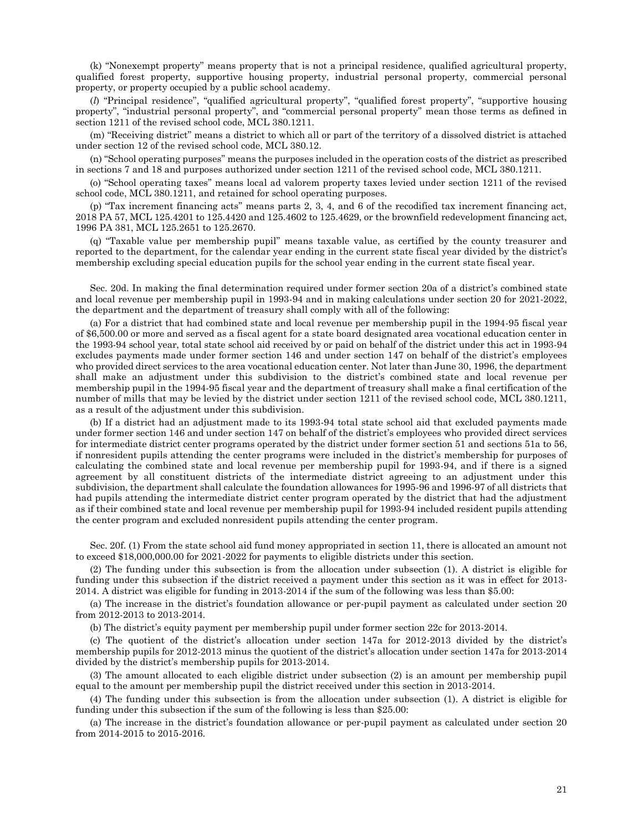(k) "Nonexempt property" means property that is not a principal residence, qualified agricultural property, qualified forest property, supportive housing property, industrial personal property, commercial personal property, or property occupied by a public school academy.

(*l*) "Principal residence", "qualified agricultural property", "qualified forest property", "supportive housing property", "industrial personal property", and "commercial personal property" mean those terms as defined in section 1211 of the revised school code, MCL 380.1211.

(m) "Receiving district" means a district to which all or part of the territory of a dissolved district is attached under section 12 of the revised school code, MCL 380.12.

(n) "School operating purposes" means the purposes included in the operation costs of the district as prescribed in sections 7 and 18 and purposes authorized under section 1211 of the revised school code, MCL 380.1211.

(o) "School operating taxes" means local ad valorem property taxes levied under section 1211 of the revised school code, MCL 380.1211, and retained for school operating purposes.

(p) "Tax increment financing acts" means parts 2, 3, 4, and 6 of the recodified tax increment financing act, 2018 PA 57, MCL 125.4201 to 125.4420 and 125.4602 to 125.4629, or the brownfield redevelopment financing act, 1996 PA 381, MCL 125.2651 to 125.2670.

(q) "Taxable value per membership pupil" means taxable value, as certified by the county treasurer and reported to the department, for the calendar year ending in the current state fiscal year divided by the district's membership excluding special education pupils for the school year ending in the current state fiscal year.

Sec. 20d. In making the final determination required under former section 20a of a district's combined state and local revenue per membership pupil in 1993-94 and in making calculations under section 20 for 2021-2022, the department and the department of treasury shall comply with all of the following:

(a) For a district that had combined state and local revenue per membership pupil in the 1994-95 fiscal year of \$6,500.00 or more and served as a fiscal agent for a state board designated area vocational education center in the 1993-94 school year, total state school aid received by or paid on behalf of the district under this act in 1993-94 excludes payments made under former section 146 and under section 147 on behalf of the district's employees who provided direct services to the area vocational education center. Not later than June 30, 1996, the department shall make an adjustment under this subdivision to the district's combined state and local revenue per membership pupil in the 1994-95 fiscal year and the department of treasury shall make a final certification of the number of mills that may be levied by the district under section 1211 of the revised school code, MCL 380.1211, as a result of the adjustment under this subdivision.

(b) If a district had an adjustment made to its 1993-94 total state school aid that excluded payments made under former section 146 and under section 147 on behalf of the district's employees who provided direct services for intermediate district center programs operated by the district under former section 51 and sections 51a to 56, if nonresident pupils attending the center programs were included in the district's membership for purposes of calculating the combined state and local revenue per membership pupil for 1993-94, and if there is a signed agreement by all constituent districts of the intermediate district agreeing to an adjustment under this subdivision, the department shall calculate the foundation allowances for 1995-96 and 1996-97 of all districts that had pupils attending the intermediate district center program operated by the district that had the adjustment as if their combined state and local revenue per membership pupil for 1993-94 included resident pupils attending the center program and excluded nonresident pupils attending the center program.

Sec. 20f. (1) From the state school aid fund money appropriated in section 11, there is allocated an amount not to exceed \$18,000,000.00 for 2021-2022 for payments to eligible districts under this section.

(2) The funding under this subsection is from the allocation under subsection (1). A district is eligible for funding under this subsection if the district received a payment under this section as it was in effect for 2013- 2014. A district was eligible for funding in 2013-2014 if the sum of the following was less than \$5.00:

(a) The increase in the district's foundation allowance or per-pupil payment as calculated under section 20 from 2012-2013 to 2013-2014.

(b) The district's equity payment per membership pupil under former section 22c for 2013-2014.

(c) The quotient of the district's allocation under section 147a for 2012-2013 divided by the district's membership pupils for 2012-2013 minus the quotient of the district's allocation under section 147a for 2013-2014 divided by the district's membership pupils for 2013-2014.

(3) The amount allocated to each eligible district under subsection (2) is an amount per membership pupil equal to the amount per membership pupil the district received under this section in 2013-2014.

(4) The funding under this subsection is from the allocation under subsection (1). A district is eligible for funding under this subsection if the sum of the following is less than \$25.00:

(a) The increase in the district's foundation allowance or per-pupil payment as calculated under section 20 from 2014-2015 to 2015-2016.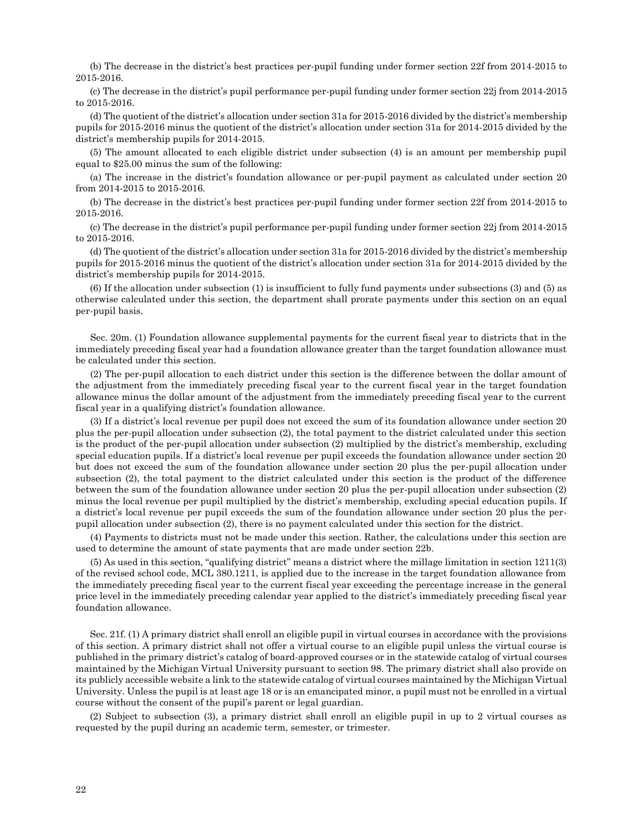(b) The decrease in the district's best practices per-pupil funding under former section 22f from 2014-2015 to 2015-2016.

(c) The decrease in the district's pupil performance per-pupil funding under former section 22j from 2014-2015 to 2015-2016.

(d) The quotient of the district's allocation under section 31a for 2015-2016 divided by the district's membership pupils for 2015-2016 minus the quotient of the district's allocation under section 31a for 2014-2015 divided by the district's membership pupils for 2014-2015.

(5) The amount allocated to each eligible district under subsection (4) is an amount per membership pupil equal to \$25.00 minus the sum of the following:

(a) The increase in the district's foundation allowance or per-pupil payment as calculated under section 20 from 2014-2015 to 2015-2016.

(b) The decrease in the district's best practices per-pupil funding under former section 22f from 2014-2015 to 2015-2016.

(c) The decrease in the district's pupil performance per-pupil funding under former section 22j from 2014-2015 to 2015-2016.

(d) The quotient of the district's allocation under section 31a for 2015-2016 divided by the district's membership pupils for 2015-2016 minus the quotient of the district's allocation under section 31a for 2014-2015 divided by the district's membership pupils for 2014-2015.

(6) If the allocation under subsection (1) is insufficient to fully fund payments under subsections (3) and (5) as otherwise calculated under this section, the department shall prorate payments under this section on an equal per-pupil basis.

Sec. 20m. (1) Foundation allowance supplemental payments for the current fiscal year to districts that in the immediately preceding fiscal year had a foundation allowance greater than the target foundation allowance must be calculated under this section.

(2) The per-pupil allocation to each district under this section is the difference between the dollar amount of the adjustment from the immediately preceding fiscal year to the current fiscal year in the target foundation allowance minus the dollar amount of the adjustment from the immediately preceding fiscal year to the current fiscal year in a qualifying district's foundation allowance.

(3) If a district's local revenue per pupil does not exceed the sum of its foundation allowance under section 20 plus the per-pupil allocation under subsection (2), the total payment to the district calculated under this section is the product of the per-pupil allocation under subsection (2) multiplied by the district's membership, excluding special education pupils. If a district's local revenue per pupil exceeds the foundation allowance under section 20 but does not exceed the sum of the foundation allowance under section 20 plus the per-pupil allocation under subsection (2), the total payment to the district calculated under this section is the product of the difference between the sum of the foundation allowance under section 20 plus the per-pupil allocation under subsection (2) minus the local revenue per pupil multiplied by the district's membership, excluding special education pupils. If a district's local revenue per pupil exceeds the sum of the foundation allowance under section 20 plus the perpupil allocation under subsection (2), there is no payment calculated under this section for the district.

(4) Payments to districts must not be made under this section. Rather, the calculations under this section are used to determine the amount of state payments that are made under section 22b.

(5) As used in this section, "qualifying district" means a district where the millage limitation in section 1211(3) of the revised school code, MCL 380.1211, is applied due to the increase in the target foundation allowance from the immediately preceding fiscal year to the current fiscal year exceeding the percentage increase in the general price level in the immediately preceding calendar year applied to the district's immediately preceding fiscal year foundation allowance.

Sec. 21f. (1) A primary district shall enroll an eligible pupil in virtual courses in accordance with the provisions of this section. A primary district shall not offer a virtual course to an eligible pupil unless the virtual course is published in the primary district's catalog of board-approved courses or in the statewide catalog of virtual courses maintained by the Michigan Virtual University pursuant to section 98. The primary district shall also provide on its publicly accessible website a link to the statewide catalog of virtual courses maintained by the Michigan Virtual University. Unless the pupil is at least age 18 or is an emancipated minor, a pupil must not be enrolled in a virtual course without the consent of the pupil's parent or legal guardian.

(2) Subject to subsection (3), a primary district shall enroll an eligible pupil in up to 2 virtual courses as requested by the pupil during an academic term, semester, or trimester.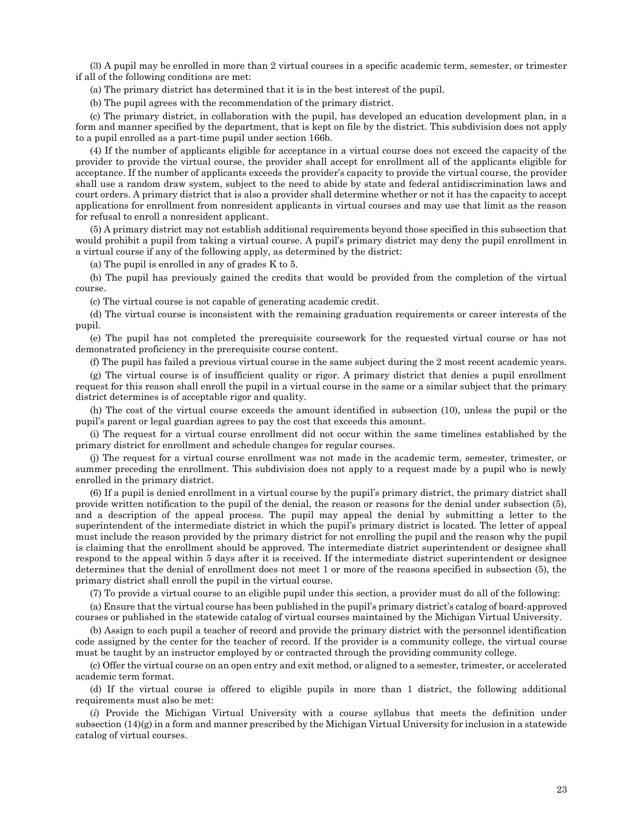(3) A pupil may be enrolled in more than 2 virtual courses in a specific academic term, semester, or trimester if all of the following conditions are met:

(a) The primary district has determined that it is in the best interest of the pupil.

(b) The pupil agrees with the recommendation of the primary district.

(c) The primary district, in collaboration with the pupil, has developed an education development plan, in a form and manner specified by the department, that is kept on file by the district. This subdivision does not apply to a pupil enrolled as a part-time pupil under section 166b.

(4) If the number of applicants eligible for acceptance in a virtual course does not exceed the capacity of the provider to provide the virtual course, the provider shall accept for enrollment all of the applicants eligible for acceptance. If the number of applicants exceeds the provider's capacity to provide the virtual course, the provider shall use a random draw system, subject to the need to abide by state and federal antidiscrimination laws and court orders. A primary district that is also a provider shall determine whether or not it has the capacity to accept applications for enrollment from nonresident applicants in virtual courses and may use that limit as the reason for refusal to enroll a nonresident applicant.

(5) A primary district may not establish additional requirements beyond those specified in this subsection that would prohibit a pupil from taking a virtual course. A pupil's primary district may deny the pupil enrollment in a virtual course if any of the following apply, as determined by the district:

(a) The pupil is enrolled in any of grades K to 5.

(b) The pupil has previously gained the credits that would be provided from the completion of the virtual course.

(c) The virtual course is not capable of generating academic credit.

(d) The virtual course is inconsistent with the remaining graduation requirements or career interests of the pupil.

(e) The pupil has not completed the prerequisite coursework for the requested virtual course or has not demonstrated proficiency in the prerequisite course content.

(f) The pupil has failed a previous virtual course in the same subject during the 2 most recent academic years.

(g) The virtual course is of insufficient quality or rigor. A primary district that denies a pupil enrollment request for this reason shall enroll the pupil in a virtual course in the same or a similar subject that the primary district determines is of acceptable rigor and quality.

(h) The cost of the virtual course exceeds the amount identified in subsection (10), unless the pupil or the pupil's parent or legal guardian agrees to pay the cost that exceeds this amount.

(i) The request for a virtual course enrollment did not occur within the same timelines established by the primary district for enrollment and schedule changes for regular courses.

(j) The request for a virtual course enrollment was not made in the academic term, semester, trimester, or summer preceding the enrollment. This subdivision does not apply to a request made by a pupil who is newly enrolled in the primary district.

(6) If a pupil is denied enrollment in a virtual course by the pupil's primary district, the primary district shall provide written notification to the pupil of the denial, the reason or reasons for the denial under subsection (5), and a description of the appeal process. The pupil may appeal the denial by submitting a letter to the superintendent of the intermediate district in which the pupil's primary district is located. The letter of appeal must include the reason provided by the primary district for not enrolling the pupil and the reason why the pupil is claiming that the enrollment should be approved. The intermediate district superintendent or designee shall respond to the appeal within 5 days after it is received. If the intermediate district superintendent or designee determines that the denial of enrollment does not meet 1 or more of the reasons specified in subsection (5), the primary district shall enroll the pupil in the virtual course.

(7) To provide a virtual course to an eligible pupil under this section, a provider must do all of the following:

(a) Ensure that the virtual course has been published in the pupil's primary district's catalog of board-approved courses or published in the statewide catalog of virtual courses maintained by the Michigan Virtual University.

(b) Assign to each pupil a teacher of record and provide the primary district with the personnel identification code assigned by the center for the teacher of record. If the provider is a community college, the virtual course must be taught by an instructor employed by or contracted through the providing community college.

(c) Offer the virtual course on an open entry and exit method, or aligned to a semester, trimester, or accelerated academic term format.

(d) If the virtual course is offered to eligible pupils in more than 1 district, the following additional requirements must also be met:

(*i*) Provide the Michigan Virtual University with a course syllabus that meets the definition under subsection (14)(g) in a form and manner prescribed by the Michigan Virtual University for inclusion in a statewide catalog of virtual courses.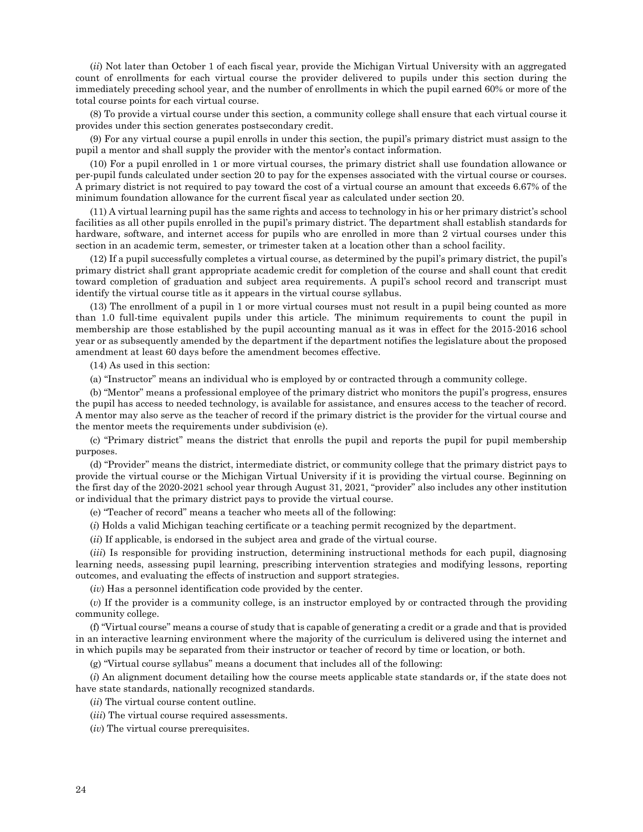(*ii*) Not later than October 1 of each fiscal year, provide the Michigan Virtual University with an aggregated count of enrollments for each virtual course the provider delivered to pupils under this section during the immediately preceding school year, and the number of enrollments in which the pupil earned 60% or more of the total course points for each virtual course.

(8) To provide a virtual course under this section, a community college shall ensure that each virtual course it provides under this section generates postsecondary credit.

(9) For any virtual course a pupil enrolls in under this section, the pupil's primary district must assign to the pupil a mentor and shall supply the provider with the mentor's contact information.

(10) For a pupil enrolled in 1 or more virtual courses, the primary district shall use foundation allowance or per-pupil funds calculated under section 20 to pay for the expenses associated with the virtual course or courses. A primary district is not required to pay toward the cost of a virtual course an amount that exceeds 6.67% of the minimum foundation allowance for the current fiscal year as calculated under section 20.

(11) A virtual learning pupil has the same rights and access to technology in his or her primary district's school facilities as all other pupils enrolled in the pupil's primary district. The department shall establish standards for hardware, software, and internet access for pupils who are enrolled in more than 2 virtual courses under this section in an academic term, semester, or trimester taken at a location other than a school facility.

(12) If a pupil successfully completes a virtual course, as determined by the pupil's primary district, the pupil's primary district shall grant appropriate academic credit for completion of the course and shall count that credit toward completion of graduation and subject area requirements. A pupil's school record and transcript must identify the virtual course title as it appears in the virtual course syllabus.

(13) The enrollment of a pupil in 1 or more virtual courses must not result in a pupil being counted as more than 1.0 full-time equivalent pupils under this article. The minimum requirements to count the pupil in membership are those established by the pupil accounting manual as it was in effect for the 2015-2016 school year or as subsequently amended by the department if the department notifies the legislature about the proposed amendment at least 60 days before the amendment becomes effective.

(14) As used in this section:

(a) "Instructor" means an individual who is employed by or contracted through a community college.

(b) "Mentor" means a professional employee of the primary district who monitors the pupil's progress, ensures the pupil has access to needed technology, is available for assistance, and ensures access to the teacher of record. A mentor may also serve as the teacher of record if the primary district is the provider for the virtual course and the mentor meets the requirements under subdivision (e).

(c) "Primary district" means the district that enrolls the pupil and reports the pupil for pupil membership purposes.

(d) "Provider" means the district, intermediate district, or community college that the primary district pays to provide the virtual course or the Michigan Virtual University if it is providing the virtual course. Beginning on the first day of the 2020-2021 school year through August 31, 2021, "provider" also includes any other institution or individual that the primary district pays to provide the virtual course.

(e) "Teacher of record" means a teacher who meets all of the following:

(*i*) Holds a valid Michigan teaching certificate or a teaching permit recognized by the department.

(*ii*) If applicable, is endorsed in the subject area and grade of the virtual course.

(*iii*) Is responsible for providing instruction, determining instructional methods for each pupil, diagnosing learning needs, assessing pupil learning, prescribing intervention strategies and modifying lessons, reporting outcomes, and evaluating the effects of instruction and support strategies.

(*iv*) Has a personnel identification code provided by the center.

(*v*) If the provider is a community college, is an instructor employed by or contracted through the providing community college.

(f) "Virtual course" means a course of study that is capable of generating a credit or a grade and that is provided in an interactive learning environment where the majority of the curriculum is delivered using the internet and in which pupils may be separated from their instructor or teacher of record by time or location, or both.

(g) "Virtual course syllabus" means a document that includes all of the following:

(*i*) An alignment document detailing how the course meets applicable state standards or, if the state does not have state standards, nationally recognized standards.

(*ii*) The virtual course content outline.

(*iii*) The virtual course required assessments.

(*iv*) The virtual course prerequisites.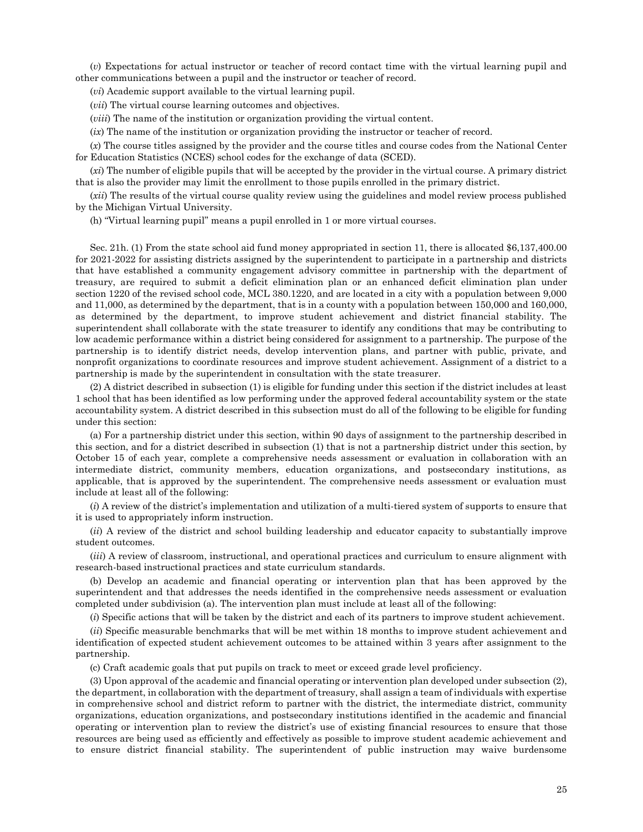(*v*) Expectations for actual instructor or teacher of record contact time with the virtual learning pupil and other communications between a pupil and the instructor or teacher of record.

(*vi*) Academic support available to the virtual learning pupil.

(*vii*) The virtual course learning outcomes and objectives.

(*viii*) The name of the institution or organization providing the virtual content.

(*ix*) The name of the institution or organization providing the instructor or teacher of record.

(*x*) The course titles assigned by the provider and the course titles and course codes from the National Center for Education Statistics (NCES) school codes for the exchange of data (SCED).

(*xi*) The number of eligible pupils that will be accepted by the provider in the virtual course. A primary district that is also the provider may limit the enrollment to those pupils enrolled in the primary district.

(*xii*) The results of the virtual course quality review using the guidelines and model review process published by the Michigan Virtual University.

(h) "Virtual learning pupil" means a pupil enrolled in 1 or more virtual courses.

Sec. 21h. (1) From the state school aid fund money appropriated in section 11, there is allocated \$6,137,400.00 for 2021-2022 for assisting districts assigned by the superintendent to participate in a partnership and districts that have established a community engagement advisory committee in partnership with the department of treasury, are required to submit a deficit elimination plan or an enhanced deficit elimination plan under section 1220 of the revised school code, MCL 380.1220, and are located in a city with a population between 9,000 and 11,000, as determined by the department, that is in a county with a population between 150,000 and 160,000, as determined by the department, to improve student achievement and district financial stability. The superintendent shall collaborate with the state treasurer to identify any conditions that may be contributing to low academic performance within a district being considered for assignment to a partnership. The purpose of the partnership is to identify district needs, develop intervention plans, and partner with public, private, and nonprofit organizations to coordinate resources and improve student achievement. Assignment of a district to a partnership is made by the superintendent in consultation with the state treasurer.

(2) A district described in subsection (1) is eligible for funding under this section if the district includes at least 1 school that has been identified as low performing under the approved federal accountability system or the state accountability system. A district described in this subsection must do all of the following to be eligible for funding under this section:

(a) For a partnership district under this section, within 90 days of assignment to the partnership described in this section, and for a district described in subsection (1) that is not a partnership district under this section, by October 15 of each year, complete a comprehensive needs assessment or evaluation in collaboration with an intermediate district, community members, education organizations, and postsecondary institutions, as applicable, that is approved by the superintendent. The comprehensive needs assessment or evaluation must include at least all of the following:

(*i*) A review of the district's implementation and utilization of a multi-tiered system of supports to ensure that it is used to appropriately inform instruction.

(*ii*) A review of the district and school building leadership and educator capacity to substantially improve student outcomes.

(*iii*) A review of classroom, instructional, and operational practices and curriculum to ensure alignment with research-based instructional practices and state curriculum standards.

(b) Develop an academic and financial operating or intervention plan that has been approved by the superintendent and that addresses the needs identified in the comprehensive needs assessment or evaluation completed under subdivision (a). The intervention plan must include at least all of the following:

(*i*) Specific actions that will be taken by the district and each of its partners to improve student achievement.

(*ii*) Specific measurable benchmarks that will be met within 18 months to improve student achievement and identification of expected student achievement outcomes to be attained within 3 years after assignment to the partnership.

(c) Craft academic goals that put pupils on track to meet or exceed grade level proficiency.

(3) Upon approval of the academic and financial operating or intervention plan developed under subsection (2), the department, in collaboration with the department of treasury, shall assign a team of individuals with expertise in comprehensive school and district reform to partner with the district, the intermediate district, community organizations, education organizations, and postsecondary institutions identified in the academic and financial operating or intervention plan to review the district's use of existing financial resources to ensure that those resources are being used as efficiently and effectively as possible to improve student academic achievement and to ensure district financial stability. The superintendent of public instruction may waive burdensome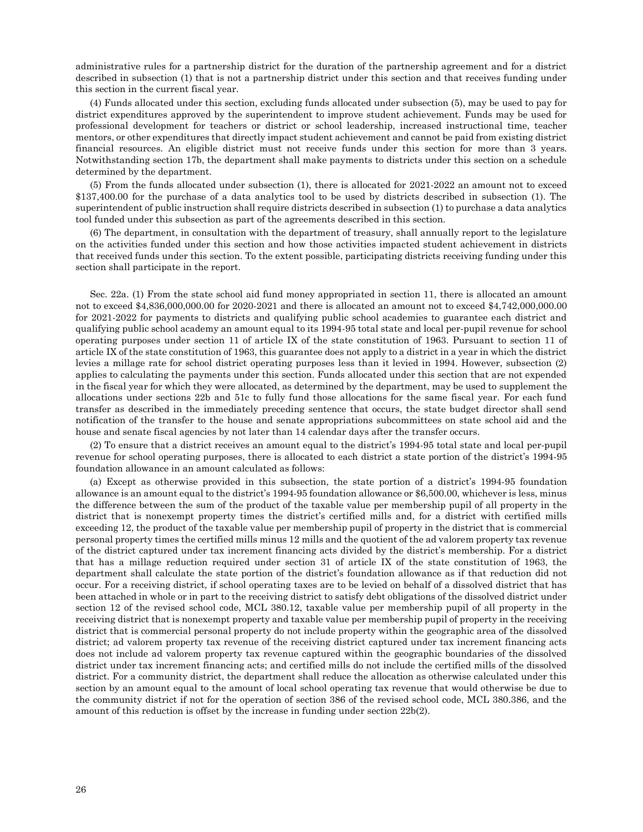administrative rules for a partnership district for the duration of the partnership agreement and for a district described in subsection (1) that is not a partnership district under this section and that receives funding under this section in the current fiscal year.

(4) Funds allocated under this section, excluding funds allocated under subsection (5), may be used to pay for district expenditures approved by the superintendent to improve student achievement. Funds may be used for professional development for teachers or district or school leadership, increased instructional time, teacher mentors, or other expenditures that directly impact student achievement and cannot be paid from existing district financial resources. An eligible district must not receive funds under this section for more than 3 years. Notwithstanding section 17b, the department shall make payments to districts under this section on a schedule determined by the department.

(5) From the funds allocated under subsection (1), there is allocated for 2021-2022 an amount not to exceed \$137,400.00 for the purchase of a data analytics tool to be used by districts described in subsection (1). The superintendent of public instruction shall require districts described in subsection (1) to purchase a data analytics tool funded under this subsection as part of the agreements described in this section.

(6) The department, in consultation with the department of treasury, shall annually report to the legislature on the activities funded under this section and how those activities impacted student achievement in districts that received funds under this section. To the extent possible, participating districts receiving funding under this section shall participate in the report.

Sec. 22a. (1) From the state school aid fund money appropriated in section 11, there is allocated an amount not to exceed \$4,836,000,000.00 for 2020-2021 and there is allocated an amount not to exceed \$4,742,000,000.00 for 2021-2022 for payments to districts and qualifying public school academies to guarantee each district and qualifying public school academy an amount equal to its 1994-95 total state and local per-pupil revenue for school operating purposes under section 11 of article IX of the state constitution of 1963. Pursuant to section 11 of article IX of the state constitution of 1963, this guarantee does not apply to a district in a year in which the district levies a millage rate for school district operating purposes less than it levied in 1994. However, subsection (2) applies to calculating the payments under this section. Funds allocated under this section that are not expended in the fiscal year for which they were allocated, as determined by the department, may be used to supplement the allocations under sections 22b and 51c to fully fund those allocations for the same fiscal year. For each fund transfer as described in the immediately preceding sentence that occurs, the state budget director shall send notification of the transfer to the house and senate appropriations subcommittees on state school aid and the house and senate fiscal agencies by not later than 14 calendar days after the transfer occurs.

(2) To ensure that a district receives an amount equal to the district's 1994-95 total state and local per-pupil revenue for school operating purposes, there is allocated to each district a state portion of the district's 1994-95 foundation allowance in an amount calculated as follows:

(a) Except as otherwise provided in this subsection, the state portion of a district's 1994-95 foundation allowance is an amount equal to the district's 1994-95 foundation allowance or \$6,500.00, whichever is less, minus the difference between the sum of the product of the taxable value per membership pupil of all property in the district that is nonexempt property times the district's certified mills and, for a district with certified mills exceeding 12, the product of the taxable value per membership pupil of property in the district that is commercial personal property times the certified mills minus 12 mills and the quotient of the ad valorem property tax revenue of the district captured under tax increment financing acts divided by the district's membership. For a district that has a millage reduction required under section 31 of article IX of the state constitution of 1963, the department shall calculate the state portion of the district's foundation allowance as if that reduction did not occur. For a receiving district, if school operating taxes are to be levied on behalf of a dissolved district that has been attached in whole or in part to the receiving district to satisfy debt obligations of the dissolved district under section 12 of the revised school code, MCL 380.12, taxable value per membership pupil of all property in the receiving district that is nonexempt property and taxable value per membership pupil of property in the receiving district that is commercial personal property do not include property within the geographic area of the dissolved district; ad valorem property tax revenue of the receiving district captured under tax increment financing acts does not include ad valorem property tax revenue captured within the geographic boundaries of the dissolved district under tax increment financing acts; and certified mills do not include the certified mills of the dissolved district. For a community district, the department shall reduce the allocation as otherwise calculated under this section by an amount equal to the amount of local school operating tax revenue that would otherwise be due to the community district if not for the operation of section 386 of the revised school code, MCL 380.386, and the amount of this reduction is offset by the increase in funding under section 22b(2).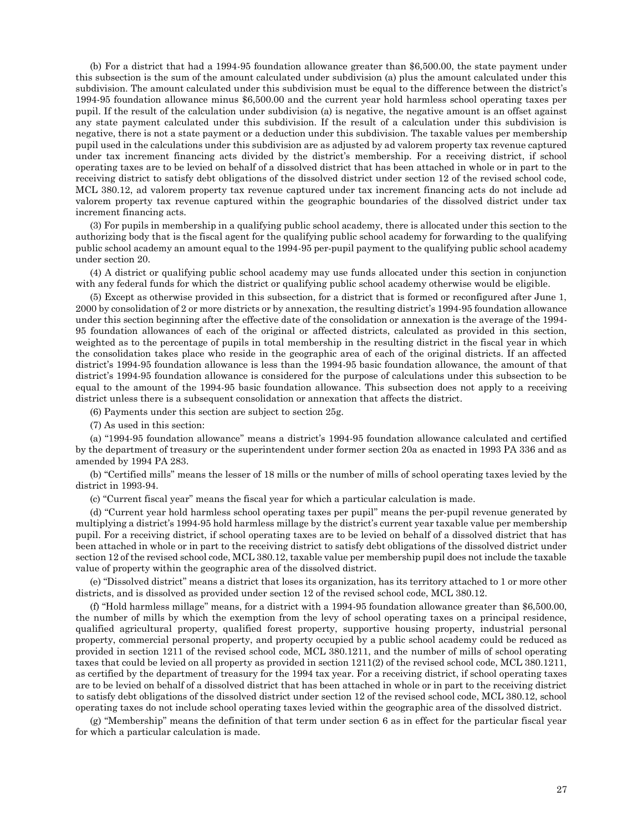(b) For a district that had a 1994-95 foundation allowance greater than \$6,500.00, the state payment under this subsection is the sum of the amount calculated under subdivision (a) plus the amount calculated under this subdivision. The amount calculated under this subdivision must be equal to the difference between the district's 1994-95 foundation allowance minus \$6,500.00 and the current year hold harmless school operating taxes per pupil. If the result of the calculation under subdivision (a) is negative, the negative amount is an offset against any state payment calculated under this subdivision. If the result of a calculation under this subdivision is negative, there is not a state payment or a deduction under this subdivision. The taxable values per membership pupil used in the calculations under this subdivision are as adjusted by ad valorem property tax revenue captured under tax increment financing acts divided by the district's membership. For a receiving district, if school operating taxes are to be levied on behalf of a dissolved district that has been attached in whole or in part to the receiving district to satisfy debt obligations of the dissolved district under section 12 of the revised school code, MCL 380.12, ad valorem property tax revenue captured under tax increment financing acts do not include ad valorem property tax revenue captured within the geographic boundaries of the dissolved district under tax increment financing acts.

(3) For pupils in membership in a qualifying public school academy, there is allocated under this section to the authorizing body that is the fiscal agent for the qualifying public school academy for forwarding to the qualifying public school academy an amount equal to the 1994-95 per-pupil payment to the qualifying public school academy under section 20.

(4) A district or qualifying public school academy may use funds allocated under this section in conjunction with any federal funds for which the district or qualifying public school academy otherwise would be eligible.

(5) Except as otherwise provided in this subsection, for a district that is formed or reconfigured after June 1, 2000 by consolidation of 2 or more districts or by annexation, the resulting district's 1994-95 foundation allowance under this section beginning after the effective date of the consolidation or annexation is the average of the 1994- 95 foundation allowances of each of the original or affected districts, calculated as provided in this section, weighted as to the percentage of pupils in total membership in the resulting district in the fiscal year in which the consolidation takes place who reside in the geographic area of each of the original districts. If an affected district's 1994-95 foundation allowance is less than the 1994-95 basic foundation allowance, the amount of that district's 1994-95 foundation allowance is considered for the purpose of calculations under this subsection to be equal to the amount of the 1994-95 basic foundation allowance. This subsection does not apply to a receiving district unless there is a subsequent consolidation or annexation that affects the district.

(6) Payments under this section are subject to section 25g.

(7) As used in this section:

(a) "1994-95 foundation allowance" means a district's 1994-95 foundation allowance calculated and certified by the department of treasury or the superintendent under former section 20a as enacted in 1993 PA 336 and as amended by 1994 PA 283.

(b) "Certified mills" means the lesser of 18 mills or the number of mills of school operating taxes levied by the district in 1993-94.

(c) "Current fiscal year" means the fiscal year for which a particular calculation is made.

(d) "Current year hold harmless school operating taxes per pupil" means the per-pupil revenue generated by multiplying a district's 1994-95 hold harmless millage by the district's current year taxable value per membership pupil. For a receiving district, if school operating taxes are to be levied on behalf of a dissolved district that has been attached in whole or in part to the receiving district to satisfy debt obligations of the dissolved district under section 12 of the revised school code, MCL 380.12, taxable value per membership pupil does not include the taxable value of property within the geographic area of the dissolved district.

(e) "Dissolved district" means a district that loses its organization, has its territory attached to 1 or more other districts, and is dissolved as provided under section 12 of the revised school code, MCL 380.12.

(f) "Hold harmless millage" means, for a district with a 1994-95 foundation allowance greater than \$6,500.00, the number of mills by which the exemption from the levy of school operating taxes on a principal residence, qualified agricultural property, qualified forest property, supportive housing property, industrial personal property, commercial personal property, and property occupied by a public school academy could be reduced as provided in section 1211 of the revised school code, MCL 380.1211, and the number of mills of school operating taxes that could be levied on all property as provided in section 1211(2) of the revised school code, MCL 380.1211, as certified by the department of treasury for the 1994 tax year. For a receiving district, if school operating taxes are to be levied on behalf of a dissolved district that has been attached in whole or in part to the receiving district to satisfy debt obligations of the dissolved district under section 12 of the revised school code, MCL 380.12, school operating taxes do not include school operating taxes levied within the geographic area of the dissolved district.

(g) "Membership" means the definition of that term under section 6 as in effect for the particular fiscal year for which a particular calculation is made.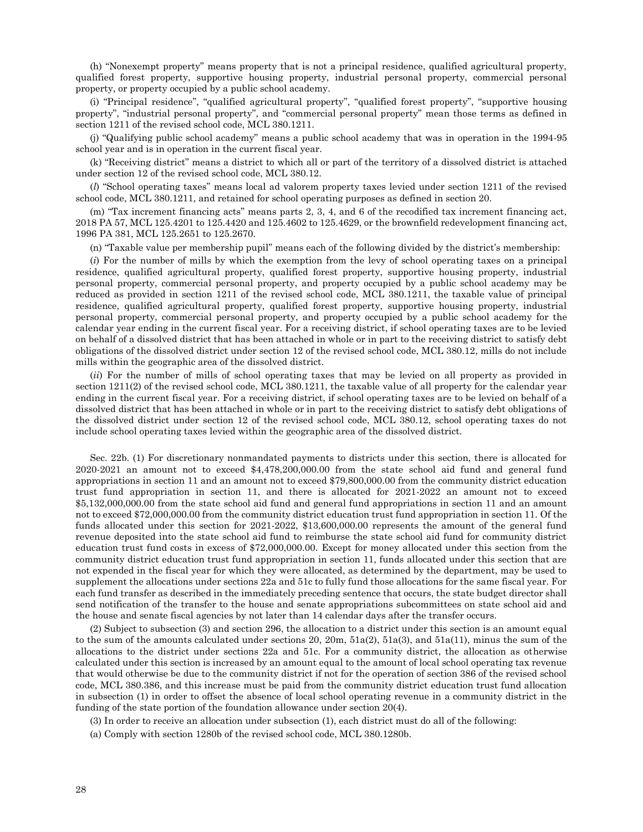(h) "Nonexempt property" means property that is not a principal residence, qualified agricultural property, qualified forest property, supportive housing property, industrial personal property, commercial personal property, or property occupied by a public school academy.

(i) "Principal residence", "qualified agricultural property", "qualified forest property", "supportive housing property", "industrial personal property", and "commercial personal property" mean those terms as defined in section 1211 of the revised school code, MCL 380.1211.

(j) "Qualifying public school academy" means a public school academy that was in operation in the 1994-95 school year and is in operation in the current fiscal year.

(k) "Receiving district" means a district to which all or part of the territory of a dissolved district is attached under section 12 of the revised school code, MCL 380.12.

(*l*) "School operating taxes" means local ad valorem property taxes levied under section 1211 of the revised school code, MCL 380.1211, and retained for school operating purposes as defined in section 20.

(m) "Tax increment financing acts" means parts 2, 3, 4, and 6 of the recodified tax increment financing act, 2018 PA 57, MCL 125.4201 to 125.4420 and 125.4602 to 125.4629, or the brownfield redevelopment financing act, 1996 PA 381, MCL 125.2651 to 125.2670.

(n) "Taxable value per membership pupil" means each of the following divided by the district's membership:

(*i*) For the number of mills by which the exemption from the levy of school operating taxes on a principal residence, qualified agricultural property, qualified forest property, supportive housing property, industrial personal property, commercial personal property, and property occupied by a public school academy may be reduced as provided in section 1211 of the revised school code, MCL 380.1211, the taxable value of principal residence, qualified agricultural property, qualified forest property, supportive housing property, industrial personal property, commercial personal property, and property occupied by a public school academy for the calendar year ending in the current fiscal year. For a receiving district, if school operating taxes are to be levied on behalf of a dissolved district that has been attached in whole or in part to the receiving district to satisfy debt obligations of the dissolved district under section 12 of the revised school code, MCL 380.12, mills do not include mills within the geographic area of the dissolved district.

(*ii*) For the number of mills of school operating taxes that may be levied on all property as provided in section 1211(2) of the revised school code, MCL 380.1211, the taxable value of all property for the calendar year ending in the current fiscal year. For a receiving district, if school operating taxes are to be levied on behalf of a dissolved district that has been attached in whole or in part to the receiving district to satisfy debt obligations of the dissolved district under section 12 of the revised school code, MCL 380.12, school operating taxes do not include school operating taxes levied within the geographic area of the dissolved district.

Sec. 22b. (1) For discretionary nonmandated payments to districts under this section, there is allocated for 2020-2021 an amount not to exceed \$4,478,200,000.00 from the state school aid fund and general fund appropriations in section 11 and an amount not to exceed \$79,800,000.00 from the community district education trust fund appropriation in section 11, and there is allocated for 2021-2022 an amount not to exceed \$5,132,000,000.00 from the state school aid fund and general fund appropriations in section 11 and an amount not to exceed \$72,000,000.00 from the community district education trust fund appropriation in section 11. Of the funds allocated under this section for 2021-2022, \$13,600,000.00 represents the amount of the general fund revenue deposited into the state school aid fund to reimburse the state school aid fund for community district education trust fund costs in excess of \$72,000,000.00. Except for money allocated under this section from the community district education trust fund appropriation in section 11, funds allocated under this section that are not expended in the fiscal year for which they were allocated, as determined by the department, may be used to supplement the allocations under sections 22a and 51c to fully fund those allocations for the same fiscal year. For each fund transfer as described in the immediately preceding sentence that occurs, the state budget director shall send notification of the transfer to the house and senate appropriations subcommittees on state school aid and the house and senate fiscal agencies by not later than 14 calendar days after the transfer occurs.

(2) Subject to subsection (3) and section 296, the allocation to a district under this section is an amount equal to the sum of the amounts calculated under sections 20, 20m, 51a(2), 51a(3), and 51a(11), minus the sum of the allocations to the district under sections 22a and 51c. For a community district, the allocation as otherwise calculated under this section is increased by an amount equal to the amount of local school operating tax revenue that would otherwise be due to the community district if not for the operation of section 386 of the revised school code, MCL 380.386, and this increase must be paid from the community district education trust fund allocation in subsection (1) in order to offset the absence of local school operating revenue in a community district in the funding of the state portion of the foundation allowance under section 20(4).

(3) In order to receive an allocation under subsection (1), each district must do all of the following:

(a) Comply with section 1280b of the revised school code, MCL 380.1280b.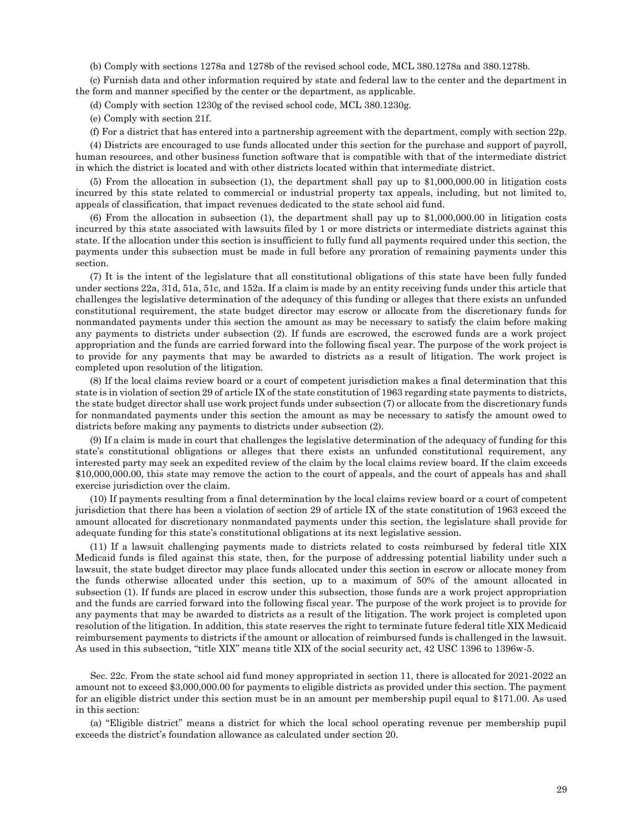(b) Comply with sections 1278a and 1278b of the revised school code, MCL 380.1278a and 380.1278b.

(c) Furnish data and other information required by state and federal law to the center and the department in the form and manner specified by the center or the department, as applicable.

(d) Comply with section 1230g of the revised school code, MCL 380.1230g.

(e) Comply with section 21f.

(f) For a district that has entered into a partnership agreement with the department, comply with section 22p.

(4) Districts are encouraged to use funds allocated under this section for the purchase and support of payroll, human resources, and other business function software that is compatible with that of the intermediate district in which the district is located and with other districts located within that intermediate district.

(5) From the allocation in subsection (1), the department shall pay up to \$1,000,000.00 in litigation costs incurred by this state related to commercial or industrial property tax appeals, including, but not limited to, appeals of classification, that impact revenues dedicated to the state school aid fund.

(6) From the allocation in subsection (1), the department shall pay up to \$1,000,000.00 in litigation costs incurred by this state associated with lawsuits filed by 1 or more districts or intermediate districts against this state. If the allocation under this section is insufficient to fully fund all payments required under this section, the payments under this subsection must be made in full before any proration of remaining payments under this section.

(7) It is the intent of the legislature that all constitutional obligations of this state have been fully funded under sections 22a, 31d, 51a, 51c, and 152a. If a claim is made by an entity receiving funds under this article that challenges the legislative determination of the adequacy of this funding or alleges that there exists an unfunded constitutional requirement, the state budget director may escrow or allocate from the discretionary funds for nonmandated payments under this section the amount as may be necessary to satisfy the claim before making any payments to districts under subsection (2). If funds are escrowed, the escrowed funds are a work project appropriation and the funds are carried forward into the following fiscal year. The purpose of the work project is to provide for any payments that may be awarded to districts as a result of litigation. The work project is completed upon resolution of the litigation.

(8) If the local claims review board or a court of competent jurisdiction makes a final determination that this state is in violation of section 29 of article IX of the state constitution of 1963 regarding state payments to districts, the state budget director shall use work project funds under subsection (7) or allocate from the discretionary funds for nonmandated payments under this section the amount as may be necessary to satisfy the amount owed to districts before making any payments to districts under subsection (2).

(9) If a claim is made in court that challenges the legislative determination of the adequacy of funding for this state's constitutional obligations or alleges that there exists an unfunded constitutional requirement, any interested party may seek an expedited review of the claim by the local claims review board. If the claim exceeds \$10,000,000.00, this state may remove the action to the court of appeals, and the court of appeals has and shall exercise jurisdiction over the claim.

(10) If payments resulting from a final determination by the local claims review board or a court of competent jurisdiction that there has been a violation of section 29 of article IX of the state constitution of 1963 exceed the amount allocated for discretionary nonmandated payments under this section, the legislature shall provide for adequate funding for this state's constitutional obligations at its next legislative session.

(11) If a lawsuit challenging payments made to districts related to costs reimbursed by federal title XIX Medicaid funds is filed against this state, then, for the purpose of addressing potential liability under such a lawsuit, the state budget director may place funds allocated under this section in escrow or allocate money from the funds otherwise allocated under this section, up to a maximum of 50% of the amount allocated in subsection (1). If funds are placed in escrow under this subsection, those funds are a work project appropriation and the funds are carried forward into the following fiscal year. The purpose of the work project is to provide for any payments that may be awarded to districts as a result of the litigation. The work project is completed upon resolution of the litigation. In addition, this state reserves the right to terminate future federal title XIX Medicaid reimbursement payments to districts if the amount or allocation of reimbursed funds is challenged in the lawsuit. As used in this subsection, "title XIX" means title XIX of the social security act, 42 USC 1396 to 1396w-5.

Sec. 22c. From the state school aid fund money appropriated in section 11, there is allocated for 2021-2022 an amount not to exceed \$3,000,000.00 for payments to eligible districts as provided under this section. The payment for an eligible district under this section must be in an amount per membership pupil equal to \$171.00. As used in this section:

(a) "Eligible district" means a district for which the local school operating revenue per membership pupil exceeds the district's foundation allowance as calculated under section 20.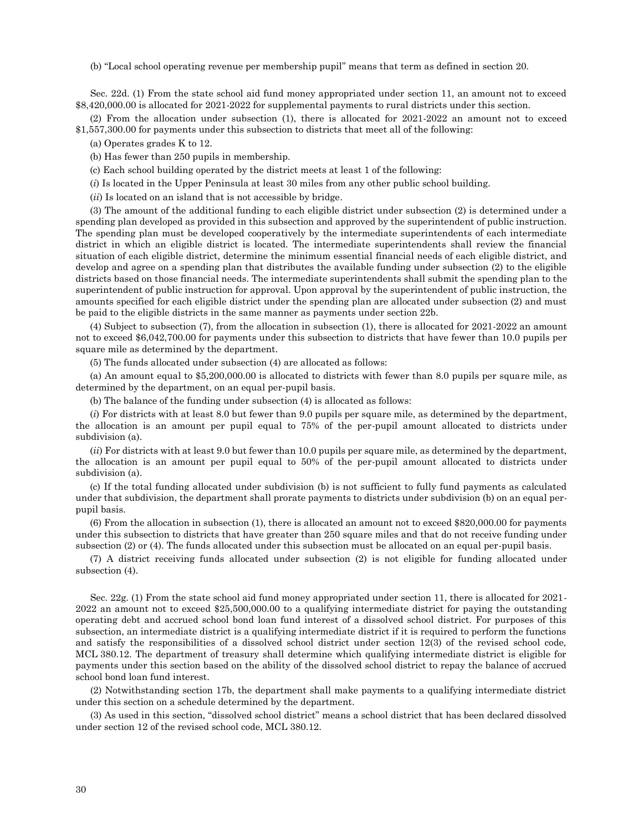(b) "Local school operating revenue per membership pupil" means that term as defined in section 20.

Sec. 22d. (1) From the state school aid fund money appropriated under section 11, an amount not to exceed \$8,420,000.00 is allocated for 2021-2022 for supplemental payments to rural districts under this section.

(2) From the allocation under subsection (1), there is allocated for 2021-2022 an amount not to exceed \$1,557,300.00 for payments under this subsection to districts that meet all of the following:

(a) Operates grades K to 12.

(b) Has fewer than 250 pupils in membership.

(c) Each school building operated by the district meets at least 1 of the following:

(*i*) Is located in the Upper Peninsula at least 30 miles from any other public school building.

(*ii*) Is located on an island that is not accessible by bridge.

(3) The amount of the additional funding to each eligible district under subsection (2) is determined under a spending plan developed as provided in this subsection and approved by the superintendent of public instruction. The spending plan must be developed cooperatively by the intermediate superintendents of each intermediate district in which an eligible district is located. The intermediate superintendents shall review the financial situation of each eligible district, determine the minimum essential financial needs of each eligible district, and develop and agree on a spending plan that distributes the available funding under subsection (2) to the eligible districts based on those financial needs. The intermediate superintendents shall submit the spending plan to the superintendent of public instruction for approval. Upon approval by the superintendent of public instruction, the amounts specified for each eligible district under the spending plan are allocated under subsection (2) and must be paid to the eligible districts in the same manner as payments under section 22b.

(4) Subject to subsection (7), from the allocation in subsection (1), there is allocated for 2021-2022 an amount not to exceed \$6,042,700.00 for payments under this subsection to districts that have fewer than 10.0 pupils per square mile as determined by the department.

(5) The funds allocated under subsection (4) are allocated as follows:

(a) An amount equal to \$5,200,000.00 is allocated to districts with fewer than 8.0 pupils per square mile, as determined by the department, on an equal per-pupil basis.

(b) The balance of the funding under subsection (4) is allocated as follows:

(*i*) For districts with at least 8.0 but fewer than 9.0 pupils per square mile, as determined by the department, the allocation is an amount per pupil equal to 75% of the per-pupil amount allocated to districts under subdivision (a).

(*ii*) For districts with at least 9.0 but fewer than 10.0 pupils per square mile, as determined by the department, the allocation is an amount per pupil equal to 50% of the per-pupil amount allocated to districts under subdivision (a).

(c) If the total funding allocated under subdivision (b) is not sufficient to fully fund payments as calculated under that subdivision, the department shall prorate payments to districts under subdivision (b) on an equal perpupil basis.

(6) From the allocation in subsection (1), there is allocated an amount not to exceed \$820,000.00 for payments under this subsection to districts that have greater than 250 square miles and that do not receive funding under subsection (2) or (4). The funds allocated under this subsection must be allocated on an equal per-pupil basis.

(7) A district receiving funds allocated under subsection (2) is not eligible for funding allocated under subsection (4).

Sec. 22g. (1) From the state school aid fund money appropriated under section 11, there is allocated for 2021- 2022 an amount not to exceed \$25,500,000.00 to a qualifying intermediate district for paying the outstanding operating debt and accrued school bond loan fund interest of a dissolved school district. For purposes of this subsection, an intermediate district is a qualifying intermediate district if it is required to perform the functions and satisfy the responsibilities of a dissolved school district under section 12(3) of the revised school code, MCL 380.12. The department of treasury shall determine which qualifying intermediate district is eligible for payments under this section based on the ability of the dissolved school district to repay the balance of accrued school bond loan fund interest.

(2) Notwithstanding section 17b, the department shall make payments to a qualifying intermediate district under this section on a schedule determined by the department.

(3) As used in this section, "dissolved school district" means a school district that has been declared dissolved under section 12 of the revised school code, MCL 380.12.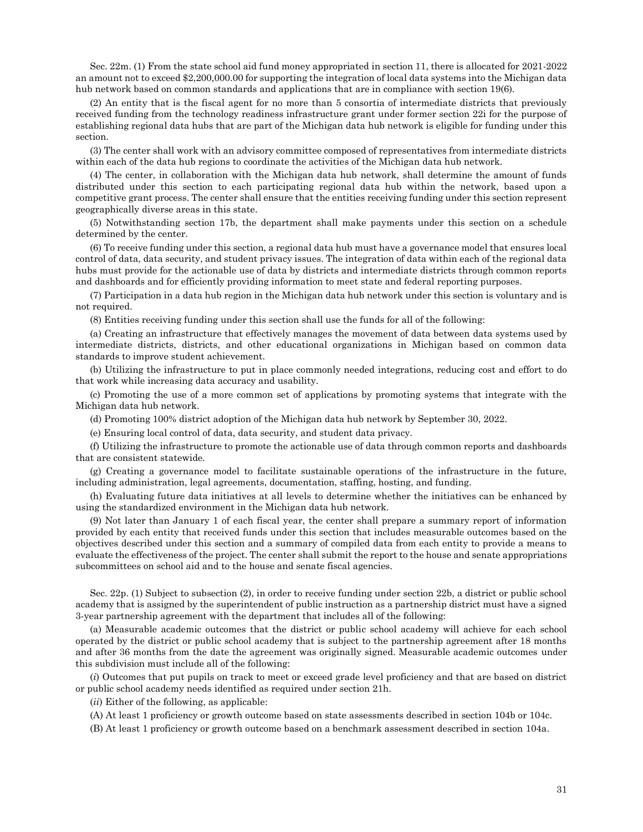Sec. 22m. (1) From the state school aid fund money appropriated in section 11, there is allocated for 2021-2022 an amount not to exceed \$2,200,000.00 for supporting the integration of local data systems into the Michigan data hub network based on common standards and applications that are in compliance with section 19(6).

(2) An entity that is the fiscal agent for no more than 5 consortia of intermediate districts that previously received funding from the technology readiness infrastructure grant under former section 22i for the purpose of establishing regional data hubs that are part of the Michigan data hub network is eligible for funding under this section.

(3) The center shall work with an advisory committee composed of representatives from intermediate districts within each of the data hub regions to coordinate the activities of the Michigan data hub network.

(4) The center, in collaboration with the Michigan data hub network, shall determine the amount of funds distributed under this section to each participating regional data hub within the network, based upon a competitive grant process. The center shall ensure that the entities receiving funding under this section represent geographically diverse areas in this state.

(5) Notwithstanding section 17b, the department shall make payments under this section on a schedule determined by the center.

(6) To receive funding under this section, a regional data hub must have a governance model that ensures local control of data, data security, and student privacy issues. The integration of data within each of the regional data hubs must provide for the actionable use of data by districts and intermediate districts through common reports and dashboards and for efficiently providing information to meet state and federal reporting purposes.

(7) Participation in a data hub region in the Michigan data hub network under this section is voluntary and is not required.

(8) Entities receiving funding under this section shall use the funds for all of the following:

(a) Creating an infrastructure that effectively manages the movement of data between data systems used by intermediate districts, districts, and other educational organizations in Michigan based on common data standards to improve student achievement.

(b) Utilizing the infrastructure to put in place commonly needed integrations, reducing cost and effort to do that work while increasing data accuracy and usability.

(c) Promoting the use of a more common set of applications by promoting systems that integrate with the Michigan data hub network.

(d) Promoting 100% district adoption of the Michigan data hub network by September 30, 2022.

(e) Ensuring local control of data, data security, and student data privacy.

(f) Utilizing the infrastructure to promote the actionable use of data through common reports and dashboards that are consistent statewide.

(g) Creating a governance model to facilitate sustainable operations of the infrastructure in the future, including administration, legal agreements, documentation, staffing, hosting, and funding.

(h) Evaluating future data initiatives at all levels to determine whether the initiatives can be enhanced by using the standardized environment in the Michigan data hub network.

(9) Not later than January 1 of each fiscal year, the center shall prepare a summary report of information provided by each entity that received funds under this section that includes measurable outcomes based on the objectives described under this section and a summary of compiled data from each entity to provide a means to evaluate the effectiveness of the project. The center shall submit the report to the house and senate appropriations subcommittees on school aid and to the house and senate fiscal agencies.

Sec. 22p. (1) Subject to subsection (2), in order to receive funding under section 22b, a district or public school academy that is assigned by the superintendent of public instruction as a partnership district must have a signed 3-year partnership agreement with the department that includes all of the following:

(a) Measurable academic outcomes that the district or public school academy will achieve for each school operated by the district or public school academy that is subject to the partnership agreement after 18 months and after 36 months from the date the agreement was originally signed. Measurable academic outcomes under this subdivision must include all of the following:

(*i*) Outcomes that put pupils on track to meet or exceed grade level proficiency and that are based on district or public school academy needs identified as required under section 21h.

(*ii*) Either of the following, as applicable:

(A) At least 1 proficiency or growth outcome based on state assessments described in section 104b or 104c.

(B) At least 1 proficiency or growth outcome based on a benchmark assessment described in section 104a.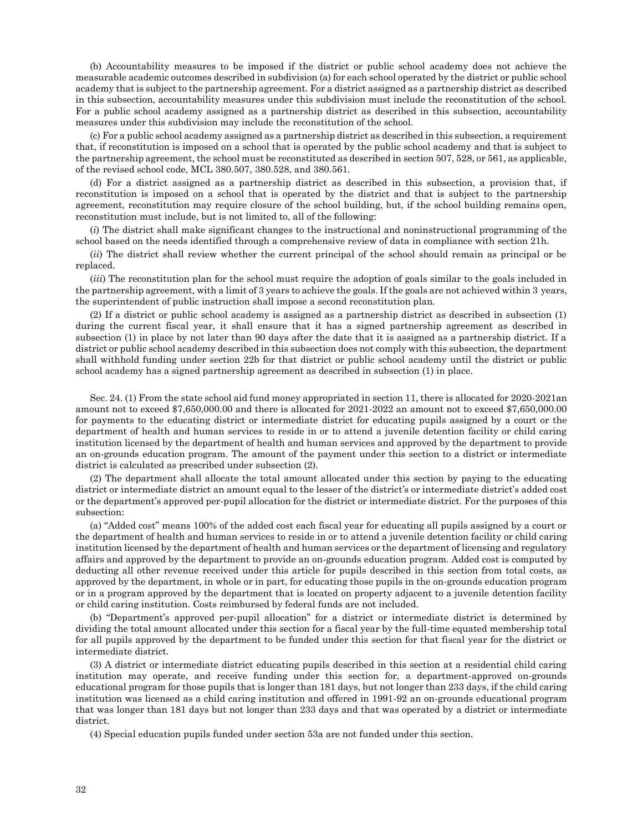(b) Accountability measures to be imposed if the district or public school academy does not achieve the measurable academic outcomes described in subdivision (a) for each school operated by the district or public school academy that is subject to the partnership agreement. For a district assigned as a partnership district as described in this subsection, accountability measures under this subdivision must include the reconstitution of the school. For a public school academy assigned as a partnership district as described in this subsection, accountability measures under this subdivision may include the reconstitution of the school.

(c) For a public school academy assigned as a partnership district as described in this subsection, a requirement that, if reconstitution is imposed on a school that is operated by the public school academy and that is subject to the partnership agreement, the school must be reconstituted as described in section 507, 528, or 561, as applicable, of the revised school code, MCL 380.507, 380.528, and 380.561.

(d) For a district assigned as a partnership district as described in this subsection, a provision that, if reconstitution is imposed on a school that is operated by the district and that is subject to the partnership agreement, reconstitution may require closure of the school building, but, if the school building remains open, reconstitution must include, but is not limited to, all of the following:

(*i*) The district shall make significant changes to the instructional and noninstructional programming of the school based on the needs identified through a comprehensive review of data in compliance with section 21h.

(*ii*) The district shall review whether the current principal of the school should remain as principal or be replaced.

(*iii*) The reconstitution plan for the school must require the adoption of goals similar to the goals included in the partnership agreement, with a limit of 3 years to achieve the goals. If the goals are not achieved within 3 years, the superintendent of public instruction shall impose a second reconstitution plan.

(2) If a district or public school academy is assigned as a partnership district as described in subsection (1) during the current fiscal year, it shall ensure that it has a signed partnership agreement as described in subsection (1) in place by not later than 90 days after the date that it is assigned as a partnership district. If a district or public school academy described in this subsection does not comply with this subsection, the department shall withhold funding under section 22b for that district or public school academy until the district or public school academy has a signed partnership agreement as described in subsection (1) in place.

Sec. 24. (1) From the state school aid fund money appropriated in section 11, there is allocated for 2020-2021an amount not to exceed \$7,650,000.00 and there is allocated for 2021-2022 an amount not to exceed \$7,650,000.00 for payments to the educating district or intermediate district for educating pupils assigned by a court or the department of health and human services to reside in or to attend a juvenile detention facility or child caring institution licensed by the department of health and human services and approved by the department to provide an on-grounds education program. The amount of the payment under this section to a district or intermediate district is calculated as prescribed under subsection (2).

(2) The department shall allocate the total amount allocated under this section by paying to the educating district or intermediate district an amount equal to the lesser of the district's or intermediate district's added cost or the department's approved per-pupil allocation for the district or intermediate district. For the purposes of this subsection:

(a) "Added cost" means 100% of the added cost each fiscal year for educating all pupils assigned by a court or the department of health and human services to reside in or to attend a juvenile detention facility or child caring institution licensed by the department of health and human services or the department of licensing and regulatory affairs and approved by the department to provide an on-grounds education program. Added cost is computed by deducting all other revenue received under this article for pupils described in this section from total costs, as approved by the department, in whole or in part, for educating those pupils in the on-grounds education program or in a program approved by the department that is located on property adjacent to a juvenile detention facility or child caring institution. Costs reimbursed by federal funds are not included.

(b) "Department's approved per-pupil allocation" for a district or intermediate district is determined by dividing the total amount allocated under this section for a fiscal year by the full-time equated membership total for all pupils approved by the department to be funded under this section for that fiscal year for the district or intermediate district.

(3) A district or intermediate district educating pupils described in this section at a residential child caring institution may operate, and receive funding under this section for, a department-approved on-grounds educational program for those pupils that is longer than 181 days, but not longer than 233 days, if the child caring institution was licensed as a child caring institution and offered in 1991-92 an on-grounds educational program that was longer than 181 days but not longer than 233 days and that was operated by a district or intermediate district.

(4) Special education pupils funded under section 53a are not funded under this section.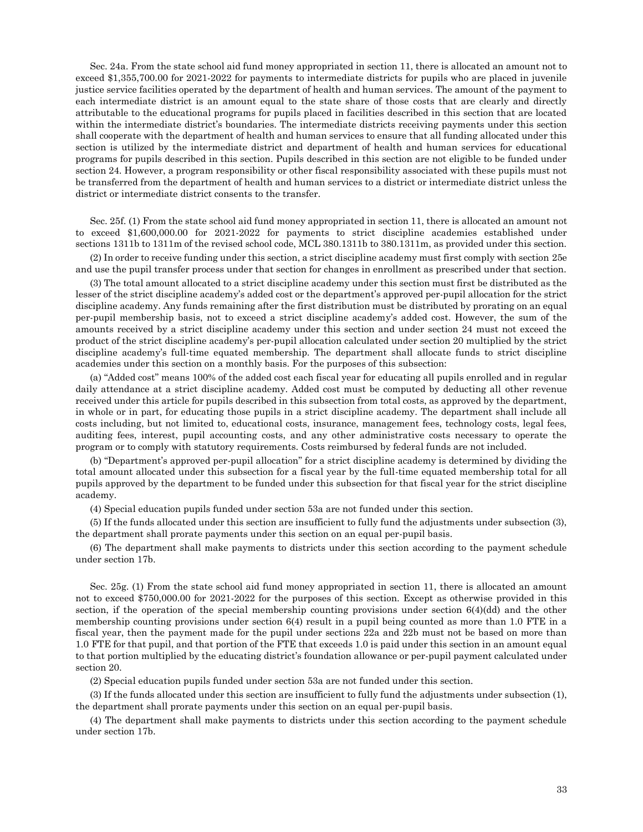Sec. 24a. From the state school aid fund money appropriated in section 11, there is allocated an amount not to exceed \$1,355,700.00 for 2021-2022 for payments to intermediate districts for pupils who are placed in juvenile justice service facilities operated by the department of health and human services. The amount of the payment to each intermediate district is an amount equal to the state share of those costs that are clearly and directly attributable to the educational programs for pupils placed in facilities described in this section that are located within the intermediate district's boundaries. The intermediate districts receiving payments under this section shall cooperate with the department of health and human services to ensure that all funding allocated under this section is utilized by the intermediate district and department of health and human services for educational programs for pupils described in this section. Pupils described in this section are not eligible to be funded under section 24. However, a program responsibility or other fiscal responsibility associated with these pupils must not be transferred from the department of health and human services to a district or intermediate district unless the district or intermediate district consents to the transfer.

Sec. 25f. (1) From the state school aid fund money appropriated in section 11, there is allocated an amount not to exceed \$1,600,000.00 for 2021-2022 for payments to strict discipline academies established under sections 1311b to 1311m of the revised school code, MCL 380.1311b to 380.1311m, as provided under this section.

(2) In order to receive funding under this section, a strict discipline academy must first comply with section 25e and use the pupil transfer process under that section for changes in enrollment as prescribed under that section.

(3) The total amount allocated to a strict discipline academy under this section must first be distributed as the lesser of the strict discipline academy's added cost or the department's approved per-pupil allocation for the strict discipline academy. Any funds remaining after the first distribution must be distributed by prorating on an equal per-pupil membership basis, not to exceed a strict discipline academy's added cost. However, the sum of the amounts received by a strict discipline academy under this section and under section 24 must not exceed the product of the strict discipline academy's per-pupil allocation calculated under section 20 multiplied by the strict discipline academy's full-time equated membership. The department shall allocate funds to strict discipline academies under this section on a monthly basis. For the purposes of this subsection:

(a) "Added cost" means 100% of the added cost each fiscal year for educating all pupils enrolled and in regular daily attendance at a strict discipline academy. Added cost must be computed by deducting all other revenue received under this article for pupils described in this subsection from total costs, as approved by the department, in whole or in part, for educating those pupils in a strict discipline academy. The department shall include all costs including, but not limited to, educational costs, insurance, management fees, technology costs, legal fees, auditing fees, interest, pupil accounting costs, and any other administrative costs necessary to operate the program or to comply with statutory requirements. Costs reimbursed by federal funds are not included.

(b) "Department's approved per-pupil allocation" for a strict discipline academy is determined by dividing the total amount allocated under this subsection for a fiscal year by the full-time equated membership total for all pupils approved by the department to be funded under this subsection for that fiscal year for the strict discipline academy.

(4) Special education pupils funded under section 53a are not funded under this section.

(5) If the funds allocated under this section are insufficient to fully fund the adjustments under subsection (3), the department shall prorate payments under this section on an equal per-pupil basis.

(6) The department shall make payments to districts under this section according to the payment schedule under section 17b.

Sec. 25g. (1) From the state school aid fund money appropriated in section 11, there is allocated an amount not to exceed \$750,000.00 for 2021-2022 for the purposes of this section. Except as otherwise provided in this section, if the operation of the special membership counting provisions under section 6(4)(dd) and the other membership counting provisions under section 6(4) result in a pupil being counted as more than 1.0 FTE in a fiscal year, then the payment made for the pupil under sections 22a and 22b must not be based on more than 1.0 FTE for that pupil, and that portion of the FTE that exceeds 1.0 is paid under this section in an amount equal to that portion multiplied by the educating district's foundation allowance or per-pupil payment calculated under section 20.

(2) Special education pupils funded under section 53a are not funded under this section.

(3) If the funds allocated under this section are insufficient to fully fund the adjustments under subsection (1), the department shall prorate payments under this section on an equal per-pupil basis.

(4) The department shall make payments to districts under this section according to the payment schedule under section 17b.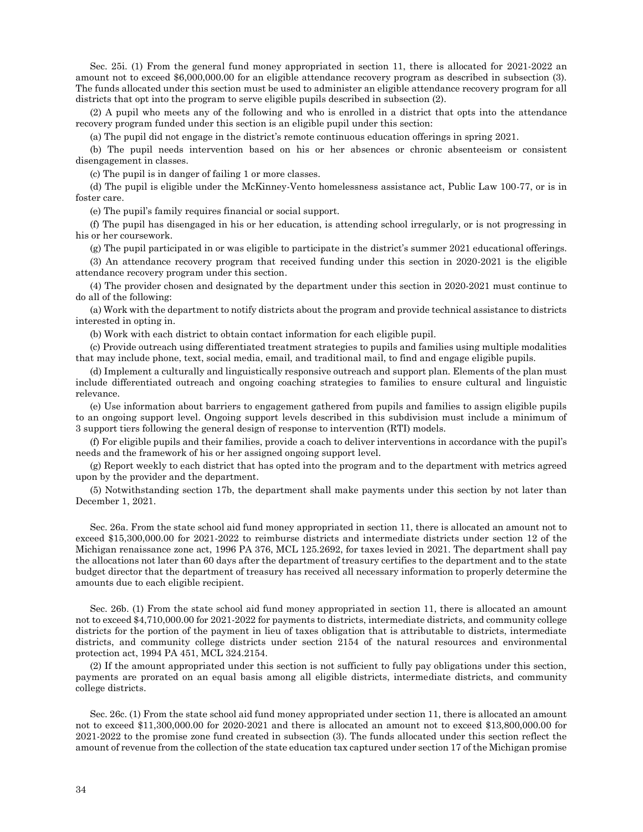Sec. 25i. (1) From the general fund money appropriated in section 11, there is allocated for 2021-2022 an amount not to exceed \$6,000,000.00 for an eligible attendance recovery program as described in subsection (3). The funds allocated under this section must be used to administer an eligible attendance recovery program for all districts that opt into the program to serve eligible pupils described in subsection (2).

(2) A pupil who meets any of the following and who is enrolled in a district that opts into the attendance recovery program funded under this section is an eligible pupil under this section:

(a) The pupil did not engage in the district's remote continuous education offerings in spring 2021.

(b) The pupil needs intervention based on his or her absences or chronic absenteeism or consistent disengagement in classes.

(c) The pupil is in danger of failing 1 or more classes.

(d) The pupil is eligible under the McKinney-Vento homelessness assistance act, Public Law 100-77, or is in foster care.

(e) The pupil's family requires financial or social support.

(f) The pupil has disengaged in his or her education, is attending school irregularly, or is not progressing in his or her coursework.

(g) The pupil participated in or was eligible to participate in the district's summer 2021 educational offerings.

(3) An attendance recovery program that received funding under this section in 2020-2021 is the eligible attendance recovery program under this section.

(4) The provider chosen and designated by the department under this section in 2020-2021 must continue to do all of the following:

(a) Work with the department to notify districts about the program and provide technical assistance to districts interested in opting in.

(b) Work with each district to obtain contact information for each eligible pupil.

(c) Provide outreach using differentiated treatment strategies to pupils and families using multiple modalities that may include phone, text, social media, email, and traditional mail, to find and engage eligible pupils.

(d) Implement a culturally and linguistically responsive outreach and support plan. Elements of the plan must include differentiated outreach and ongoing coaching strategies to families to ensure cultural and linguistic relevance.

(e) Use information about barriers to engagement gathered from pupils and families to assign eligible pupils to an ongoing support level. Ongoing support levels described in this subdivision must include a minimum of 3 support tiers following the general design of response to intervention (RTI) models.

(f) For eligible pupils and their families, provide a coach to deliver interventions in accordance with the pupil's needs and the framework of his or her assigned ongoing support level.

(g) Report weekly to each district that has opted into the program and to the department with metrics agreed upon by the provider and the department.

(5) Notwithstanding section 17b, the department shall make payments under this section by not later than December 1, 2021.

Sec. 26a. From the state school aid fund money appropriated in section 11, there is allocated an amount not to exceed \$15,300,000.00 for 2021-2022 to reimburse districts and intermediate districts under section 12 of the Michigan renaissance zone act, 1996 PA 376, MCL 125.2692, for taxes levied in 2021. The department shall pay the allocations not later than 60 days after the department of treasury certifies to the department and to the state budget director that the department of treasury has received all necessary information to properly determine the amounts due to each eligible recipient.

Sec. 26b. (1) From the state school aid fund money appropriated in section 11, there is allocated an amount not to exceed \$4,710,000.00 for 2021-2022 for payments to districts, intermediate districts, and community college districts for the portion of the payment in lieu of taxes obligation that is attributable to districts, intermediate districts, and community college districts under section 2154 of the natural resources and environmental protection act, 1994 PA 451, MCL 324.2154.

(2) If the amount appropriated under this section is not sufficient to fully pay obligations under this section, payments are prorated on an equal basis among all eligible districts, intermediate districts, and community college districts.

Sec. 26c. (1) From the state school aid fund money appropriated under section 11, there is allocated an amount not to exceed \$11,300,000.00 for 2020-2021 and there is allocated an amount not to exceed \$13,800,000.00 for 2021-2022 to the promise zone fund created in subsection (3). The funds allocated under this section reflect the amount of revenue from the collection of the state education tax captured under section 17 of the Michigan promise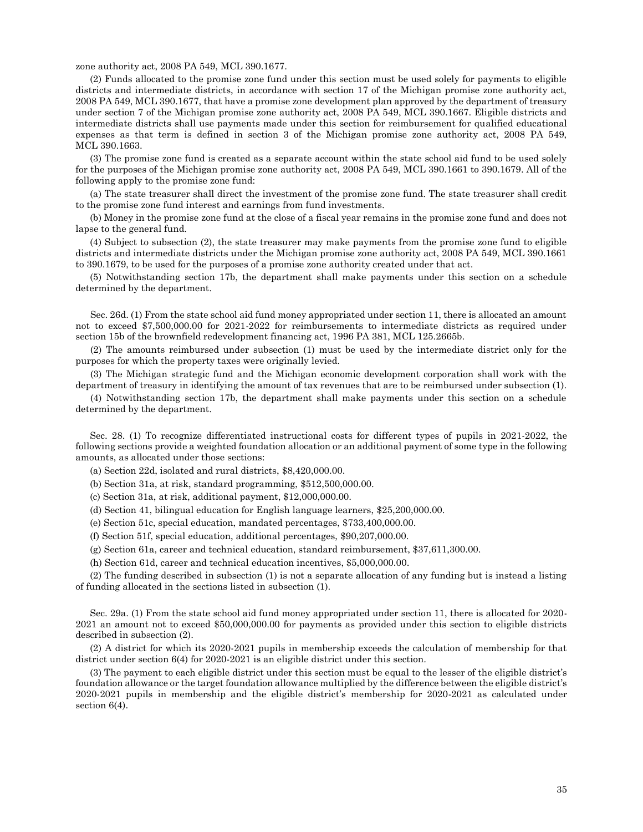zone authority act, 2008 PA 549, MCL 390.1677.

(2) Funds allocated to the promise zone fund under this section must be used solely for payments to eligible districts and intermediate districts, in accordance with section 17 of the Michigan promise zone authority act, 2008 PA 549, MCL 390.1677, that have a promise zone development plan approved by the department of treasury under section 7 of the Michigan promise zone authority act, 2008 PA 549, MCL 390.1667. Eligible districts and intermediate districts shall use payments made under this section for reimbursement for qualified educational expenses as that term is defined in section 3 of the Michigan promise zone authority act, 2008 PA 549, MCL 390.1663.

(3) The promise zone fund is created as a separate account within the state school aid fund to be used solely for the purposes of the Michigan promise zone authority act, 2008 PA 549, MCL 390.1661 to 390.1679. All of the following apply to the promise zone fund:

(a) The state treasurer shall direct the investment of the promise zone fund. The state treasurer shall credit to the promise zone fund interest and earnings from fund investments.

(b) Money in the promise zone fund at the close of a fiscal year remains in the promise zone fund and does not lapse to the general fund.

(4) Subject to subsection (2), the state treasurer may make payments from the promise zone fund to eligible districts and intermediate districts under the Michigan promise zone authority act, 2008 PA 549, MCL 390.1661 to 390.1679, to be used for the purposes of a promise zone authority created under that act.

(5) Notwithstanding section 17b, the department shall make payments under this section on a schedule determined by the department.

Sec. 26d. (1) From the state school aid fund money appropriated under section 11, there is allocated an amount not to exceed \$7,500,000.00 for 2021-2022 for reimbursements to intermediate districts as required under section 15b of the brownfield redevelopment financing act, 1996 PA 381, MCL 125.2665b.

(2) The amounts reimbursed under subsection (1) must be used by the intermediate district only for the purposes for which the property taxes were originally levied.

(3) The Michigan strategic fund and the Michigan economic development corporation shall work with the department of treasury in identifying the amount of tax revenues that are to be reimbursed under subsection (1).

(4) Notwithstanding section 17b, the department shall make payments under this section on a schedule determined by the department.

Sec. 28. (1) To recognize differentiated instructional costs for different types of pupils in 2021-2022, the following sections provide a weighted foundation allocation or an additional payment of some type in the following amounts, as allocated under those sections:

(a) Section 22d, isolated and rural districts, \$8,420,000.00.

(b) Section 31a, at risk, standard programming, \$512,500,000.00.

(c) Section 31a, at risk, additional payment, \$12,000,000.00.

(d) Section 41, bilingual education for English language learners, \$25,200,000.00.

(e) Section 51c, special education, mandated percentages, \$733,400,000.00.

(f) Section 51f, special education, additional percentages, \$90,207,000.00.

(g) Section 61a, career and technical education, standard reimbursement, \$37,611,300.00.

(h) Section 61d, career and technical education incentives, \$5,000,000.00.

(2) The funding described in subsection (1) is not a separate allocation of any funding but is instead a listing of funding allocated in the sections listed in subsection (1).

Sec. 29a. (1) From the state school aid fund money appropriated under section 11, there is allocated for 2020- 2021 an amount not to exceed \$50,000,000.00 for payments as provided under this section to eligible districts described in subsection (2).

(2) A district for which its 2020-2021 pupils in membership exceeds the calculation of membership for that district under section 6(4) for 2020-2021 is an eligible district under this section.

(3) The payment to each eligible district under this section must be equal to the lesser of the eligible district's foundation allowance or the target foundation allowance multiplied by the difference between the eligible district's 2020-2021 pupils in membership and the eligible district's membership for 2020-2021 as calculated under section  $6(4)$ .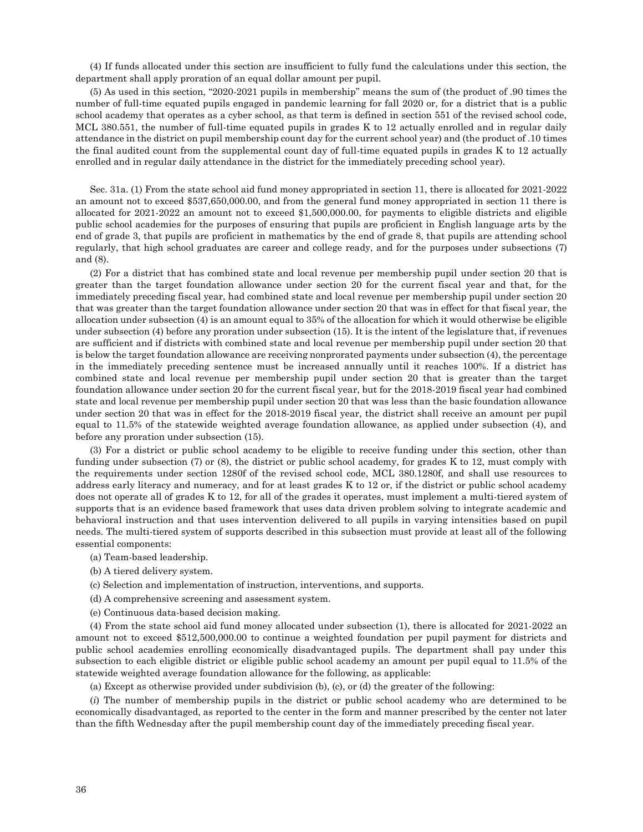(4) If funds allocated under this section are insufficient to fully fund the calculations under this section, the department shall apply proration of an equal dollar amount per pupil.

(5) As used in this section, "2020-2021 pupils in membership" means the sum of (the product of .90 times the number of full-time equated pupils engaged in pandemic learning for fall 2020 or, for a district that is a public school academy that operates as a cyber school, as that term is defined in section 551 of the revised school code, MCL 380.551, the number of full-time equated pupils in grades K to 12 actually enrolled and in regular daily attendance in the district on pupil membership count day for the current school year) and (the product of .10 times the final audited count from the supplemental count day of full-time equated pupils in grades K to 12 actually enrolled and in regular daily attendance in the district for the immediately preceding school year).

Sec. 31a. (1) From the state school aid fund money appropriated in section 11, there is allocated for 2021-2022 an amount not to exceed \$537,650,000.00, and from the general fund money appropriated in section 11 there is allocated for 2021-2022 an amount not to exceed \$1,500,000.00, for payments to eligible districts and eligible public school academies for the purposes of ensuring that pupils are proficient in English language arts by the end of grade 3, that pupils are proficient in mathematics by the end of grade 8, that pupils are attending school regularly, that high school graduates are career and college ready, and for the purposes under subsections (7) and (8).

(2) For a district that has combined state and local revenue per membership pupil under section 20 that is greater than the target foundation allowance under section 20 for the current fiscal year and that, for the immediately preceding fiscal year, had combined state and local revenue per membership pupil under section 20 that was greater than the target foundation allowance under section 20 that was in effect for that fiscal year, the allocation under subsection (4) is an amount equal to 35% of the allocation for which it would otherwise be eligible under subsection (4) before any proration under subsection (15). It is the intent of the legislature that, if revenues are sufficient and if districts with combined state and local revenue per membership pupil under section 20 that is below the target foundation allowance are receiving nonprorated payments under subsection (4), the percentage in the immediately preceding sentence must be increased annually until it reaches 100%. If a district has combined state and local revenue per membership pupil under section 20 that is greater than the target foundation allowance under section 20 for the current fiscal year, but for the 2018-2019 fiscal year had combined state and local revenue per membership pupil under section 20 that was less than the basic foundation allowance under section 20 that was in effect for the 2018-2019 fiscal year, the district shall receive an amount per pupil equal to 11.5% of the statewide weighted average foundation allowance, as applied under subsection (4), and before any proration under subsection (15).

(3) For a district or public school academy to be eligible to receive funding under this section, other than funding under subsection (7) or (8), the district or public school academy, for grades K to 12, must comply with the requirements under section 1280f of the revised school code, MCL 380.1280f, and shall use resources to address early literacy and numeracy, and for at least grades K to 12 or, if the district or public school academy does not operate all of grades K to 12, for all of the grades it operates, must implement a multi-tiered system of supports that is an evidence based framework that uses data driven problem solving to integrate academic and behavioral instruction and that uses intervention delivered to all pupils in varying intensities based on pupil needs. The multi-tiered system of supports described in this subsection must provide at least all of the following essential components:

- (a) Team-based leadership.
- (b) A tiered delivery system.
- (c) Selection and implementation of instruction, interventions, and supports.
- (d) A comprehensive screening and assessment system.
- (e) Continuous data-based decision making.

(4) From the state school aid fund money allocated under subsection (1), there is allocated for 2021-2022 an amount not to exceed \$512,500,000.00 to continue a weighted foundation per pupil payment for districts and public school academies enrolling economically disadvantaged pupils. The department shall pay under this subsection to each eligible district or eligible public school academy an amount per pupil equal to 11.5% of the statewide weighted average foundation allowance for the following, as applicable:

(a) Except as otherwise provided under subdivision (b), (c), or (d) the greater of the following:

(*i*) The number of membership pupils in the district or public school academy who are determined to be economically disadvantaged, as reported to the center in the form and manner prescribed by the center not later than the fifth Wednesday after the pupil membership count day of the immediately preceding fiscal year.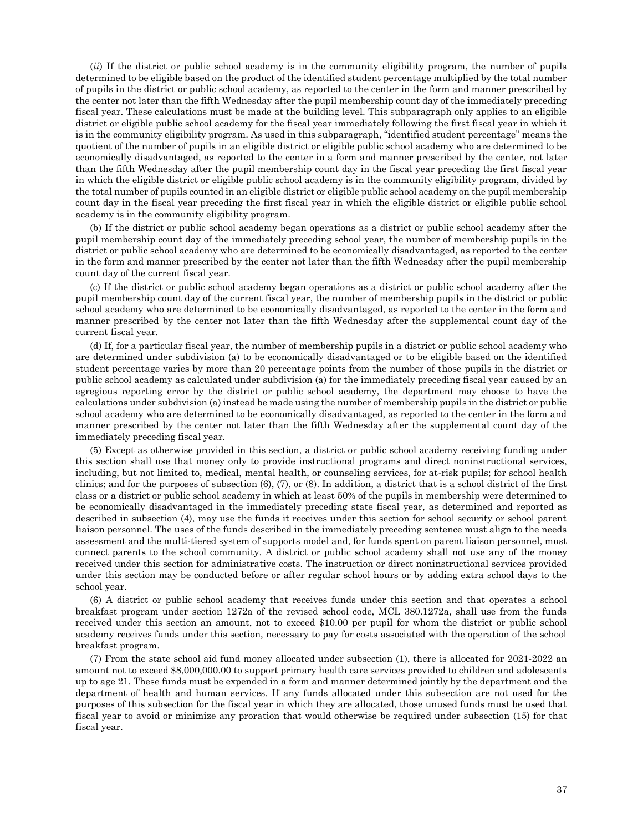(*ii*) If the district or public school academy is in the community eligibility program, the number of pupils determined to be eligible based on the product of the identified student percentage multiplied by the total number of pupils in the district or public school academy, as reported to the center in the form and manner prescribed by the center not later than the fifth Wednesday after the pupil membership count day of the immediately preceding fiscal year. These calculations must be made at the building level. This subparagraph only applies to an eligible district or eligible public school academy for the fiscal year immediately following the first fiscal year in which it is in the community eligibility program. As used in this subparagraph, "identified student percentage" means the quotient of the number of pupils in an eligible district or eligible public school academy who are determined to be economically disadvantaged, as reported to the center in a form and manner prescribed by the center, not later than the fifth Wednesday after the pupil membership count day in the fiscal year preceding the first fiscal year in which the eligible district or eligible public school academy is in the community eligibility program, divided by the total number of pupils counted in an eligible district or eligible public school academy on the pupil membership count day in the fiscal year preceding the first fiscal year in which the eligible district or eligible public school academy is in the community eligibility program.

(b) If the district or public school academy began operations as a district or public school academy after the pupil membership count day of the immediately preceding school year, the number of membership pupils in the district or public school academy who are determined to be economically disadvantaged, as reported to the center in the form and manner prescribed by the center not later than the fifth Wednesday after the pupil membership count day of the current fiscal year.

(c) If the district or public school academy began operations as a district or public school academy after the pupil membership count day of the current fiscal year, the number of membership pupils in the district or public school academy who are determined to be economically disadvantaged, as reported to the center in the form and manner prescribed by the center not later than the fifth Wednesday after the supplemental count day of the current fiscal year.

(d) If, for a particular fiscal year, the number of membership pupils in a district or public school academy who are determined under subdivision (a) to be economically disadvantaged or to be eligible based on the identified student percentage varies by more than 20 percentage points from the number of those pupils in the district or public school academy as calculated under subdivision (a) for the immediately preceding fiscal year caused by an egregious reporting error by the district or public school academy, the department may choose to have the calculations under subdivision (a) instead be made using the number of membership pupils in the district or public school academy who are determined to be economically disadvantaged, as reported to the center in the form and manner prescribed by the center not later than the fifth Wednesday after the supplemental count day of the immediately preceding fiscal year.

(5) Except as otherwise provided in this section, a district or public school academy receiving funding under this section shall use that money only to provide instructional programs and direct noninstructional services, including, but not limited to, medical, mental health, or counseling services, for at-risk pupils; for school health clinics; and for the purposes of subsection (6), (7), or (8). In addition, a district that is a school district of the first class or a district or public school academy in which at least 50% of the pupils in membership were determined to be economically disadvantaged in the immediately preceding state fiscal year, as determined and reported as described in subsection (4), may use the funds it receives under this section for school security or school parent liaison personnel. The uses of the funds described in the immediately preceding sentence must align to the needs assessment and the multi-tiered system of supports model and, for funds spent on parent liaison personnel, must connect parents to the school community. A district or public school academy shall not use any of the money received under this section for administrative costs. The instruction or direct noninstructional services provided under this section may be conducted before or after regular school hours or by adding extra school days to the school year.

(6) A district or public school academy that receives funds under this section and that operates a school breakfast program under section 1272a of the revised school code, MCL 380.1272a, shall use from the funds received under this section an amount, not to exceed \$10.00 per pupil for whom the district or public school academy receives funds under this section, necessary to pay for costs associated with the operation of the school breakfast program.

(7) From the state school aid fund money allocated under subsection (1), there is allocated for 2021-2022 an amount not to exceed \$8,000,000.00 to support primary health care services provided to children and adolescents up to age 21. These funds must be expended in a form and manner determined jointly by the department and the department of health and human services. If any funds allocated under this subsection are not used for the purposes of this subsection for the fiscal year in which they are allocated, those unused funds must be used that fiscal year to avoid or minimize any proration that would otherwise be required under subsection (15) for that fiscal year.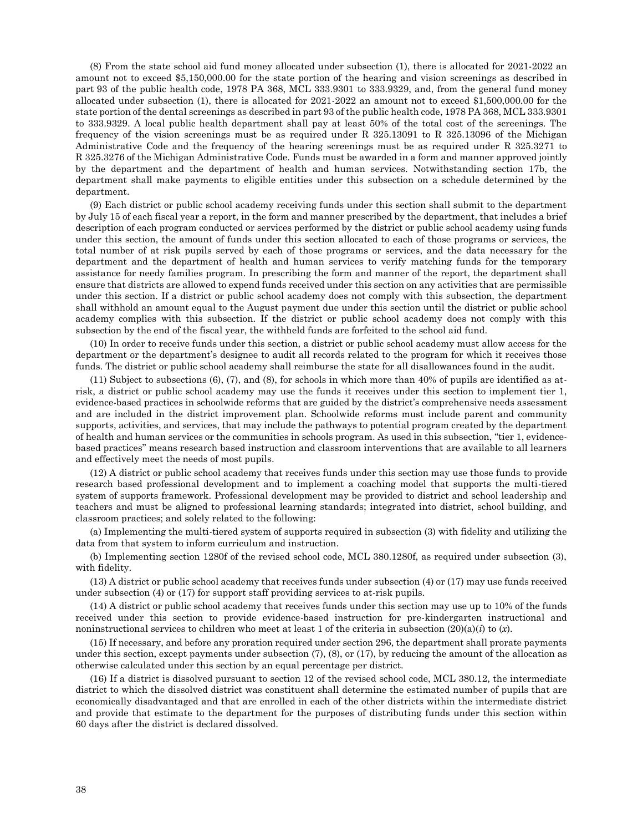(8) From the state school aid fund money allocated under subsection (1), there is allocated for 2021-2022 an amount not to exceed \$5,150,000.00 for the state portion of the hearing and vision screenings as described in part 93 of the public health code, 1978 PA 368, MCL 333.9301 to 333.9329, and, from the general fund money allocated under subsection (1), there is allocated for 2021-2022 an amount not to exceed \$1,500,000.00 for the state portion of the dental screenings as described in part 93 of the public health code, 1978 PA 368, MCL 333.9301 to 333.9329. A local public health department shall pay at least 50% of the total cost of the screenings. The frequency of the vision screenings must be as required under R 325.13091 to R 325.13096 of the Michigan Administrative Code and the frequency of the hearing screenings must be as required under R 325.3271 to R 325.3276 of the Michigan Administrative Code. Funds must be awarded in a form and manner approved jointly by the department and the department of health and human services. Notwithstanding section 17b, the department shall make payments to eligible entities under this subsection on a schedule determined by the department.

(9) Each district or public school academy receiving funds under this section shall submit to the department by July 15 of each fiscal year a report, in the form and manner prescribed by the department, that includes a brief description of each program conducted or services performed by the district or public school academy using funds under this section, the amount of funds under this section allocated to each of those programs or services, the total number of at risk pupils served by each of those programs or services, and the data necessary for the department and the department of health and human services to verify matching funds for the temporary assistance for needy families program. In prescribing the form and manner of the report, the department shall ensure that districts are allowed to expend funds received under this section on any activities that are permissible under this section. If a district or public school academy does not comply with this subsection, the department shall withhold an amount equal to the August payment due under this section until the district or public school academy complies with this subsection. If the district or public school academy does not comply with this subsection by the end of the fiscal year, the withheld funds are forfeited to the school aid fund.

(10) In order to receive funds under this section, a district or public school academy must allow access for the department or the department's designee to audit all records related to the program for which it receives those funds. The district or public school academy shall reimburse the state for all disallowances found in the audit.

(11) Subject to subsections (6), (7), and (8), for schools in which more than 40% of pupils are identified as atrisk, a district or public school academy may use the funds it receives under this section to implement tier 1, evidence-based practices in schoolwide reforms that are guided by the district's comprehensive needs assessment and are included in the district improvement plan. Schoolwide reforms must include parent and community supports, activities, and services, that may include the pathways to potential program created by the department of health and human services or the communities in schools program. As used in this subsection, "tier 1, evidencebased practices" means research based instruction and classroom interventions that are available to all learners and effectively meet the needs of most pupils.

(12) A district or public school academy that receives funds under this section may use those funds to provide research based professional development and to implement a coaching model that supports the multi-tiered system of supports framework. Professional development may be provided to district and school leadership and teachers and must be aligned to professional learning standards; integrated into district, school building, and classroom practices; and solely related to the following:

(a) Implementing the multi-tiered system of supports required in subsection (3) with fidelity and utilizing the data from that system to inform curriculum and instruction.

(b) Implementing section 1280f of the revised school code, MCL 380.1280f, as required under subsection (3), with fidelity.

(13) A district or public school academy that receives funds under subsection (4) or (17) may use funds received under subsection (4) or (17) for support staff providing services to at-risk pupils.

(14) A district or public school academy that receives funds under this section may use up to 10% of the funds received under this section to provide evidence-based instruction for pre-kindergarten instructional and noninstructional services to children who meet at least 1 of the criteria in subsection (20)(a)(*i*) to (*x*).

(15) If necessary, and before any proration required under section 296, the department shall prorate payments under this section, except payments under subsection (7), (8), or (17), by reducing the amount of the allocation as otherwise calculated under this section by an equal percentage per district.

(16) If a district is dissolved pursuant to section 12 of the revised school code, MCL 380.12, the intermediate district to which the dissolved district was constituent shall determine the estimated number of pupils that are economically disadvantaged and that are enrolled in each of the other districts within the intermediate district and provide that estimate to the department for the purposes of distributing funds under this section within 60 days after the district is declared dissolved.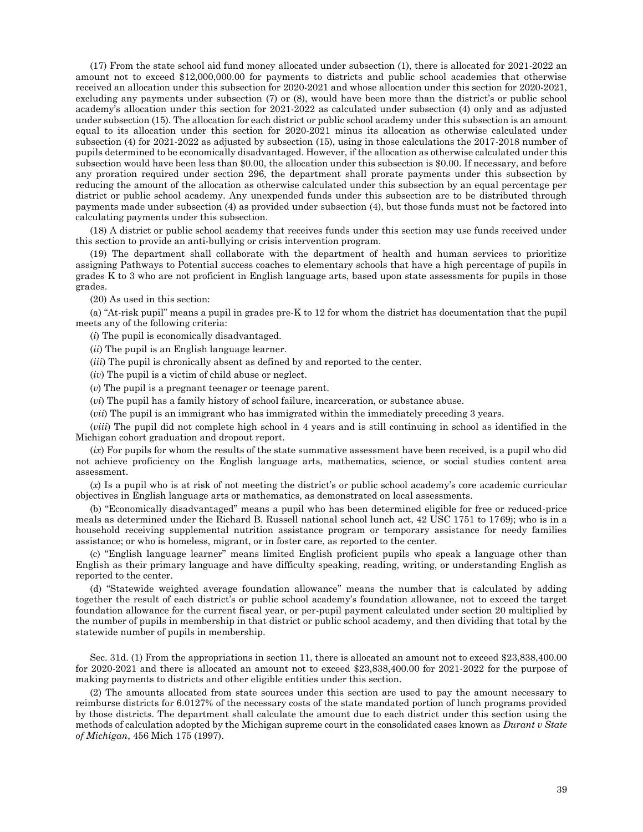(17) From the state school aid fund money allocated under subsection (1), there is allocated for 2021-2022 an amount not to exceed \$12,000,000.00 for payments to districts and public school academies that otherwise received an allocation under this subsection for 2020-2021 and whose allocation under this section for 2020-2021, excluding any payments under subsection (7) or (8), would have been more than the district's or public school academy's allocation under this section for 2021-2022 as calculated under subsection (4) only and as adjusted under subsection (15). The allocation for each district or public school academy under this subsection is an amount equal to its allocation under this section for 2020-2021 minus its allocation as otherwise calculated under subsection (4) for 2021-2022 as adjusted by subsection (15), using in those calculations the 2017-2018 number of pupils determined to be economically disadvantaged. However, if the allocation as otherwise calculated under this subsection would have been less than \$0.00, the allocation under this subsection is \$0.00. If necessary, and before any proration required under section 296, the department shall prorate payments under this subsection by reducing the amount of the allocation as otherwise calculated under this subsection by an equal percentage per district or public school academy. Any unexpended funds under this subsection are to be distributed through payments made under subsection (4) as provided under subsection (4), but those funds must not be factored into calculating payments under this subsection.

(18) A district or public school academy that receives funds under this section may use funds received under this section to provide an anti-bullying or crisis intervention program.

(19) The department shall collaborate with the department of health and human services to prioritize assigning Pathways to Potential success coaches to elementary schools that have a high percentage of pupils in grades K to 3 who are not proficient in English language arts, based upon state assessments for pupils in those grades.

(20) As used in this section:

(a) "At-risk pupil" means a pupil in grades pre-K to 12 for whom the district has documentation that the pupil meets any of the following criteria:

(*i*) The pupil is economically disadvantaged.

(*ii*) The pupil is an English language learner.

(*iii*) The pupil is chronically absent as defined by and reported to the center.

(*iv*) The pupil is a victim of child abuse or neglect.

(*v*) The pupil is a pregnant teenager or teenage parent.

(*vi*) The pupil has a family history of school failure, incarceration, or substance abuse.

(*vii*) The pupil is an immigrant who has immigrated within the immediately preceding 3 years.

(*viii*) The pupil did not complete high school in 4 years and is still continuing in school as identified in the Michigan cohort graduation and dropout report.

(*ix*) For pupils for whom the results of the state summative assessment have been received, is a pupil who did not achieve proficiency on the English language arts, mathematics, science, or social studies content area assessment.

(*x*) Is a pupil who is at risk of not meeting the district's or public school academy's core academic curricular objectives in English language arts or mathematics, as demonstrated on local assessments.

(b) "Economically disadvantaged" means a pupil who has been determined eligible for free or reduced-price meals as determined under the Richard B. Russell national school lunch act, 42 USC 1751 to 1769j; who is in a household receiving supplemental nutrition assistance program or temporary assistance for needy families assistance; or who is homeless, migrant, or in foster care, as reported to the center.

(c) "English language learner" means limited English proficient pupils who speak a language other than English as their primary language and have difficulty speaking, reading, writing, or understanding English as reported to the center.

(d) "Statewide weighted average foundation allowance" means the number that is calculated by adding together the result of each district's or public school academy's foundation allowance, not to exceed the target foundation allowance for the current fiscal year, or per-pupil payment calculated under section 20 multiplied by the number of pupils in membership in that district or public school academy, and then dividing that total by the statewide number of pupils in membership.

Sec. 31d. (1) From the appropriations in section 11, there is allocated an amount not to exceed \$23,838,400.00 for 2020-2021 and there is allocated an amount not to exceed \$23,838,400.00 for 2021-2022 for the purpose of making payments to districts and other eligible entities under this section.

(2) The amounts allocated from state sources under this section are used to pay the amount necessary to reimburse districts for 6.0127% of the necessary costs of the state mandated portion of lunch programs provided by those districts. The department shall calculate the amount due to each district under this section using the methods of calculation adopted by the Michigan supreme court in the consolidated cases known as *Durant v State of Michigan*, 456 Mich 175 (1997).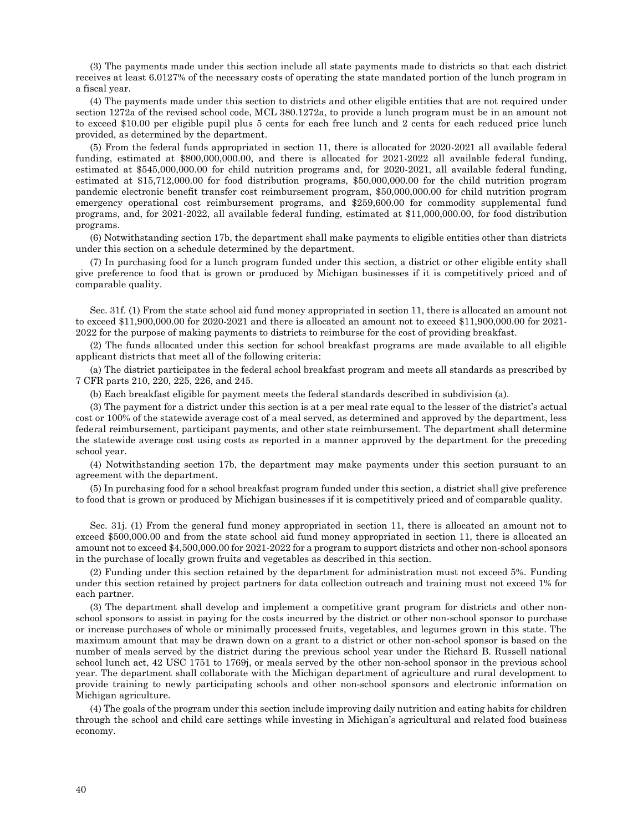(3) The payments made under this section include all state payments made to districts so that each district receives at least 6.0127% of the necessary costs of operating the state mandated portion of the lunch program in a fiscal year.

(4) The payments made under this section to districts and other eligible entities that are not required under section 1272a of the revised school code, MCL 380.1272a, to provide a lunch program must be in an amount not to exceed \$10.00 per eligible pupil plus 5 cents for each free lunch and 2 cents for each reduced price lunch provided, as determined by the department.

(5) From the federal funds appropriated in section 11, there is allocated for 2020-2021 all available federal funding, estimated at \$800,000,000.00, and there is allocated for 2021-2022 all available federal funding, estimated at \$545,000,000.00 for child nutrition programs and, for 2020-2021, all available federal funding, estimated at \$15,712,000.00 for food distribution programs, \$50,000,000.00 for the child nutrition program pandemic electronic benefit transfer cost reimbursement program, \$50,000,000.00 for child nutrition program emergency operational cost reimbursement programs, and \$259,600.00 for commodity supplemental fund programs, and, for 2021-2022, all available federal funding, estimated at \$11,000,000.00, for food distribution programs.

(6) Notwithstanding section 17b, the department shall make payments to eligible entities other than districts under this section on a schedule determined by the department.

(7) In purchasing food for a lunch program funded under this section, a district or other eligible entity shall give preference to food that is grown or produced by Michigan businesses if it is competitively priced and of comparable quality.

Sec. 31f. (1) From the state school aid fund money appropriated in section 11, there is allocated an amount not to exceed \$11,900,000.00 for 2020-2021 and there is allocated an amount not to exceed \$11,900,000.00 for 2021- 2022 for the purpose of making payments to districts to reimburse for the cost of providing breakfast.

(2) The funds allocated under this section for school breakfast programs are made available to all eligible applicant districts that meet all of the following criteria:

(a) The district participates in the federal school breakfast program and meets all standards as prescribed by 7 CFR parts 210, 220, 225, 226, and 245.

(b) Each breakfast eligible for payment meets the federal standards described in subdivision (a).

(3) The payment for a district under this section is at a per meal rate equal to the lesser of the district's actual cost or 100% of the statewide average cost of a meal served, as determined and approved by the department, less federal reimbursement, participant payments, and other state reimbursement. The department shall determine the statewide average cost using costs as reported in a manner approved by the department for the preceding school year.

(4) Notwithstanding section 17b, the department may make payments under this section pursuant to an agreement with the department.

(5) In purchasing food for a school breakfast program funded under this section, a district shall give preference to food that is grown or produced by Michigan businesses if it is competitively priced and of comparable quality.

Sec. 31j. (1) From the general fund money appropriated in section 11, there is allocated an amount not to exceed \$500,000.00 and from the state school aid fund money appropriated in section 11, there is allocated an amount not to exceed \$4,500,000.00 for 2021-2022 for a program to support districts and other non-school sponsors in the purchase of locally grown fruits and vegetables as described in this section.

(2) Funding under this section retained by the department for administration must not exceed 5%. Funding under this section retained by project partners for data collection outreach and training must not exceed 1% for each partner.

(3) The department shall develop and implement a competitive grant program for districts and other nonschool sponsors to assist in paying for the costs incurred by the district or other non-school sponsor to purchase or increase purchases of whole or minimally processed fruits, vegetables, and legumes grown in this state. The maximum amount that may be drawn down on a grant to a district or other non-school sponsor is based on the number of meals served by the district during the previous school year under the Richard B. Russell national school lunch act, 42 USC 1751 to 1769j, or meals served by the other non-school sponsor in the previous school year. The department shall collaborate with the Michigan department of agriculture and rural development to provide training to newly participating schools and other non-school sponsors and electronic information on Michigan agriculture.

(4) The goals of the program under this section include improving daily nutrition and eating habits for children through the school and child care settings while investing in Michigan's agricultural and related food business economy.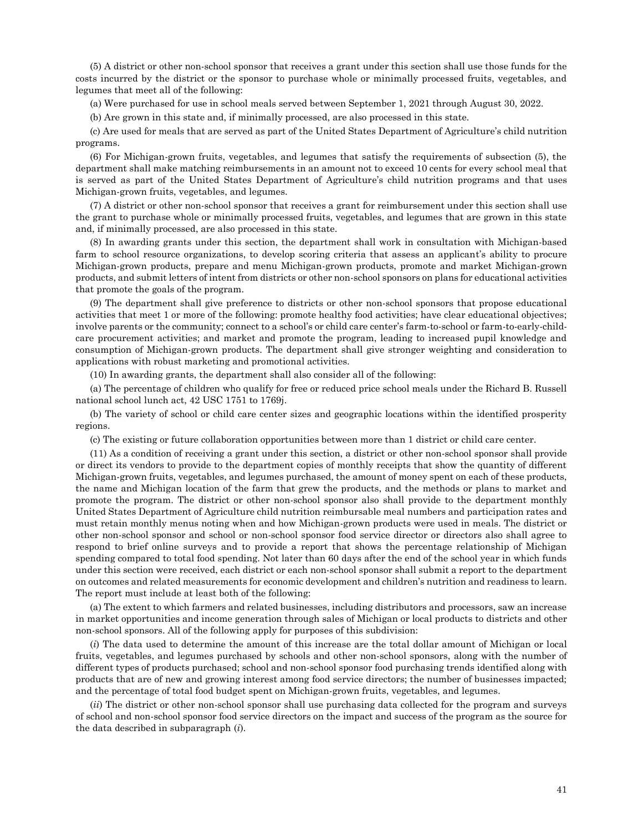(5) A district or other non-school sponsor that receives a grant under this section shall use those funds for the costs incurred by the district or the sponsor to purchase whole or minimally processed fruits, vegetables, and legumes that meet all of the following:

(a) Were purchased for use in school meals served between September 1, 2021 through August 30, 2022.

(b) Are grown in this state and, if minimally processed, are also processed in this state.

(c) Are used for meals that are served as part of the United States Department of Agriculture's child nutrition programs.

(6) For Michigan-grown fruits, vegetables, and legumes that satisfy the requirements of subsection (5), the department shall make matching reimbursements in an amount not to exceed 10 cents for every school meal that is served as part of the United States Department of Agriculture's child nutrition programs and that uses Michigan-grown fruits, vegetables, and legumes.

(7) A district or other non-school sponsor that receives a grant for reimbursement under this section shall use the grant to purchase whole or minimally processed fruits, vegetables, and legumes that are grown in this state and, if minimally processed, are also processed in this state.

(8) In awarding grants under this section, the department shall work in consultation with Michigan-based farm to school resource organizations, to develop scoring criteria that assess an applicant's ability to procure Michigan-grown products, prepare and menu Michigan-grown products, promote and market Michigan-grown products, and submit letters of intent from districts or other non-school sponsors on plans for educational activities that promote the goals of the program.

(9) The department shall give preference to districts or other non-school sponsors that propose educational activities that meet 1 or more of the following: promote healthy food activities; have clear educational objectives; involve parents or the community; connect to a school's or child care center's farm-to-school or farm-to-early-childcare procurement activities; and market and promote the program, leading to increased pupil knowledge and consumption of Michigan-grown products. The department shall give stronger weighting and consideration to applications with robust marketing and promotional activities.

(10) In awarding grants, the department shall also consider all of the following:

(a) The percentage of children who qualify for free or reduced price school meals under the Richard B. Russell national school lunch act, 42 USC 1751 to 1769j.

(b) The variety of school or child care center sizes and geographic locations within the identified prosperity regions.

(c) The existing or future collaboration opportunities between more than 1 district or child care center.

(11) As a condition of receiving a grant under this section, a district or other non-school sponsor shall provide or direct its vendors to provide to the department copies of monthly receipts that show the quantity of different Michigan-grown fruits, vegetables, and legumes purchased, the amount of money spent on each of these products, the name and Michigan location of the farm that grew the products, and the methods or plans to market and promote the program. The district or other non-school sponsor also shall provide to the department monthly United States Department of Agriculture child nutrition reimbursable meal numbers and participation rates and must retain monthly menus noting when and how Michigan-grown products were used in meals. The district or other non-school sponsor and school or non-school sponsor food service director or directors also shall agree to respond to brief online surveys and to provide a report that shows the percentage relationship of Michigan spending compared to total food spending. Not later than 60 days after the end of the school year in which funds under this section were received, each district or each non-school sponsor shall submit a report to the department on outcomes and related measurements for economic development and children's nutrition and readiness to learn. The report must include at least both of the following:

(a) The extent to which farmers and related businesses, including distributors and processors, saw an increase in market opportunities and income generation through sales of Michigan or local products to districts and other non-school sponsors. All of the following apply for purposes of this subdivision:

(*i*) The data used to determine the amount of this increase are the total dollar amount of Michigan or local fruits, vegetables, and legumes purchased by schools and other non-school sponsors, along with the number of different types of products purchased; school and non-school sponsor food purchasing trends identified along with products that are of new and growing interest among food service directors; the number of businesses impacted; and the percentage of total food budget spent on Michigan-grown fruits, vegetables, and legumes.

(*ii*) The district or other non-school sponsor shall use purchasing data collected for the program and surveys of school and non-school sponsor food service directors on the impact and success of the program as the source for the data described in subparagraph (*i*).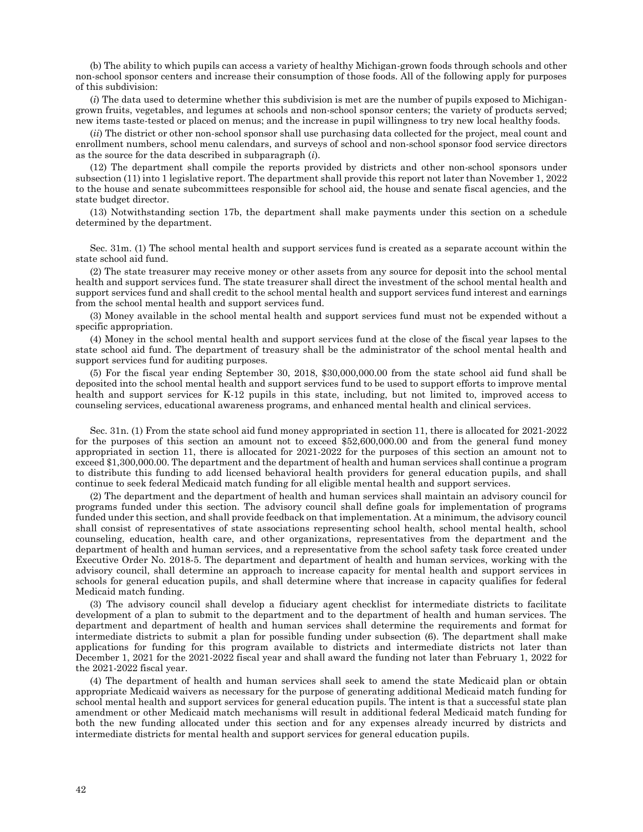(b) The ability to which pupils can access a variety of healthy Michigan-grown foods through schools and other non-school sponsor centers and increase their consumption of those foods. All of the following apply for purposes of this subdivision:

(*i*) The data used to determine whether this subdivision is met are the number of pupils exposed to Michigangrown fruits, vegetables, and legumes at schools and non-school sponsor centers; the variety of products served; new items taste-tested or placed on menus; and the increase in pupil willingness to try new local healthy foods.

(*ii*) The district or other non-school sponsor shall use purchasing data collected for the project, meal count and enrollment numbers, school menu calendars, and surveys of school and non-school sponsor food service directors as the source for the data described in subparagraph (*i*).

(12) The department shall compile the reports provided by districts and other non-school sponsors under subsection (11) into 1 legislative report. The department shall provide this report not later than November 1, 2022 to the house and senate subcommittees responsible for school aid, the house and senate fiscal agencies, and the state budget director.

(13) Notwithstanding section 17b, the department shall make payments under this section on a schedule determined by the department.

Sec. 31m. (1) The school mental health and support services fund is created as a separate account within the state school aid fund.

(2) The state treasurer may receive money or other assets from any source for deposit into the school mental health and support services fund. The state treasurer shall direct the investment of the school mental health and support services fund and shall credit to the school mental health and support services fund interest and earnings from the school mental health and support services fund.

(3) Money available in the school mental health and support services fund must not be expended without a specific appropriation.

(4) Money in the school mental health and support services fund at the close of the fiscal year lapses to the state school aid fund. The department of treasury shall be the administrator of the school mental health and support services fund for auditing purposes.

(5) For the fiscal year ending September 30, 2018, \$30,000,000.00 from the state school aid fund shall be deposited into the school mental health and support services fund to be used to support efforts to improve mental health and support services for K-12 pupils in this state, including, but not limited to, improved access to counseling services, educational awareness programs, and enhanced mental health and clinical services.

Sec. 31n. (1) From the state school aid fund money appropriated in section 11, there is allocated for 2021-2022 for the purposes of this section an amount not to exceed \$52,600,000.00 and from the general fund money appropriated in section 11, there is allocated for 2021-2022 for the purposes of this section an amount not to exceed \$1,300,000.00. The department and the department of health and human services shall continue a program to distribute this funding to add licensed behavioral health providers for general education pupils, and shall continue to seek federal Medicaid match funding for all eligible mental health and support services.

(2) The department and the department of health and human services shall maintain an advisory council for programs funded under this section. The advisory council shall define goals for implementation of programs funded under this section, and shall provide feedback on that implementation. At a minimum, the advisory council shall consist of representatives of state associations representing school health, school mental health, school counseling, education, health care, and other organizations, representatives from the department and the department of health and human services, and a representative from the school safety task force created under Executive Order No. 2018-5. The department and department of health and human services, working with the advisory council, shall determine an approach to increase capacity for mental health and support services in schools for general education pupils, and shall determine where that increase in capacity qualifies for federal Medicaid match funding.

(3) The advisory council shall develop a fiduciary agent checklist for intermediate districts to facilitate development of a plan to submit to the department and to the department of health and human services. The department and department of health and human services shall determine the requirements and format for intermediate districts to submit a plan for possible funding under subsection (6). The department shall make applications for funding for this program available to districts and intermediate districts not later than December 1, 2021 for the 2021-2022 fiscal year and shall award the funding not later than February 1, 2022 for the 2021-2022 fiscal year.

(4) The department of health and human services shall seek to amend the state Medicaid plan or obtain appropriate Medicaid waivers as necessary for the purpose of generating additional Medicaid match funding for school mental health and support services for general education pupils. The intent is that a successful state plan amendment or other Medicaid match mechanisms will result in additional federal Medicaid match funding for both the new funding allocated under this section and for any expenses already incurred by districts and intermediate districts for mental health and support services for general education pupils.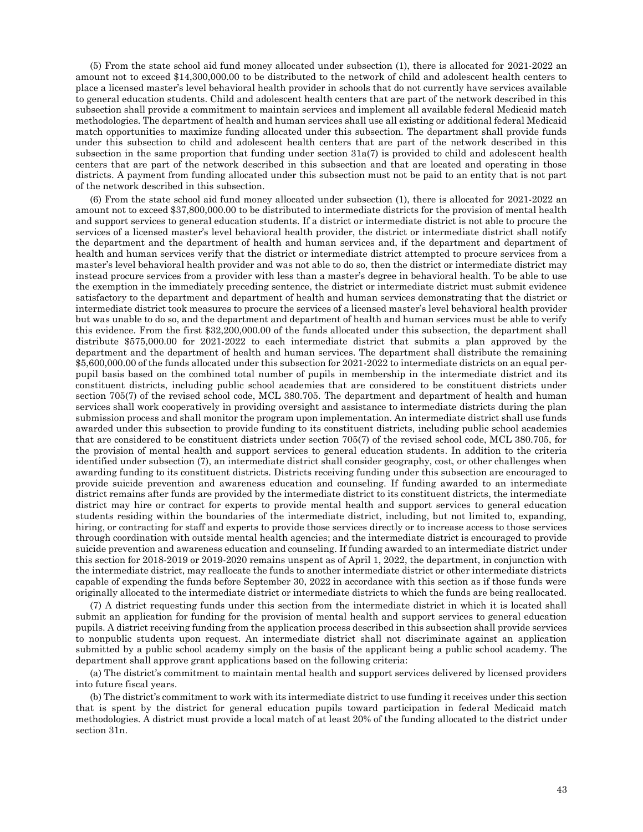(5) From the state school aid fund money allocated under subsection (1), there is allocated for 2021-2022 an amount not to exceed \$14,300,000.00 to be distributed to the network of child and adolescent health centers to place a licensed master's level behavioral health provider in schools that do not currently have services available to general education students. Child and adolescent health centers that are part of the network described in this subsection shall provide a commitment to maintain services and implement all available federal Medicaid match methodologies. The department of health and human services shall use all existing or additional federal Medicaid match opportunities to maximize funding allocated under this subsection. The department shall provide funds under this subsection to child and adolescent health centers that are part of the network described in this subsection in the same proportion that funding under section 31a(7) is provided to child and adolescent health centers that are part of the network described in this subsection and that are located and operating in those districts. A payment from funding allocated under this subsection must not be paid to an entity that is not part of the network described in this subsection.

(6) From the state school aid fund money allocated under subsection (1), there is allocated for 2021-2022 an amount not to exceed \$37,800,000.00 to be distributed to intermediate districts for the provision of mental health and support services to general education students. If a district or intermediate district is not able to procure the services of a licensed master's level behavioral health provider, the district or intermediate district shall notify the department and the department of health and human services and, if the department and department of health and human services verify that the district or intermediate district attempted to procure services from a master's level behavioral health provider and was not able to do so, then the district or intermediate district may instead procure services from a provider with less than a master's degree in behavioral health. To be able to use the exemption in the immediately preceding sentence, the district or intermediate district must submit evidence satisfactory to the department and department of health and human services demonstrating that the district or intermediate district took measures to procure the services of a licensed master's level behavioral health provider but was unable to do so, and the department and department of health and human services must be able to verify this evidence. From the first \$32,200,000.00 of the funds allocated under this subsection, the department shall distribute \$575,000.00 for 2021-2022 to each intermediate district that submits a plan approved by the department and the department of health and human services. The department shall distribute the remaining \$5,600,000.00 of the funds allocated under this subsection for 2021-2022 to intermediate districts on an equal perpupil basis based on the combined total number of pupils in membership in the intermediate district and its constituent districts, including public school academies that are considered to be constituent districts under section 705(7) of the revised school code, MCL 380.705. The department and department of health and human services shall work cooperatively in providing oversight and assistance to intermediate districts during the plan submission process and shall monitor the program upon implementation. An intermediate district shall use funds awarded under this subsection to provide funding to its constituent districts, including public school academies that are considered to be constituent districts under section 705(7) of the revised school code, MCL 380.705, for the provision of mental health and support services to general education students. In addition to the criteria identified under subsection (7), an intermediate district shall consider geography, cost, or other challenges when awarding funding to its constituent districts. Districts receiving funding under this subsection are encouraged to provide suicide prevention and awareness education and counseling. If funding awarded to an intermediate district remains after funds are provided by the intermediate district to its constituent districts, the intermediate district may hire or contract for experts to provide mental health and support services to general education students residing within the boundaries of the intermediate district, including, but not limited to, expanding, hiring, or contracting for staff and experts to provide those services directly or to increase access to those services through coordination with outside mental health agencies; and the intermediate district is encouraged to provide suicide prevention and awareness education and counseling. If funding awarded to an intermediate district under this section for 2018-2019 or 2019-2020 remains unspent as of April 1, 2022, the department, in conjunction with the intermediate district, may reallocate the funds to another intermediate district or other intermediate districts capable of expending the funds before September 30, 2022 in accordance with this section as if those funds were originally allocated to the intermediate district or intermediate districts to which the funds are being reallocated.

(7) A district requesting funds under this section from the intermediate district in which it is located shall submit an application for funding for the provision of mental health and support services to general education pupils. A district receiving funding from the application process described in this subsection shall provide services to nonpublic students upon request. An intermediate district shall not discriminate against an application submitted by a public school academy simply on the basis of the applicant being a public school academy. The department shall approve grant applications based on the following criteria:

(a) The district's commitment to maintain mental health and support services delivered by licensed providers into future fiscal years.

(b) The district's commitment to work with its intermediate district to use funding it receives under this section that is spent by the district for general education pupils toward participation in federal Medicaid match methodologies. A district must provide a local match of at least 20% of the funding allocated to the district under section 31n.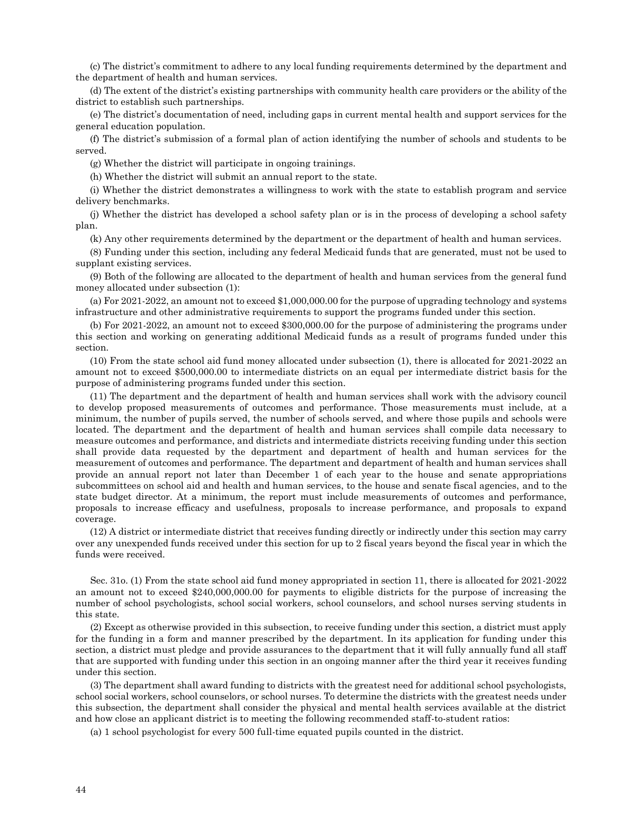(c) The district's commitment to adhere to any local funding requirements determined by the department and the department of health and human services.

(d) The extent of the district's existing partnerships with community health care providers or the ability of the district to establish such partnerships.

(e) The district's documentation of need, including gaps in current mental health and support services for the general education population.

(f) The district's submission of a formal plan of action identifying the number of schools and students to be served.

(g) Whether the district will participate in ongoing trainings.

(h) Whether the district will submit an annual report to the state.

(i) Whether the district demonstrates a willingness to work with the state to establish program and service delivery benchmarks.

(j) Whether the district has developed a school safety plan or is in the process of developing a school safety plan.

(k) Any other requirements determined by the department or the department of health and human services.

(8) Funding under this section, including any federal Medicaid funds that are generated, must not be used to supplant existing services.

(9) Both of the following are allocated to the department of health and human services from the general fund money allocated under subsection (1):

(a) For 2021-2022, an amount not to exceed \$1,000,000.00 for the purpose of upgrading technology and systems infrastructure and other administrative requirements to support the programs funded under this section.

(b) For 2021-2022, an amount not to exceed \$300,000.00 for the purpose of administering the programs under this section and working on generating additional Medicaid funds as a result of programs funded under this section.

(10) From the state school aid fund money allocated under subsection (1), there is allocated for 2021-2022 an amount not to exceed \$500,000.00 to intermediate districts on an equal per intermediate district basis for the purpose of administering programs funded under this section.

(11) The department and the department of health and human services shall work with the advisory council to develop proposed measurements of outcomes and performance. Those measurements must include, at a minimum, the number of pupils served, the number of schools served, and where those pupils and schools were located. The department and the department of health and human services shall compile data necessary to measure outcomes and performance, and districts and intermediate districts receiving funding under this section shall provide data requested by the department and department of health and human services for the measurement of outcomes and performance. The department and department of health and human services shall provide an annual report not later than December 1 of each year to the house and senate appropriations subcommittees on school aid and health and human services, to the house and senate fiscal agencies, and to the state budget director. At a minimum, the report must include measurements of outcomes and performance, proposals to increase efficacy and usefulness, proposals to increase performance, and proposals to expand coverage.

(12) A district or intermediate district that receives funding directly or indirectly under this section may carry over any unexpended funds received under this section for up to 2 fiscal years beyond the fiscal year in which the funds were received.

Sec. 31o. (1) From the state school aid fund money appropriated in section 11, there is allocated for 2021-2022 an amount not to exceed \$240,000,000.00 for payments to eligible districts for the purpose of increasing the number of school psychologists, school social workers, school counselors, and school nurses serving students in this state.

(2) Except as otherwise provided in this subsection, to receive funding under this section, a district must apply for the funding in a form and manner prescribed by the department. In its application for funding under this section, a district must pledge and provide assurances to the department that it will fully annually fund all staff that are supported with funding under this section in an ongoing manner after the third year it receives funding under this section.

(3) The department shall award funding to districts with the greatest need for additional school psychologists, school social workers, school counselors, or school nurses. To determine the districts with the greatest needs under this subsection, the department shall consider the physical and mental health services available at the district and how close an applicant district is to meeting the following recommended staff-to-student ratios:

(a) 1 school psychologist for every 500 full-time equated pupils counted in the district.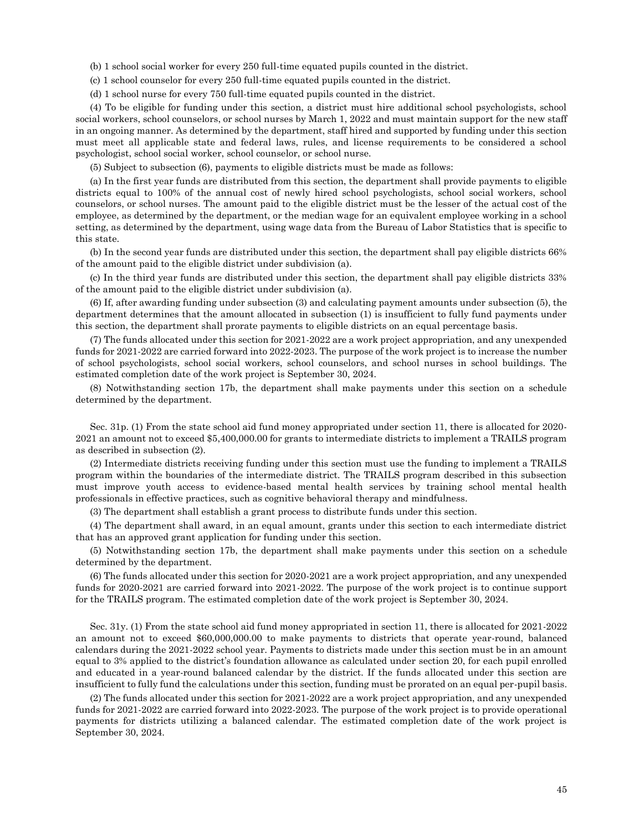- (b) 1 school social worker for every 250 full-time equated pupils counted in the district.
- (c) 1 school counselor for every 250 full-time equated pupils counted in the district.
- (d) 1 school nurse for every 750 full-time equated pupils counted in the district.

(4) To be eligible for funding under this section, a district must hire additional school psychologists, school social workers, school counselors, or school nurses by March 1, 2022 and must maintain support for the new staff in an ongoing manner. As determined by the department, staff hired and supported by funding under this section must meet all applicable state and federal laws, rules, and license requirements to be considered a school psychologist, school social worker, school counselor, or school nurse.

(5) Subject to subsection (6), payments to eligible districts must be made as follows:

(a) In the first year funds are distributed from this section, the department shall provide payments to eligible districts equal to 100% of the annual cost of newly hired school psychologists, school social workers, school counselors, or school nurses. The amount paid to the eligible district must be the lesser of the actual cost of the employee, as determined by the department, or the median wage for an equivalent employee working in a school setting, as determined by the department, using wage data from the Bureau of Labor Statistics that is specific to this state.

(b) In the second year funds are distributed under this section, the department shall pay eligible districts 66% of the amount paid to the eligible district under subdivision (a).

(c) In the third year funds are distributed under this section, the department shall pay eligible districts 33% of the amount paid to the eligible district under subdivision (a).

(6) If, after awarding funding under subsection (3) and calculating payment amounts under subsection (5), the department determines that the amount allocated in subsection (1) is insufficient to fully fund payments under this section, the department shall prorate payments to eligible districts on an equal percentage basis.

(7) The funds allocated under this section for 2021-2022 are a work project appropriation, and any unexpended funds for 2021-2022 are carried forward into 2022-2023. The purpose of the work project is to increase the number of school psychologists, school social workers, school counselors, and school nurses in school buildings. The estimated completion date of the work project is September 30, 2024.

(8) Notwithstanding section 17b, the department shall make payments under this section on a schedule determined by the department.

Sec. 31p. (1) From the state school aid fund money appropriated under section 11, there is allocated for 2020- 2021 an amount not to exceed \$5,400,000.00 for grants to intermediate districts to implement a TRAILS program as described in subsection (2).

(2) Intermediate districts receiving funding under this section must use the funding to implement a TRAILS program within the boundaries of the intermediate district. The TRAILS program described in this subsection must improve youth access to evidence-based mental health services by training school mental health professionals in effective practices, such as cognitive behavioral therapy and mindfulness.

(3) The department shall establish a grant process to distribute funds under this section.

(4) The department shall award, in an equal amount, grants under this section to each intermediate district that has an approved grant application for funding under this section.

(5) Notwithstanding section 17b, the department shall make payments under this section on a schedule determined by the department.

(6) The funds allocated under this section for 2020-2021 are a work project appropriation, and any unexpended funds for 2020-2021 are carried forward into 2021-2022. The purpose of the work project is to continue support for the TRAILS program. The estimated completion date of the work project is September 30, 2024.

Sec. 31y. (1) From the state school aid fund money appropriated in section 11, there is allocated for 2021-2022 an amount not to exceed \$60,000,000.00 to make payments to districts that operate year-round, balanced calendars during the 2021-2022 school year. Payments to districts made under this section must be in an amount equal to 3% applied to the district's foundation allowance as calculated under section 20, for each pupil enrolled and educated in a year-round balanced calendar by the district. If the funds allocated under this section are insufficient to fully fund the calculations under this section, funding must be prorated on an equal per-pupil basis.

(2) The funds allocated under this section for 2021-2022 are a work project appropriation, and any unexpended funds for 2021-2022 are carried forward into 2022-2023. The purpose of the work project is to provide operational payments for districts utilizing a balanced calendar. The estimated completion date of the work project is September 30, 2024.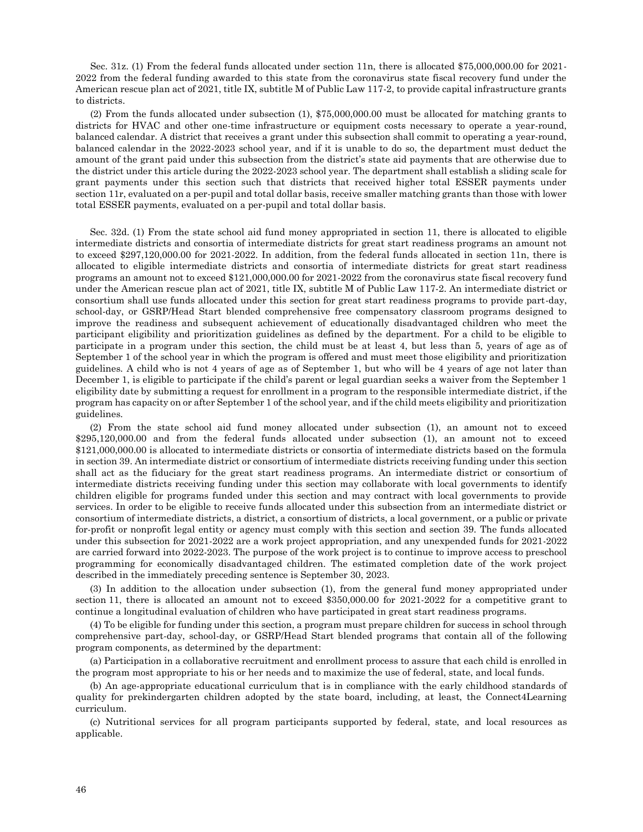Sec. 31z. (1) From the federal funds allocated under section 11n, there is allocated \$75,000,000.00 for 2021- 2022 from the federal funding awarded to this state from the coronavirus state fiscal recovery fund under the American rescue plan act of 2021, title IX, subtitle M of Public Law 117-2, to provide capital infrastructure grants to districts.

(2) From the funds allocated under subsection (1), \$75,000,000.00 must be allocated for matching grants to districts for HVAC and other one-time infrastructure or equipment costs necessary to operate a year-round, balanced calendar. A district that receives a grant under this subsection shall commit to operating a year-round, balanced calendar in the 2022-2023 school year, and if it is unable to do so, the department must deduct the amount of the grant paid under this subsection from the district's state aid payments that are otherwise due to the district under this article during the 2022-2023 school year. The department shall establish a sliding scale for grant payments under this section such that districts that received higher total ESSER payments under section 11r, evaluated on a per-pupil and total dollar basis, receive smaller matching grants than those with lower total ESSER payments, evaluated on a per-pupil and total dollar basis.

Sec. 32d. (1) From the state school aid fund money appropriated in section 11, there is allocated to eligible intermediate districts and consortia of intermediate districts for great start readiness programs an amount not to exceed \$297,120,000.00 for 2021-2022. In addition, from the federal funds allocated in section 11n, there is allocated to eligible intermediate districts and consortia of intermediate districts for great start readiness programs an amount not to exceed \$121,000,000.00 for 2021-2022 from the coronavirus state fiscal recovery fund under the American rescue plan act of 2021, title IX, subtitle M of Public Law 117-2. An intermediate district or consortium shall use funds allocated under this section for great start readiness programs to provide part-day, school-day, or GSRP/Head Start blended comprehensive free compensatory classroom programs designed to improve the readiness and subsequent achievement of educationally disadvantaged children who meet the participant eligibility and prioritization guidelines as defined by the department. For a child to be eligible to participate in a program under this section, the child must be at least 4, but less than 5, years of age as of September 1 of the school year in which the program is offered and must meet those eligibility and prioritization guidelines. A child who is not 4 years of age as of September 1, but who will be 4 years of age not later than December 1, is eligible to participate if the child's parent or legal guardian seeks a waiver from the September 1 eligibility date by submitting a request for enrollment in a program to the responsible intermediate district, if the program has capacity on or after September 1 of the school year, and if the child meets eligibility and prioritization guidelines.

(2) From the state school aid fund money allocated under subsection (1), an amount not to exceed \$295,120,000.00 and from the federal funds allocated under subsection (1), an amount not to exceed \$121,000,000.00 is allocated to intermediate districts or consortia of intermediate districts based on the formula in section 39. An intermediate district or consortium of intermediate districts receiving funding under this section shall act as the fiduciary for the great start readiness programs. An intermediate district or consortium of intermediate districts receiving funding under this section may collaborate with local governments to identify children eligible for programs funded under this section and may contract with local governments to provide services. In order to be eligible to receive funds allocated under this subsection from an intermediate district or consortium of intermediate districts, a district, a consortium of districts, a local government, or a public or private for-profit or nonprofit legal entity or agency must comply with this section and section 39. The funds allocated under this subsection for 2021-2022 are a work project appropriation, and any unexpended funds for 2021-2022 are carried forward into 2022-2023. The purpose of the work project is to continue to improve access to preschool programming for economically disadvantaged children. The estimated completion date of the work project described in the immediately preceding sentence is September 30, 2023.

(3) In addition to the allocation under subsection (1), from the general fund money appropriated under section 11, there is allocated an amount not to exceed \$350,000.00 for 2021-2022 for a competitive grant to continue a longitudinal evaluation of children who have participated in great start readiness programs.

(4) To be eligible for funding under this section, a program must prepare children for success in school through comprehensive part-day, school-day, or GSRP/Head Start blended programs that contain all of the following program components, as determined by the department:

(a) Participation in a collaborative recruitment and enrollment process to assure that each child is enrolled in the program most appropriate to his or her needs and to maximize the use of federal, state, and local funds.

(b) An age-appropriate educational curriculum that is in compliance with the early childhood standards of quality for prekindergarten children adopted by the state board, including, at least, the Connect4Learning curriculum.

(c) Nutritional services for all program participants supported by federal, state, and local resources as applicable.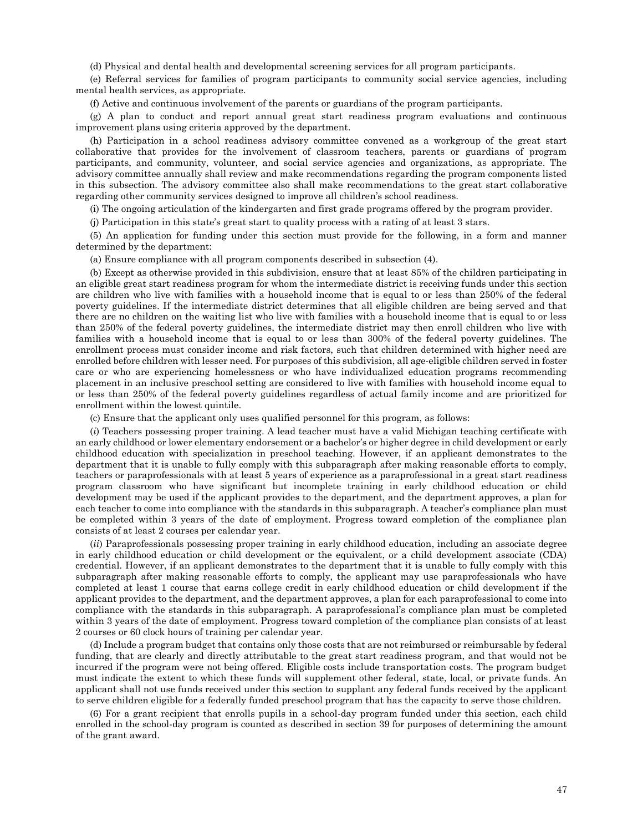(d) Physical and dental health and developmental screening services for all program participants.

(e) Referral services for families of program participants to community social service agencies, including mental health services, as appropriate.

(f) Active and continuous involvement of the parents or guardians of the program participants.

(g) A plan to conduct and report annual great start readiness program evaluations and continuous improvement plans using criteria approved by the department.

(h) Participation in a school readiness advisory committee convened as a workgroup of the great start collaborative that provides for the involvement of classroom teachers, parents or guardians of program participants, and community, volunteer, and social service agencies and organizations, as appropriate. The advisory committee annually shall review and make recommendations regarding the program components listed in this subsection. The advisory committee also shall make recommendations to the great start collaborative regarding other community services designed to improve all children's school readiness.

(i) The ongoing articulation of the kindergarten and first grade programs offered by the program provider.

(j) Participation in this state's great start to quality process with a rating of at least 3 stars.

(5) An application for funding under this section must provide for the following, in a form and manner determined by the department:

(a) Ensure compliance with all program components described in subsection (4).

(b) Except as otherwise provided in this subdivision, ensure that at least 85% of the children participating in an eligible great start readiness program for whom the intermediate district is receiving funds under this section are children who live with families with a household income that is equal to or less than 250% of the federal poverty guidelines. If the intermediate district determines that all eligible children are being served and that there are no children on the waiting list who live with families with a household income that is equal to or less than 250% of the federal poverty guidelines, the intermediate district may then enroll children who live with families with a household income that is equal to or less than 300% of the federal poverty guidelines. The enrollment process must consider income and risk factors, such that children determined with higher need are enrolled before children with lesser need. For purposes of this subdivision, all age-eligible children served in foster care or who are experiencing homelessness or who have individualized education programs recommending placement in an inclusive preschool setting are considered to live with families with household income equal to or less than 250% of the federal poverty guidelines regardless of actual family income and are prioritized for enrollment within the lowest quintile.

(c) Ensure that the applicant only uses qualified personnel for this program, as follows:

(*i*) Teachers possessing proper training. A lead teacher must have a valid Michigan teaching certificate with an early childhood or lower elementary endorsement or a bachelor's or higher degree in child development or early childhood education with specialization in preschool teaching. However, if an applicant demonstrates to the department that it is unable to fully comply with this subparagraph after making reasonable efforts to comply, teachers or paraprofessionals with at least 5 years of experience as a paraprofessional in a great start readiness program classroom who have significant but incomplete training in early childhood education or child development may be used if the applicant provides to the department, and the department approves, a plan for each teacher to come into compliance with the standards in this subparagraph. A teacher's compliance plan must be completed within 3 years of the date of employment. Progress toward completion of the compliance plan consists of at least 2 courses per calendar year.

(*ii*) Paraprofessionals possessing proper training in early childhood education, including an associate degree in early childhood education or child development or the equivalent, or a child development associate (CDA) credential. However, if an applicant demonstrates to the department that it is unable to fully comply with this subparagraph after making reasonable efforts to comply, the applicant may use paraprofessionals who have completed at least 1 course that earns college credit in early childhood education or child development if the applicant provides to the department, and the department approves, a plan for each paraprofessional to come into compliance with the standards in this subparagraph. A paraprofessional's compliance plan must be completed within 3 years of the date of employment. Progress toward completion of the compliance plan consists of at least 2 courses or 60 clock hours of training per calendar year.

(d) Include a program budget that contains only those costs that are not reimbursed or reimbursable by federal funding, that are clearly and directly attributable to the great start readiness program, and that would not be incurred if the program were not being offered. Eligible costs include transportation costs. The program budget must indicate the extent to which these funds will supplement other federal, state, local, or private funds. An applicant shall not use funds received under this section to supplant any federal funds received by the applicant to serve children eligible for a federally funded preschool program that has the capacity to serve those children.

(6) For a grant recipient that enrolls pupils in a school-day program funded under this section, each child enrolled in the school-day program is counted as described in section 39 for purposes of determining the amount of the grant award.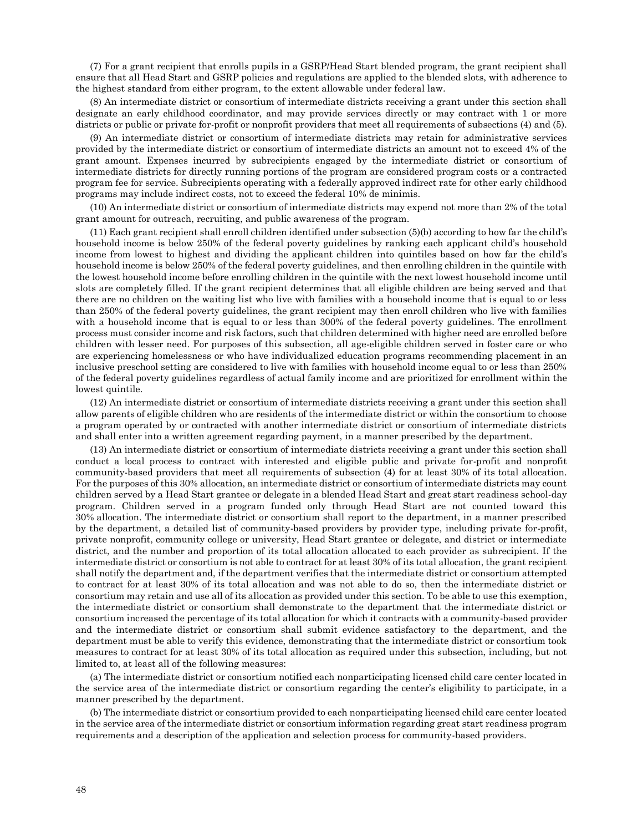(7) For a grant recipient that enrolls pupils in a GSRP/Head Start blended program, the grant recipient shall ensure that all Head Start and GSRP policies and regulations are applied to the blended slots, with adherence to the highest standard from either program, to the extent allowable under federal law.

(8) An intermediate district or consortium of intermediate districts receiving a grant under this section shall designate an early childhood coordinator, and may provide services directly or may contract with 1 or more districts or public or private for-profit or nonprofit providers that meet all requirements of subsections (4) and (5).

(9) An intermediate district or consortium of intermediate districts may retain for administrative services provided by the intermediate district or consortium of intermediate districts an amount not to exceed 4% of the grant amount. Expenses incurred by subrecipients engaged by the intermediate district or consortium of intermediate districts for directly running portions of the program are considered program costs or a contracted program fee for service. Subrecipients operating with a federally approved indirect rate for other early childhood programs may include indirect costs, not to exceed the federal 10% de minimis.

(10) An intermediate district or consortium of intermediate districts may expend not more than 2% of the total grant amount for outreach, recruiting, and public awareness of the program.

(11) Each grant recipient shall enroll children identified under subsection (5)(b) according to how far the child's household income is below 250% of the federal poverty guidelines by ranking each applicant child's household income from lowest to highest and dividing the applicant children into quintiles based on how far the child's household income is below 250% of the federal poverty guidelines, and then enrolling children in the quintile with the lowest household income before enrolling children in the quintile with the next lowest household income until slots are completely filled. If the grant recipient determines that all eligible children are being served and that there are no children on the waiting list who live with families with a household income that is equal to or less than 250% of the federal poverty guidelines, the grant recipient may then enroll children who live with families with a household income that is equal to or less than 300% of the federal poverty guidelines. The enrollment process must consider income and risk factors, such that children determined with higher need are enrolled before children with lesser need. For purposes of this subsection, all age-eligible children served in foster care or who are experiencing homelessness or who have individualized education programs recommending placement in an inclusive preschool setting are considered to live with families with household income equal to or less than 250% of the federal poverty guidelines regardless of actual family income and are prioritized for enrollment within the lowest quintile.

(12) An intermediate district or consortium of intermediate districts receiving a grant under this section shall allow parents of eligible children who are residents of the intermediate district or within the consortium to choose a program operated by or contracted with another intermediate district or consortium of intermediate districts and shall enter into a written agreement regarding payment, in a manner prescribed by the department.

(13) An intermediate district or consortium of intermediate districts receiving a grant under this section shall conduct a local process to contract with interested and eligible public and private for-profit and nonprofit community-based providers that meet all requirements of subsection (4) for at least 30% of its total allocation. For the purposes of this 30% allocation, an intermediate district or consortium of intermediate districts may count children served by a Head Start grantee or delegate in a blended Head Start and great start readiness school-day program. Children served in a program funded only through Head Start are not counted toward this 30% allocation. The intermediate district or consortium shall report to the department, in a manner prescribed by the department, a detailed list of community-based providers by provider type, including private for-profit, private nonprofit, community college or university, Head Start grantee or delegate, and district or intermediate district, and the number and proportion of its total allocation allocated to each provider as subrecipient. If the intermediate district or consortium is not able to contract for at least 30% of its total allocation, the grant recipient shall notify the department and, if the department verifies that the intermediate district or consortium attempted to contract for at least 30% of its total allocation and was not able to do so, then the intermediate district or consortium may retain and use all of its allocation as provided under this section. To be able to use this exemption, the intermediate district or consortium shall demonstrate to the department that the intermediate district or consortium increased the percentage of its total allocation for which it contracts with a community-based provider and the intermediate district or consortium shall submit evidence satisfactory to the department, and the department must be able to verify this evidence, demonstrating that the intermediate district or consortium took measures to contract for at least 30% of its total allocation as required under this subsection, including, but not limited to, at least all of the following measures:

(a) The intermediate district or consortium notified each nonparticipating licensed child care center located in the service area of the intermediate district or consortium regarding the center's eligibility to participate, in a manner prescribed by the department.

(b) The intermediate district or consortium provided to each nonparticipating licensed child care center located in the service area of the intermediate district or consortium information regarding great start readiness program requirements and a description of the application and selection process for community-based providers.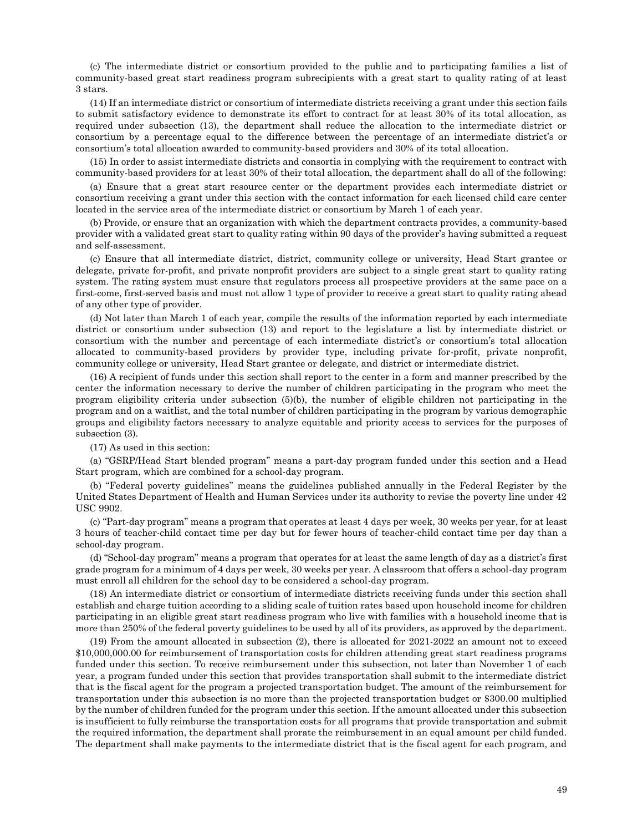(c) The intermediate district or consortium provided to the public and to participating families a list of community-based great start readiness program subrecipients with a great start to quality rating of at least 3 stars.

(14) If an intermediate district or consortium of intermediate districts receiving a grant under this section fails to submit satisfactory evidence to demonstrate its effort to contract for at least 30% of its total allocation, as required under subsection (13), the department shall reduce the allocation to the intermediate district or consortium by a percentage equal to the difference between the percentage of an intermediate district's or consortium's total allocation awarded to community-based providers and 30% of its total allocation.

(15) In order to assist intermediate districts and consortia in complying with the requirement to contract with community-based providers for at least 30% of their total allocation, the department shall do all of the following:

(a) Ensure that a great start resource center or the department provides each intermediate district or consortium receiving a grant under this section with the contact information for each licensed child care center located in the service area of the intermediate district or consortium by March 1 of each year.

(b) Provide, or ensure that an organization with which the department contracts provides, a community-based provider with a validated great start to quality rating within 90 days of the provider's having submitted a request and self-assessment.

(c) Ensure that all intermediate district, district, community college or university, Head Start grantee or delegate, private for-profit, and private nonprofit providers are subject to a single great start to quality rating system. The rating system must ensure that regulators process all prospective providers at the same pace on a first-come, first-served basis and must not allow 1 type of provider to receive a great start to quality rating ahead of any other type of provider.

(d) Not later than March 1 of each year, compile the results of the information reported by each intermediate district or consortium under subsection (13) and report to the legislature a list by intermediate district or consortium with the number and percentage of each intermediate district's or consortium's total allocation allocated to community-based providers by provider type, including private for-profit, private nonprofit, community college or university, Head Start grantee or delegate, and district or intermediate district.

(16) A recipient of funds under this section shall report to the center in a form and manner prescribed by the center the information necessary to derive the number of children participating in the program who meet the program eligibility criteria under subsection (5)(b), the number of eligible children not participating in the program and on a waitlist, and the total number of children participating in the program by various demographic groups and eligibility factors necessary to analyze equitable and priority access to services for the purposes of subsection (3).

(17) As used in this section:

(a) "GSRP/Head Start blended program" means a part-day program funded under this section and a Head Start program, which are combined for a school-day program.

(b) "Federal poverty guidelines" means the guidelines published annually in the Federal Register by the United States Department of Health and Human Services under its authority to revise the poverty line under 42 USC 9902.

(c) "Part-day program" means a program that operates at least 4 days per week, 30 weeks per year, for at least 3 hours of teacher-child contact time per day but for fewer hours of teacher-child contact time per day than a school-day program.

(d) "School-day program" means a program that operates for at least the same length of day as a district's first grade program for a minimum of 4 days per week, 30 weeks per year. A classroom that offers a school-day program must enroll all children for the school day to be considered a school-day program.

(18) An intermediate district or consortium of intermediate districts receiving funds under this section shall establish and charge tuition according to a sliding scale of tuition rates based upon household income for children participating in an eligible great start readiness program who live with families with a household income that is more than 250% of the federal poverty guidelines to be used by all of its providers, as approved by the department.

(19) From the amount allocated in subsection (2), there is allocated for 2021-2022 an amount not to exceed \$10,000,000.00 for reimbursement of transportation costs for children attending great start readiness programs funded under this section. To receive reimbursement under this subsection, not later than November 1 of each year, a program funded under this section that provides transportation shall submit to the intermediate district that is the fiscal agent for the program a projected transportation budget. The amount of the reimbursement for transportation under this subsection is no more than the projected transportation budget or \$300.00 multiplied by the number of children funded for the program under this section. If the amount allocated under this subsection is insufficient to fully reimburse the transportation costs for all programs that provide transportation and submit the required information, the department shall prorate the reimbursement in an equal amount per child funded. The department shall make payments to the intermediate district that is the fiscal agent for each program, and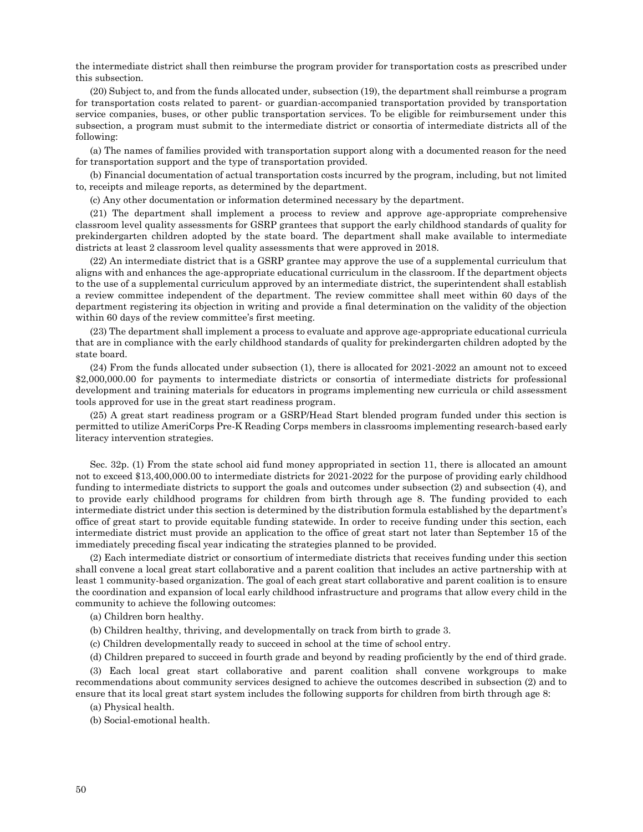the intermediate district shall then reimburse the program provider for transportation costs as prescribed under this subsection.

(20) Subject to, and from the funds allocated under, subsection (19), the department shall reimburse a program for transportation costs related to parent- or guardian-accompanied transportation provided by transportation service companies, buses, or other public transportation services. To be eligible for reimbursement under this subsection, a program must submit to the intermediate district or consortia of intermediate districts all of the following:

(a) The names of families provided with transportation support along with a documented reason for the need for transportation support and the type of transportation provided.

(b) Financial documentation of actual transportation costs incurred by the program, including, but not limited to, receipts and mileage reports, as determined by the department.

(c) Any other documentation or information determined necessary by the department.

(21) The department shall implement a process to review and approve age-appropriate comprehensive classroom level quality assessments for GSRP grantees that support the early childhood standards of quality for prekindergarten children adopted by the state board. The department shall make available to intermediate districts at least 2 classroom level quality assessments that were approved in 2018.

(22) An intermediate district that is a GSRP grantee may approve the use of a supplemental curriculum that aligns with and enhances the age-appropriate educational curriculum in the classroom. If the department objects to the use of a supplemental curriculum approved by an intermediate district, the superintendent shall establish a review committee independent of the department. The review committee shall meet within 60 days of the department registering its objection in writing and provide a final determination on the validity of the objection within 60 days of the review committee's first meeting.

(23) The department shall implement a process to evaluate and approve age-appropriate educational curricula that are in compliance with the early childhood standards of quality for prekindergarten children adopted by the state board.

(24) From the funds allocated under subsection (1), there is allocated for 2021-2022 an amount not to exceed \$2,000,000.00 for payments to intermediate districts or consortia of intermediate districts for professional development and training materials for educators in programs implementing new curricula or child assessment tools approved for use in the great start readiness program.

(25) A great start readiness program or a GSRP/Head Start blended program funded under this section is permitted to utilize AmeriCorps Pre-K Reading Corps members in classrooms implementing research-based early literacy intervention strategies.

Sec. 32p. (1) From the state school aid fund money appropriated in section 11, there is allocated an amount not to exceed \$13,400,000.00 to intermediate districts for 2021-2022 for the purpose of providing early childhood funding to intermediate districts to support the goals and outcomes under subsection (2) and subsection (4), and to provide early childhood programs for children from birth through age 8. The funding provided to each intermediate district under this section is determined by the distribution formula established by the department's office of great start to provide equitable funding statewide. In order to receive funding under this section, each intermediate district must provide an application to the office of great start not later than September 15 of the immediately preceding fiscal year indicating the strategies planned to be provided.

(2) Each intermediate district or consortium of intermediate districts that receives funding under this section shall convene a local great start collaborative and a parent coalition that includes an active partnership with at least 1 community-based organization. The goal of each great start collaborative and parent coalition is to ensure the coordination and expansion of local early childhood infrastructure and programs that allow every child in the community to achieve the following outcomes:

(a) Children born healthy.

(b) Children healthy, thriving, and developmentally on track from birth to grade 3.

(c) Children developmentally ready to succeed in school at the time of school entry.

(d) Children prepared to succeed in fourth grade and beyond by reading proficiently by the end of third grade.

(3) Each local great start collaborative and parent coalition shall convene workgroups to make recommendations about community services designed to achieve the outcomes described in subsection (2) and to ensure that its local great start system includes the following supports for children from birth through age 8:

(a) Physical health.

(b) Social-emotional health.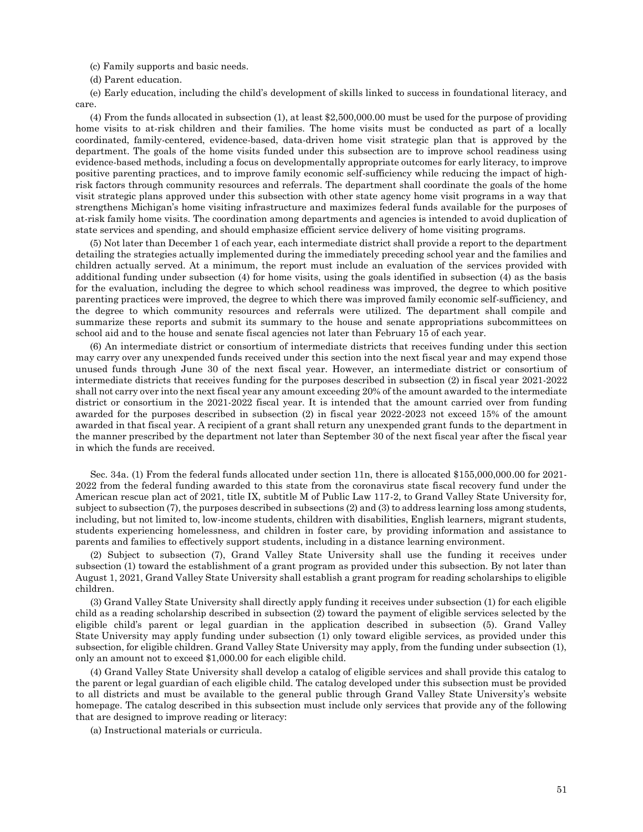(c) Family supports and basic needs.

(d) Parent education.

(e) Early education, including the child's development of skills linked to success in foundational literacy, and care.

(4) From the funds allocated in subsection (1), at least \$2,500,000.00 must be used for the purpose of providing home visits to at-risk children and their families. The home visits must be conducted as part of a locally coordinated, family-centered, evidence-based, data-driven home visit strategic plan that is approved by the department. The goals of the home visits funded under this subsection are to improve school readiness using evidence-based methods, including a focus on developmentally appropriate outcomes for early literacy, to improve positive parenting practices, and to improve family economic self-sufficiency while reducing the impact of highrisk factors through community resources and referrals. The department shall coordinate the goals of the home visit strategic plans approved under this subsection with other state agency home visit programs in a way that strengthens Michigan's home visiting infrastructure and maximizes federal funds available for the purposes of at-risk family home visits. The coordination among departments and agencies is intended to avoid duplication of state services and spending, and should emphasize efficient service delivery of home visiting programs.

(5) Not later than December 1 of each year, each intermediate district shall provide a report to the department detailing the strategies actually implemented during the immediately preceding school year and the families and children actually served. At a minimum, the report must include an evaluation of the services provided with additional funding under subsection (4) for home visits, using the goals identified in subsection (4) as the basis for the evaluation, including the degree to which school readiness was improved, the degree to which positive parenting practices were improved, the degree to which there was improved family economic self-sufficiency, and the degree to which community resources and referrals were utilized. The department shall compile and summarize these reports and submit its summary to the house and senate appropriations subcommittees on school aid and to the house and senate fiscal agencies not later than February 15 of each year.

(6) An intermediate district or consortium of intermediate districts that receives funding under this section may carry over any unexpended funds received under this section into the next fiscal year and may expend those unused funds through June 30 of the next fiscal year. However, an intermediate district or consortium of intermediate districts that receives funding for the purposes described in subsection (2) in fiscal year 2021-2022 shall not carry over into the next fiscal year any amount exceeding 20% of the amount awarded to the intermediate district or consortium in the 2021-2022 fiscal year. It is intended that the amount carried over from funding awarded for the purposes described in subsection (2) in fiscal year 2022-2023 not exceed 15% of the amount awarded in that fiscal year. A recipient of a grant shall return any unexpended grant funds to the department in the manner prescribed by the department not later than September 30 of the next fiscal year after the fiscal year in which the funds are received.

Sec. 34a. (1) From the federal funds allocated under section 11n, there is allocated \$155,000,000.00 for 2021- 2022 from the federal funding awarded to this state from the coronavirus state fiscal recovery fund under the American rescue plan act of 2021, title IX, subtitle M of Public Law 117-2, to Grand Valley State University for, subject to subsection (7), the purposes described in subsections (2) and (3) to address learning loss among students, including, but not limited to, low-income students, children with disabilities, English learners, migrant students, students experiencing homelessness, and children in foster care, by providing information and assistance to parents and families to effectively support students, including in a distance learning environment.

(2) Subject to subsection (7), Grand Valley State University shall use the funding it receives under subsection (1) toward the establishment of a grant program as provided under this subsection. By not later than August 1, 2021, Grand Valley State University shall establish a grant program for reading scholarships to eligible children.

(3) Grand Valley State University shall directly apply funding it receives under subsection (1) for each eligible child as a reading scholarship described in subsection (2) toward the payment of eligible services selected by the eligible child's parent or legal guardian in the application described in subsection (5). Grand Valley State University may apply funding under subsection (1) only toward eligible services, as provided under this subsection, for eligible children. Grand Valley State University may apply, from the funding under subsection (1), only an amount not to exceed \$1,000.00 for each eligible child.

(4) Grand Valley State University shall develop a catalog of eligible services and shall provide this catalog to the parent or legal guardian of each eligible child. The catalog developed under this subsection must be provided to all districts and must be available to the general public through Grand Valley State University's website homepage. The catalog described in this subsection must include only services that provide any of the following that are designed to improve reading or literacy:

(a) Instructional materials or curricula.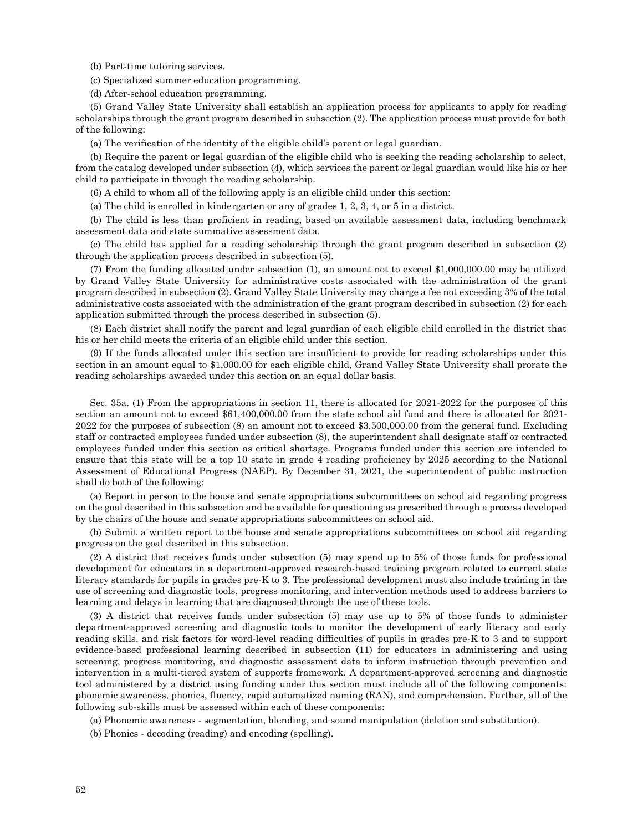(b) Part-time tutoring services.

(c) Specialized summer education programming.

(d) After-school education programming.

(5) Grand Valley State University shall establish an application process for applicants to apply for reading scholarships through the grant program described in subsection (2). The application process must provide for both of the following:

(a) The verification of the identity of the eligible child's parent or legal guardian.

(b) Require the parent or legal guardian of the eligible child who is seeking the reading scholarship to select, from the catalog developed under subsection (4), which services the parent or legal guardian would like his or her child to participate in through the reading scholarship.

(6) A child to whom all of the following apply is an eligible child under this section:

(a) The child is enrolled in kindergarten or any of grades 1, 2, 3, 4, or 5 in a district.

(b) The child is less than proficient in reading, based on available assessment data, including benchmark assessment data and state summative assessment data.

(c) The child has applied for a reading scholarship through the grant program described in subsection (2) through the application process described in subsection (5).

(7) From the funding allocated under subsection (1), an amount not to exceed \$1,000,000.00 may be utilized by Grand Valley State University for administrative costs associated with the administration of the grant program described in subsection (2). Grand Valley State University may charge a fee not exceeding 3% of the total administrative costs associated with the administration of the grant program described in subsection (2) for each application submitted through the process described in subsection (5).

(8) Each district shall notify the parent and legal guardian of each eligible child enrolled in the district that his or her child meets the criteria of an eligible child under this section.

(9) If the funds allocated under this section are insufficient to provide for reading scholarships under this section in an amount equal to \$1,000.00 for each eligible child, Grand Valley State University shall prorate the reading scholarships awarded under this section on an equal dollar basis.

Sec. 35a. (1) From the appropriations in section 11, there is allocated for 2021-2022 for the purposes of this section an amount not to exceed \$61,400,000.00 from the state school aid fund and there is allocated for 2021- 2022 for the purposes of subsection (8) an amount not to exceed \$3,500,000.00 from the general fund. Excluding staff or contracted employees funded under subsection (8), the superintendent shall designate staff or contracted employees funded under this section as critical shortage. Programs funded under this section are intended to ensure that this state will be a top 10 state in grade 4 reading proficiency by 2025 according to the National Assessment of Educational Progress (NAEP). By December 31, 2021, the superintendent of public instruction shall do both of the following:

(a) Report in person to the house and senate appropriations subcommittees on school aid regarding progress on the goal described in this subsection and be available for questioning as prescribed through a process developed by the chairs of the house and senate appropriations subcommittees on school aid.

(b) Submit a written report to the house and senate appropriations subcommittees on school aid regarding progress on the goal described in this subsection.

(2) A district that receives funds under subsection (5) may spend up to 5% of those funds for professional development for educators in a department-approved research-based training program related to current state literacy standards for pupils in grades pre-K to 3. The professional development must also include training in the use of screening and diagnostic tools, progress monitoring, and intervention methods used to address barriers to learning and delays in learning that are diagnosed through the use of these tools.

(3) A district that receives funds under subsection (5) may use up to 5% of those funds to administer department-approved screening and diagnostic tools to monitor the development of early literacy and early reading skills, and risk factors for word-level reading difficulties of pupils in grades pre-K to 3 and to support evidence-based professional learning described in subsection (11) for educators in administering and using screening, progress monitoring, and diagnostic assessment data to inform instruction through prevention and intervention in a multi-tiered system of supports framework. A department-approved screening and diagnostic tool administered by a district using funding under this section must include all of the following components: phonemic awareness, phonics, fluency, rapid automatized naming (RAN), and comprehension. Further, all of the following sub-skills must be assessed within each of these components:

(a) Phonemic awareness - segmentation, blending, and sound manipulation (deletion and substitution).

(b) Phonics - decoding (reading) and encoding (spelling).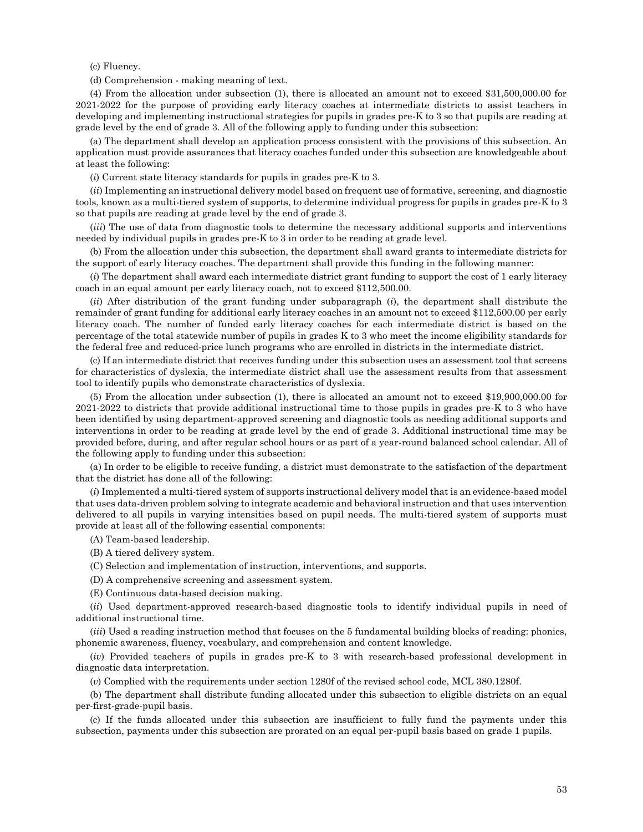(c) Fluency.

(d) Comprehension - making meaning of text.

(4) From the allocation under subsection (1), there is allocated an amount not to exceed \$31,500,000.00 for 2021-2022 for the purpose of providing early literacy coaches at intermediate districts to assist teachers in developing and implementing instructional strategies for pupils in grades pre-K to 3 so that pupils are reading at grade level by the end of grade 3. All of the following apply to funding under this subsection:

(a) The department shall develop an application process consistent with the provisions of this subsection. An application must provide assurances that literacy coaches funded under this subsection are knowledgeable about at least the following:

(*i*) Current state literacy standards for pupils in grades pre-K to 3.

(*ii*) Implementing an instructional delivery model based on frequent use of formative, screening, and diagnostic tools, known as a multi-tiered system of supports, to determine individual progress for pupils in grades pre-K to 3 so that pupils are reading at grade level by the end of grade 3.

(*iii*) The use of data from diagnostic tools to determine the necessary additional supports and interventions needed by individual pupils in grades pre-K to 3 in order to be reading at grade level.

(b) From the allocation under this subsection, the department shall award grants to intermediate districts for the support of early literacy coaches. The department shall provide this funding in the following manner:

(*i*) The department shall award each intermediate district grant funding to support the cost of 1 early literacy coach in an equal amount per early literacy coach, not to exceed \$112,500.00.

(*ii*) After distribution of the grant funding under subparagraph (*i*), the department shall distribute the remainder of grant funding for additional early literacy coaches in an amount not to exceed \$112,500.00 per early literacy coach. The number of funded early literacy coaches for each intermediate district is based on the percentage of the total statewide number of pupils in grades K to 3 who meet the income eligibility standards for the federal free and reduced-price lunch programs who are enrolled in districts in the intermediate district.

(c) If an intermediate district that receives funding under this subsection uses an assessment tool that screens for characteristics of dyslexia, the intermediate district shall use the assessment results from that assessment tool to identify pupils who demonstrate characteristics of dyslexia.

(5) From the allocation under subsection (1), there is allocated an amount not to exceed \$19,900,000.00 for 2021-2022 to districts that provide additional instructional time to those pupils in grades pre-K to 3 who have been identified by using department-approved screening and diagnostic tools as needing additional supports and interventions in order to be reading at grade level by the end of grade 3. Additional instructional time may be provided before, during, and after regular school hours or as part of a year-round balanced school calendar. All of the following apply to funding under this subsection:

(a) In order to be eligible to receive funding, a district must demonstrate to the satisfaction of the department that the district has done all of the following:

(*i*) Implemented a multi-tiered system of supports instructional delivery model that is an evidence-based model that uses data-driven problem solving to integrate academic and behavioral instruction and that uses intervention delivered to all pupils in varying intensities based on pupil needs. The multi-tiered system of supports must provide at least all of the following essential components:

(A) Team-based leadership.

(B) A tiered delivery system.

(C) Selection and implementation of instruction, interventions, and supports.

(D) A comprehensive screening and assessment system.

(E) Continuous data-based decision making.

(*ii*) Used department-approved research-based diagnostic tools to identify individual pupils in need of additional instructional time.

(*iii*) Used a reading instruction method that focuses on the 5 fundamental building blocks of reading: phonics, phonemic awareness, fluency, vocabulary, and comprehension and content knowledge.

(*iv*) Provided teachers of pupils in grades pre-K to 3 with research-based professional development in diagnostic data interpretation.

(*v*) Complied with the requirements under section 1280f of the revised school code, MCL 380.1280f.

(b) The department shall distribute funding allocated under this subsection to eligible districts on an equal per-first-grade-pupil basis.

(c) If the funds allocated under this subsection are insufficient to fully fund the payments under this subsection, payments under this subsection are prorated on an equal per-pupil basis based on grade 1 pupils.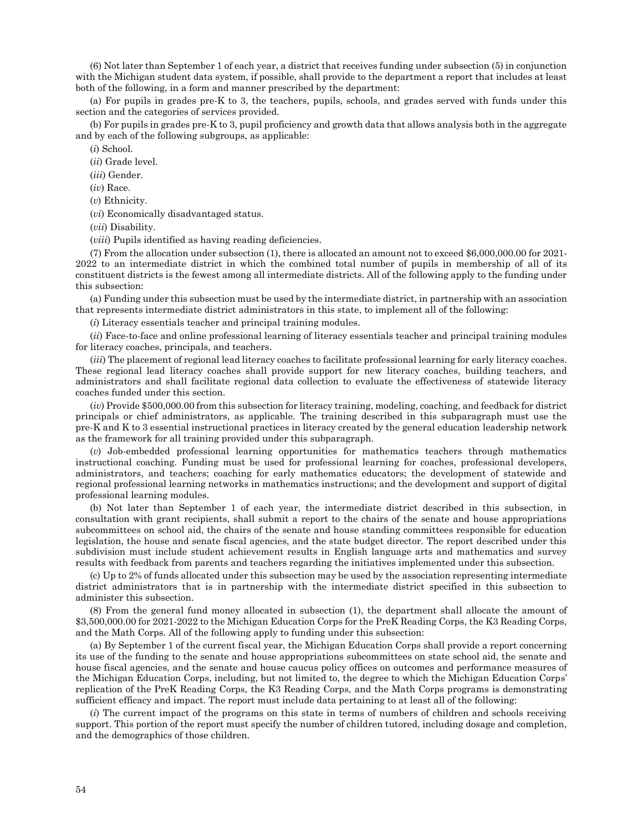(6) Not later than September 1 of each year, a district that receives funding under subsection (5) in conjunction with the Michigan student data system, if possible, shall provide to the department a report that includes at least both of the following, in a form and manner prescribed by the department:

(a) For pupils in grades pre-K to 3, the teachers, pupils, schools, and grades served with funds under this section and the categories of services provided.

(b) For pupils in grades pre-K to 3, pupil proficiency and growth data that allows analysis both in the aggregate and by each of the following subgroups, as applicable:

(*i*) School.

(*ii*) Grade level.

(*iii*) Gender.

(*iv*) Race.

(*v*) Ethnicity.

(*vi*) Economically disadvantaged status.

(*vii*) Disability.

(*viii*) Pupils identified as having reading deficiencies.

(7) From the allocation under subsection (1), there is allocated an amount not to exceed \$6,000,000.00 for 2021- 2022 to an intermediate district in which the combined total number of pupils in membership of all of its constituent districts is the fewest among all intermediate districts. All of the following apply to the funding under this subsection:

(a) Funding under this subsection must be used by the intermediate district, in partnership with an association that represents intermediate district administrators in this state, to implement all of the following:

(*i*) Literacy essentials teacher and principal training modules.

(*ii*) Face-to-face and online professional learning of literacy essentials teacher and principal training modules for literacy coaches, principals, and teachers.

(*iii*) The placement of regional lead literacy coaches to facilitate professional learning for early literacy coaches. These regional lead literacy coaches shall provide support for new literacy coaches, building teachers, and administrators and shall facilitate regional data collection to evaluate the effectiveness of statewide literacy coaches funded under this section.

(*iv*) Provide \$500,000.00 from this subsection for literacy training, modeling, coaching, and feedback for district principals or chief administrators, as applicable. The training described in this subparagraph must use the pre-K and K to 3 essential instructional practices in literacy created by the general education leadership network as the framework for all training provided under this subparagraph.

(*v*) Job-embedded professional learning opportunities for mathematics teachers through mathematics instructional coaching. Funding must be used for professional learning for coaches, professional developers, administrators, and teachers; coaching for early mathematics educators; the development of statewide and regional professional learning networks in mathematics instructions; and the development and support of digital professional learning modules.

(b) Not later than September 1 of each year, the intermediate district described in this subsection, in consultation with grant recipients, shall submit a report to the chairs of the senate and house appropriations subcommittees on school aid, the chairs of the senate and house standing committees responsible for education legislation, the house and senate fiscal agencies, and the state budget director. The report described under this subdivision must include student achievement results in English language arts and mathematics and survey results with feedback from parents and teachers regarding the initiatives implemented under this subsection.

(c) Up to 2% of funds allocated under this subsection may be used by the association representing intermediate district administrators that is in partnership with the intermediate district specified in this subsection to administer this subsection.

(8) From the general fund money allocated in subsection (1), the department shall allocate the amount of \$3,500,000.00 for 2021-2022 to the Michigan Education Corps for the PreK Reading Corps, the K3 Reading Corps, and the Math Corps. All of the following apply to funding under this subsection:

(a) By September 1 of the current fiscal year, the Michigan Education Corps shall provide a report concerning its use of the funding to the senate and house appropriations subcommittees on state school aid, the senate and house fiscal agencies, and the senate and house caucus policy offices on outcomes and performance measures of the Michigan Education Corps, including, but not limited to, the degree to which the Michigan Education Corps' replication of the PreK Reading Corps, the K3 Reading Corps, and the Math Corps programs is demonstrating sufficient efficacy and impact. The report must include data pertaining to at least all of the following:

(*i*) The current impact of the programs on this state in terms of numbers of children and schools receiving support. This portion of the report must specify the number of children tutored, including dosage and completion, and the demographics of those children.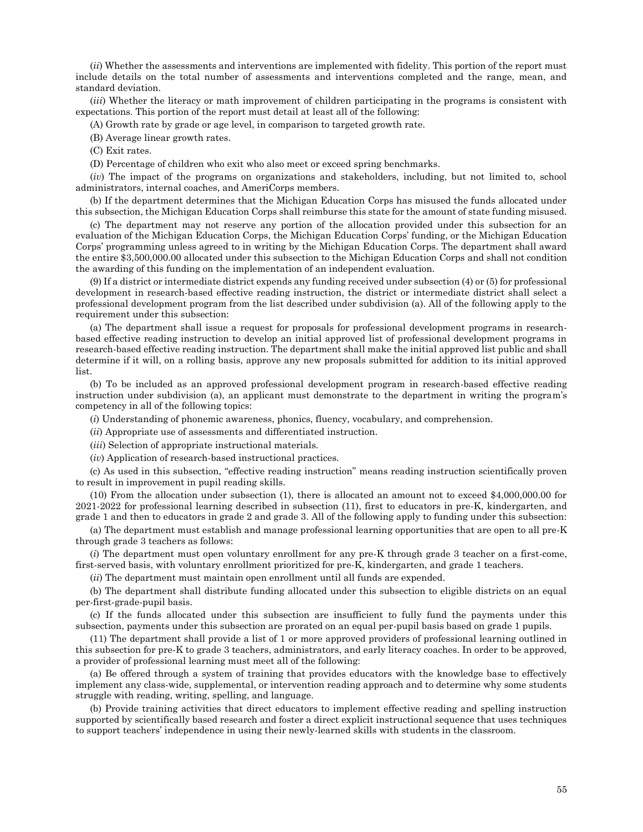(*ii*) Whether the assessments and interventions are implemented with fidelity. This portion of the report must include details on the total number of assessments and interventions completed and the range, mean, and standard deviation.

(*iii*) Whether the literacy or math improvement of children participating in the programs is consistent with expectations. This portion of the report must detail at least all of the following:

(A) Growth rate by grade or age level, in comparison to targeted growth rate.

(B) Average linear growth rates.

(C) Exit rates.

(D) Percentage of children who exit who also meet or exceed spring benchmarks.

(*iv*) The impact of the programs on organizations and stakeholders, including, but not limited to, school administrators, internal coaches, and AmeriCorps members.

(b) If the department determines that the Michigan Education Corps has misused the funds allocated under this subsection, the Michigan Education Corps shall reimburse this state for the amount of state funding misused.

(c) The department may not reserve any portion of the allocation provided under this subsection for an evaluation of the Michigan Education Corps, the Michigan Education Corps' funding, or the Michigan Education Corps' programming unless agreed to in writing by the Michigan Education Corps. The department shall award the entire \$3,500,000.00 allocated under this subsection to the Michigan Education Corps and shall not condition the awarding of this funding on the implementation of an independent evaluation.

(9) If a district or intermediate district expends any funding received under subsection (4) or (5) for professional development in research-based effective reading instruction, the district or intermediate district shall select a professional development program from the list described under subdivision (a). All of the following apply to the requirement under this subsection:

(a) The department shall issue a request for proposals for professional development programs in researchbased effective reading instruction to develop an initial approved list of professional development programs in research-based effective reading instruction. The department shall make the initial approved list public and shall determine if it will, on a rolling basis, approve any new proposals submitted for addition to its initial approved list.

(b) To be included as an approved professional development program in research-based effective reading instruction under subdivision (a), an applicant must demonstrate to the department in writing the program's competency in all of the following topics:

(*i*) Understanding of phonemic awareness, phonics, fluency, vocabulary, and comprehension.

(*ii*) Appropriate use of assessments and differentiated instruction.

(*iii*) Selection of appropriate instructional materials.

(*iv*) Application of research-based instructional practices.

(c) As used in this subsection, "effective reading instruction" means reading instruction scientifically proven to result in improvement in pupil reading skills.

(10) From the allocation under subsection (1), there is allocated an amount not to exceed \$4,000,000.00 for 2021-2022 for professional learning described in subsection (11), first to educators in pre-K, kindergarten, and grade 1 and then to educators in grade 2 and grade 3. All of the following apply to funding under this subsection:

(a) The department must establish and manage professional learning opportunities that are open to all pre-K through grade 3 teachers as follows:

(*i*) The department must open voluntary enrollment for any pre-K through grade 3 teacher on a first-come, first-served basis, with voluntary enrollment prioritized for pre-K, kindergarten, and grade 1 teachers.

(*ii*) The department must maintain open enrollment until all funds are expended.

(b) The department shall distribute funding allocated under this subsection to eligible districts on an equal per-first-grade-pupil basis.

(c) If the funds allocated under this subsection are insufficient to fully fund the payments under this subsection, payments under this subsection are prorated on an equal per-pupil basis based on grade 1 pupils.

(11) The department shall provide a list of 1 or more approved providers of professional learning outlined in this subsection for pre-K to grade 3 teachers, administrators, and early literacy coaches. In order to be approved, a provider of professional learning must meet all of the following:

(a) Be offered through a system of training that provides educators with the knowledge base to effectively implement any class-wide, supplemental, or intervention reading approach and to determine why some students struggle with reading, writing, spelling, and language.

(b) Provide training activities that direct educators to implement effective reading and spelling instruction supported by scientifically based research and foster a direct explicit instructional sequence that uses techniques to support teachers' independence in using their newly-learned skills with students in the classroom.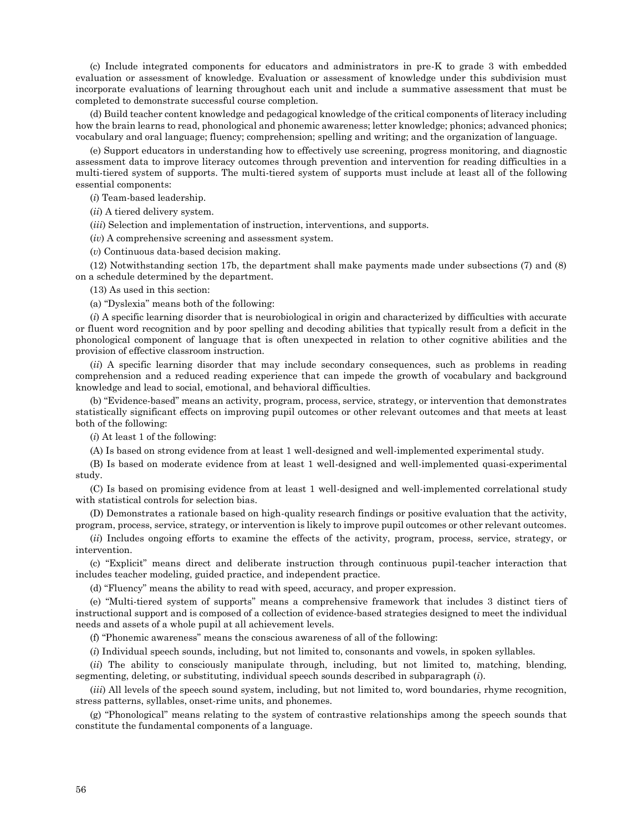(c) Include integrated components for educators and administrators in pre-K to grade 3 with embedded evaluation or assessment of knowledge. Evaluation or assessment of knowledge under this subdivision must incorporate evaluations of learning throughout each unit and include a summative assessment that must be completed to demonstrate successful course completion.

(d) Build teacher content knowledge and pedagogical knowledge of the critical components of literacy including how the brain learns to read, phonological and phonemic awareness; letter knowledge; phonics; advanced phonics; vocabulary and oral language; fluency; comprehension; spelling and writing; and the organization of language.

(e) Support educators in understanding how to effectively use screening, progress monitoring, and diagnostic assessment data to improve literacy outcomes through prevention and intervention for reading difficulties in a multi-tiered system of supports. The multi-tiered system of supports must include at least all of the following essential components:

(*i*) Team-based leadership.

(*ii*) A tiered delivery system.

(*iii*) Selection and implementation of instruction, interventions, and supports.

(*iv*) A comprehensive screening and assessment system.

(*v*) Continuous data-based decision making.

(12) Notwithstanding section 17b, the department shall make payments made under subsections (7) and (8) on a schedule determined by the department.

(13) As used in this section:

(a) "Dyslexia" means both of the following:

(*i*) A specific learning disorder that is neurobiological in origin and characterized by difficulties with accurate or fluent word recognition and by poor spelling and decoding abilities that typically result from a deficit in the phonological component of language that is often unexpected in relation to other cognitive abilities and the provision of effective classroom instruction.

(*ii*) A specific learning disorder that may include secondary consequences, such as problems in reading comprehension and a reduced reading experience that can impede the growth of vocabulary and background knowledge and lead to social, emotional, and behavioral difficulties.

(b) "Evidence-based" means an activity, program, process, service, strategy, or intervention that demonstrates statistically significant effects on improving pupil outcomes or other relevant outcomes and that meets at least both of the following:

(*i*) At least 1 of the following:

(A) Is based on strong evidence from at least 1 well-designed and well-implemented experimental study.

(B) Is based on moderate evidence from at least 1 well-designed and well-implemented quasi-experimental study.

(C) Is based on promising evidence from at least 1 well-designed and well-implemented correlational study with statistical controls for selection bias.

(D) Demonstrates a rationale based on high-quality research findings or positive evaluation that the activity, program, process, service, strategy, or intervention is likely to improve pupil outcomes or other relevant outcomes.

(*ii*) Includes ongoing efforts to examine the effects of the activity, program, process, service, strategy, or intervention.

(c) "Explicit" means direct and deliberate instruction through continuous pupil-teacher interaction that includes teacher modeling, guided practice, and independent practice.

(d) "Fluency" means the ability to read with speed, accuracy, and proper expression.

(e) "Multi-tiered system of supports" means a comprehensive framework that includes 3 distinct tiers of instructional support and is composed of a collection of evidence-based strategies designed to meet the individual needs and assets of a whole pupil at all achievement levels.

(f) "Phonemic awareness" means the conscious awareness of all of the following:

(*i*) Individual speech sounds, including, but not limited to, consonants and vowels, in spoken syllables.

(*ii*) The ability to consciously manipulate through, including, but not limited to, matching, blending, segmenting, deleting, or substituting, individual speech sounds described in subparagraph (*i*).

(*iii*) All levels of the speech sound system, including, but not limited to, word boundaries, rhyme recognition, stress patterns, syllables, onset-rime units, and phonemes.

(g) "Phonological" means relating to the system of contrastive relationships among the speech sounds that constitute the fundamental components of a language.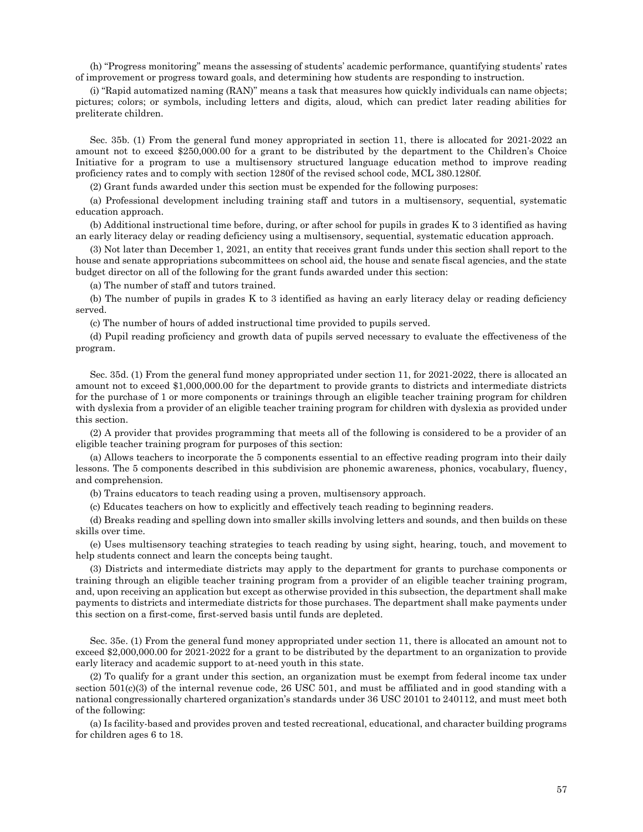(h) "Progress monitoring" means the assessing of students' academic performance, quantifying students' rates of improvement or progress toward goals, and determining how students are responding to instruction.

(i) "Rapid automatized naming (RAN)" means a task that measures how quickly individuals can name objects; pictures; colors; or symbols, including letters and digits, aloud, which can predict later reading abilities for preliterate children.

Sec. 35b. (1) From the general fund money appropriated in section 11, there is allocated for 2021-2022 an amount not to exceed \$250,000.00 for a grant to be distributed by the department to the Children's Choice Initiative for a program to use a multisensory structured language education method to improve reading proficiency rates and to comply with section 1280f of the revised school code, MCL 380.1280f.

(2) Grant funds awarded under this section must be expended for the following purposes:

(a) Professional development including training staff and tutors in a multisensory, sequential, systematic education approach.

(b) Additional instructional time before, during, or after school for pupils in grades K to 3 identified as having an early literacy delay or reading deficiency using a multisensory, sequential, systematic education approach.

(3) Not later than December 1, 2021, an entity that receives grant funds under this section shall report to the house and senate appropriations subcommittees on school aid, the house and senate fiscal agencies, and the state budget director on all of the following for the grant funds awarded under this section:

(a) The number of staff and tutors trained.

(b) The number of pupils in grades K to 3 identified as having an early literacy delay or reading deficiency served.

(c) The number of hours of added instructional time provided to pupils served.

(d) Pupil reading proficiency and growth data of pupils served necessary to evaluate the effectiveness of the program.

Sec. 35d. (1) From the general fund money appropriated under section 11, for 2021-2022, there is allocated an amount not to exceed \$1,000,000.00 for the department to provide grants to districts and intermediate districts for the purchase of 1 or more components or trainings through an eligible teacher training program for children with dyslexia from a provider of an eligible teacher training program for children with dyslexia as provided under this section.

(2) A provider that provides programming that meets all of the following is considered to be a provider of an eligible teacher training program for purposes of this section:

(a) Allows teachers to incorporate the 5 components essential to an effective reading program into their daily lessons. The 5 components described in this subdivision are phonemic awareness, phonics, vocabulary, fluency, and comprehension.

(b) Trains educators to teach reading using a proven, multisensory approach.

(c) Educates teachers on how to explicitly and effectively teach reading to beginning readers.

(d) Breaks reading and spelling down into smaller skills involving letters and sounds, and then builds on these skills over time.

(e) Uses multisensory teaching strategies to teach reading by using sight, hearing, touch, and movement to help students connect and learn the concepts being taught.

(3) Districts and intermediate districts may apply to the department for grants to purchase components or training through an eligible teacher training program from a provider of an eligible teacher training program, and, upon receiving an application but except as otherwise provided in this subsection, the department shall make payments to districts and intermediate districts for those purchases. The department shall make payments under this section on a first-come, first-served basis until funds are depleted.

Sec. 35e. (1) From the general fund money appropriated under section 11, there is allocated an amount not to exceed \$2,000,000.00 for 2021-2022 for a grant to be distributed by the department to an organization to provide early literacy and academic support to at-need youth in this state.

(2) To qualify for a grant under this section, an organization must be exempt from federal income tax under section 501(c)(3) of the internal revenue code, 26 USC 501, and must be affiliated and in good standing with a national congressionally chartered organization's standards under 36 USC 20101 to 240112, and must meet both of the following:

(a) Is facility-based and provides proven and tested recreational, educational, and character building programs for children ages 6 to 18.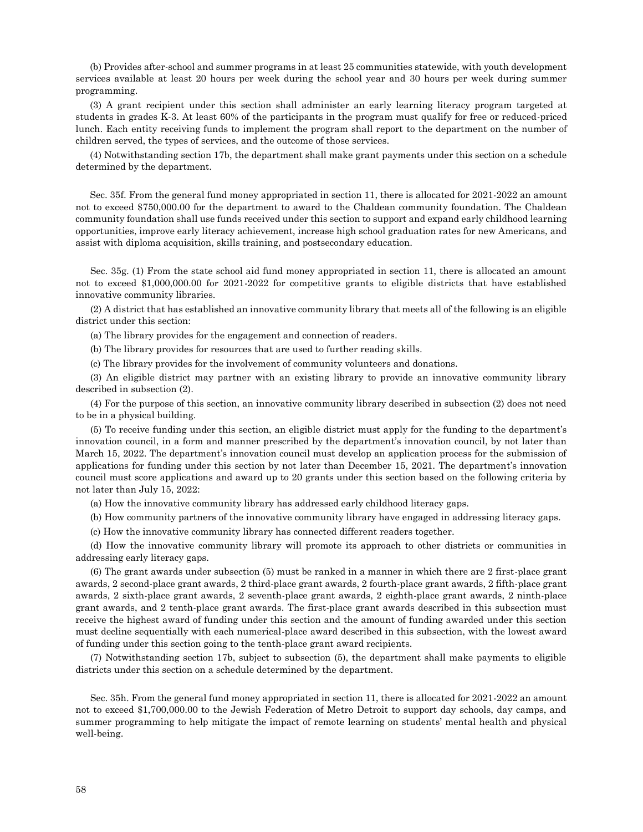(b) Provides after-school and summer programs in at least 25 communities statewide, with youth development services available at least 20 hours per week during the school year and 30 hours per week during summer programming.

(3) A grant recipient under this section shall administer an early learning literacy program targeted at students in grades K-3. At least 60% of the participants in the program must qualify for free or reduced-priced lunch. Each entity receiving funds to implement the program shall report to the department on the number of children served, the types of services, and the outcome of those services.

(4) Notwithstanding section 17b, the department shall make grant payments under this section on a schedule determined by the department.

Sec. 35f. From the general fund money appropriated in section 11, there is allocated for 2021-2022 an amount not to exceed \$750,000.00 for the department to award to the Chaldean community foundation. The Chaldean community foundation shall use funds received under this section to support and expand early childhood learning opportunities, improve early literacy achievement, increase high school graduation rates for new Americans, and assist with diploma acquisition, skills training, and postsecondary education.

Sec. 35g. (1) From the state school aid fund money appropriated in section 11, there is allocated an amount not to exceed \$1,000,000.00 for 2021-2022 for competitive grants to eligible districts that have established innovative community libraries.

(2) A district that has established an innovative community library that meets all of the following is an eligible district under this section:

(a) The library provides for the engagement and connection of readers.

(b) The library provides for resources that are used to further reading skills.

(c) The library provides for the involvement of community volunteers and donations.

(3) An eligible district may partner with an existing library to provide an innovative community library described in subsection (2).

(4) For the purpose of this section, an innovative community library described in subsection (2) does not need to be in a physical building.

(5) To receive funding under this section, an eligible district must apply for the funding to the department's innovation council, in a form and manner prescribed by the department's innovation council, by not later than March 15, 2022. The department's innovation council must develop an application process for the submission of applications for funding under this section by not later than December 15, 2021. The department's innovation council must score applications and award up to 20 grants under this section based on the following criteria by not later than July 15, 2022:

(a) How the innovative community library has addressed early childhood literacy gaps.

(b) How community partners of the innovative community library have engaged in addressing literacy gaps.

(c) How the innovative community library has connected different readers together.

(d) How the innovative community library will promote its approach to other districts or communities in addressing early literacy gaps.

(6) The grant awards under subsection (5) must be ranked in a manner in which there are 2 first-place grant awards, 2 second-place grant awards, 2 third-place grant awards, 2 fourth-place grant awards, 2 fifth-place grant awards, 2 sixth-place grant awards, 2 seventh-place grant awards, 2 eighth-place grant awards, 2 ninth-place grant awards, and 2 tenth-place grant awards. The first-place grant awards described in this subsection must receive the highest award of funding under this section and the amount of funding awarded under this section must decline sequentially with each numerical-place award described in this subsection, with the lowest award of funding under this section going to the tenth-place grant award recipients.

(7) Notwithstanding section 17b, subject to subsection (5), the department shall make payments to eligible districts under this section on a schedule determined by the department.

Sec. 35h. From the general fund money appropriated in section 11, there is allocated for 2021-2022 an amount not to exceed \$1,700,000.00 to the Jewish Federation of Metro Detroit to support day schools, day camps, and summer programming to help mitigate the impact of remote learning on students' mental health and physical well-being.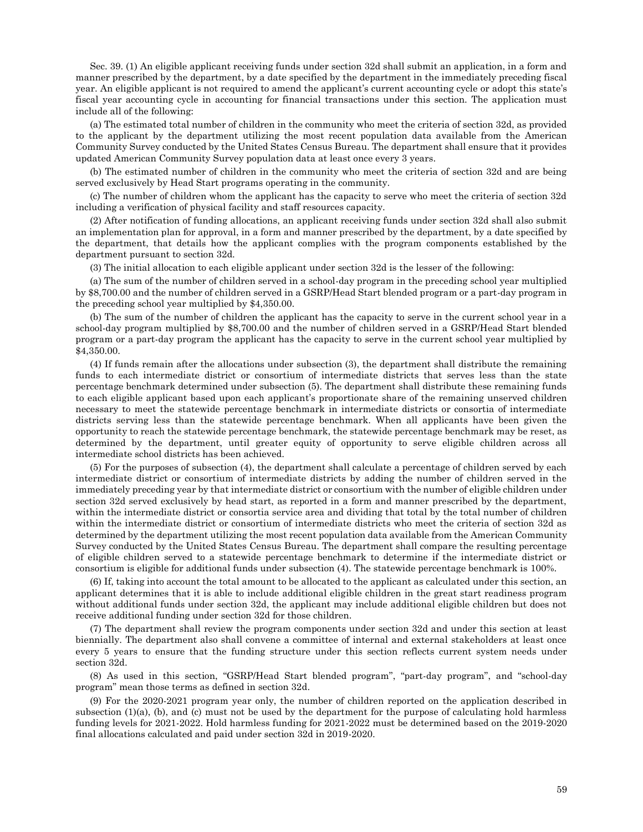Sec. 39. (1) An eligible applicant receiving funds under section 32d shall submit an application, in a form and manner prescribed by the department, by a date specified by the department in the immediately preceding fiscal year. An eligible applicant is not required to amend the applicant's current accounting cycle or adopt this state's fiscal year accounting cycle in accounting for financial transactions under this section. The application must include all of the following:

(a) The estimated total number of children in the community who meet the criteria of section 32d, as provided to the applicant by the department utilizing the most recent population data available from the American Community Survey conducted by the United States Census Bureau. The department shall ensure that it provides updated American Community Survey population data at least once every 3 years.

(b) The estimated number of children in the community who meet the criteria of section 32d and are being served exclusively by Head Start programs operating in the community.

(c) The number of children whom the applicant has the capacity to serve who meet the criteria of section 32d including a verification of physical facility and staff resources capacity.

(2) After notification of funding allocations, an applicant receiving funds under section 32d shall also submit an implementation plan for approval, in a form and manner prescribed by the department, by a date specified by the department, that details how the applicant complies with the program components established by the department pursuant to section 32d.

(3) The initial allocation to each eligible applicant under section 32d is the lesser of the following:

(a) The sum of the number of children served in a school-day program in the preceding school year multiplied by \$8,700.00 and the number of children served in a GSRP/Head Start blended program or a part-day program in the preceding school year multiplied by \$4,350.00.

(b) The sum of the number of children the applicant has the capacity to serve in the current school year in a school-day program multiplied by \$8,700.00 and the number of children served in a GSRP/Head Start blended program or a part-day program the applicant has the capacity to serve in the current school year multiplied by \$4,350.00.

(4) If funds remain after the allocations under subsection (3), the department shall distribute the remaining funds to each intermediate district or consortium of intermediate districts that serves less than the state percentage benchmark determined under subsection (5). The department shall distribute these remaining funds to each eligible applicant based upon each applicant's proportionate share of the remaining unserved children necessary to meet the statewide percentage benchmark in intermediate districts or consortia of intermediate districts serving less than the statewide percentage benchmark. When all applicants have been given the opportunity to reach the statewide percentage benchmark, the statewide percentage benchmark may be reset, as determined by the department, until greater equity of opportunity to serve eligible children across all intermediate school districts has been achieved.

(5) For the purposes of subsection (4), the department shall calculate a percentage of children served by each intermediate district or consortium of intermediate districts by adding the number of children served in the immediately preceding year by that intermediate district or consortium with the number of eligible children under section 32d served exclusively by head start, as reported in a form and manner prescribed by the department, within the intermediate district or consortia service area and dividing that total by the total number of children within the intermediate district or consortium of intermediate districts who meet the criteria of section 32d as determined by the department utilizing the most recent population data available from the American Community Survey conducted by the United States Census Bureau. The department shall compare the resulting percentage of eligible children served to a statewide percentage benchmark to determine if the intermediate district or consortium is eligible for additional funds under subsection (4). The statewide percentage benchmark is 100%.

(6) If, taking into account the total amount to be allocated to the applicant as calculated under this section, an applicant determines that it is able to include additional eligible children in the great start readiness program without additional funds under section 32d, the applicant may include additional eligible children but does not receive additional funding under section 32d for those children.

(7) The department shall review the program components under section 32d and under this section at least biennially. The department also shall convene a committee of internal and external stakeholders at least once every 5 years to ensure that the funding structure under this section reflects current system needs under section 32d.

(8) As used in this section, "GSRP/Head Start blended program", "part-day program", and "school-day program" mean those terms as defined in section 32d.

(9) For the 2020-2021 program year only, the number of children reported on the application described in subsection  $(1)(a)$ ,  $(b)$ , and  $(c)$  must not be used by the department for the purpose of calculating hold harmless funding levels for 2021-2022. Hold harmless funding for 2021-2022 must be determined based on the 2019-2020 final allocations calculated and paid under section 32d in 2019-2020.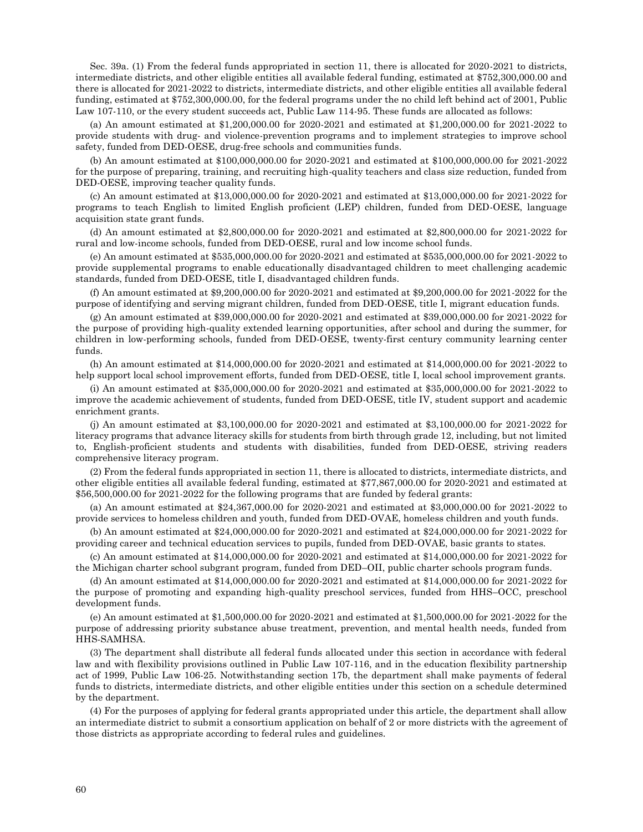Sec. 39a. (1) From the federal funds appropriated in section 11, there is allocated for 2020-2021 to districts, intermediate districts, and other eligible entities all available federal funding, estimated at \$752,300,000.00 and there is allocated for 2021-2022 to districts, intermediate districts, and other eligible entities all available federal funding, estimated at \$752,300,000.00, for the federal programs under the no child left behind act of 2001, Public Law 107-110, or the every student succeeds act, Public Law 114-95. These funds are allocated as follows:

(a) An amount estimated at \$1,200,000.00 for 2020-2021 and estimated at \$1,200,000.00 for 2021-2022 to provide students with drug- and violence-prevention programs and to implement strategies to improve school safety, funded from DED-OESE, drug-free schools and communities funds.

(b) An amount estimated at \$100,000,000.00 for 2020-2021 and estimated at \$100,000,000.00 for 2021-2022 for the purpose of preparing, training, and recruiting high-quality teachers and class size reduction, funded from DED-OESE, improving teacher quality funds.

(c) An amount estimated at \$13,000,000.00 for 2020-2021 and estimated at \$13,000,000.00 for 2021-2022 for programs to teach English to limited English proficient (LEP) children, funded from DED-OESE, language acquisition state grant funds.

(d) An amount estimated at \$2,800,000.00 for 2020-2021 and estimated at \$2,800,000.00 for 2021-2022 for rural and low-income schools, funded from DED-OESE, rural and low income school funds.

(e) An amount estimated at \$535,000,000.00 for 2020-2021 and estimated at \$535,000,000.00 for 2021-2022 to provide supplemental programs to enable educationally disadvantaged children to meet challenging academic standards, funded from DED-OESE, title I, disadvantaged children funds.

(f) An amount estimated at \$9,200,000.00 for 2020-2021 and estimated at \$9,200,000.00 for 2021-2022 for the purpose of identifying and serving migrant children, funded from DED-OESE, title I, migrant education funds.

(g) An amount estimated at \$39,000,000.00 for 2020-2021 and estimated at \$39,000,000.00 for 2021-2022 for the purpose of providing high-quality extended learning opportunities, after school and during the summer, for children in low-performing schools, funded from DED-OESE, twenty-first century community learning center funds.

(h) An amount estimated at \$14,000,000.00 for 2020-2021 and estimated at \$14,000,000.00 for 2021-2022 to help support local school improvement efforts, funded from DED-OESE, title I, local school improvement grants.

(i) An amount estimated at \$35,000,000.00 for 2020-2021 and estimated at \$35,000,000.00 for 2021-2022 to improve the academic achievement of students, funded from DED-OESE, title IV, student support and academic enrichment grants.

(j) An amount estimated at \$3,100,000.00 for 2020-2021 and estimated at \$3,100,000.00 for 2021-2022 for literacy programs that advance literacy skills for students from birth through grade 12, including, but not limited to, English-proficient students and students with disabilities, funded from DED-OESE, striving readers comprehensive literacy program.

(2) From the federal funds appropriated in section 11, there is allocated to districts, intermediate districts, and other eligible entities all available federal funding, estimated at \$77,867,000.00 for 2020-2021 and estimated at \$56,500,000.00 for 2021-2022 for the following programs that are funded by federal grants:

(a) An amount estimated at \$24,367,000.00 for 2020-2021 and estimated at \$3,000,000.00 for 2021-2022 to provide services to homeless children and youth, funded from DED-OVAE, homeless children and youth funds.

(b) An amount estimated at \$24,000,000.00 for 2020-2021 and estimated at \$24,000,000.00 for 2021-2022 for providing career and technical education services to pupils, funded from DED-OVAE, basic grants to states.

(c) An amount estimated at \$14,000,000.00 for 2020-2021 and estimated at \$14,000,000.00 for 2021-2022 for the Michigan charter school subgrant program, funded from DED–OII, public charter schools program funds.

(d) An amount estimated at \$14,000,000.00 for 2020-2021 and estimated at \$14,000,000.00 for 2021-2022 for the purpose of promoting and expanding high-quality preschool services, funded from HHS–OCC, preschool development funds.

(e) An amount estimated at \$1,500,000.00 for 2020-2021 and estimated at \$1,500,000.00 for 2021-2022 for the purpose of addressing priority substance abuse treatment, prevention, and mental health needs, funded from HHS-SAMHSA.

(3) The department shall distribute all federal funds allocated under this section in accordance with federal law and with flexibility provisions outlined in Public Law 107-116, and in the education flexibility partnership act of 1999, Public Law 106-25. Notwithstanding section 17b, the department shall make payments of federal funds to districts, intermediate districts, and other eligible entities under this section on a schedule determined by the department.

(4) For the purposes of applying for federal grants appropriated under this article, the department shall allow an intermediate district to submit a consortium application on behalf of 2 or more districts with the agreement of those districts as appropriate according to federal rules and guidelines.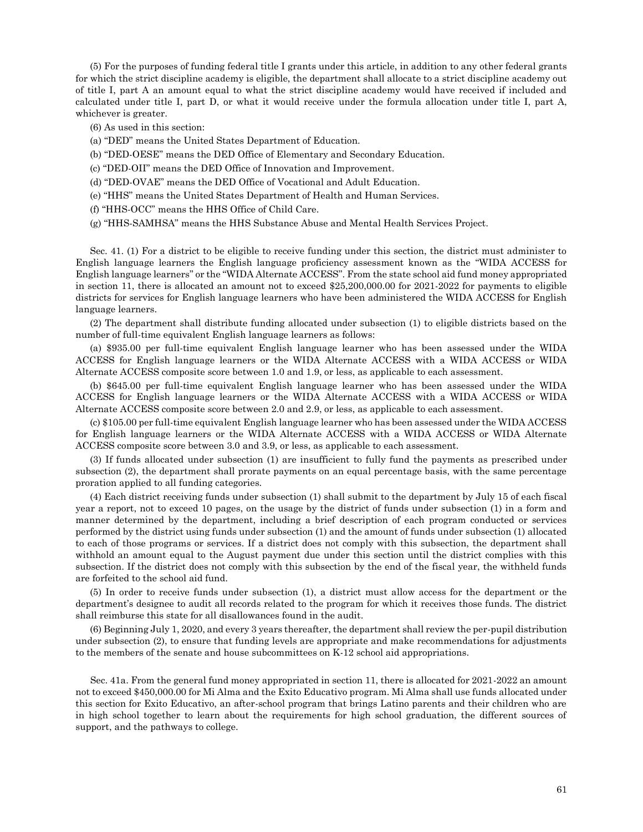(5) For the purposes of funding federal title I grants under this article, in addition to any other federal grants for which the strict discipline academy is eligible, the department shall allocate to a strict discipline academy out of title I, part A an amount equal to what the strict discipline academy would have received if included and calculated under title I, part D, or what it would receive under the formula allocation under title I, part A, whichever is greater.

- (6) As used in this section:
- (a) "DED" means the United States Department of Education.
- (b) "DED-OESE" means the DED Office of Elementary and Secondary Education.
- (c) "DED-OII" means the DED Office of Innovation and Improvement.
- (d) "DED-OVAE" means the DED Office of Vocational and Adult Education.
- (e) "HHS" means the United States Department of Health and Human Services.
- (f) "HHS-OCC" means the HHS Office of Child Care.
- (g) "HHS-SAMHSA" means the HHS Substance Abuse and Mental Health Services Project.

Sec. 41. (1) For a district to be eligible to receive funding under this section, the district must administer to English language learners the English language proficiency assessment known as the "WIDA ACCESS for English language learners" or the "WIDA Alternate ACCESS". From the state school aid fund money appropriated in section 11, there is allocated an amount not to exceed \$25,200,000.00 for 2021-2022 for payments to eligible districts for services for English language learners who have been administered the WIDA ACCESS for English language learners.

(2) The department shall distribute funding allocated under subsection (1) to eligible districts based on the number of full-time equivalent English language learners as follows:

(a) \$935.00 per full-time equivalent English language learner who has been assessed under the WIDA ACCESS for English language learners or the WIDA Alternate ACCESS with a WIDA ACCESS or WIDA Alternate ACCESS composite score between 1.0 and 1.9, or less, as applicable to each assessment.

(b) \$645.00 per full-time equivalent English language learner who has been assessed under the WIDA ACCESS for English language learners or the WIDA Alternate ACCESS with a WIDA ACCESS or WIDA Alternate ACCESS composite score between 2.0 and 2.9, or less, as applicable to each assessment.

(c) \$105.00 per full-time equivalent English language learner who has been assessed under the WIDA ACCESS for English language learners or the WIDA Alternate ACCESS with a WIDA ACCESS or WIDA Alternate ACCESS composite score between 3.0 and 3.9, or less, as applicable to each assessment.

(3) If funds allocated under subsection (1) are insufficient to fully fund the payments as prescribed under subsection (2), the department shall prorate payments on an equal percentage basis, with the same percentage proration applied to all funding categories.

(4) Each district receiving funds under subsection (1) shall submit to the department by July 15 of each fiscal year a report, not to exceed 10 pages, on the usage by the district of funds under subsection (1) in a form and manner determined by the department, including a brief description of each program conducted or services performed by the district using funds under subsection (1) and the amount of funds under subsection (1) allocated to each of those programs or services. If a district does not comply with this subsection, the department shall withhold an amount equal to the August payment due under this section until the district complies with this subsection. If the district does not comply with this subsection by the end of the fiscal year, the withheld funds are forfeited to the school aid fund.

(5) In order to receive funds under subsection (1), a district must allow access for the department or the department's designee to audit all records related to the program for which it receives those funds. The district shall reimburse this state for all disallowances found in the audit.

(6) Beginning July 1, 2020, and every 3 years thereafter, the department shall review the per-pupil distribution under subsection (2), to ensure that funding levels are appropriate and make recommendations for adjustments to the members of the senate and house subcommittees on K-12 school aid appropriations.

Sec. 41a. From the general fund money appropriated in section 11, there is allocated for 2021-2022 an amount not to exceed \$450,000.00 for Mi Alma and the Exito Educativo program. Mi Alma shall use funds allocated under this section for Exito Educativo, an after-school program that brings Latino parents and their children who are in high school together to learn about the requirements for high school graduation, the different sources of support, and the pathways to college.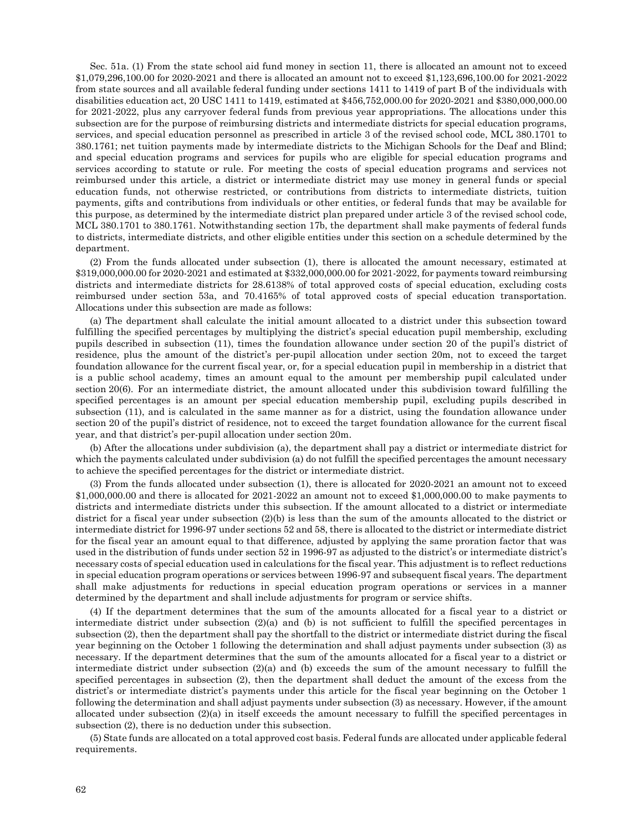Sec. 51a. (1) From the state school aid fund money in section 11, there is allocated an amount not to exceed \$1,079,296,100.00 for 2020-2021 and there is allocated an amount not to exceed \$1,123,696,100.00 for 2021-2022 from state sources and all available federal funding under sections 1411 to 1419 of part B of the individuals with disabilities education act, 20 USC 1411 to 1419, estimated at \$456,752,000.00 for 2020-2021 and \$380,000,000.00 for 2021-2022, plus any carryover federal funds from previous year appropriations. The allocations under this subsection are for the purpose of reimbursing districts and intermediate districts for special education programs, services, and special education personnel as prescribed in article 3 of the revised school code, MCL 380.1701 to 380.1761; net tuition payments made by intermediate districts to the Michigan Schools for the Deaf and Blind; and special education programs and services for pupils who are eligible for special education programs and services according to statute or rule. For meeting the costs of special education programs and services not reimbursed under this article, a district or intermediate district may use money in general funds or special education funds, not otherwise restricted, or contributions from districts to intermediate districts, tuition payments, gifts and contributions from individuals or other entities, or federal funds that may be available for this purpose, as determined by the intermediate district plan prepared under article 3 of the revised school code, MCL 380.1701 to 380.1761. Notwithstanding section 17b, the department shall make payments of federal funds to districts, intermediate districts, and other eligible entities under this section on a schedule determined by the department.

(2) From the funds allocated under subsection (1), there is allocated the amount necessary, estimated at \$319,000,000.00 for 2020-2021 and estimated at \$332,000,000.00 for 2021-2022, for payments toward reimbursing districts and intermediate districts for 28.6138% of total approved costs of special education, excluding costs reimbursed under section 53a, and 70.4165% of total approved costs of special education transportation. Allocations under this subsection are made as follows:

(a) The department shall calculate the initial amount allocated to a district under this subsection toward fulfilling the specified percentages by multiplying the district's special education pupil membership, excluding pupils described in subsection (11), times the foundation allowance under section 20 of the pupil's district of residence, plus the amount of the district's per-pupil allocation under section 20m, not to exceed the target foundation allowance for the current fiscal year, or, for a special education pupil in membership in a district that is a public school academy, times an amount equal to the amount per membership pupil calculated under section 20(6). For an intermediate district, the amount allocated under this subdivision toward fulfilling the specified percentages is an amount per special education membership pupil, excluding pupils described in subsection (11), and is calculated in the same manner as for a district, using the foundation allowance under section 20 of the pupil's district of residence, not to exceed the target foundation allowance for the current fiscal year, and that district's per-pupil allocation under section 20m.

(b) After the allocations under subdivision (a), the department shall pay a district or intermediate district for which the payments calculated under subdivision (a) do not fulfill the specified percentages the amount necessary to achieve the specified percentages for the district or intermediate district.

(3) From the funds allocated under subsection (1), there is allocated for 2020-2021 an amount not to exceed \$1,000,000.00 and there is allocated for 2021-2022 an amount not to exceed \$1,000,000.00 to make payments to districts and intermediate districts under this subsection. If the amount allocated to a district or intermediate district for a fiscal year under subsection (2)(b) is less than the sum of the amounts allocated to the district or intermediate district for 1996-97 under sections 52 and 58, there is allocated to the district or intermediate district for the fiscal year an amount equal to that difference, adjusted by applying the same proration factor that was used in the distribution of funds under section 52 in 1996-97 as adjusted to the district's or intermediate district's necessary costs of special education used in calculations for the fiscal year. This adjustment is to reflect reductions in special education program operations or services between 1996-97 and subsequent fiscal years. The department shall make adjustments for reductions in special education program operations or services in a manner determined by the department and shall include adjustments for program or service shifts.

(4) If the department determines that the sum of the amounts allocated for a fiscal year to a district or intermediate district under subsection (2)(a) and (b) is not sufficient to fulfill the specified percentages in subsection (2), then the department shall pay the shortfall to the district or intermediate district during the fiscal year beginning on the October 1 following the determination and shall adjust payments under subsection (3) as necessary. If the department determines that the sum of the amounts allocated for a fiscal year to a district or intermediate district under subsection  $(2)(a)$  and (b) exceeds the sum of the amount necessary to fulfill the specified percentages in subsection (2), then the department shall deduct the amount of the excess from the district's or intermediate district's payments under this article for the fiscal year beginning on the October 1 following the determination and shall adjust payments under subsection (3) as necessary. However, if the amount allocated under subsection  $(2)(a)$  in itself exceeds the amount necessary to fulfill the specified percentages in subsection (2), there is no deduction under this subsection.

(5) State funds are allocated on a total approved cost basis. Federal funds are allocated under applicable federal requirements.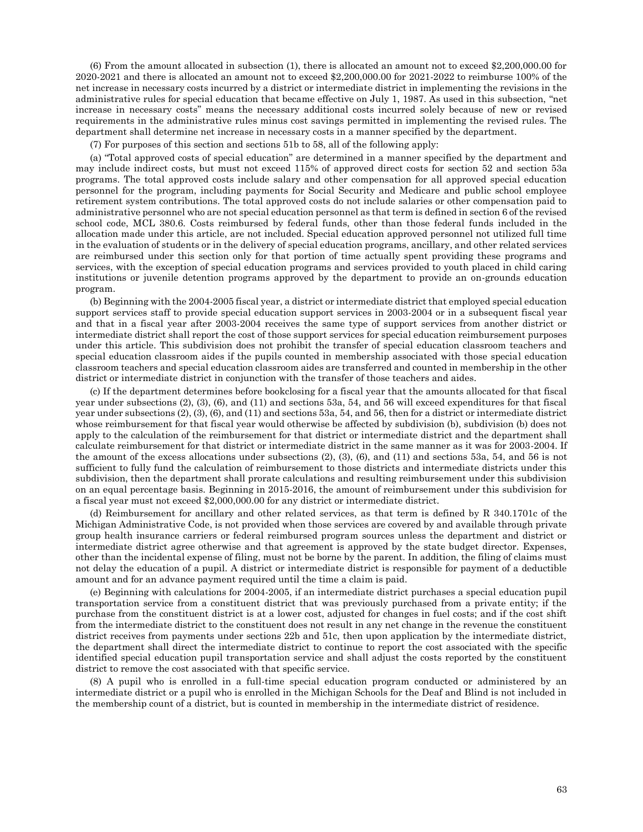(6) From the amount allocated in subsection (1), there is allocated an amount not to exceed \$2,200,000.00 for 2020-2021 and there is allocated an amount not to exceed \$2,200,000.00 for 2021-2022 to reimburse 100% of the net increase in necessary costs incurred by a district or intermediate district in implementing the revisions in the administrative rules for special education that became effective on July 1, 1987. As used in this subsection, "net increase in necessary costs" means the necessary additional costs incurred solely because of new or revised requirements in the administrative rules minus cost savings permitted in implementing the revised rules. The department shall determine net increase in necessary costs in a manner specified by the department.

(7) For purposes of this section and sections 51b to 58, all of the following apply:

(a) "Total approved costs of special education" are determined in a manner specified by the department and may include indirect costs, but must not exceed 115% of approved direct costs for section 52 and section 53a programs. The total approved costs include salary and other compensation for all approved special education personnel for the program, including payments for Social Security and Medicare and public school employee retirement system contributions. The total approved costs do not include salaries or other compensation paid to administrative personnel who are not special education personnel as that term is defined in section 6 of the revised school code, MCL 380.6. Costs reimbursed by federal funds, other than those federal funds included in the allocation made under this article, are not included. Special education approved personnel not utilized full time in the evaluation of students or in the delivery of special education programs, ancillary, and other related services are reimbursed under this section only for that portion of time actually spent providing these programs and services, with the exception of special education programs and services provided to youth placed in child caring institutions or juvenile detention programs approved by the department to provide an on-grounds education program.

(b) Beginning with the 2004-2005 fiscal year, a district or intermediate district that employed special education support services staff to provide special education support services in 2003-2004 or in a subsequent fiscal year and that in a fiscal year after 2003-2004 receives the same type of support services from another district or intermediate district shall report the cost of those support services for special education reimbursement purposes under this article. This subdivision does not prohibit the transfer of special education classroom teachers and special education classroom aides if the pupils counted in membership associated with those special education classroom teachers and special education classroom aides are transferred and counted in membership in the other district or intermediate district in conjunction with the transfer of those teachers and aides.

(c) If the department determines before bookclosing for a fiscal year that the amounts allocated for that fiscal year under subsections (2), (3), (6), and (11) and sections 53a, 54, and 56 will exceed expenditures for that fiscal year under subsections (2), (3), (6), and (11) and sections 53a, 54, and 56, then for a district or intermediate district whose reimbursement for that fiscal year would otherwise be affected by subdivision (b), subdivision (b) does not apply to the calculation of the reimbursement for that district or intermediate district and the department shall calculate reimbursement for that district or intermediate district in the same manner as it was for 2003-2004. If the amount of the excess allocations under subsections (2), (3), (6), and (11) and sections 53a, 54, and 56 is not sufficient to fully fund the calculation of reimbursement to those districts and intermediate districts under this subdivision, then the department shall prorate calculations and resulting reimbursement under this subdivision on an equal percentage basis. Beginning in 2015-2016, the amount of reimbursement under this subdivision for a fiscal year must not exceed \$2,000,000.00 for any district or intermediate district.

(d) Reimbursement for ancillary and other related services, as that term is defined by R 340.1701c of the Michigan Administrative Code, is not provided when those services are covered by and available through private group health insurance carriers or federal reimbursed program sources unless the department and district or intermediate district agree otherwise and that agreement is approved by the state budget director. Expenses, other than the incidental expense of filing, must not be borne by the parent. In addition, the filing of claims must not delay the education of a pupil. A district or intermediate district is responsible for payment of a deductible amount and for an advance payment required until the time a claim is paid.

(e) Beginning with calculations for 2004-2005, if an intermediate district purchases a special education pupil transportation service from a constituent district that was previously purchased from a private entity; if the purchase from the constituent district is at a lower cost, adjusted for changes in fuel costs; and if the cost shift from the intermediate district to the constituent does not result in any net change in the revenue the constituent district receives from payments under sections 22b and 51c, then upon application by the intermediate district, the department shall direct the intermediate district to continue to report the cost associated with the specific identified special education pupil transportation service and shall adjust the costs reported by the constituent district to remove the cost associated with that specific service.

(8) A pupil who is enrolled in a full-time special education program conducted or administered by an intermediate district or a pupil who is enrolled in the Michigan Schools for the Deaf and Blind is not included in the membership count of a district, but is counted in membership in the intermediate district of residence.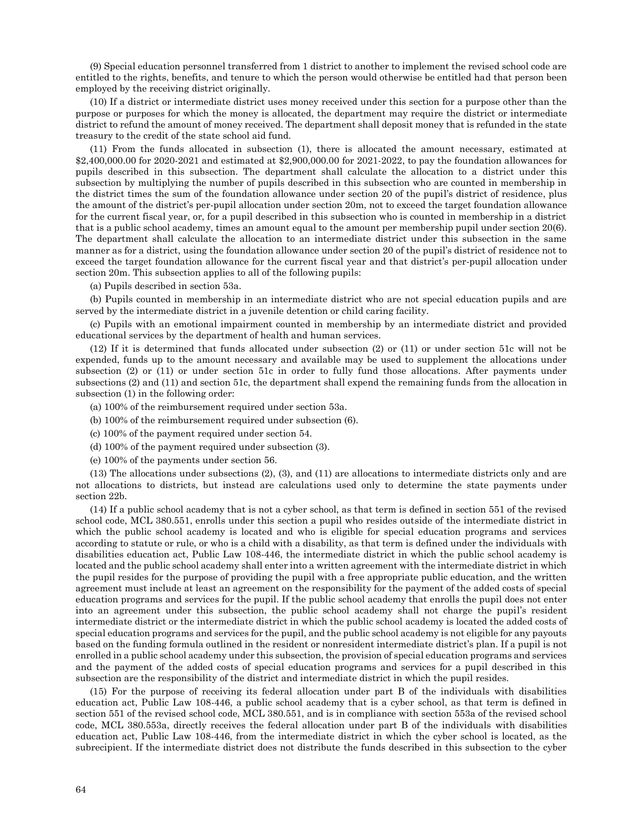(9) Special education personnel transferred from 1 district to another to implement the revised school code are entitled to the rights, benefits, and tenure to which the person would otherwise be entitled had that person been employed by the receiving district originally.

(10) If a district or intermediate district uses money received under this section for a purpose other than the purpose or purposes for which the money is allocated, the department may require the district or intermediate district to refund the amount of money received. The department shall deposit money that is refunded in the state treasury to the credit of the state school aid fund.

(11) From the funds allocated in subsection (1), there is allocated the amount necessary, estimated at \$2,400,000.00 for 2020-2021 and estimated at \$2,900,000.00 for 2021-2022, to pay the foundation allowances for pupils described in this subsection. The department shall calculate the allocation to a district under this subsection by multiplying the number of pupils described in this subsection who are counted in membership in the district times the sum of the foundation allowance under section 20 of the pupil's district of residence, plus the amount of the district's per-pupil allocation under section 20m, not to exceed the target foundation allowance for the current fiscal year, or, for a pupil described in this subsection who is counted in membership in a district that is a public school academy, times an amount equal to the amount per membership pupil under section 20(6). The department shall calculate the allocation to an intermediate district under this subsection in the same manner as for a district, using the foundation allowance under section 20 of the pupil's district of residence not to exceed the target foundation allowance for the current fiscal year and that district's per-pupil allocation under section 20m. This subsection applies to all of the following pupils:

(a) Pupils described in section 53a.

(b) Pupils counted in membership in an intermediate district who are not special education pupils and are served by the intermediate district in a juvenile detention or child caring facility.

(c) Pupils with an emotional impairment counted in membership by an intermediate district and provided educational services by the department of health and human services.

(12) If it is determined that funds allocated under subsection (2) or (11) or under section 51c will not be expended, funds up to the amount necessary and available may be used to supplement the allocations under subsection (2) or (11) or under section 51c in order to fully fund those allocations. After payments under subsections (2) and (11) and section 51c, the department shall expend the remaining funds from the allocation in subsection (1) in the following order:

(a) 100% of the reimbursement required under section 53a.

- (b) 100% of the reimbursement required under subsection (6).
- (c) 100% of the payment required under section 54.
- (d) 100% of the payment required under subsection (3).
- (e) 100% of the payments under section 56.

(13) The allocations under subsections (2), (3), and (11) are allocations to intermediate districts only and are not allocations to districts, but instead are calculations used only to determine the state payments under section 22b.

(14) If a public school academy that is not a cyber school, as that term is defined in section 551 of the revised school code, MCL 380.551, enrolls under this section a pupil who resides outside of the intermediate district in which the public school academy is located and who is eligible for special education programs and services according to statute or rule, or who is a child with a disability, as that term is defined under the individuals with disabilities education act, Public Law 108-446, the intermediate district in which the public school academy is located and the public school academy shall enter into a written agreement with the intermediate district in which the pupil resides for the purpose of providing the pupil with a free appropriate public education, and the written agreement must include at least an agreement on the responsibility for the payment of the added costs of special education programs and services for the pupil. If the public school academy that enrolls the pupil does not enter into an agreement under this subsection, the public school academy shall not charge the pupil's resident intermediate district or the intermediate district in which the public school academy is located the added costs of special education programs and services for the pupil, and the public school academy is not eligible for any payouts based on the funding formula outlined in the resident or nonresident intermediate district's plan. If a pupil is not enrolled in a public school academy under this subsection, the provision of special education programs and services and the payment of the added costs of special education programs and services for a pupil described in this subsection are the responsibility of the district and intermediate district in which the pupil resides.

(15) For the purpose of receiving its federal allocation under part B of the individuals with disabilities education act, Public Law 108-446, a public school academy that is a cyber school, as that term is defined in section 551 of the revised school code, MCL 380.551, and is in compliance with section 553a of the revised school code, MCL 380.553a, directly receives the federal allocation under part B of the individuals with disabilities education act, Public Law 108-446, from the intermediate district in which the cyber school is located, as the subrecipient. If the intermediate district does not distribute the funds described in this subsection to the cyber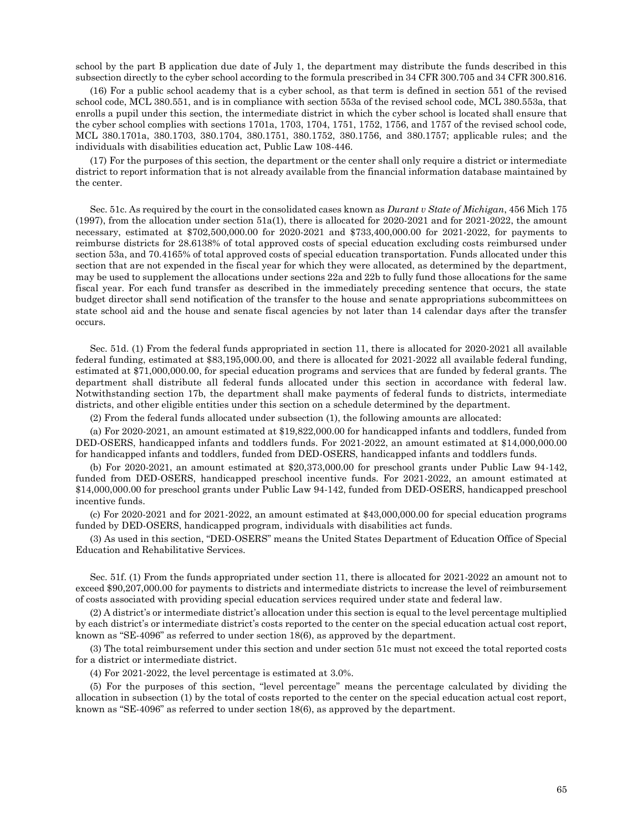school by the part B application due date of July 1, the department may distribute the funds described in this subsection directly to the cyber school according to the formula prescribed in 34 CFR 300.705 and 34 CFR 300.816.

(16) For a public school academy that is a cyber school, as that term is defined in section 551 of the revised school code, MCL 380.551, and is in compliance with section 553a of the revised school code, MCL 380.553a, that enrolls a pupil under this section, the intermediate district in which the cyber school is located shall ensure that the cyber school complies with sections 1701a, 1703, 1704, 1751, 1752, 1756, and 1757 of the revised school code, MCL 380.1701a, 380.1703, 380.1704, 380.1751, 380.1752, 380.1756, and 380.1757; applicable rules; and the individuals with disabilities education act, Public Law 108-446.

(17) For the purposes of this section, the department or the center shall only require a district or intermediate district to report information that is not already available from the financial information database maintained by the center.

Sec. 51c. As required by the court in the consolidated cases known as *Durant v State of Michigan*, 456 Mich 175 (1997), from the allocation under section 51a(1), there is allocated for 2020-2021 and for 2021-2022, the amount necessary, estimated at \$702,500,000.00 for 2020-2021 and \$733,400,000.00 for 2021-2022, for payments to reimburse districts for 28.6138% of total approved costs of special education excluding costs reimbursed under section 53a, and 70.4165% of total approved costs of special education transportation. Funds allocated under this section that are not expended in the fiscal year for which they were allocated, as determined by the department, may be used to supplement the allocations under sections 22a and 22b to fully fund those allocations for the same fiscal year. For each fund transfer as described in the immediately preceding sentence that occurs, the state budget director shall send notification of the transfer to the house and senate appropriations subcommittees on state school aid and the house and senate fiscal agencies by not later than 14 calendar days after the transfer occurs.

Sec. 51d. (1) From the federal funds appropriated in section 11, there is allocated for 2020-2021 all available federal funding, estimated at \$83,195,000.00, and there is allocated for 2021-2022 all available federal funding, estimated at \$71,000,000.00, for special education programs and services that are funded by federal grants. The department shall distribute all federal funds allocated under this section in accordance with federal law. Notwithstanding section 17b, the department shall make payments of federal funds to districts, intermediate districts, and other eligible entities under this section on a schedule determined by the department.

(2) From the federal funds allocated under subsection (1), the following amounts are allocated:

(a) For 2020-2021, an amount estimated at \$19,822,000.00 for handicapped infants and toddlers, funded from DED-OSERS, handicapped infants and toddlers funds. For 2021-2022, an amount estimated at \$14,000,000.00 for handicapped infants and toddlers, funded from DED-OSERS, handicapped infants and toddlers funds.

(b) For 2020-2021, an amount estimated at \$20,373,000.00 for preschool grants under Public Law 94-142, funded from DED-OSERS, handicapped preschool incentive funds. For 2021-2022, an amount estimated at \$14,000,000.00 for preschool grants under Public Law 94-142, funded from DED-OSERS, handicapped preschool incentive funds.

(c) For 2020-2021 and for 2021-2022, an amount estimated at \$43,000,000.00 for special education programs funded by DED-OSERS, handicapped program, individuals with disabilities act funds.

(3) As used in this section, "DED-OSERS" means the United States Department of Education Office of Special Education and Rehabilitative Services.

Sec. 51f. (1) From the funds appropriated under section 11, there is allocated for 2021-2022 an amount not to exceed \$90,207,000.00 for payments to districts and intermediate districts to increase the level of reimbursement of costs associated with providing special education services required under state and federal law.

(2) A district's or intermediate district's allocation under this section is equal to the level percentage multiplied by each district's or intermediate district's costs reported to the center on the special education actual cost report, known as "SE-4096" as referred to under section 18(6), as approved by the department.

(3) The total reimbursement under this section and under section 51c must not exceed the total reported costs for a district or intermediate district.

(4) For 2021-2022, the level percentage is estimated at 3.0%.

(5) For the purposes of this section, "level percentage" means the percentage calculated by dividing the allocation in subsection (1) by the total of costs reported to the center on the special education actual cost report, known as "SE-4096" as referred to under section 18(6), as approved by the department.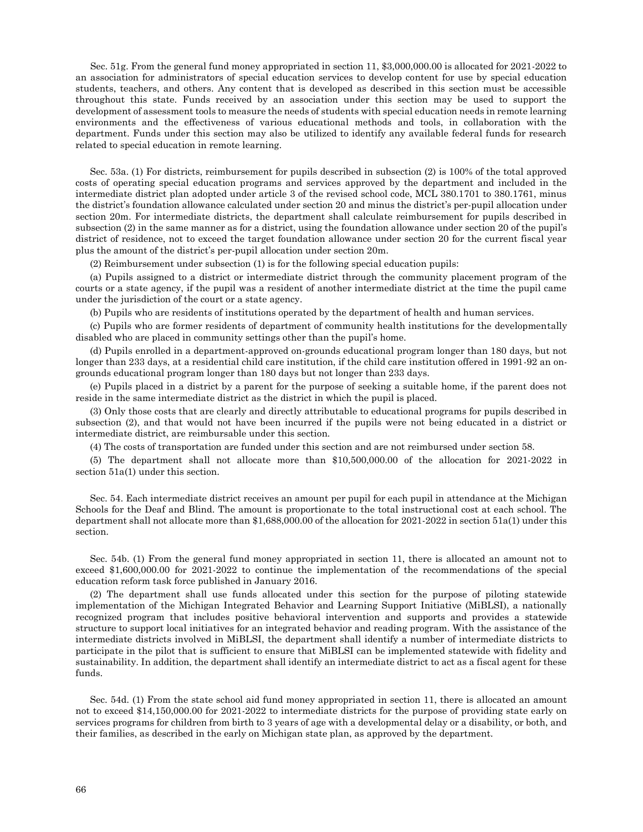Sec. 51g. From the general fund money appropriated in section 11, \$3,000,000.00 is allocated for 2021-2022 to an association for administrators of special education services to develop content for use by special education students, teachers, and others. Any content that is developed as described in this section must be accessible throughout this state. Funds received by an association under this section may be used to support the development of assessment tools to measure the needs of students with special education needs in remote learning environments and the effectiveness of various educational methods and tools, in collaboration with the department. Funds under this section may also be utilized to identify any available federal funds for research related to special education in remote learning.

Sec. 53a. (1) For districts, reimbursement for pupils described in subsection (2) is 100% of the total approved costs of operating special education programs and services approved by the department and included in the intermediate district plan adopted under article 3 of the revised school code, MCL 380.1701 to 380.1761, minus the district's foundation allowance calculated under section 20 and minus the district's per-pupil allocation under section 20m. For intermediate districts, the department shall calculate reimbursement for pupils described in subsection (2) in the same manner as for a district, using the foundation allowance under section 20 of the pupil's district of residence, not to exceed the target foundation allowance under section 20 for the current fiscal year plus the amount of the district's per-pupil allocation under section 20m.

(2) Reimbursement under subsection (1) is for the following special education pupils:

(a) Pupils assigned to a district or intermediate district through the community placement program of the courts or a state agency, if the pupil was a resident of another intermediate district at the time the pupil came under the jurisdiction of the court or a state agency.

(b) Pupils who are residents of institutions operated by the department of health and human services.

(c) Pupils who are former residents of department of community health institutions for the developmentally disabled who are placed in community settings other than the pupil's home.

(d) Pupils enrolled in a department-approved on-grounds educational program longer than 180 days, but not longer than 233 days, at a residential child care institution, if the child care institution offered in 1991-92 an ongrounds educational program longer than 180 days but not longer than 233 days.

(e) Pupils placed in a district by a parent for the purpose of seeking a suitable home, if the parent does not reside in the same intermediate district as the district in which the pupil is placed.

(3) Only those costs that are clearly and directly attributable to educational programs for pupils described in subsection (2), and that would not have been incurred if the pupils were not being educated in a district or intermediate district, are reimbursable under this section.

(4) The costs of transportation are funded under this section and are not reimbursed under section 58.

(5) The department shall not allocate more than \$10,500,000.00 of the allocation for 2021-2022 in section 51a(1) under this section.

Sec. 54. Each intermediate district receives an amount per pupil for each pupil in attendance at the Michigan Schools for the Deaf and Blind. The amount is proportionate to the total instructional cost at each school. The department shall not allocate more than \$1,688,000.00 of the allocation for 2021-2022 in section 51a(1) under this section.

Sec. 54b. (1) From the general fund money appropriated in section 11, there is allocated an amount not to exceed \$1,600,000.00 for 2021-2022 to continue the implementation of the recommendations of the special education reform task force published in January 2016.

(2) The department shall use funds allocated under this section for the purpose of piloting statewide implementation of the Michigan Integrated Behavior and Learning Support Initiative (MiBLSI), a nationally recognized program that includes positive behavioral intervention and supports and provides a statewide structure to support local initiatives for an integrated behavior and reading program. With the assistance of the intermediate districts involved in MiBLSI, the department shall identify a number of intermediate districts to participate in the pilot that is sufficient to ensure that MiBLSI can be implemented statewide with fidelity and sustainability. In addition, the department shall identify an intermediate district to act as a fiscal agent for these funds.

Sec. 54d. (1) From the state school aid fund money appropriated in section 11, there is allocated an amount not to exceed \$14,150,000.00 for 2021-2022 to intermediate districts for the purpose of providing state early on services programs for children from birth to 3 years of age with a developmental delay or a disability, or both, and their families, as described in the early on Michigan state plan, as approved by the department.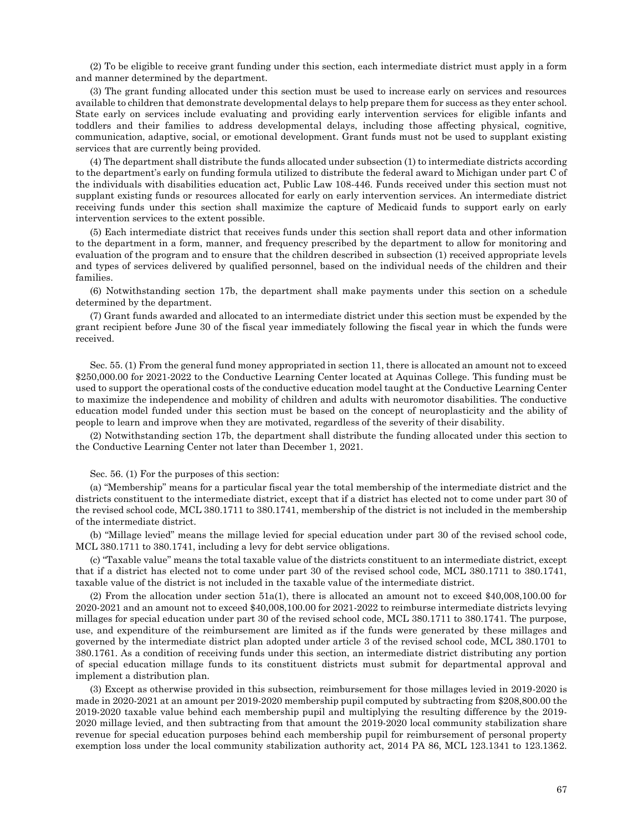(2) To be eligible to receive grant funding under this section, each intermediate district must apply in a form and manner determined by the department.

(3) The grant funding allocated under this section must be used to increase early on services and resources available to children that demonstrate developmental delays to help prepare them for success as they enter school. State early on services include evaluating and providing early intervention services for eligible infants and toddlers and their families to address developmental delays, including those affecting physical, cognitive, communication, adaptive, social, or emotional development. Grant funds must not be used to supplant existing services that are currently being provided.

(4) The department shall distribute the funds allocated under subsection (1) to intermediate districts according to the department's early on funding formula utilized to distribute the federal award to Michigan under part C of the individuals with disabilities education act, Public Law 108-446. Funds received under this section must not supplant existing funds or resources allocated for early on early intervention services. An intermediate district receiving funds under this section shall maximize the capture of Medicaid funds to support early on early intervention services to the extent possible.

(5) Each intermediate district that receives funds under this section shall report data and other information to the department in a form, manner, and frequency prescribed by the department to allow for monitoring and evaluation of the program and to ensure that the children described in subsection (1) received appropriate levels and types of services delivered by qualified personnel, based on the individual needs of the children and their families.

(6) Notwithstanding section 17b, the department shall make payments under this section on a schedule determined by the department.

(7) Grant funds awarded and allocated to an intermediate district under this section must be expended by the grant recipient before June 30 of the fiscal year immediately following the fiscal year in which the funds were received.

Sec. 55. (1) From the general fund money appropriated in section 11, there is allocated an amount not to exceed \$250,000.00 for 2021-2022 to the Conductive Learning Center located at Aquinas College. This funding must be used to support the operational costs of the conductive education model taught at the Conductive Learning Center to maximize the independence and mobility of children and adults with neuromotor disabilities. The conductive education model funded under this section must be based on the concept of neuroplasticity and the ability of people to learn and improve when they are motivated, regardless of the severity of their disability.

(2) Notwithstanding section 17b, the department shall distribute the funding allocated under this section to the Conductive Learning Center not later than December 1, 2021.

## Sec. 56. (1) For the purposes of this section:

(a) "Membership" means for a particular fiscal year the total membership of the intermediate district and the districts constituent to the intermediate district, except that if a district has elected not to come under part 30 of the revised school code, MCL 380.1711 to 380.1741, membership of the district is not included in the membership of the intermediate district.

(b) "Millage levied" means the millage levied for special education under part 30 of the revised school code, MCL 380.1711 to 380.1741, including a levy for debt service obligations.

(c) "Taxable value" means the total taxable value of the districts constituent to an intermediate district, except that if a district has elected not to come under part 30 of the revised school code, MCL 380.1711 to 380.1741, taxable value of the district is not included in the taxable value of the intermediate district.

(2) From the allocation under section 51a(1), there is allocated an amount not to exceed \$40,008,100.00 for 2020-2021 and an amount not to exceed \$40,008,100.00 for 2021-2022 to reimburse intermediate districts levying millages for special education under part 30 of the revised school code, MCL 380.1711 to 380.1741. The purpose, use, and expenditure of the reimbursement are limited as if the funds were generated by these millages and governed by the intermediate district plan adopted under article 3 of the revised school code, MCL 380.1701 to 380.1761. As a condition of receiving funds under this section, an intermediate district distributing any portion of special education millage funds to its constituent districts must submit for departmental approval and implement a distribution plan.

(3) Except as otherwise provided in this subsection, reimbursement for those millages levied in 2019-2020 is made in 2020-2021 at an amount per 2019-2020 membership pupil computed by subtracting from \$208,800.00 the 2019-2020 taxable value behind each membership pupil and multiplying the resulting difference by the 2019- 2020 millage levied, and then subtracting from that amount the 2019-2020 local community stabilization share revenue for special education purposes behind each membership pupil for reimbursement of personal property exemption loss under the local community stabilization authority act, 2014 PA 86, MCL 123.1341 to 123.1362.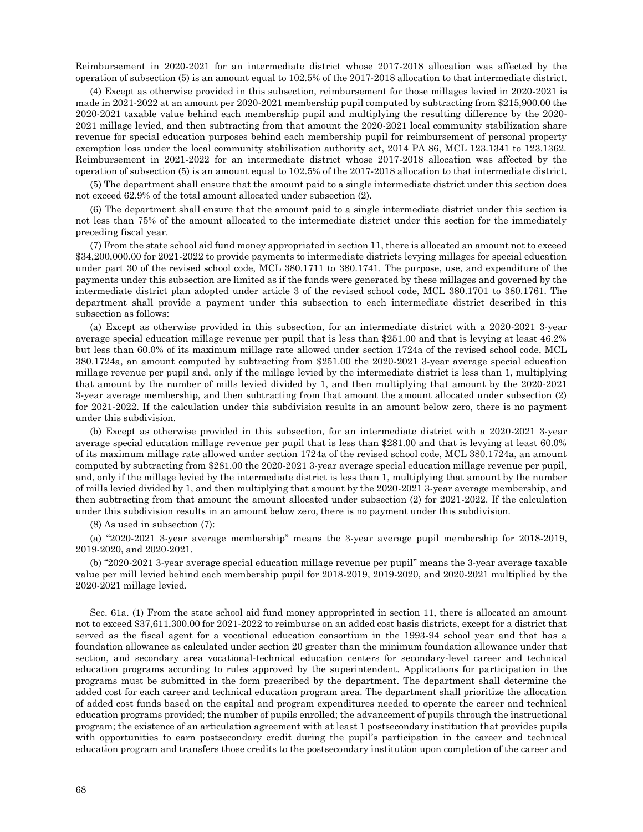Reimbursement in 2020-2021 for an intermediate district whose 2017-2018 allocation was affected by the operation of subsection (5) is an amount equal to 102.5% of the 2017-2018 allocation to that intermediate district.

(4) Except as otherwise provided in this subsection, reimbursement for those millages levied in 2020-2021 is made in 2021-2022 at an amount per 2020-2021 membership pupil computed by subtracting from \$215,900.00 the 2020-2021 taxable value behind each membership pupil and multiplying the resulting difference by the 2020- 2021 millage levied, and then subtracting from that amount the 2020-2021 local community stabilization share revenue for special education purposes behind each membership pupil for reimbursement of personal property exemption loss under the local community stabilization authority act, 2014 PA 86, MCL 123.1341 to 123.1362. Reimbursement in 2021-2022 for an intermediate district whose 2017-2018 allocation was affected by the operation of subsection (5) is an amount equal to 102.5% of the 2017-2018 allocation to that intermediate district.

(5) The department shall ensure that the amount paid to a single intermediate district under this section does not exceed 62.9% of the total amount allocated under subsection (2).

(6) The department shall ensure that the amount paid to a single intermediate district under this section is not less than 75% of the amount allocated to the intermediate district under this section for the immediately preceding fiscal year.

(7) From the state school aid fund money appropriated in section 11, there is allocated an amount not to exceed \$34,200,000.00 for 2021-2022 to provide payments to intermediate districts levying millages for special education under part 30 of the revised school code, MCL 380.1711 to 380.1741. The purpose, use, and expenditure of the payments under this subsection are limited as if the funds were generated by these millages and governed by the intermediate district plan adopted under article 3 of the revised school code, MCL 380.1701 to 380.1761. The department shall provide a payment under this subsection to each intermediate district described in this subsection as follows:

(a) Except as otherwise provided in this subsection, for an intermediate district with a 2020-2021 3-year average special education millage revenue per pupil that is less than \$251.00 and that is levying at least 46.2% but less than 60.0% of its maximum millage rate allowed under section 1724a of the revised school code, MCL 380.1724a, an amount computed by subtracting from \$251.00 the 2020-2021 3-year average special education millage revenue per pupil and, only if the millage levied by the intermediate district is less than 1, multiplying that amount by the number of mills levied divided by 1, and then multiplying that amount by the 2020-2021 3-year average membership, and then subtracting from that amount the amount allocated under subsection (2) for 2021-2022. If the calculation under this subdivision results in an amount below zero, there is no payment under this subdivision.

(b) Except as otherwise provided in this subsection, for an intermediate district with a 2020-2021 3-year average special education millage revenue per pupil that is less than \$281.00 and that is levying at least 60.0% of its maximum millage rate allowed under section 1724a of the revised school code, MCL 380.1724a, an amount computed by subtracting from \$281.00 the 2020-2021 3-year average special education millage revenue per pupil, and, only if the millage levied by the intermediate district is less than 1, multiplying that amount by the number of mills levied divided by 1, and then multiplying that amount by the 2020-2021 3-year average membership, and then subtracting from that amount the amount allocated under subsection (2) for 2021-2022. If the calculation under this subdivision results in an amount below zero, there is no payment under this subdivision.

(8) As used in subsection (7):

(a) "2020-2021 3-year average membership" means the 3-year average pupil membership for 2018-2019, 2019-2020, and 2020-2021.

(b) "2020-2021 3-year average special education millage revenue per pupil" means the 3-year average taxable value per mill levied behind each membership pupil for 2018-2019, 2019-2020, and 2020-2021 multiplied by the 2020-2021 millage levied.

Sec. 61a. (1) From the state school aid fund money appropriated in section 11, there is allocated an amount not to exceed \$37,611,300.00 for 2021-2022 to reimburse on an added cost basis districts, except for a district that served as the fiscal agent for a vocational education consortium in the 1993-94 school year and that has a foundation allowance as calculated under section 20 greater than the minimum foundation allowance under that section, and secondary area vocational-technical education centers for secondary-level career and technical education programs according to rules approved by the superintendent. Applications for participation in the programs must be submitted in the form prescribed by the department. The department shall determine the added cost for each career and technical education program area. The department shall prioritize the allocation of added cost funds based on the capital and program expenditures needed to operate the career and technical education programs provided; the number of pupils enrolled; the advancement of pupils through the instructional program; the existence of an articulation agreement with at least 1 postsecondary institution that provides pupils with opportunities to earn postsecondary credit during the pupil's participation in the career and technical education program and transfers those credits to the postsecondary institution upon completion of the career and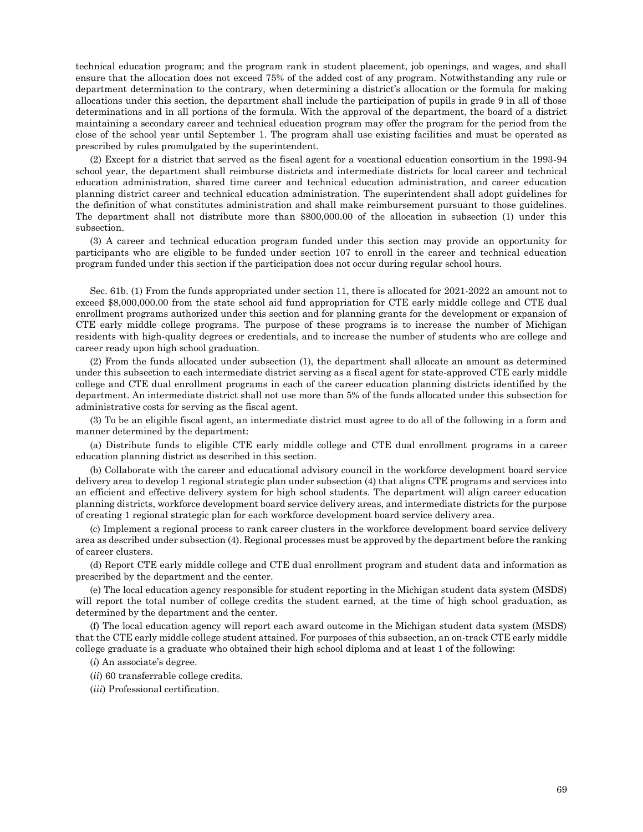technical education program; and the program rank in student placement, job openings, and wages, and shall ensure that the allocation does not exceed 75% of the added cost of any program. Notwithstanding any rule or department determination to the contrary, when determining a district's allocation or the formula for making allocations under this section, the department shall include the participation of pupils in grade 9 in all of those determinations and in all portions of the formula. With the approval of the department, the board of a district maintaining a secondary career and technical education program may offer the program for the period from the close of the school year until September 1. The program shall use existing facilities and must be operated as prescribed by rules promulgated by the superintendent.

(2) Except for a district that served as the fiscal agent for a vocational education consortium in the 1993-94 school year, the department shall reimburse districts and intermediate districts for local career and technical education administration, shared time career and technical education administration, and career education planning district career and technical education administration. The superintendent shall adopt guidelines for the definition of what constitutes administration and shall make reimbursement pursuant to those guidelines. The department shall not distribute more than \$800,000.00 of the allocation in subsection (1) under this subsection.

(3) A career and technical education program funded under this section may provide an opportunity for participants who are eligible to be funded under section 107 to enroll in the career and technical education program funded under this section if the participation does not occur during regular school hours.

Sec. 61b. (1) From the funds appropriated under section 11, there is allocated for 2021-2022 an amount not to exceed \$8,000,000.00 from the state school aid fund appropriation for CTE early middle college and CTE dual enrollment programs authorized under this section and for planning grants for the development or expansion of CTE early middle college programs. The purpose of these programs is to increase the number of Michigan residents with high-quality degrees or credentials, and to increase the number of students who are college and career ready upon high school graduation.

(2) From the funds allocated under subsection (1), the department shall allocate an amount as determined under this subsection to each intermediate district serving as a fiscal agent for state-approved CTE early middle college and CTE dual enrollment programs in each of the career education planning districts identified by the department. An intermediate district shall not use more than 5% of the funds allocated under this subsection for administrative costs for serving as the fiscal agent.

(3) To be an eligible fiscal agent, an intermediate district must agree to do all of the following in a form and manner determined by the department:

(a) Distribute funds to eligible CTE early middle college and CTE dual enrollment programs in a career education planning district as described in this section.

(b) Collaborate with the career and educational advisory council in the workforce development board service delivery area to develop 1 regional strategic plan under subsection (4) that aligns CTE programs and services into an efficient and effective delivery system for high school students. The department will align career education planning districts, workforce development board service delivery areas, and intermediate districts for the purpose of creating 1 regional strategic plan for each workforce development board service delivery area.

(c) Implement a regional process to rank career clusters in the workforce development board service delivery area as described under subsection (4). Regional processes must be approved by the department before the ranking of career clusters.

(d) Report CTE early middle college and CTE dual enrollment program and student data and information as prescribed by the department and the center.

(e) The local education agency responsible for student reporting in the Michigan student data system (MSDS) will report the total number of college credits the student earned, at the time of high school graduation, as determined by the department and the center.

(f) The local education agency will report each award outcome in the Michigan student data system (MSDS) that the CTE early middle college student attained. For purposes of this subsection, an on-track CTE early middle college graduate is a graduate who obtained their high school diploma and at least 1 of the following:

(*i*) An associate's degree.

- (*ii*) 60 transferrable college credits.
- (*iii*) Professional certification.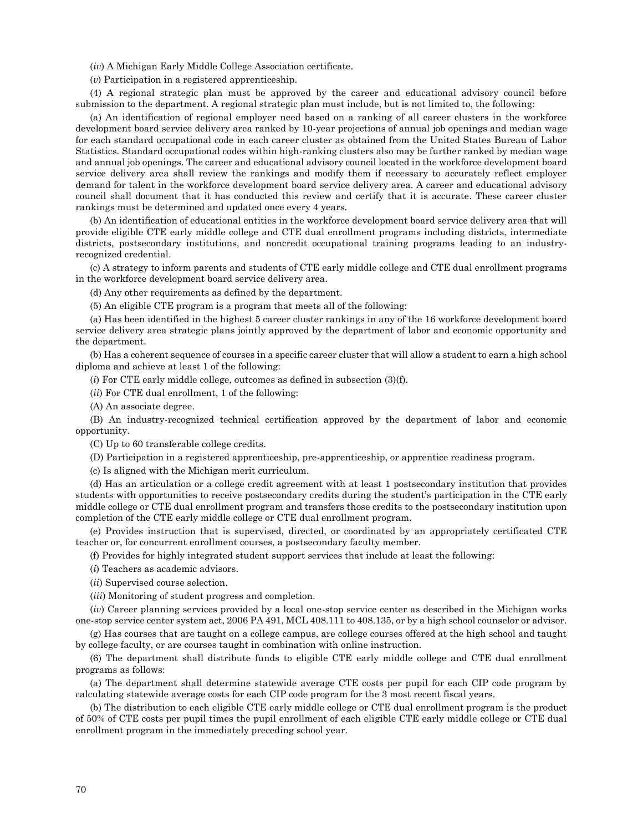(*iv*) A Michigan Early Middle College Association certificate.

(*v*) Participation in a registered apprenticeship.

(4) A regional strategic plan must be approved by the career and educational advisory council before submission to the department. A regional strategic plan must include, but is not limited to, the following:

(a) An identification of regional employer need based on a ranking of all career clusters in the workforce development board service delivery area ranked by 10-year projections of annual job openings and median wage for each standard occupational code in each career cluster as obtained from the United States Bureau of Labor Statistics. Standard occupational codes within high-ranking clusters also may be further ranked by median wage and annual job openings. The career and educational advisory council located in the workforce development board service delivery area shall review the rankings and modify them if necessary to accurately reflect employer demand for talent in the workforce development board service delivery area. A career and educational advisory council shall document that it has conducted this review and certify that it is accurate. These career cluster rankings must be determined and updated once every 4 years.

(b) An identification of educational entities in the workforce development board service delivery area that will provide eligible CTE early middle college and CTE dual enrollment programs including districts, intermediate districts, postsecondary institutions, and noncredit occupational training programs leading to an industryrecognized credential.

(c) A strategy to inform parents and students of CTE early middle college and CTE dual enrollment programs in the workforce development board service delivery area.

(d) Any other requirements as defined by the department.

(5) An eligible CTE program is a program that meets all of the following:

(a) Has been identified in the highest 5 career cluster rankings in any of the 16 workforce development board service delivery area strategic plans jointly approved by the department of labor and economic opportunity and the department.

(b) Has a coherent sequence of courses in a specific career cluster that will allow a student to earn a high school diploma and achieve at least 1 of the following:

(*i*) For CTE early middle college, outcomes as defined in subsection (3)(f).

(*ii*) For CTE dual enrollment, 1 of the following:

(A) An associate degree.

(B) An industry-recognized technical certification approved by the department of labor and economic opportunity.

(C) Up to 60 transferable college credits.

(D) Participation in a registered apprenticeship, pre-apprenticeship, or apprentice readiness program.

(c) Is aligned with the Michigan merit curriculum.

(d) Has an articulation or a college credit agreement with at least 1 postsecondary institution that provides students with opportunities to receive postsecondary credits during the student's participation in the CTE early middle college or CTE dual enrollment program and transfers those credits to the postsecondary institution upon completion of the CTE early middle college or CTE dual enrollment program.

(e) Provides instruction that is supervised, directed, or coordinated by an appropriately certificated CTE teacher or, for concurrent enrollment courses, a postsecondary faculty member.

(f) Provides for highly integrated student support services that include at least the following:

(*i*) Teachers as academic advisors.

(*ii*) Supervised course selection.

(*iii*) Monitoring of student progress and completion.

(*iv*) Career planning services provided by a local one-stop service center as described in the Michigan works one-stop service center system act, 2006 PA 491, MCL 408.111 to 408.135, or by a high school counselor or advisor.

(g) Has courses that are taught on a college campus, are college courses offered at the high school and taught by college faculty, or are courses taught in combination with online instruction.

(6) The department shall distribute funds to eligible CTE early middle college and CTE dual enrollment programs as follows:

(a) The department shall determine statewide average CTE costs per pupil for each CIP code program by calculating statewide average costs for each CIP code program for the 3 most recent fiscal years.

(b) The distribution to each eligible CTE early middle college or CTE dual enrollment program is the product of 50% of CTE costs per pupil times the pupil enrollment of each eligible CTE early middle college or CTE dual enrollment program in the immediately preceding school year.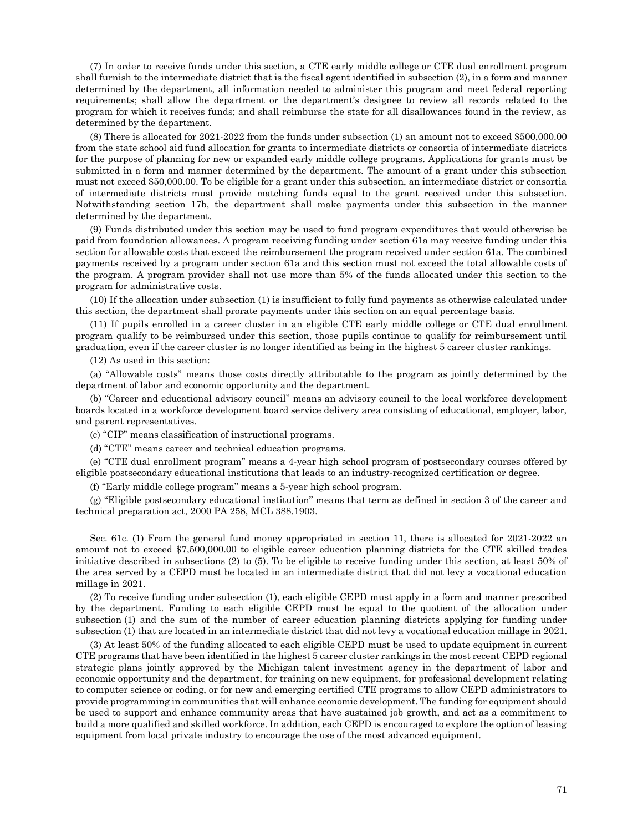(7) In order to receive funds under this section, a CTE early middle college or CTE dual enrollment program shall furnish to the intermediate district that is the fiscal agent identified in subsection (2), in a form and manner determined by the department, all information needed to administer this program and meet federal reporting requirements; shall allow the department or the department's designee to review all records related to the program for which it receives funds; and shall reimburse the state for all disallowances found in the review, as determined by the department.

(8) There is allocated for 2021-2022 from the funds under subsection (1) an amount not to exceed \$500,000.00 from the state school aid fund allocation for grants to intermediate districts or consortia of intermediate districts for the purpose of planning for new or expanded early middle college programs. Applications for grants must be submitted in a form and manner determined by the department. The amount of a grant under this subsection must not exceed \$50,000.00. To be eligible for a grant under this subsection, an intermediate district or consortia of intermediate districts must provide matching funds equal to the grant received under this subsection. Notwithstanding section 17b, the department shall make payments under this subsection in the manner determined by the department.

(9) Funds distributed under this section may be used to fund program expenditures that would otherwise be paid from foundation allowances. A program receiving funding under section 61a may receive funding under this section for allowable costs that exceed the reimbursement the program received under section 61a. The combined payments received by a program under section 61a and this section must not exceed the total allowable costs of the program. A program provider shall not use more than 5% of the funds allocated under this section to the program for administrative costs.

(10) If the allocation under subsection (1) is insufficient to fully fund payments as otherwise calculated under this section, the department shall prorate payments under this section on an equal percentage basis.

(11) If pupils enrolled in a career cluster in an eligible CTE early middle college or CTE dual enrollment program qualify to be reimbursed under this section, those pupils continue to qualify for reimbursement until graduation, even if the career cluster is no longer identified as being in the highest 5 career cluster rankings.

(12) As used in this section:

(a) "Allowable costs" means those costs directly attributable to the program as jointly determined by the department of labor and economic opportunity and the department.

(b) "Career and educational advisory council" means an advisory council to the local workforce development boards located in a workforce development board service delivery area consisting of educational, employer, labor, and parent representatives.

(c) "CIP" means classification of instructional programs.

(d) "CTE" means career and technical education programs.

(e) "CTE dual enrollment program" means a 4-year high school program of postsecondary courses offered by eligible postsecondary educational institutions that leads to an industry-recognized certification or degree.

(f) "Early middle college program" means a 5-year high school program.

(g) "Eligible postsecondary educational institution" means that term as defined in section 3 of the career and technical preparation act, 2000 PA 258, MCL 388.1903.

Sec. 61c. (1) From the general fund money appropriated in section 11, there is allocated for 2021-2022 an amount not to exceed \$7,500,000.00 to eligible career education planning districts for the CTE skilled trades initiative described in subsections (2) to (5). To be eligible to receive funding under this section, at least 50% of the area served by a CEPD must be located in an intermediate district that did not levy a vocational education millage in 2021.

(2) To receive funding under subsection (1), each eligible CEPD must apply in a form and manner prescribed by the department. Funding to each eligible CEPD must be equal to the quotient of the allocation under subsection (1) and the sum of the number of career education planning districts applying for funding under subsection (1) that are located in an intermediate district that did not levy a vocational education millage in 2021.

(3) At least 50% of the funding allocated to each eligible CEPD must be used to update equipment in current CTE programs that have been identified in the highest 5 career cluster rankings in the most recent CEPD regional strategic plans jointly approved by the Michigan talent investment agency in the department of labor and economic opportunity and the department, for training on new equipment, for professional development relating to computer science or coding, or for new and emerging certified CTE programs to allow CEPD administrators to provide programming in communities that will enhance economic development. The funding for equipment should be used to support and enhance community areas that have sustained job growth, and act as a commitment to build a more qualified and skilled workforce. In addition, each CEPD is encouraged to explore the option of leasing equipment from local private industry to encourage the use of the most advanced equipment.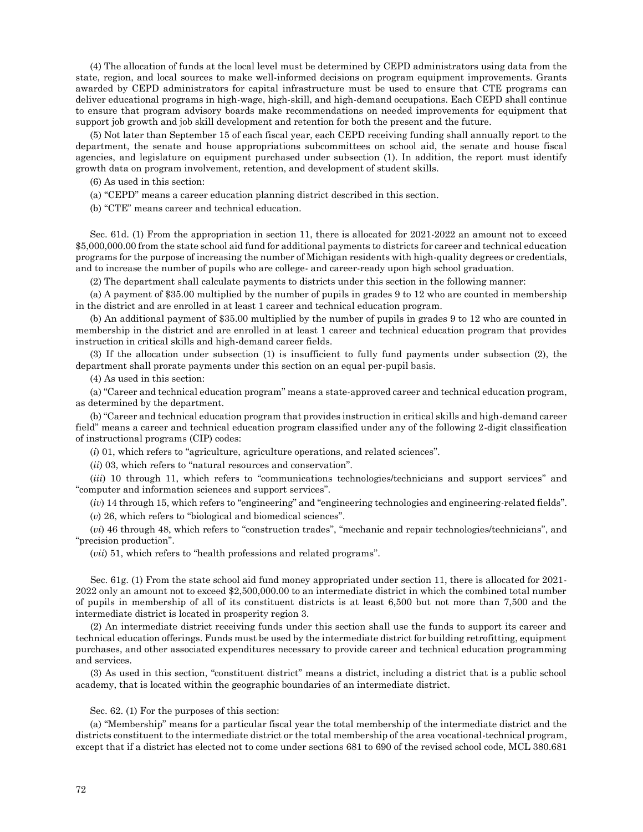(4) The allocation of funds at the local level must be determined by CEPD administrators using data from the state, region, and local sources to make well-informed decisions on program equipment improvements. Grants awarded by CEPD administrators for capital infrastructure must be used to ensure that CTE programs can deliver educational programs in high-wage, high-skill, and high-demand occupations. Each CEPD shall continue to ensure that program advisory boards make recommendations on needed improvements for equipment that support job growth and job skill development and retention for both the present and the future.

(5) Not later than September 15 of each fiscal year, each CEPD receiving funding shall annually report to the department, the senate and house appropriations subcommittees on school aid, the senate and house fiscal agencies, and legislature on equipment purchased under subsection (1). In addition, the report must identify growth data on program involvement, retention, and development of student skills.

(6) As used in this section:

(a) "CEPD" means a career education planning district described in this section.

(b) "CTE" means career and technical education.

Sec. 61d. (1) From the appropriation in section 11, there is allocated for 2021-2022 an amount not to exceed \$5,000,000.00 from the state school aid fund for additional payments to districts for career and technical education programs for the purpose of increasing the number of Michigan residents with high-quality degrees or credentials, and to increase the number of pupils who are college- and career-ready upon high school graduation.

(2) The department shall calculate payments to districts under this section in the following manner:

(a) A payment of \$35.00 multiplied by the number of pupils in grades 9 to 12 who are counted in membership in the district and are enrolled in at least 1 career and technical education program.

(b) An additional payment of \$35.00 multiplied by the number of pupils in grades 9 to 12 who are counted in membership in the district and are enrolled in at least 1 career and technical education program that provides instruction in critical skills and high-demand career fields.

(3) If the allocation under subsection (1) is insufficient to fully fund payments under subsection (2), the department shall prorate payments under this section on an equal per-pupil basis.

(4) As used in this section:

(a) "Career and technical education program" means a state-approved career and technical education program, as determined by the department.

(b) "Career and technical education program that provides instruction in critical skills and high-demand career field" means a career and technical education program classified under any of the following 2-digit classification of instructional programs (CIP) codes:

(*i*) 01, which refers to "agriculture, agriculture operations, and related sciences".

(*ii*) 03, which refers to "natural resources and conservation".

(*iii*) 10 through 11, which refers to "communications technologies/technicians and support services" and "computer and information sciences and support services".

(*iv*) 14 through 15, which refers to "engineering" and "engineering technologies and engineering-related fields".

(*v*) 26, which refers to "biological and biomedical sciences".

(*vi*) 46 through 48, which refers to "construction trades", "mechanic and repair technologies/technicians", and "precision production".

(*vii*) 51, which refers to "health professions and related programs".

Sec. 61g. (1) From the state school aid fund money appropriated under section 11, there is allocated for 2021- 2022 only an amount not to exceed \$2,500,000.00 to an intermediate district in which the combined total number of pupils in membership of all of its constituent districts is at least 6,500 but not more than 7,500 and the intermediate district is located in prosperity region 3.

(2) An intermediate district receiving funds under this section shall use the funds to support its career and technical education offerings. Funds must be used by the intermediate district for building retrofitting, equipment purchases, and other associated expenditures necessary to provide career and technical education programming and services.

(3) As used in this section, "constituent district" means a district, including a district that is a public school academy, that is located within the geographic boundaries of an intermediate district.

## Sec. 62. (1) For the purposes of this section:

(a) "Membership" means for a particular fiscal year the total membership of the intermediate district and the districts constituent to the intermediate district or the total membership of the area vocational-technical program, except that if a district has elected not to come under sections 681 to 690 of the revised school code, MCL 380.681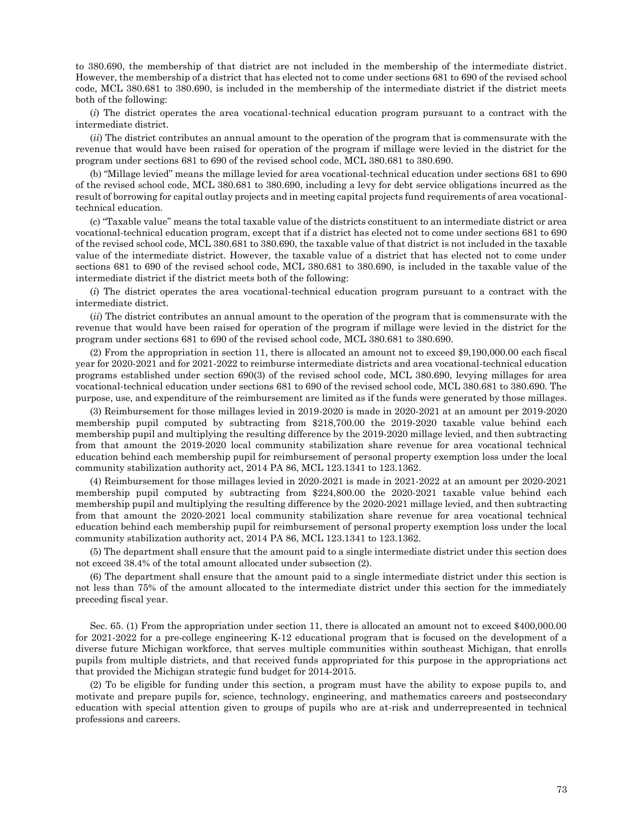to 380.690, the membership of that district are not included in the membership of the intermediate district. However, the membership of a district that has elected not to come under sections 681 to 690 of the revised school code, MCL 380.681 to 380.690, is included in the membership of the intermediate district if the district meets both of the following:

(*i*) The district operates the area vocational-technical education program pursuant to a contract with the intermediate district.

(*ii*) The district contributes an annual amount to the operation of the program that is commensurate with the revenue that would have been raised for operation of the program if millage were levied in the district for the program under sections 681 to 690 of the revised school code, MCL 380.681 to 380.690.

(b) "Millage levied" means the millage levied for area vocational-technical education under sections 681 to 690 of the revised school code, MCL 380.681 to 380.690, including a levy for debt service obligations incurred as the result of borrowing for capital outlay projects and in meeting capital projects fund requirements of area vocationaltechnical education.

(c) "Taxable value" means the total taxable value of the districts constituent to an intermediate district or area vocational-technical education program, except that if a district has elected not to come under sections 681 to 690 of the revised school code, MCL 380.681 to 380.690, the taxable value of that district is not included in the taxable value of the intermediate district. However, the taxable value of a district that has elected not to come under sections 681 to 690 of the revised school code, MCL 380.681 to 380.690, is included in the taxable value of the intermediate district if the district meets both of the following:

(*i*) The district operates the area vocational-technical education program pursuant to a contract with the intermediate district.

(*ii*) The district contributes an annual amount to the operation of the program that is commensurate with the revenue that would have been raised for operation of the program if millage were levied in the district for the program under sections 681 to 690 of the revised school code, MCL 380.681 to 380.690.

(2) From the appropriation in section 11, there is allocated an amount not to exceed \$9,190,000.00 each fiscal year for 2020-2021 and for 2021-2022 to reimburse intermediate districts and area vocational-technical education programs established under section 690(3) of the revised school code, MCL 380.690, levying millages for area vocational-technical education under sections 681 to 690 of the revised school code, MCL 380.681 to 380.690. The purpose, use, and expenditure of the reimbursement are limited as if the funds were generated by those millages.

(3) Reimbursement for those millages levied in 2019-2020 is made in 2020-2021 at an amount per 2019-2020 membership pupil computed by subtracting from \$218,700.00 the 2019-2020 taxable value behind each membership pupil and multiplying the resulting difference by the 2019-2020 millage levied, and then subtracting from that amount the 2019-2020 local community stabilization share revenue for area vocational technical education behind each membership pupil for reimbursement of personal property exemption loss under the local community stabilization authority act, 2014 PA 86, MCL 123.1341 to 123.1362.

(4) Reimbursement for those millages levied in 2020-2021 is made in 2021-2022 at an amount per 2020-2021 membership pupil computed by subtracting from \$224,800.00 the 2020-2021 taxable value behind each membership pupil and multiplying the resulting difference by the 2020-2021 millage levied, and then subtracting from that amount the 2020-2021 local community stabilization share revenue for area vocational technical education behind each membership pupil for reimbursement of personal property exemption loss under the local community stabilization authority act, 2014 PA 86, MCL 123.1341 to 123.1362.

(5) The department shall ensure that the amount paid to a single intermediate district under this section does not exceed 38.4% of the total amount allocated under subsection (2).

(6) The department shall ensure that the amount paid to a single intermediate district under this section is not less than 75% of the amount allocated to the intermediate district under this section for the immediately preceding fiscal year.

Sec. 65. (1) From the appropriation under section 11, there is allocated an amount not to exceed \$400,000.00 for 2021-2022 for a pre-college engineering K-12 educational program that is focused on the development of a diverse future Michigan workforce, that serves multiple communities within southeast Michigan, that enrolls pupils from multiple districts, and that received funds appropriated for this purpose in the appropriations act that provided the Michigan strategic fund budget for 2014-2015.

(2) To be eligible for funding under this section, a program must have the ability to expose pupils to, and motivate and prepare pupils for, science, technology, engineering, and mathematics careers and postsecondary education with special attention given to groups of pupils who are at-risk and underrepresented in technical professions and careers.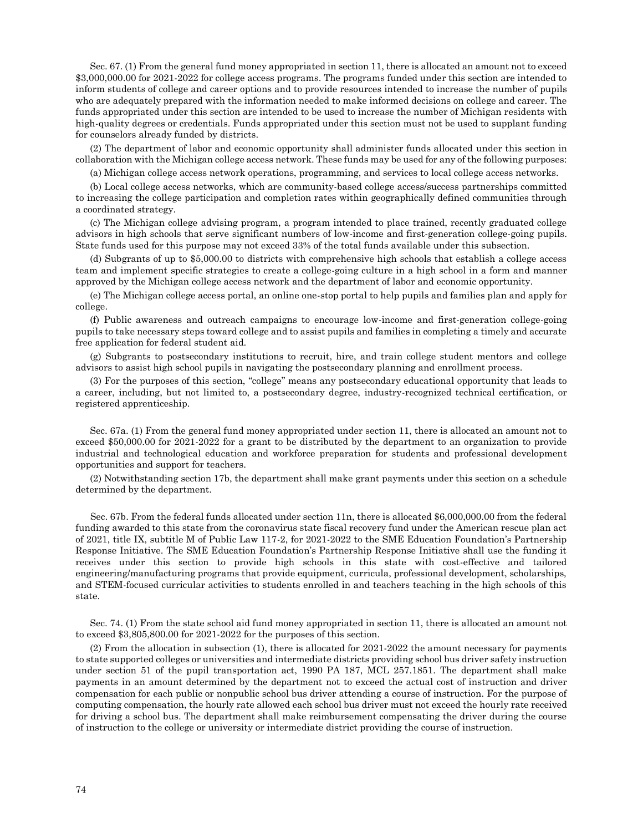Sec. 67. (1) From the general fund money appropriated in section 11, there is allocated an amount not to exceed \$3,000,000.00 for 2021-2022 for college access programs. The programs funded under this section are intended to inform students of college and career options and to provide resources intended to increase the number of pupils who are adequately prepared with the information needed to make informed decisions on college and career. The funds appropriated under this section are intended to be used to increase the number of Michigan residents with high-quality degrees or credentials. Funds appropriated under this section must not be used to supplant funding for counselors already funded by districts.

(2) The department of labor and economic opportunity shall administer funds allocated under this section in collaboration with the Michigan college access network. These funds may be used for any of the following purposes:

(a) Michigan college access network operations, programming, and services to local college access networks.

(b) Local college access networks, which are community-based college access/success partnerships committed to increasing the college participation and completion rates within geographically defined communities through a coordinated strategy.

(c) The Michigan college advising program, a program intended to place trained, recently graduated college advisors in high schools that serve significant numbers of low-income and first-generation college-going pupils. State funds used for this purpose may not exceed 33% of the total funds available under this subsection.

(d) Subgrants of up to \$5,000.00 to districts with comprehensive high schools that establish a college access team and implement specific strategies to create a college-going culture in a high school in a form and manner approved by the Michigan college access network and the department of labor and economic opportunity.

(e) The Michigan college access portal, an online one-stop portal to help pupils and families plan and apply for college.

(f) Public awareness and outreach campaigns to encourage low-income and first-generation college-going pupils to take necessary steps toward college and to assist pupils and families in completing a timely and accurate free application for federal student aid.

(g) Subgrants to postsecondary institutions to recruit, hire, and train college student mentors and college advisors to assist high school pupils in navigating the postsecondary planning and enrollment process.

(3) For the purposes of this section, "college" means any postsecondary educational opportunity that leads to a career, including, but not limited to, a postsecondary degree, industry-recognized technical certification, or registered apprenticeship.

Sec. 67a. (1) From the general fund money appropriated under section 11, there is allocated an amount not to exceed \$50,000.00 for 2021-2022 for a grant to be distributed by the department to an organization to provide industrial and technological education and workforce preparation for students and professional development opportunities and support for teachers.

(2) Notwithstanding section 17b, the department shall make grant payments under this section on a schedule determined by the department.

Sec. 67b. From the federal funds allocated under section 11n, there is allocated \$6,000,000.00 from the federal funding awarded to this state from the coronavirus state fiscal recovery fund under the American rescue plan act of 2021, title IX, subtitle M of Public Law 117-2, for 2021-2022 to the SME Education Foundation's Partnership Response Initiative. The SME Education Foundation's Partnership Response Initiative shall use the funding it receives under this section to provide high schools in this state with cost-effective and tailored engineering/manufacturing programs that provide equipment, curricula, professional development, scholarships, and STEM-focused curricular activities to students enrolled in and teachers teaching in the high schools of this state.

Sec. 74. (1) From the state school aid fund money appropriated in section 11, there is allocated an amount not to exceed \$3,805,800.00 for 2021-2022 for the purposes of this section.

(2) From the allocation in subsection (1), there is allocated for 2021-2022 the amount necessary for payments to state supported colleges or universities and intermediate districts providing school bus driver safety instruction under section 51 of the pupil transportation act, 1990 PA 187, MCL 257.1851. The department shall make payments in an amount determined by the department not to exceed the actual cost of instruction and driver compensation for each public or nonpublic school bus driver attending a course of instruction. For the purpose of computing compensation, the hourly rate allowed each school bus driver must not exceed the hourly rate received for driving a school bus. The department shall make reimbursement compensating the driver during the course of instruction to the college or university or intermediate district providing the course of instruction.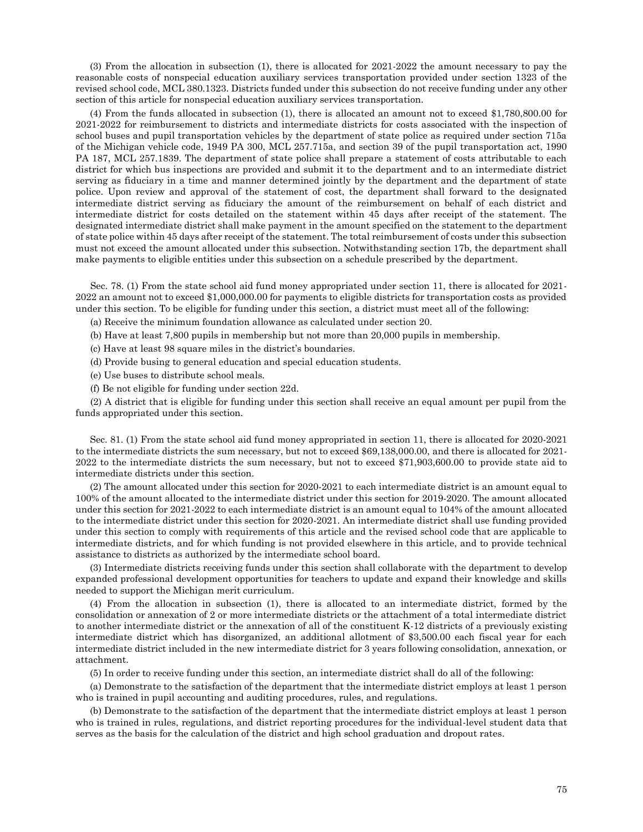(3) From the allocation in subsection (1), there is allocated for 2021-2022 the amount necessary to pay the reasonable costs of nonspecial education auxiliary services transportation provided under section 1323 of the revised school code, MCL 380.1323. Districts funded under this subsection do not receive funding under any other section of this article for nonspecial education auxiliary services transportation.

(4) From the funds allocated in subsection (1), there is allocated an amount not to exceed \$1,780,800.00 for 2021-2022 for reimbursement to districts and intermediate districts for costs associated with the inspection of school buses and pupil transportation vehicles by the department of state police as required under section 715a of the Michigan vehicle code, 1949 PA 300, MCL 257.715a, and section 39 of the pupil transportation act, 1990 PA 187, MCL 257.1839. The department of state police shall prepare a statement of costs attributable to each district for which bus inspections are provided and submit it to the department and to an intermediate district serving as fiduciary in a time and manner determined jointly by the department and the department of state police. Upon review and approval of the statement of cost, the department shall forward to the designated intermediate district serving as fiduciary the amount of the reimbursement on behalf of each district and intermediate district for costs detailed on the statement within 45 days after receipt of the statement. The designated intermediate district shall make payment in the amount specified on the statement to the department of state police within 45 days after receipt of the statement. The total reimbursement of costs under this subsection must not exceed the amount allocated under this subsection. Notwithstanding section 17b, the department shall make payments to eligible entities under this subsection on a schedule prescribed by the department.

Sec. 78. (1) From the state school aid fund money appropriated under section 11, there is allocated for 2021- 2022 an amount not to exceed \$1,000,000.00 for payments to eligible districts for transportation costs as provided under this section. To be eligible for funding under this section, a district must meet all of the following:

(a) Receive the minimum foundation allowance as calculated under section 20.

(b) Have at least 7,800 pupils in membership but not more than 20,000 pupils in membership.

(c) Have at least 98 square miles in the district's boundaries.

(d) Provide busing to general education and special education students.

(e) Use buses to distribute school meals.

(f) Be not eligible for funding under section 22d.

(2) A district that is eligible for funding under this section shall receive an equal amount per pupil from the funds appropriated under this section.

Sec. 81. (1) From the state school aid fund money appropriated in section 11, there is allocated for 2020-2021 to the intermediate districts the sum necessary, but not to exceed \$69,138,000.00, and there is allocated for 2021- 2022 to the intermediate districts the sum necessary, but not to exceed \$71,903,600.00 to provide state aid to intermediate districts under this section.

(2) The amount allocated under this section for 2020-2021 to each intermediate district is an amount equal to 100% of the amount allocated to the intermediate district under this section for 2019-2020. The amount allocated under this section for 2021-2022 to each intermediate district is an amount equal to 104% of the amount allocated to the intermediate district under this section for 2020-2021. An intermediate district shall use funding provided under this section to comply with requirements of this article and the revised school code that are applicable to intermediate districts, and for which funding is not provided elsewhere in this article, and to provide technical assistance to districts as authorized by the intermediate school board.

(3) Intermediate districts receiving funds under this section shall collaborate with the department to develop expanded professional development opportunities for teachers to update and expand their knowledge and skills needed to support the Michigan merit curriculum.

(4) From the allocation in subsection (1), there is allocated to an intermediate district, formed by the consolidation or annexation of 2 or more intermediate districts or the attachment of a total intermediate district to another intermediate district or the annexation of all of the constituent K-12 districts of a previously existing intermediate district which has disorganized, an additional allotment of \$3,500.00 each fiscal year for each intermediate district included in the new intermediate district for 3 years following consolidation, annexation, or attachment.

(5) In order to receive funding under this section, an intermediate district shall do all of the following:

(a) Demonstrate to the satisfaction of the department that the intermediate district employs at least 1 person who is trained in pupil accounting and auditing procedures, rules, and regulations.

(b) Demonstrate to the satisfaction of the department that the intermediate district employs at least 1 person who is trained in rules, regulations, and district reporting procedures for the individual-level student data that serves as the basis for the calculation of the district and high school graduation and dropout rates.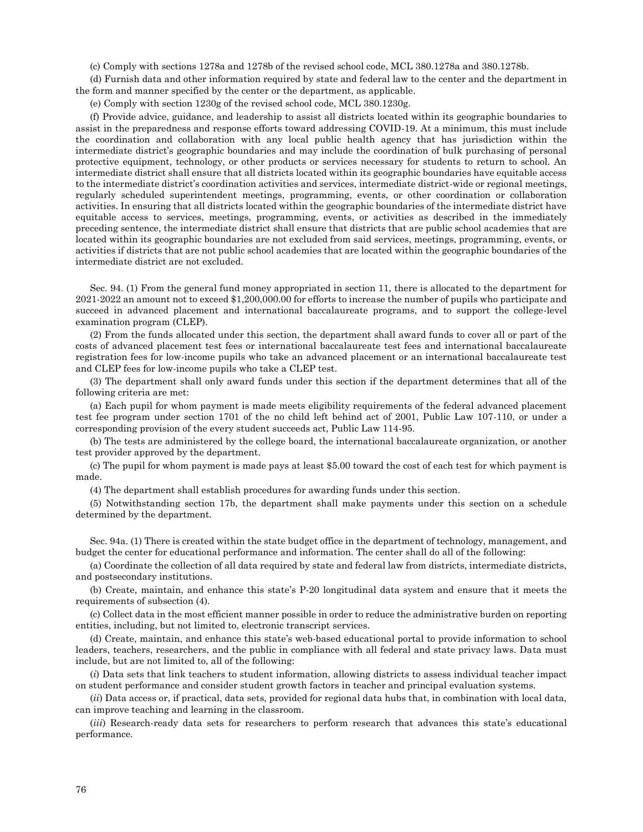(c) Comply with sections 1278a and 1278b of the revised school code, MCL 380.1278a and 380.1278b.

(d) Furnish data and other information required by state and federal law to the center and the department in the form and manner specified by the center or the department, as applicable.

(e) Comply with section 1230g of the revised school code, MCL 380.1230g.

(f) Provide advice, guidance, and leadership to assist all districts located within its geographic boundaries to assist in the preparedness and response efforts toward addressing COVID-19. At a minimum, this must include the coordination and collaboration with any local public health agency that has jurisdiction within the intermediate district's geographic boundaries and may include the coordination of bulk purchasing of personal protective equipment, technology, or other products or services necessary for students to return to school. An intermediate district shall ensure that all districts located within its geographic boundaries have equitable access to the intermediate district's coordination activities and services, intermediate district-wide or regional meetings, regularly scheduled superintendent meetings, programming, events, or other coordination or collaboration activities. In ensuring that all districts located within the geographic boundaries of the intermediate district have equitable access to services, meetings, programming, events, or activities as described in the immediately preceding sentence, the intermediate district shall ensure that districts that are public school academies that are located within its geographic boundaries are not excluded from said services, meetings, programming, events, or activities if districts that are not public school academies that are located within the geographic boundaries of the intermediate district are not excluded.

Sec. 94. (1) From the general fund money appropriated in section 11, there is allocated to the department for 2021-2022 an amount not to exceed \$1,200,000.00 for efforts to increase the number of pupils who participate and succeed in advanced placement and international baccalaureate programs, and to support the college-level examination program (CLEP).

(2) From the funds allocated under this section, the department shall award funds to cover all or part of the costs of advanced placement test fees or international baccalaureate test fees and international baccalaureate registration fees for low-income pupils who take an advanced placement or an international baccalaureate test and CLEP fees for low-income pupils who take a CLEP test.

(3) The department shall only award funds under this section if the department determines that all of the following criteria are met:

(a) Each pupil for whom payment is made meets eligibility requirements of the federal advanced placement test fee program under section 1701 of the no child left behind act of 2001, Public Law 107-110, or under a corresponding provision of the every student succeeds act, Public Law 114-95.

(b) The tests are administered by the college board, the international baccalaureate organization, or another test provider approved by the department.

(c) The pupil for whom payment is made pays at least \$5.00 toward the cost of each test for which payment is made.

(4) The department shall establish procedures for awarding funds under this section.

(5) Notwithstanding section 17b, the department shall make payments under this section on a schedule determined by the department.

Sec. 94a. (1) There is created within the state budget office in the department of technology, management, and budget the center for educational performance and information. The center shall do all of the following:

(a) Coordinate the collection of all data required by state and federal law from districts, intermediate districts, and postsecondary institutions.

(b) Create, maintain, and enhance this state's P-20 longitudinal data system and ensure that it meets the requirements of subsection (4).

(c) Collect data in the most efficient manner possible in order to reduce the administrative burden on reporting entities, including, but not limited to, electronic transcript services.

(d) Create, maintain, and enhance this state's web-based educational portal to provide information to school leaders, teachers, researchers, and the public in compliance with all federal and state privacy laws. Data must include, but are not limited to, all of the following:

(*i*) Data sets that link teachers to student information, allowing districts to assess individual teacher impact on student performance and consider student growth factors in teacher and principal evaluation systems.

(*ii*) Data access or, if practical, data sets, provided for regional data hubs that, in combination with local data, can improve teaching and learning in the classroom.

(*iii*) Research-ready data sets for researchers to perform research that advances this state's educational performance.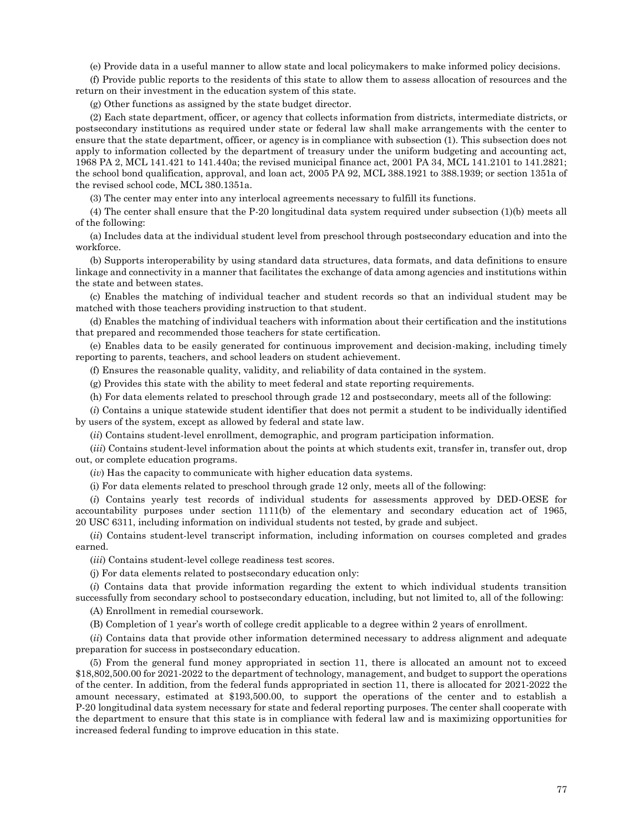(e) Provide data in a useful manner to allow state and local policymakers to make informed policy decisions.

(f) Provide public reports to the residents of this state to allow them to assess allocation of resources and the return on their investment in the education system of this state.

(g) Other functions as assigned by the state budget director.

(2) Each state department, officer, or agency that collects information from districts, intermediate districts, or postsecondary institutions as required under state or federal law shall make arrangements with the center to ensure that the state department, officer, or agency is in compliance with subsection (1). This subsection does not apply to information collected by the department of treasury under the uniform budgeting and accounting act, 1968 PA 2, MCL 141.421 to 141.440a; the revised municipal finance act, 2001 PA 34, MCL 141.2101 to 141.2821; the school bond qualification, approval, and loan act, 2005 PA 92, MCL 388.1921 to 388.1939; or section 1351a of the revised school code, MCL 380.1351a.

(3) The center may enter into any interlocal agreements necessary to fulfill its functions.

(4) The center shall ensure that the P-20 longitudinal data system required under subsection (1)(b) meets all of the following:

(a) Includes data at the individual student level from preschool through postsecondary education and into the workforce.

(b) Supports interoperability by using standard data structures, data formats, and data definitions to ensure linkage and connectivity in a manner that facilitates the exchange of data among agencies and institutions within the state and between states.

(c) Enables the matching of individual teacher and student records so that an individual student may be matched with those teachers providing instruction to that student.

(d) Enables the matching of individual teachers with information about their certification and the institutions that prepared and recommended those teachers for state certification.

(e) Enables data to be easily generated for continuous improvement and decision-making, including timely reporting to parents, teachers, and school leaders on student achievement.

(f) Ensures the reasonable quality, validity, and reliability of data contained in the system.

(g) Provides this state with the ability to meet federal and state reporting requirements.

(h) For data elements related to preschool through grade 12 and postsecondary, meets all of the following:

(*i*) Contains a unique statewide student identifier that does not permit a student to be individually identified by users of the system, except as allowed by federal and state law.

(*ii*) Contains student-level enrollment, demographic, and program participation information.

(*iii*) Contains student-level information about the points at which students exit, transfer in, transfer out, drop out, or complete education programs.

(*iv*) Has the capacity to communicate with higher education data systems.

(i) For data elements related to preschool through grade 12 only, meets all of the following:

(*i*) Contains yearly test records of individual students for assessments approved by DED-OESE for accountability purposes under section 1111(b) of the elementary and secondary education act of 1965, 20 USC 6311, including information on individual students not tested, by grade and subject.

(*ii*) Contains student-level transcript information, including information on courses completed and grades earned.

(*iii*) Contains student-level college readiness test scores.

(j) For data elements related to postsecondary education only:

(*i*) Contains data that provide information regarding the extent to which individual students transition successfully from secondary school to postsecondary education, including, but not limited to, all of the following:

(A) Enrollment in remedial coursework.

(B) Completion of 1 year's worth of college credit applicable to a degree within 2 years of enrollment.

(*ii*) Contains data that provide other information determined necessary to address alignment and adequate preparation for success in postsecondary education.

(5) From the general fund money appropriated in section 11, there is allocated an amount not to exceed \$18,802,500.00 for 2021-2022 to the department of technology, management, and budget to support the operations of the center. In addition, from the federal funds appropriated in section 11, there is allocated for 2021-2022 the amount necessary, estimated at \$193,500.00, to support the operations of the center and to establish a P-20 longitudinal data system necessary for state and federal reporting purposes. The center shall cooperate with the department to ensure that this state is in compliance with federal law and is maximizing opportunities for increased federal funding to improve education in this state.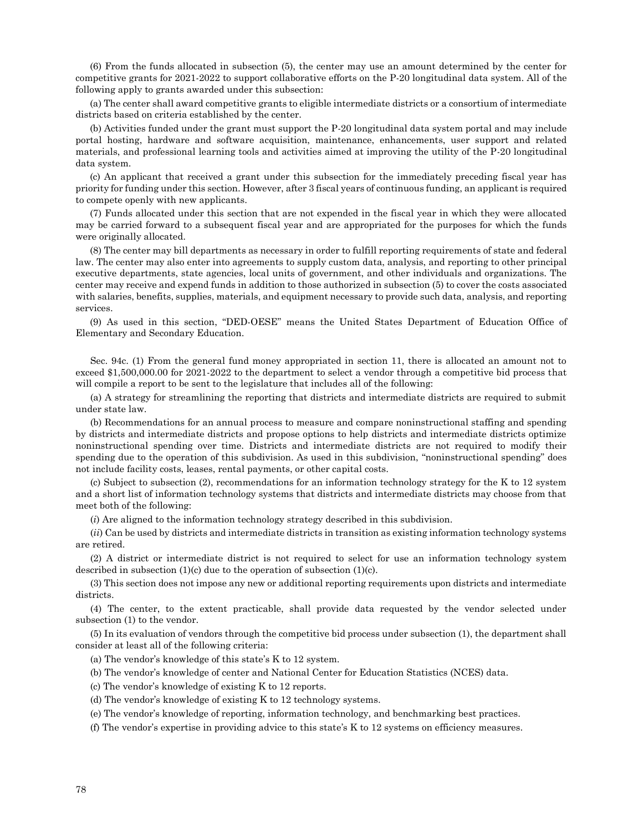(6) From the funds allocated in subsection (5), the center may use an amount determined by the center for competitive grants for 2021-2022 to support collaborative efforts on the P-20 longitudinal data system. All of the following apply to grants awarded under this subsection:

(a) The center shall award competitive grants to eligible intermediate districts or a consortium of intermediate districts based on criteria established by the center.

(b) Activities funded under the grant must support the P-20 longitudinal data system portal and may include portal hosting, hardware and software acquisition, maintenance, enhancements, user support and related materials, and professional learning tools and activities aimed at improving the utility of the P-20 longitudinal data system.

(c) An applicant that received a grant under this subsection for the immediately preceding fiscal year has priority for funding under this section. However, after 3 fiscal years of continuous funding, an applicant is required to compete openly with new applicants.

(7) Funds allocated under this section that are not expended in the fiscal year in which they were allocated may be carried forward to a subsequent fiscal year and are appropriated for the purposes for which the funds were originally allocated.

(8) The center may bill departments as necessary in order to fulfill reporting requirements of state and federal law. The center may also enter into agreements to supply custom data, analysis, and reporting to other principal executive departments, state agencies, local units of government, and other individuals and organizations. The center may receive and expend funds in addition to those authorized in subsection (5) to cover the costs associated with salaries, benefits, supplies, materials, and equipment necessary to provide such data, analysis, and reporting services.

(9) As used in this section, "DED-OESE" means the United States Department of Education Office of Elementary and Secondary Education.

Sec. 94c. (1) From the general fund money appropriated in section 11, there is allocated an amount not to exceed \$1,500,000.00 for 2021-2022 to the department to select a vendor through a competitive bid process that will compile a report to be sent to the legislature that includes all of the following:

(a) A strategy for streamlining the reporting that districts and intermediate districts are required to submit under state law.

(b) Recommendations for an annual process to measure and compare noninstructional staffing and spending by districts and intermediate districts and propose options to help districts and intermediate districts optimize noninstructional spending over time. Districts and intermediate districts are not required to modify their spending due to the operation of this subdivision. As used in this subdivision, "noninstructional spending" does not include facility costs, leases, rental payments, or other capital costs.

(c) Subject to subsection (2), recommendations for an information technology strategy for the K to 12 system and a short list of information technology systems that districts and intermediate districts may choose from that meet both of the following:

(*i*) Are aligned to the information technology strategy described in this subdivision.

(*ii*) Can be used by districts and intermediate districts in transition as existing information technology systems are retired.

(2) A district or intermediate district is not required to select for use an information technology system described in subsection (1)(c) due to the operation of subsection (1)(c).

(3) This section does not impose any new or additional reporting requirements upon districts and intermediate districts.

(4) The center, to the extent practicable, shall provide data requested by the vendor selected under subsection (1) to the vendor.

(5) In its evaluation of vendors through the competitive bid process under subsection (1), the department shall consider at least all of the following criteria:

(a) The vendor's knowledge of this state's K to 12 system.

(b) The vendor's knowledge of center and National Center for Education Statistics (NCES) data.

(c) The vendor's knowledge of existing K to 12 reports.

(d) The vendor's knowledge of existing K to 12 technology systems.

(e) The vendor's knowledge of reporting, information technology, and benchmarking best practices.

(f) The vendor's expertise in providing advice to this state's K to 12 systems on efficiency measures.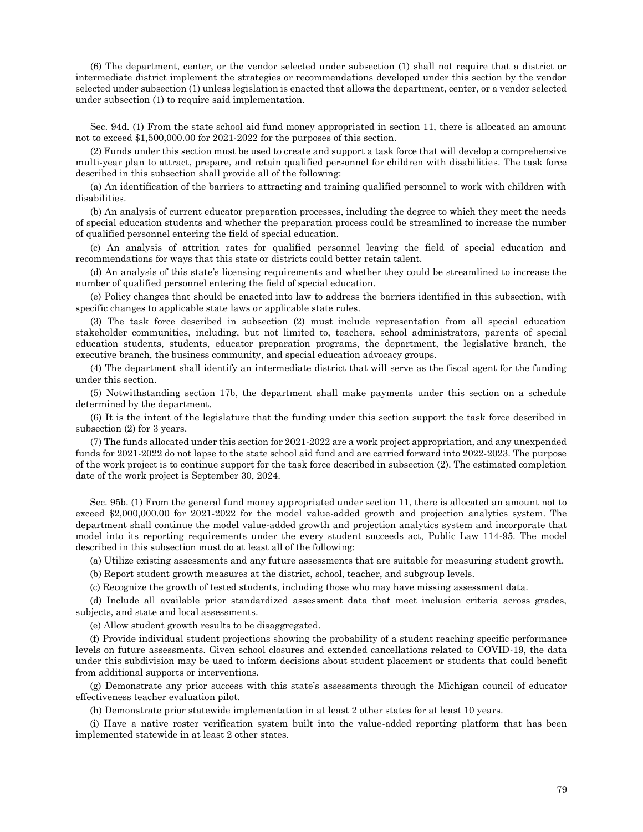(6) The department, center, or the vendor selected under subsection (1) shall not require that a district or intermediate district implement the strategies or recommendations developed under this section by the vendor selected under subsection (1) unless legislation is enacted that allows the department, center, or a vendor selected under subsection (1) to require said implementation.

Sec. 94d. (1) From the state school aid fund money appropriated in section 11, there is allocated an amount not to exceed \$1,500,000.00 for 2021-2022 for the purposes of this section.

(2) Funds under this section must be used to create and support a task force that will develop a comprehensive multi-year plan to attract, prepare, and retain qualified personnel for children with disabilities. The task force described in this subsection shall provide all of the following:

(a) An identification of the barriers to attracting and training qualified personnel to work with children with disabilities.

(b) An analysis of current educator preparation processes, including the degree to which they meet the needs of special education students and whether the preparation process could be streamlined to increase the number of qualified personnel entering the field of special education.

(c) An analysis of attrition rates for qualified personnel leaving the field of special education and recommendations for ways that this state or districts could better retain talent.

(d) An analysis of this state's licensing requirements and whether they could be streamlined to increase the number of qualified personnel entering the field of special education.

(e) Policy changes that should be enacted into law to address the barriers identified in this subsection, with specific changes to applicable state laws or applicable state rules.

(3) The task force described in subsection (2) must include representation from all special education stakeholder communities, including, but not limited to, teachers, school administrators, parents of special education students, students, educator preparation programs, the department, the legislative branch, the executive branch, the business community, and special education advocacy groups.

(4) The department shall identify an intermediate district that will serve as the fiscal agent for the funding under this section.

(5) Notwithstanding section 17b, the department shall make payments under this section on a schedule determined by the department.

(6) It is the intent of the legislature that the funding under this section support the task force described in subsection (2) for 3 years.

(7) The funds allocated under this section for 2021-2022 are a work project appropriation, and any unexpended funds for 2021-2022 do not lapse to the state school aid fund and are carried forward into 2022-2023. The purpose of the work project is to continue support for the task force described in subsection (2). The estimated completion date of the work project is September 30, 2024.

Sec. 95b. (1) From the general fund money appropriated under section 11, there is allocated an amount not to exceed \$2,000,000.00 for 2021-2022 for the model value-added growth and projection analytics system. The department shall continue the model value-added growth and projection analytics system and incorporate that model into its reporting requirements under the every student succeeds act, Public Law 114-95. The model described in this subsection must do at least all of the following:

(a) Utilize existing assessments and any future assessments that are suitable for measuring student growth.

(b) Report student growth measures at the district, school, teacher, and subgroup levels.

(c) Recognize the growth of tested students, including those who may have missing assessment data.

(d) Include all available prior standardized assessment data that meet inclusion criteria across grades, subjects, and state and local assessments.

(e) Allow student growth results to be disaggregated.

(f) Provide individual student projections showing the probability of a student reaching specific performance levels on future assessments. Given school closures and extended cancellations related to COVID-19, the data under this subdivision may be used to inform decisions about student placement or students that could benefit from additional supports or interventions.

(g) Demonstrate any prior success with this state's assessments through the Michigan council of educator effectiveness teacher evaluation pilot.

(h) Demonstrate prior statewide implementation in at least 2 other states for at least 10 years.

(i) Have a native roster verification system built into the value-added reporting platform that has been implemented statewide in at least 2 other states.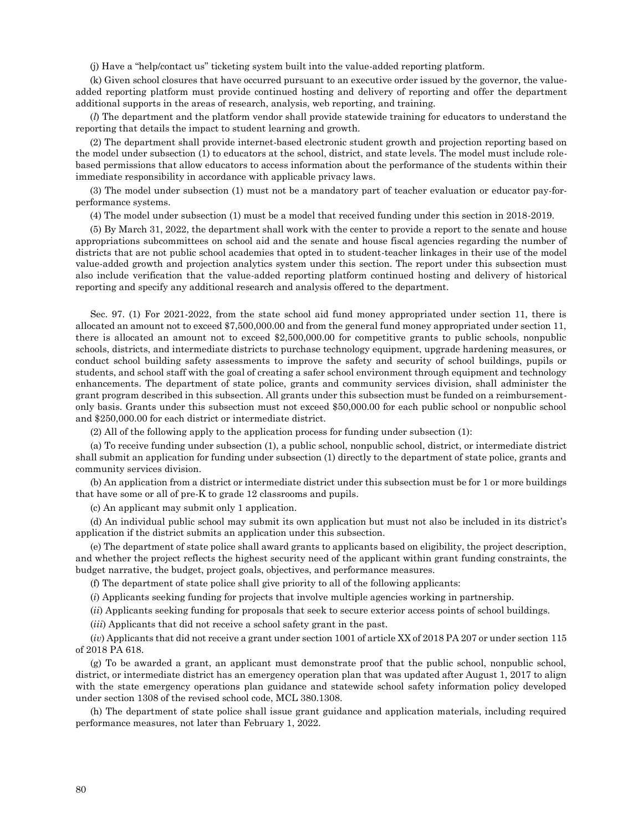(j) Have a "help/contact us" ticketing system built into the value-added reporting platform.

(k) Given school closures that have occurred pursuant to an executive order issued by the governor, the valueadded reporting platform must provide continued hosting and delivery of reporting and offer the department additional supports in the areas of research, analysis, web reporting, and training.

(*l*) The department and the platform vendor shall provide statewide training for educators to understand the reporting that details the impact to student learning and growth.

(2) The department shall provide internet-based electronic student growth and projection reporting based on the model under subsection (1) to educators at the school, district, and state levels. The model must include rolebased permissions that allow educators to access information about the performance of the students within their immediate responsibility in accordance with applicable privacy laws.

(3) The model under subsection (1) must not be a mandatory part of teacher evaluation or educator pay-forperformance systems.

(4) The model under subsection (1) must be a model that received funding under this section in 2018-2019.

(5) By March 31, 2022, the department shall work with the center to provide a report to the senate and house appropriations subcommittees on school aid and the senate and house fiscal agencies regarding the number of districts that are not public school academies that opted in to student-teacher linkages in their use of the model value-added growth and projection analytics system under this section. The report under this subsection must also include verification that the value-added reporting platform continued hosting and delivery of historical reporting and specify any additional research and analysis offered to the department.

Sec. 97. (1) For 2021-2022, from the state school aid fund money appropriated under section 11, there is allocated an amount not to exceed \$7,500,000.00 and from the general fund money appropriated under section 11, there is allocated an amount not to exceed \$2,500,000.00 for competitive grants to public schools, nonpublic schools, districts, and intermediate districts to purchase technology equipment, upgrade hardening measures, or conduct school building safety assessments to improve the safety and security of school buildings, pupils or students, and school staff with the goal of creating a safer school environment through equipment and technology enhancements. The department of state police, grants and community services division, shall administer the grant program described in this subsection. All grants under this subsection must be funded on a reimbursementonly basis. Grants under this subsection must not exceed \$50,000.00 for each public school or nonpublic school and \$250,000.00 for each district or intermediate district.

(2) All of the following apply to the application process for funding under subsection (1):

(a) To receive funding under subsection (1), a public school, nonpublic school, district, or intermediate district shall submit an application for funding under subsection (1) directly to the department of state police, grants and community services division.

(b) An application from a district or intermediate district under this subsection must be for 1 or more buildings that have some or all of pre-K to grade 12 classrooms and pupils.

(c) An applicant may submit only 1 application.

(d) An individual public school may submit its own application but must not also be included in its district's application if the district submits an application under this subsection.

(e) The department of state police shall award grants to applicants based on eligibility, the project description, and whether the project reflects the highest security need of the applicant within grant funding constraints, the budget narrative, the budget, project goals, objectives, and performance measures.

(f) The department of state police shall give priority to all of the following applicants:

(*i*) Applicants seeking funding for projects that involve multiple agencies working in partnership.

(*ii*) Applicants seeking funding for proposals that seek to secure exterior access points of school buildings.

(*iii*) Applicants that did not receive a school safety grant in the past.

(*iv*) Applicants that did not receive a grant under section 1001 of article XX of 2018 PA 207 or under section 115 of 2018 PA 618.

(g) To be awarded a grant, an applicant must demonstrate proof that the public school, nonpublic school, district, or intermediate district has an emergency operation plan that was updated after August 1, 2017 to align with the state emergency operations plan guidance and statewide school safety information policy developed under section 1308 of the revised school code, MCL 380.1308.

(h) The department of state police shall issue grant guidance and application materials, including required performance measures, not later than February 1, 2022.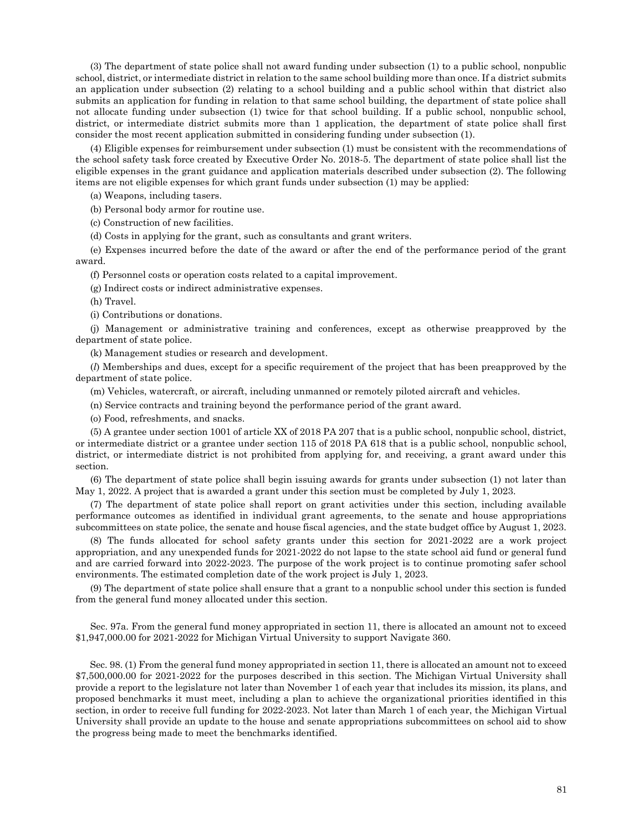(3) The department of state police shall not award funding under subsection (1) to a public school, nonpublic school, district, or intermediate district in relation to the same school building more than once. If a district submits an application under subsection (2) relating to a school building and a public school within that district also submits an application for funding in relation to that same school building, the department of state police shall not allocate funding under subsection (1) twice for that school building. If a public school, nonpublic school, district, or intermediate district submits more than 1 application, the department of state police shall first consider the most recent application submitted in considering funding under subsection (1).

(4) Eligible expenses for reimbursement under subsection (1) must be consistent with the recommendations of the school safety task force created by Executive Order No. 2018-5. The department of state police shall list the eligible expenses in the grant guidance and application materials described under subsection (2). The following items are not eligible expenses for which grant funds under subsection (1) may be applied:

(a) Weapons, including tasers.

(b) Personal body armor for routine use.

(c) Construction of new facilities.

(d) Costs in applying for the grant, such as consultants and grant writers.

(e) Expenses incurred before the date of the award or after the end of the performance period of the grant award.

(f) Personnel costs or operation costs related to a capital improvement.

(g) Indirect costs or indirect administrative expenses.

(h) Travel.

(i) Contributions or donations.

(j) Management or administrative training and conferences, except as otherwise preapproved by the department of state police.

(k) Management studies or research and development.

(*l*) Memberships and dues, except for a specific requirement of the project that has been preapproved by the department of state police.

(m) Vehicles, watercraft, or aircraft, including unmanned or remotely piloted aircraft and vehicles.

(n) Service contracts and training beyond the performance period of the grant award.

(o) Food, refreshments, and snacks.

(5) A grantee under section 1001 of article XX of 2018 PA 207 that is a public school, nonpublic school, district, or intermediate district or a grantee under section 115 of 2018 PA 618 that is a public school, nonpublic school, district, or intermediate district is not prohibited from applying for, and receiving, a grant award under this section.

(6) The department of state police shall begin issuing awards for grants under subsection (1) not later than May 1, 2022. A project that is awarded a grant under this section must be completed by July 1, 2023.

(7) The department of state police shall report on grant activities under this section, including available performance outcomes as identified in individual grant agreements, to the senate and house appropriations subcommittees on state police, the senate and house fiscal agencies, and the state budget office by August 1, 2023.

(8) The funds allocated for school safety grants under this section for 2021-2022 are a work project appropriation, and any unexpended funds for 2021-2022 do not lapse to the state school aid fund or general fund and are carried forward into 2022-2023. The purpose of the work project is to continue promoting safer school environments. The estimated completion date of the work project is July 1, 2023.

(9) The department of state police shall ensure that a grant to a nonpublic school under this section is funded from the general fund money allocated under this section.

Sec. 97a. From the general fund money appropriated in section 11, there is allocated an amount not to exceed \$1,947,000.00 for 2021-2022 for Michigan Virtual University to support Navigate 360.

Sec. 98. (1) From the general fund money appropriated in section 11, there is allocated an amount not to exceed \$7,500,000.00 for 2021-2022 for the purposes described in this section. The Michigan Virtual University shall provide a report to the legislature not later than November 1 of each year that includes its mission, its plans, and proposed benchmarks it must meet, including a plan to achieve the organizational priorities identified in this section, in order to receive full funding for 2022-2023. Not later than March 1 of each year, the Michigan Virtual University shall provide an update to the house and senate appropriations subcommittees on school aid to show the progress being made to meet the benchmarks identified.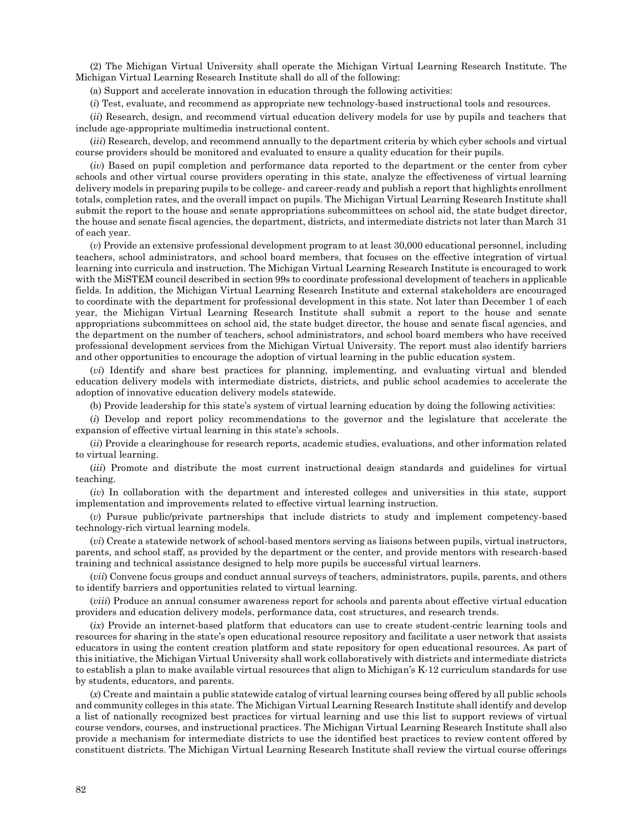(2) The Michigan Virtual University shall operate the Michigan Virtual Learning Research Institute. The Michigan Virtual Learning Research Institute shall do all of the following:

(a) Support and accelerate innovation in education through the following activities:

(*i*) Test, evaluate, and recommend as appropriate new technology-based instructional tools and resources.

(*ii*) Research, design, and recommend virtual education delivery models for use by pupils and teachers that include age-appropriate multimedia instructional content.

(*iii*) Research, develop, and recommend annually to the department criteria by which cyber schools and virtual course providers should be monitored and evaluated to ensure a quality education for their pupils.

(*iv*) Based on pupil completion and performance data reported to the department or the center from cyber schools and other virtual course providers operating in this state, analyze the effectiveness of virtual learning delivery models in preparing pupils to be college- and career-ready and publish a report that highlights enrollment totals, completion rates, and the overall impact on pupils. The Michigan Virtual Learning Research Institute shall submit the report to the house and senate appropriations subcommittees on school aid, the state budget director, the house and senate fiscal agencies, the department, districts, and intermediate districts not later than March 31 of each year.

(*v*) Provide an extensive professional development program to at least 30,000 educational personnel, including teachers, school administrators, and school board members, that focuses on the effective integration of virtual learning into curricula and instruction. The Michigan Virtual Learning Research Institute is encouraged to work with the MiSTEM council described in section 99s to coordinate professional development of teachers in applicable fields. In addition, the Michigan Virtual Learning Research Institute and external stakeholders are encouraged to coordinate with the department for professional development in this state. Not later than December 1 of each year, the Michigan Virtual Learning Research Institute shall submit a report to the house and senate appropriations subcommittees on school aid, the state budget director, the house and senate fiscal agencies, and the department on the number of teachers, school administrators, and school board members who have received professional development services from the Michigan Virtual University. The report must also identify barriers and other opportunities to encourage the adoption of virtual learning in the public education system.

(*vi*) Identify and share best practices for planning, implementing, and evaluating virtual and blended education delivery models with intermediate districts, districts, and public school academies to accelerate the adoption of innovative education delivery models statewide.

(b) Provide leadership for this state's system of virtual learning education by doing the following activities:

(*i*) Develop and report policy recommendations to the governor and the legislature that accelerate the expansion of effective virtual learning in this state's schools.

(*ii*) Provide a clearinghouse for research reports, academic studies, evaluations, and other information related to virtual learning.

(*iii*) Promote and distribute the most current instructional design standards and guidelines for virtual teaching.

(*iv*) In collaboration with the department and interested colleges and universities in this state, support implementation and improvements related to effective virtual learning instruction.

(*v*) Pursue public/private partnerships that include districts to study and implement competency-based technology-rich virtual learning models.

(*vi*) Create a statewide network of school-based mentors serving as liaisons between pupils, virtual instructors, parents, and school staff, as provided by the department or the center, and provide mentors with research-based training and technical assistance designed to help more pupils be successful virtual learners.

(*vii*) Convene focus groups and conduct annual surveys of teachers, administrators, pupils, parents, and others to identify barriers and opportunities related to virtual learning.

(*viii*) Produce an annual consumer awareness report for schools and parents about effective virtual education providers and education delivery models, performance data, cost structures, and research trends.

(*ix*) Provide an internet-based platform that educators can use to create student-centric learning tools and resources for sharing in the state's open educational resource repository and facilitate a user network that assists educators in using the content creation platform and state repository for open educational resources. As part of this initiative, the Michigan Virtual University shall work collaboratively with districts and intermediate districts to establish a plan to make available virtual resources that align to Michigan's K-12 curriculum standards for use by students, educators, and parents.

(*x*) Create and maintain a public statewide catalog of virtual learning courses being offered by all public schools and community colleges in this state. The Michigan Virtual Learning Research Institute shall identify and develop a list of nationally recognized best practices for virtual learning and use this list to support reviews of virtual course vendors, courses, and instructional practices. The Michigan Virtual Learning Research Institute shall also provide a mechanism for intermediate districts to use the identified best practices to review content offered by constituent districts. The Michigan Virtual Learning Research Institute shall review the virtual course offerings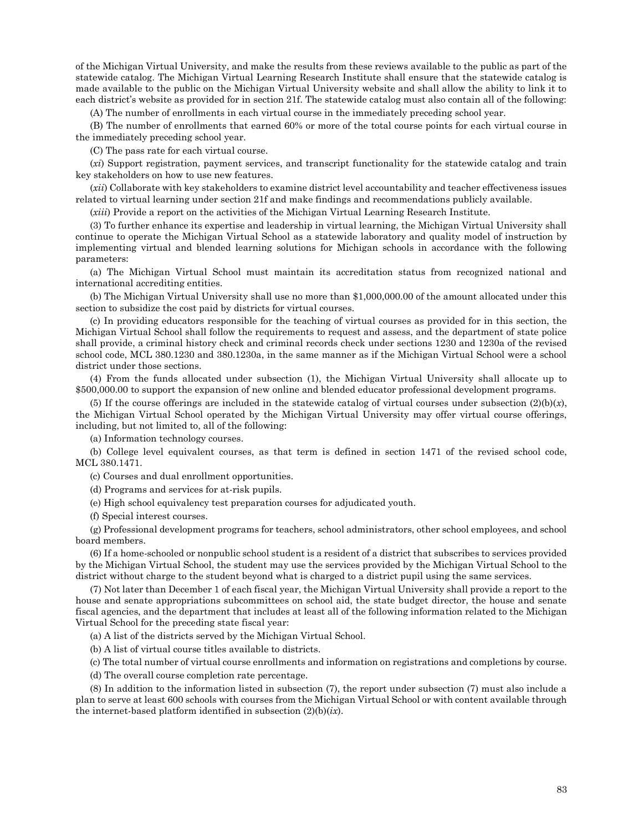of the Michigan Virtual University, and make the results from these reviews available to the public as part of the statewide catalog. The Michigan Virtual Learning Research Institute shall ensure that the statewide catalog is made available to the public on the Michigan Virtual University website and shall allow the ability to link it to each district's website as provided for in section 21f. The statewide catalog must also contain all of the following:

(A) The number of enrollments in each virtual course in the immediately preceding school year.

(B) The number of enrollments that earned 60% or more of the total course points for each virtual course in the immediately preceding school year.

(C) The pass rate for each virtual course.

(*xi*) Support registration, payment services, and transcript functionality for the statewide catalog and train key stakeholders on how to use new features.

(*xii*) Collaborate with key stakeholders to examine district level accountability and teacher effectiveness issues related to virtual learning under section 21f and make findings and recommendations publicly available.

(*xiii*) Provide a report on the activities of the Michigan Virtual Learning Research Institute.

(3) To further enhance its expertise and leadership in virtual learning, the Michigan Virtual University shall continue to operate the Michigan Virtual School as a statewide laboratory and quality model of instruction by implementing virtual and blended learning solutions for Michigan schools in accordance with the following parameters:

(a) The Michigan Virtual School must maintain its accreditation status from recognized national and international accrediting entities.

(b) The Michigan Virtual University shall use no more than \$1,000,000.00 of the amount allocated under this section to subsidize the cost paid by districts for virtual courses.

(c) In providing educators responsible for the teaching of virtual courses as provided for in this section, the Michigan Virtual School shall follow the requirements to request and assess, and the department of state police shall provide, a criminal history check and criminal records check under sections 1230 and 1230a of the revised school code, MCL 380.1230 and 380.1230a, in the same manner as if the Michigan Virtual School were a school district under those sections.

(4) From the funds allocated under subsection (1), the Michigan Virtual University shall allocate up to \$500,000.00 to support the expansion of new online and blended educator professional development programs.

(5) If the course offerings are included in the statewide catalog of virtual courses under subsection  $(2)(b)(x)$ , the Michigan Virtual School operated by the Michigan Virtual University may offer virtual course offerings, including, but not limited to, all of the following:

(a) Information technology courses.

(b) College level equivalent courses, as that term is defined in section 1471 of the revised school code, MCL 380.1471.

(c) Courses and dual enrollment opportunities.

(d) Programs and services for at-risk pupils.

(e) High school equivalency test preparation courses for adjudicated youth.

(f) Special interest courses.

(g) Professional development programs for teachers, school administrators, other school employees, and school board members.

(6) If a home-schooled or nonpublic school student is a resident of a district that subscribes to services provided by the Michigan Virtual School, the student may use the services provided by the Michigan Virtual School to the district without charge to the student beyond what is charged to a district pupil using the same services.

(7) Not later than December 1 of each fiscal year, the Michigan Virtual University shall provide a report to the house and senate appropriations subcommittees on school aid, the state budget director, the house and senate fiscal agencies, and the department that includes at least all of the following information related to the Michigan Virtual School for the preceding state fiscal year:

(a) A list of the districts served by the Michigan Virtual School.

(b) A list of virtual course titles available to districts.

(c) The total number of virtual course enrollments and information on registrations and completions by course.

(d) The overall course completion rate percentage.

(8) In addition to the information listed in subsection (7), the report under subsection (7) must also include a plan to serve at least 600 schools with courses from the Michigan Virtual School or with content available through the internet-based platform identified in subsection (2)(b)(*ix*).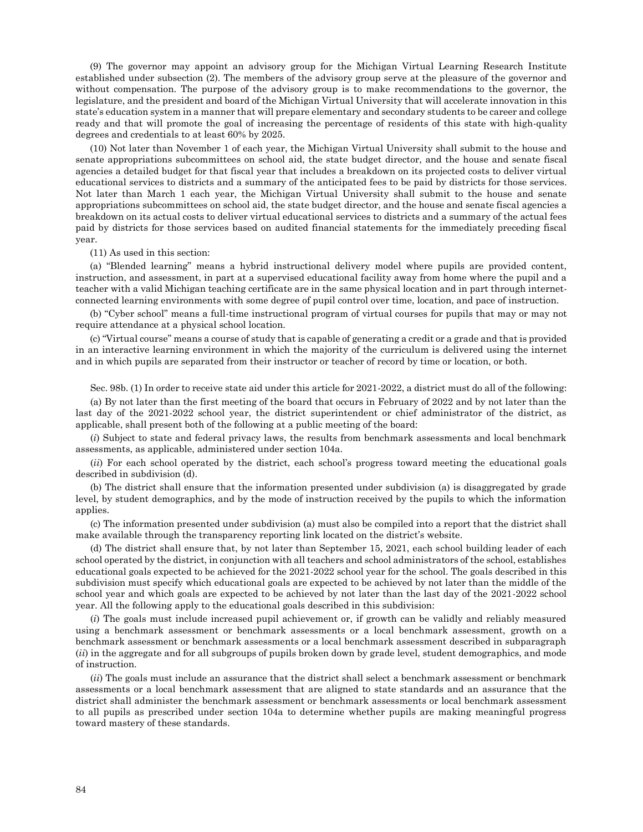(9) The governor may appoint an advisory group for the Michigan Virtual Learning Research Institute established under subsection (2). The members of the advisory group serve at the pleasure of the governor and without compensation. The purpose of the advisory group is to make recommendations to the governor, the legislature, and the president and board of the Michigan Virtual University that will accelerate innovation in this state's education system in a manner that will prepare elementary and secondary students to be career and college ready and that will promote the goal of increasing the percentage of residents of this state with high-quality degrees and credentials to at least 60% by 2025.

(10) Not later than November 1 of each year, the Michigan Virtual University shall submit to the house and senate appropriations subcommittees on school aid, the state budget director, and the house and senate fiscal agencies a detailed budget for that fiscal year that includes a breakdown on its projected costs to deliver virtual educational services to districts and a summary of the anticipated fees to be paid by districts for those services. Not later than March 1 each year, the Michigan Virtual University shall submit to the house and senate appropriations subcommittees on school aid, the state budget director, and the house and senate fiscal agencies a breakdown on its actual costs to deliver virtual educational services to districts and a summary of the actual fees paid by districts for those services based on audited financial statements for the immediately preceding fiscal year.

(11) As used in this section:

(a) "Blended learning" means a hybrid instructional delivery model where pupils are provided content, instruction, and assessment, in part at a supervised educational facility away from home where the pupil and a teacher with a valid Michigan teaching certificate are in the same physical location and in part through internetconnected learning environments with some degree of pupil control over time, location, and pace of instruction.

(b) "Cyber school" means a full-time instructional program of virtual courses for pupils that may or may not require attendance at a physical school location.

(c) "Virtual course" means a course of study that is capable of generating a credit or a grade and that is provided in an interactive learning environment in which the majority of the curriculum is delivered using the internet and in which pupils are separated from their instructor or teacher of record by time or location, or both.

Sec. 98b. (1) In order to receive state aid under this article for 2021-2022, a district must do all of the following:

(a) By not later than the first meeting of the board that occurs in February of 2022 and by not later than the last day of the 2021-2022 school year, the district superintendent or chief administrator of the district, as applicable, shall present both of the following at a public meeting of the board:

(*i*) Subject to state and federal privacy laws, the results from benchmark assessments and local benchmark assessments, as applicable, administered under section 104a.

(*ii*) For each school operated by the district, each school's progress toward meeting the educational goals described in subdivision (d).

(b) The district shall ensure that the information presented under subdivision (a) is disaggregated by grade level, by student demographics, and by the mode of instruction received by the pupils to which the information applies.

(c) The information presented under subdivision (a) must also be compiled into a report that the district shall make available through the transparency reporting link located on the district's website.

(d) The district shall ensure that, by not later than September 15, 2021, each school building leader of each school operated by the district, in conjunction with all teachers and school administrators of the school, establishes educational goals expected to be achieved for the 2021-2022 school year for the school. The goals described in this subdivision must specify which educational goals are expected to be achieved by not later than the middle of the school year and which goals are expected to be achieved by not later than the last day of the 2021-2022 school year. All the following apply to the educational goals described in this subdivision:

(*i*) The goals must include increased pupil achievement or, if growth can be validly and reliably measured using a benchmark assessment or benchmark assessments or a local benchmark assessment, growth on a benchmark assessment or benchmark assessments or a local benchmark assessment described in subparagraph (*ii*) in the aggregate and for all subgroups of pupils broken down by grade level, student demographics, and mode of instruction.

(*ii*) The goals must include an assurance that the district shall select a benchmark assessment or benchmark assessments or a local benchmark assessment that are aligned to state standards and an assurance that the district shall administer the benchmark assessment or benchmark assessments or local benchmark assessment to all pupils as prescribed under section 104a to determine whether pupils are making meaningful progress toward mastery of these standards.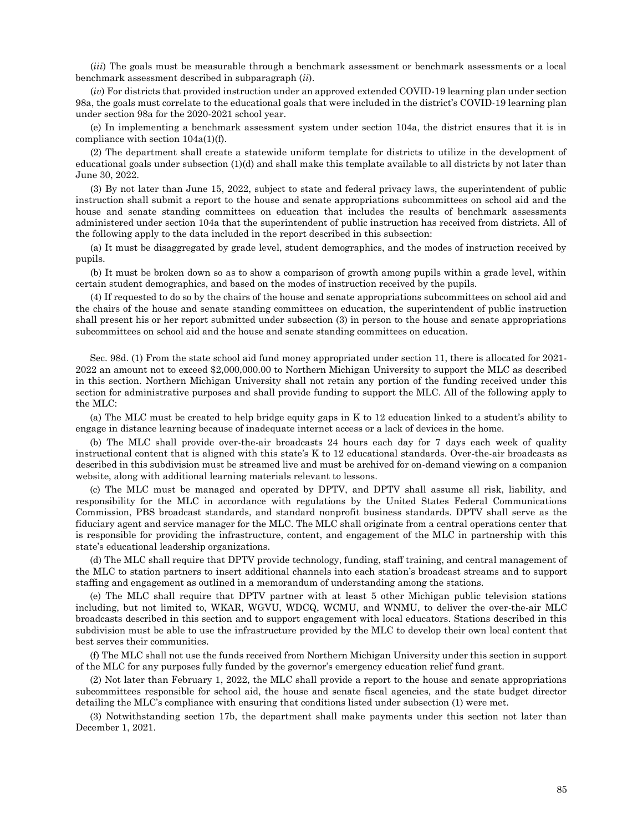(*iii*) The goals must be measurable through a benchmark assessment or benchmark assessments or a local benchmark assessment described in subparagraph (*ii*).

(*iv*) For districts that provided instruction under an approved extended COVID-19 learning plan under section 98a, the goals must correlate to the educational goals that were included in the district's COVID-19 learning plan under section 98a for the 2020-2021 school year.

(e) In implementing a benchmark assessment system under section 104a, the district ensures that it is in compliance with section 104a(1)(f).

(2) The department shall create a statewide uniform template for districts to utilize in the development of educational goals under subsection (1)(d) and shall make this template available to all districts by not later than June 30, 2022.

(3) By not later than June 15, 2022, subject to state and federal privacy laws, the superintendent of public instruction shall submit a report to the house and senate appropriations subcommittees on school aid and the house and senate standing committees on education that includes the results of benchmark assessments administered under section 104a that the superintendent of public instruction has received from districts. All of the following apply to the data included in the report described in this subsection:

(a) It must be disaggregated by grade level, student demographics, and the modes of instruction received by pupils.

(b) It must be broken down so as to show a comparison of growth among pupils within a grade level, within certain student demographics, and based on the modes of instruction received by the pupils.

(4) If requested to do so by the chairs of the house and senate appropriations subcommittees on school aid and the chairs of the house and senate standing committees on education, the superintendent of public instruction shall present his or her report submitted under subsection (3) in person to the house and senate appropriations subcommittees on school aid and the house and senate standing committees on education.

Sec. 98d. (1) From the state school aid fund money appropriated under section 11, there is allocated for 2021- 2022 an amount not to exceed \$2,000,000.00 to Northern Michigan University to support the MLC as described in this section. Northern Michigan University shall not retain any portion of the funding received under this section for administrative purposes and shall provide funding to support the MLC. All of the following apply to the MLC:

(a) The MLC must be created to help bridge equity gaps in K to 12 education linked to a student's ability to engage in distance learning because of inadequate internet access or a lack of devices in the home.

(b) The MLC shall provide over-the-air broadcasts 24 hours each day for 7 days each week of quality instructional content that is aligned with this state's K to 12 educational standards. Over-the-air broadcasts as described in this subdivision must be streamed live and must be archived for on-demand viewing on a companion website, along with additional learning materials relevant to lessons.

(c) The MLC must be managed and operated by DPTV, and DPTV shall assume all risk, liability, and responsibility for the MLC in accordance with regulations by the United States Federal Communications Commission, PBS broadcast standards, and standard nonprofit business standards. DPTV shall serve as the fiduciary agent and service manager for the MLC. The MLC shall originate from a central operations center that is responsible for providing the infrastructure, content, and engagement of the MLC in partnership with this state's educational leadership organizations.

(d) The MLC shall require that DPTV provide technology, funding, staff training, and central management of the MLC to station partners to insert additional channels into each station's broadcast streams and to support staffing and engagement as outlined in a memorandum of understanding among the stations.

(e) The MLC shall require that DPTV partner with at least 5 other Michigan public television stations including, but not limited to, WKAR, WGVU, WDCQ, WCMU, and WNMU, to deliver the over-the-air MLC broadcasts described in this section and to support engagement with local educators. Stations described in this subdivision must be able to use the infrastructure provided by the MLC to develop their own local content that best serves their communities.

(f) The MLC shall not use the funds received from Northern Michigan University under this section in support of the MLC for any purposes fully funded by the governor's emergency education relief fund grant.

(2) Not later than February 1, 2022, the MLC shall provide a report to the house and senate appropriations subcommittees responsible for school aid, the house and senate fiscal agencies, and the state budget director detailing the MLC's compliance with ensuring that conditions listed under subsection (1) were met.

(3) Notwithstanding section 17b, the department shall make payments under this section not later than December 1, 2021.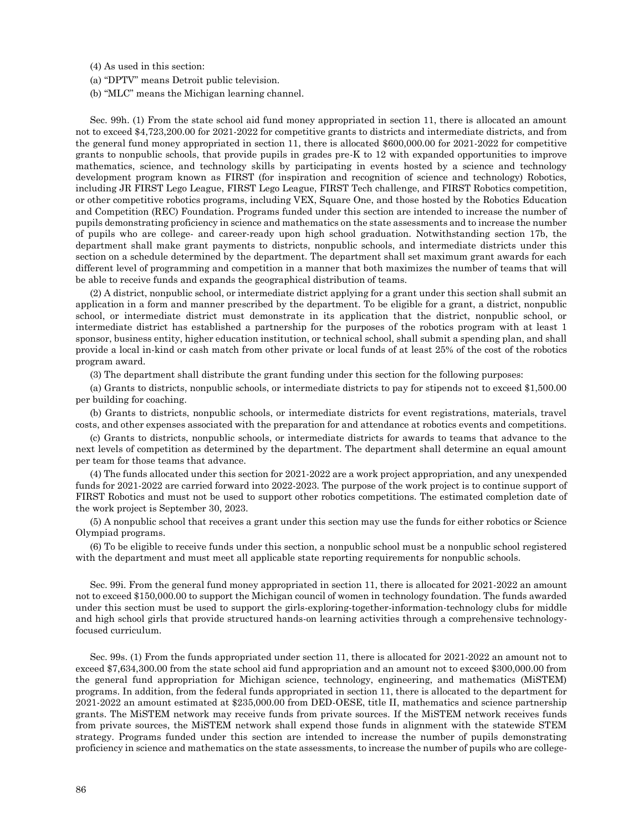(4) As used in this section:

(a) "DPTV" means Detroit public television.

(b) "MLC" means the Michigan learning channel.

Sec. 99h. (1) From the state school aid fund money appropriated in section 11, there is allocated an amount not to exceed \$4,723,200.00 for 2021-2022 for competitive grants to districts and intermediate districts, and from the general fund money appropriated in section 11, there is allocated \$600,000.00 for 2021-2022 for competitive grants to nonpublic schools, that provide pupils in grades pre-K to 12 with expanded opportunities to improve mathematics, science, and technology skills by participating in events hosted by a science and technology development program known as FIRST (for inspiration and recognition of science and technology) Robotics, including JR FIRST Lego League, FIRST Lego League, FIRST Tech challenge, and FIRST Robotics competition, or other competitive robotics programs, including VEX, Square One, and those hosted by the Robotics Education and Competition (REC) Foundation. Programs funded under this section are intended to increase the number of pupils demonstrating proficiency in science and mathematics on the state assessments and to increase the number of pupils who are college- and career-ready upon high school graduation. Notwithstanding section 17b, the department shall make grant payments to districts, nonpublic schools, and intermediate districts under this section on a schedule determined by the department. The department shall set maximum grant awards for each different level of programming and competition in a manner that both maximizes the number of teams that will be able to receive funds and expands the geographical distribution of teams.

(2) A district, nonpublic school, or intermediate district applying for a grant under this section shall submit an application in a form and manner prescribed by the department. To be eligible for a grant, a district, nonpublic school, or intermediate district must demonstrate in its application that the district, nonpublic school, or intermediate district has established a partnership for the purposes of the robotics program with at least 1 sponsor, business entity, higher education institution, or technical school, shall submit a spending plan, and shall provide a local in-kind or cash match from other private or local funds of at least 25% of the cost of the robotics program award.

(3) The department shall distribute the grant funding under this section for the following purposes:

(a) Grants to districts, nonpublic schools, or intermediate districts to pay for stipends not to exceed \$1,500.00 per building for coaching.

(b) Grants to districts, nonpublic schools, or intermediate districts for event registrations, materials, travel costs, and other expenses associated with the preparation for and attendance at robotics events and competitions.

(c) Grants to districts, nonpublic schools, or intermediate districts for awards to teams that advance to the next levels of competition as determined by the department. The department shall determine an equal amount per team for those teams that advance.

(4) The funds allocated under this section for 2021-2022 are a work project appropriation, and any unexpended funds for 2021-2022 are carried forward into 2022-2023. The purpose of the work project is to continue support of FIRST Robotics and must not be used to support other robotics competitions. The estimated completion date of the work project is September 30, 2023.

(5) A nonpublic school that receives a grant under this section may use the funds for either robotics or Science Olympiad programs.

(6) To be eligible to receive funds under this section, a nonpublic school must be a nonpublic school registered with the department and must meet all applicable state reporting requirements for nonpublic schools.

Sec. 99i. From the general fund money appropriated in section 11, there is allocated for 2021-2022 an amount not to exceed \$150,000.00 to support the Michigan council of women in technology foundation. The funds awarded under this section must be used to support the girls-exploring-together-information-technology clubs for middle and high school girls that provide structured hands-on learning activities through a comprehensive technologyfocused curriculum.

Sec. 99s. (1) From the funds appropriated under section 11, there is allocated for 2021-2022 an amount not to exceed \$7,634,300.00 from the state school aid fund appropriation and an amount not to exceed \$300,000.00 from the general fund appropriation for Michigan science, technology, engineering, and mathematics (MiSTEM) programs. In addition, from the federal funds appropriated in section 11, there is allocated to the department for 2021-2022 an amount estimated at \$235,000.00 from DED-OESE, title II, mathematics and science partnership grants. The MiSTEM network may receive funds from private sources. If the MiSTEM network receives funds from private sources, the MiSTEM network shall expend those funds in alignment with the statewide STEM strategy. Programs funded under this section are intended to increase the number of pupils demonstrating proficiency in science and mathematics on the state assessments, to increase the number of pupils who are college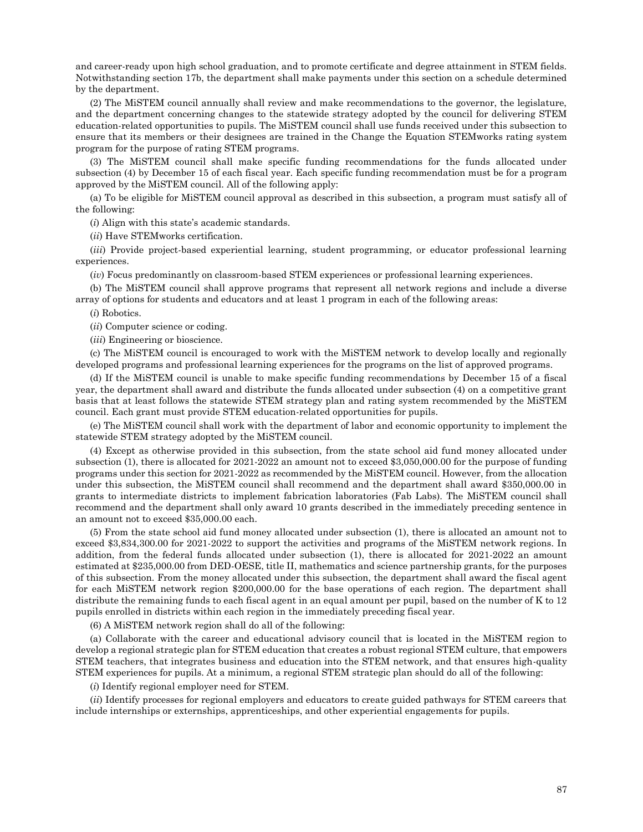and career-ready upon high school graduation, and to promote certificate and degree attainment in STEM fields. Notwithstanding section 17b, the department shall make payments under this section on a schedule determined by the department.

(2) The MiSTEM council annually shall review and make recommendations to the governor, the legislature, and the department concerning changes to the statewide strategy adopted by the council for delivering STEM education-related opportunities to pupils. The MiSTEM council shall use funds received under this subsection to ensure that its members or their designees are trained in the Change the Equation STEMworks rating system program for the purpose of rating STEM programs.

(3) The MiSTEM council shall make specific funding recommendations for the funds allocated under subsection (4) by December 15 of each fiscal year. Each specific funding recommendation must be for a program approved by the MiSTEM council. All of the following apply:

(a) To be eligible for MiSTEM council approval as described in this subsection, a program must satisfy all of the following:

(*i*) Align with this state's academic standards.

(*ii*) Have STEMworks certification.

(*iii*) Provide project-based experiential learning, student programming, or educator professional learning experiences.

(*iv*) Focus predominantly on classroom-based STEM experiences or professional learning experiences.

(b) The MiSTEM council shall approve programs that represent all network regions and include a diverse array of options for students and educators and at least 1 program in each of the following areas:

(*i*) Robotics.

(*ii*) Computer science or coding.

(*iii*) Engineering or bioscience.

(c) The MiSTEM council is encouraged to work with the MiSTEM network to develop locally and regionally developed programs and professional learning experiences for the programs on the list of approved programs.

(d) If the MiSTEM council is unable to make specific funding recommendations by December 15 of a fiscal year, the department shall award and distribute the funds allocated under subsection (4) on a competitive grant basis that at least follows the statewide STEM strategy plan and rating system recommended by the MiSTEM council. Each grant must provide STEM education-related opportunities for pupils.

(e) The MiSTEM council shall work with the department of labor and economic opportunity to implement the statewide STEM strategy adopted by the MiSTEM council.

(4) Except as otherwise provided in this subsection, from the state school aid fund money allocated under subsection (1), there is allocated for 2021-2022 an amount not to exceed \$3,050,000.00 for the purpose of funding programs under this section for 2021-2022 as recommended by the MiSTEM council. However, from the allocation under this subsection, the MiSTEM council shall recommend and the department shall award \$350,000.00 in grants to intermediate districts to implement fabrication laboratories (Fab Labs). The MiSTEM council shall recommend and the department shall only award 10 grants described in the immediately preceding sentence in an amount not to exceed \$35,000.00 each.

(5) From the state school aid fund money allocated under subsection (1), there is allocated an amount not to exceed \$3,834,300.00 for 2021-2022 to support the activities and programs of the MiSTEM network regions. In addition, from the federal funds allocated under subsection (1), there is allocated for 2021-2022 an amount estimated at \$235,000.00 from DED-OESE, title II, mathematics and science partnership grants, for the purposes of this subsection. From the money allocated under this subsection, the department shall award the fiscal agent for each MiSTEM network region \$200,000.00 for the base operations of each region. The department shall distribute the remaining funds to each fiscal agent in an equal amount per pupil, based on the number of K to 12 pupils enrolled in districts within each region in the immediately preceding fiscal year.

(6) A MiSTEM network region shall do all of the following:

(a) Collaborate with the career and educational advisory council that is located in the MiSTEM region to develop a regional strategic plan for STEM education that creates a robust regional STEM culture, that empowers STEM teachers, that integrates business and education into the STEM network, and that ensures high-quality STEM experiences for pupils. At a minimum, a regional STEM strategic plan should do all of the following:

(*i*) Identify regional employer need for STEM.

(*ii*) Identify processes for regional employers and educators to create guided pathways for STEM careers that include internships or externships, apprenticeships, and other experiential engagements for pupils.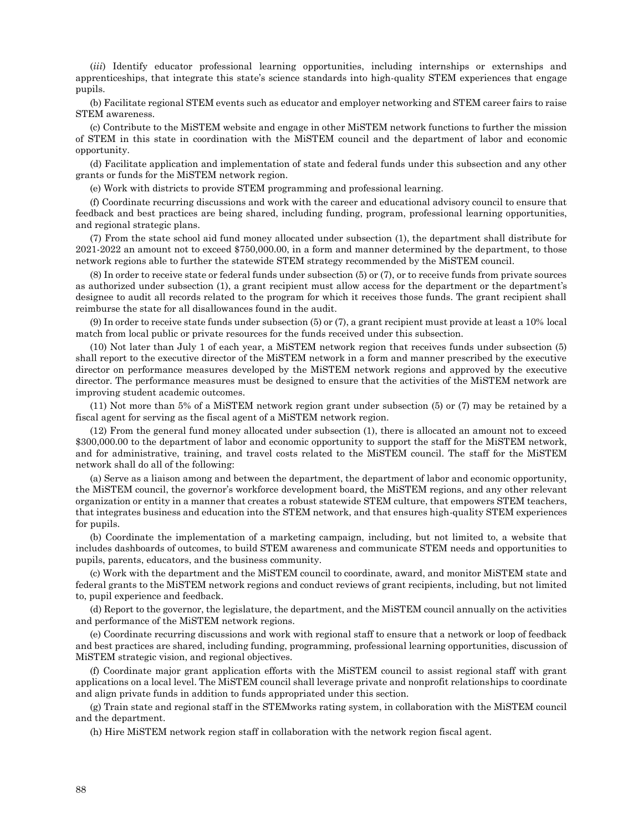(*iii*) Identify educator professional learning opportunities, including internships or externships and apprenticeships, that integrate this state's science standards into high-quality STEM experiences that engage pupils.

(b) Facilitate regional STEM events such as educator and employer networking and STEM career fairs to raise STEM awareness.

(c) Contribute to the MiSTEM website and engage in other MiSTEM network functions to further the mission of STEM in this state in coordination with the MiSTEM council and the department of labor and economic opportunity.

(d) Facilitate application and implementation of state and federal funds under this subsection and any other grants or funds for the MiSTEM network region.

(e) Work with districts to provide STEM programming and professional learning.

(f) Coordinate recurring discussions and work with the career and educational advisory council to ensure that feedback and best practices are being shared, including funding, program, professional learning opportunities, and regional strategic plans.

(7) From the state school aid fund money allocated under subsection (1), the department shall distribute for 2021-2022 an amount not to exceed \$750,000.00, in a form and manner determined by the department, to those network regions able to further the statewide STEM strategy recommended by the MiSTEM council.

(8) In order to receive state or federal funds under subsection (5) or (7), or to receive funds from private sources as authorized under subsection (1), a grant recipient must allow access for the department or the department's designee to audit all records related to the program for which it receives those funds. The grant recipient shall reimburse the state for all disallowances found in the audit.

(9) In order to receive state funds under subsection (5) or (7), a grant recipient must provide at least a 10% local match from local public or private resources for the funds received under this subsection.

(10) Not later than July 1 of each year, a MiSTEM network region that receives funds under subsection (5) shall report to the executive director of the MiSTEM network in a form and manner prescribed by the executive director on performance measures developed by the MiSTEM network regions and approved by the executive director. The performance measures must be designed to ensure that the activities of the MiSTEM network are improving student academic outcomes.

(11) Not more than 5% of a MiSTEM network region grant under subsection (5) or (7) may be retained by a fiscal agent for serving as the fiscal agent of a MiSTEM network region.

(12) From the general fund money allocated under subsection (1), there is allocated an amount not to exceed \$300,000.00 to the department of labor and economic opportunity to support the staff for the MiSTEM network, and for administrative, training, and travel costs related to the MiSTEM council. The staff for the MiSTEM network shall do all of the following:

(a) Serve as a liaison among and between the department, the department of labor and economic opportunity, the MiSTEM council, the governor's workforce development board, the MiSTEM regions, and any other relevant organization or entity in a manner that creates a robust statewide STEM culture, that empowers STEM teachers, that integrates business and education into the STEM network, and that ensures high-quality STEM experiences for pupils.

(b) Coordinate the implementation of a marketing campaign, including, but not limited to, a website that includes dashboards of outcomes, to build STEM awareness and communicate STEM needs and opportunities to pupils, parents, educators, and the business community.

(c) Work with the department and the MiSTEM council to coordinate, award, and monitor MiSTEM state and federal grants to the MiSTEM network regions and conduct reviews of grant recipients, including, but not limited to, pupil experience and feedback.

(d) Report to the governor, the legislature, the department, and the MiSTEM council annually on the activities and performance of the MiSTEM network regions.

(e) Coordinate recurring discussions and work with regional staff to ensure that a network or loop of feedback and best practices are shared, including funding, programming, professional learning opportunities, discussion of MiSTEM strategic vision, and regional objectives.

(f) Coordinate major grant application efforts with the MiSTEM council to assist regional staff with grant applications on a local level. The MiSTEM council shall leverage private and nonprofit relationships to coordinate and align private funds in addition to funds appropriated under this section.

(g) Train state and regional staff in the STEMworks rating system, in collaboration with the MiSTEM council and the department.

(h) Hire MiSTEM network region staff in collaboration with the network region fiscal agent.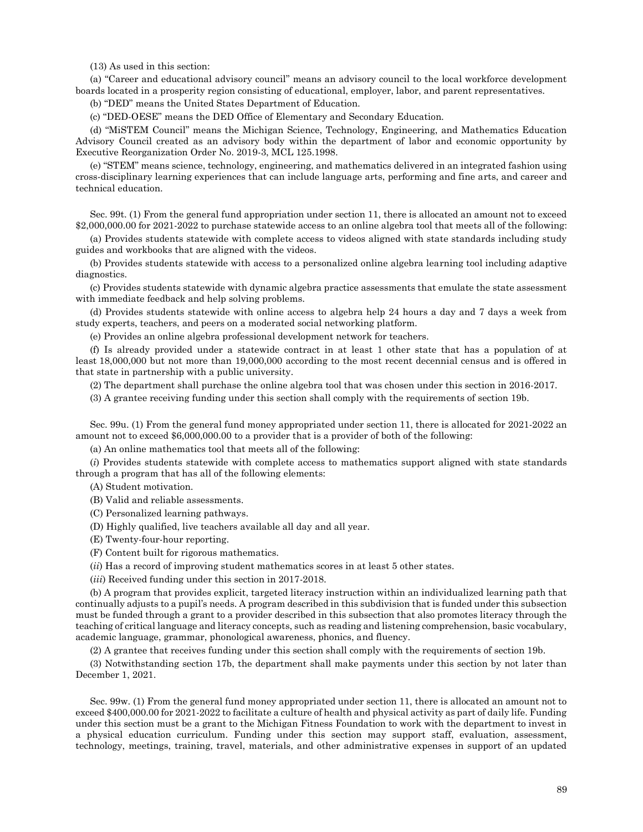(13) As used in this section:

(a) "Career and educational advisory council" means an advisory council to the local workforce development boards located in a prosperity region consisting of educational, employer, labor, and parent representatives.

(b) "DED" means the United States Department of Education.

(c) "DED-OESE" means the DED Office of Elementary and Secondary Education.

(d) "MiSTEM Council" means the Michigan Science, Technology, Engineering, and Mathematics Education Advisory Council created as an advisory body within the department of labor and economic opportunity by Executive Reorganization Order No. 2019-3, MCL 125.1998.

(e) "STEM" means science, technology, engineering, and mathematics delivered in an integrated fashion using cross-disciplinary learning experiences that can include language arts, performing and fine arts, and career and technical education.

Sec. 99t. (1) From the general fund appropriation under section 11, there is allocated an amount not to exceed \$2,000,000.00 for 2021-2022 to purchase statewide access to an online algebra tool that meets all of the following:

(a) Provides students statewide with complete access to videos aligned with state standards including study guides and workbooks that are aligned with the videos.

(b) Provides students statewide with access to a personalized online algebra learning tool including adaptive diagnostics.

(c) Provides students statewide with dynamic algebra practice assessments that emulate the state assessment with immediate feedback and help solving problems.

(d) Provides students statewide with online access to algebra help 24 hours a day and 7 days a week from study experts, teachers, and peers on a moderated social networking platform.

(e) Provides an online algebra professional development network for teachers.

(f) Is already provided under a statewide contract in at least 1 other state that has a population of at least 18,000,000 but not more than 19,000,000 according to the most recent decennial census and is offered in that state in partnership with a public university.

(2) The department shall purchase the online algebra tool that was chosen under this section in 2016-2017.

(3) A grantee receiving funding under this section shall comply with the requirements of section 19b.

Sec. 99u. (1) From the general fund money appropriated under section 11, there is allocated for 2021-2022 an amount not to exceed \$6,000,000.00 to a provider that is a provider of both of the following:

(a) An online mathematics tool that meets all of the following:

(*i*) Provides students statewide with complete access to mathematics support aligned with state standards through a program that has all of the following elements:

(A) Student motivation.

(B) Valid and reliable assessments.

(C) Personalized learning pathways.

(D) Highly qualified, live teachers available all day and all year.

(E) Twenty-four-hour reporting.

(F) Content built for rigorous mathematics.

(*ii*) Has a record of improving student mathematics scores in at least 5 other states.

(*iii*) Received funding under this section in 2017-2018.

(b) A program that provides explicit, targeted literacy instruction within an individualized learning path that continually adjusts to a pupil's needs. A program described in this subdivision that is funded under this subsection must be funded through a grant to a provider described in this subsection that also promotes literacy through the teaching of critical language and literacy concepts, such as reading and listening comprehension, basic vocabulary, academic language, grammar, phonological awareness, phonics, and fluency.

(2) A grantee that receives funding under this section shall comply with the requirements of section 19b.

(3) Notwithstanding section 17b, the department shall make payments under this section by not later than December 1, 2021.

Sec. 99w. (1) From the general fund money appropriated under section 11, there is allocated an amount not to exceed \$400,000.00 for 2021-2022 to facilitate a culture of health and physical activity as part of daily life. Funding under this section must be a grant to the Michigan Fitness Foundation to work with the department to invest in a physical education curriculum. Funding under this section may support staff, evaluation, assessment, technology, meetings, training, travel, materials, and other administrative expenses in support of an updated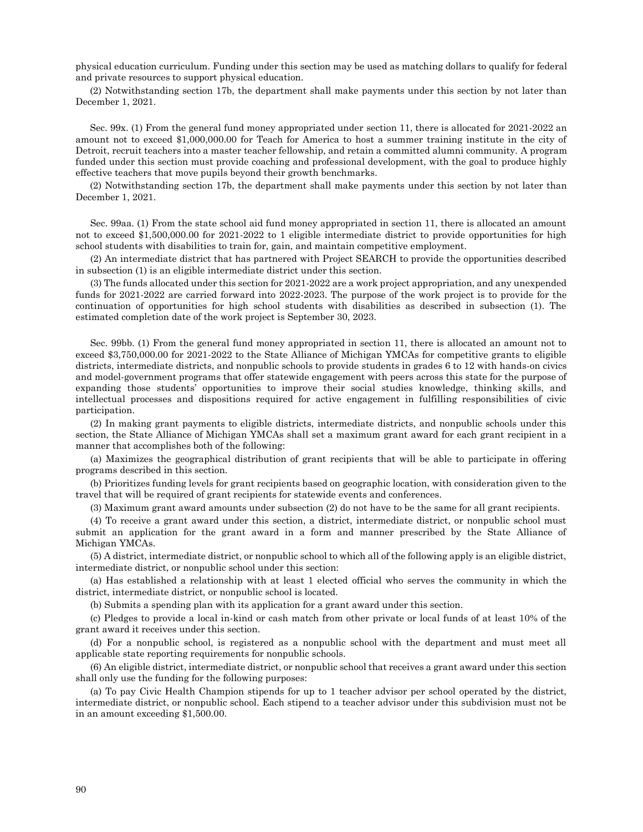physical education curriculum. Funding under this section may be used as matching dollars to qualify for federal and private resources to support physical education.

(2) Notwithstanding section 17b, the department shall make payments under this section by not later than December 1, 2021.

Sec. 99x. (1) From the general fund money appropriated under section 11, there is allocated for 2021-2022 an amount not to exceed \$1,000,000.00 for Teach for America to host a summer training institute in the city of Detroit, recruit teachers into a master teacher fellowship, and retain a committed alumni community. A program funded under this section must provide coaching and professional development, with the goal to produce highly effective teachers that move pupils beyond their growth benchmarks.

(2) Notwithstanding section 17b, the department shall make payments under this section by not later than December 1, 2021.

Sec. 99aa. (1) From the state school aid fund money appropriated in section 11, there is allocated an amount not to exceed \$1,500,000.00 for 2021-2022 to 1 eligible intermediate district to provide opportunities for high school students with disabilities to train for, gain, and maintain competitive employment.

(2) An intermediate district that has partnered with Project SEARCH to provide the opportunities described in subsection (1) is an eligible intermediate district under this section.

(3) The funds allocated under this section for 2021-2022 are a work project appropriation, and any unexpended funds for 2021-2022 are carried forward into 2022-2023. The purpose of the work project is to provide for the continuation of opportunities for high school students with disabilities as described in subsection (1). The estimated completion date of the work project is September 30, 2023.

Sec. 99bb. (1) From the general fund money appropriated in section 11, there is allocated an amount not to exceed \$3,750,000.00 for 2021-2022 to the State Alliance of Michigan YMCAs for competitive grants to eligible districts, intermediate districts, and nonpublic schools to provide students in grades 6 to 12 with hands-on civics and model-government programs that offer statewide engagement with peers across this state for the purpose of expanding those students' opportunities to improve their social studies knowledge, thinking skills, and intellectual processes and dispositions required for active engagement in fulfilling responsibilities of civic participation.

(2) In making grant payments to eligible districts, intermediate districts, and nonpublic schools under this section, the State Alliance of Michigan YMCAs shall set a maximum grant award for each grant recipient in a manner that accomplishes both of the following:

(a) Maximizes the geographical distribution of grant recipients that will be able to participate in offering programs described in this section.

(b) Prioritizes funding levels for grant recipients based on geographic location, with consideration given to the travel that will be required of grant recipients for statewide events and conferences.

(3) Maximum grant award amounts under subsection (2) do not have to be the same for all grant recipients.

(4) To receive a grant award under this section, a district, intermediate district, or nonpublic school must submit an application for the grant award in a form and manner prescribed by the State Alliance of Michigan YMCAs.

(5) A district, intermediate district, or nonpublic school to which all of the following apply is an eligible district, intermediate district, or nonpublic school under this section:

(a) Has established a relationship with at least 1 elected official who serves the community in which the district, intermediate district, or nonpublic school is located.

(b) Submits a spending plan with its application for a grant award under this section.

(c) Pledges to provide a local in-kind or cash match from other private or local funds of at least 10% of the grant award it receives under this section.

(d) For a nonpublic school, is registered as a nonpublic school with the department and must meet all applicable state reporting requirements for nonpublic schools.

(6) An eligible district, intermediate district, or nonpublic school that receives a grant award under this section shall only use the funding for the following purposes:

(a) To pay Civic Health Champion stipends for up to 1 teacher advisor per school operated by the district, intermediate district, or nonpublic school. Each stipend to a teacher advisor under this subdivision must not be in an amount exceeding \$1,500.00.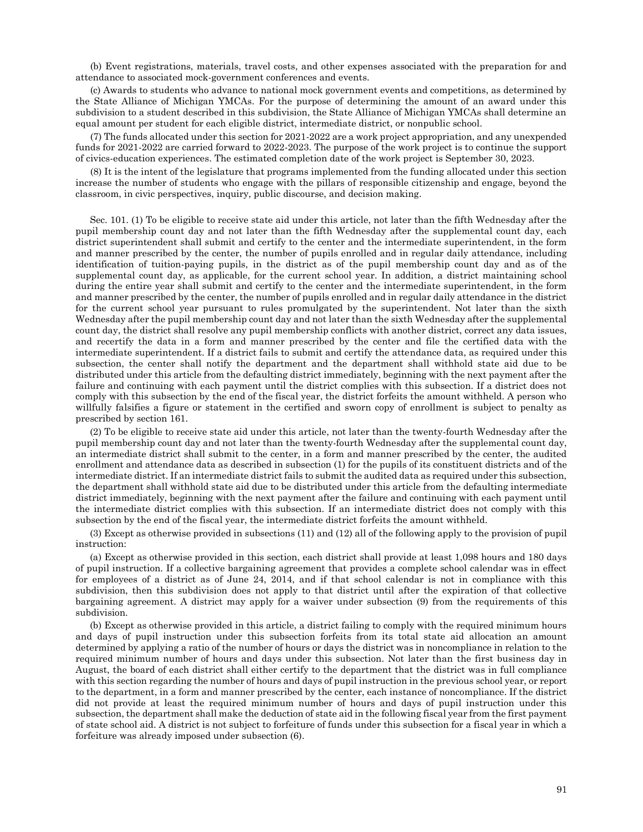(b) Event registrations, materials, travel costs, and other expenses associated with the preparation for and attendance to associated mock-government conferences and events.

(c) Awards to students who advance to national mock government events and competitions, as determined by the State Alliance of Michigan YMCAs. For the purpose of determining the amount of an award under this subdivision to a student described in this subdivision, the State Alliance of Michigan YMCAs shall determine an equal amount per student for each eligible district, intermediate district, or nonpublic school.

(7) The funds allocated under this section for 2021-2022 are a work project appropriation, and any unexpended funds for 2021-2022 are carried forward to 2022-2023. The purpose of the work project is to continue the support of civics-education experiences. The estimated completion date of the work project is September 30, 2023.

(8) It is the intent of the legislature that programs implemented from the funding allocated under this section increase the number of students who engage with the pillars of responsible citizenship and engage, beyond the classroom, in civic perspectives, inquiry, public discourse, and decision making.

Sec. 101. (1) To be eligible to receive state aid under this article, not later than the fifth Wednesday after the pupil membership count day and not later than the fifth Wednesday after the supplemental count day, each district superintendent shall submit and certify to the center and the intermediate superintendent, in the form and manner prescribed by the center, the number of pupils enrolled and in regular daily attendance, including identification of tuition-paying pupils, in the district as of the pupil membership count day and as of the supplemental count day, as applicable, for the current school year. In addition, a district maintaining school during the entire year shall submit and certify to the center and the intermediate superintendent, in the form and manner prescribed by the center, the number of pupils enrolled and in regular daily attendance in the district for the current school year pursuant to rules promulgated by the superintendent. Not later than the sixth Wednesday after the pupil membership count day and not later than the sixth Wednesday after the supplemental count day, the district shall resolve any pupil membership conflicts with another district, correct any data issues, and recertify the data in a form and manner prescribed by the center and file the certified data with the intermediate superintendent. If a district fails to submit and certify the attendance data, as required under this subsection, the center shall notify the department and the department shall withhold state aid due to be distributed under this article from the defaulting district immediately, beginning with the next payment after the failure and continuing with each payment until the district complies with this subsection. If a district does not comply with this subsection by the end of the fiscal year, the district forfeits the amount withheld. A person who willfully falsifies a figure or statement in the certified and sworn copy of enrollment is subject to penalty as prescribed by section 161.

(2) To be eligible to receive state aid under this article, not later than the twenty-fourth Wednesday after the pupil membership count day and not later than the twenty-fourth Wednesday after the supplemental count day, an intermediate district shall submit to the center, in a form and manner prescribed by the center, the audited enrollment and attendance data as described in subsection (1) for the pupils of its constituent districts and of the intermediate district. If an intermediate district fails to submit the audited data as required under this subsection, the department shall withhold state aid due to be distributed under this article from the defaulting intermediate district immediately, beginning with the next payment after the failure and continuing with each payment until the intermediate district complies with this subsection. If an intermediate district does not comply with this subsection by the end of the fiscal year, the intermediate district forfeits the amount withheld.

(3) Except as otherwise provided in subsections (11) and (12) all of the following apply to the provision of pupil instruction:

(a) Except as otherwise provided in this section, each district shall provide at least 1,098 hours and 180 days of pupil instruction. If a collective bargaining agreement that provides a complete school calendar was in effect for employees of a district as of June 24, 2014, and if that school calendar is not in compliance with this subdivision, then this subdivision does not apply to that district until after the expiration of that collective bargaining agreement. A district may apply for a waiver under subsection (9) from the requirements of this subdivision.

(b) Except as otherwise provided in this article, a district failing to comply with the required minimum hours and days of pupil instruction under this subsection forfeits from its total state aid allocation an amount determined by applying a ratio of the number of hours or days the district was in noncompliance in relation to the required minimum number of hours and days under this subsection. Not later than the first business day in August, the board of each district shall either certify to the department that the district was in full compliance with this section regarding the number of hours and days of pupil instruction in the previous school year, or report to the department, in a form and manner prescribed by the center, each instance of noncompliance. If the district did not provide at least the required minimum number of hours and days of pupil instruction under this subsection, the department shall make the deduction of state aid in the following fiscal year from the first payment of state school aid. A district is not subject to forfeiture of funds under this subsection for a fiscal year in which a forfeiture was already imposed under subsection (6).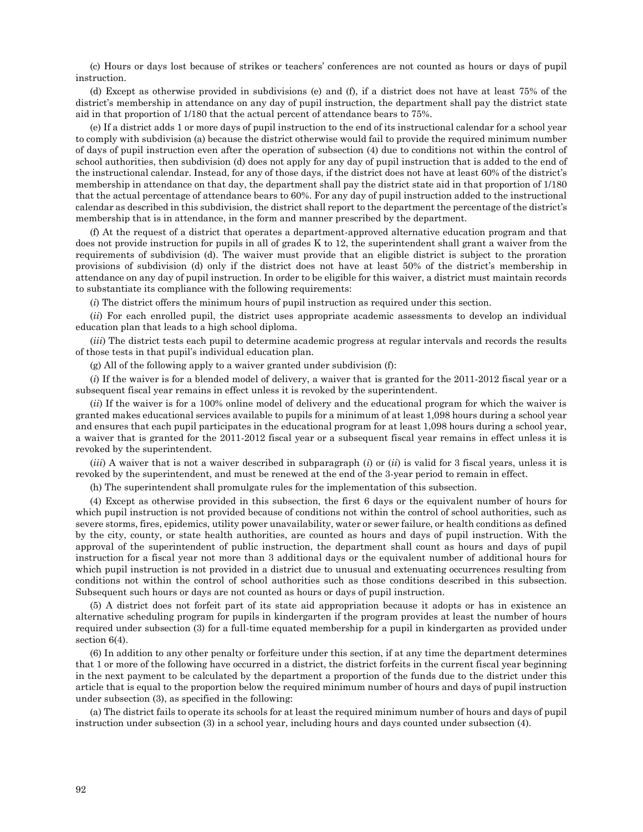(c) Hours or days lost because of strikes or teachers' conferences are not counted as hours or days of pupil instruction.

(d) Except as otherwise provided in subdivisions (e) and (f), if a district does not have at least 75% of the district's membership in attendance on any day of pupil instruction, the department shall pay the district state aid in that proportion of 1/180 that the actual percent of attendance bears to 75%.

(e) If a district adds 1 or more days of pupil instruction to the end of its instructional calendar for a school year to comply with subdivision (a) because the district otherwise would fail to provide the required minimum number of days of pupil instruction even after the operation of subsection (4) due to conditions not within the control of school authorities, then subdivision (d) does not apply for any day of pupil instruction that is added to the end of the instructional calendar. Instead, for any of those days, if the district does not have at least 60% of the district's membership in attendance on that day, the department shall pay the district state aid in that proportion of 1/180 that the actual percentage of attendance bears to 60%. For any day of pupil instruction added to the instructional calendar as described in this subdivision, the district shall report to the department the percentage of the district's membership that is in attendance, in the form and manner prescribed by the department.

(f) At the request of a district that operates a department-approved alternative education program and that does not provide instruction for pupils in all of grades K to 12, the superintendent shall grant a waiver from the requirements of subdivision (d). The waiver must provide that an eligible district is subject to the proration provisions of subdivision (d) only if the district does not have at least 50% of the district's membership in attendance on any day of pupil instruction. In order to be eligible for this waiver, a district must maintain records to substantiate its compliance with the following requirements:

(*i*) The district offers the minimum hours of pupil instruction as required under this section.

(*ii*) For each enrolled pupil, the district uses appropriate academic assessments to develop an individual education plan that leads to a high school diploma.

(*iii*) The district tests each pupil to determine academic progress at regular intervals and records the results of those tests in that pupil's individual education plan.

(g) All of the following apply to a waiver granted under subdivision (f):

(*i*) If the waiver is for a blended model of delivery, a waiver that is granted for the 2011-2012 fiscal year or a subsequent fiscal year remains in effect unless it is revoked by the superintendent.

(*ii*) If the waiver is for a 100% online model of delivery and the educational program for which the waiver is granted makes educational services available to pupils for a minimum of at least 1,098 hours during a school year and ensures that each pupil participates in the educational program for at least 1,098 hours during a school year, a waiver that is granted for the 2011-2012 fiscal year or a subsequent fiscal year remains in effect unless it is revoked by the superintendent.

(*iii*) A waiver that is not a waiver described in subparagraph (*i*) or (*ii*) is valid for 3 fiscal years, unless it is revoked by the superintendent, and must be renewed at the end of the 3-year period to remain in effect.

(h) The superintendent shall promulgate rules for the implementation of this subsection.

(4) Except as otherwise provided in this subsection, the first 6 days or the equivalent number of hours for which pupil instruction is not provided because of conditions not within the control of school authorities, such as severe storms, fires, epidemics, utility power unavailability, water or sewer failure, or health conditions as defined by the city, county, or state health authorities, are counted as hours and days of pupil instruction. With the approval of the superintendent of public instruction, the department shall count as hours and days of pupil instruction for a fiscal year not more than 3 additional days or the equivalent number of additional hours for which pupil instruction is not provided in a district due to unusual and extenuating occurrences resulting from conditions not within the control of school authorities such as those conditions described in this subsection. Subsequent such hours or days are not counted as hours or days of pupil instruction.

(5) A district does not forfeit part of its state aid appropriation because it adopts or has in existence an alternative scheduling program for pupils in kindergarten if the program provides at least the number of hours required under subsection (3) for a full-time equated membership for a pupil in kindergarten as provided under section 6(4).

(6) In addition to any other penalty or forfeiture under this section, if at any time the department determines that 1 or more of the following have occurred in a district, the district forfeits in the current fiscal year beginning in the next payment to be calculated by the department a proportion of the funds due to the district under this article that is equal to the proportion below the required minimum number of hours and days of pupil instruction under subsection (3), as specified in the following:

(a) The district fails to operate its schools for at least the required minimum number of hours and days of pupil instruction under subsection (3) in a school year, including hours and days counted under subsection (4).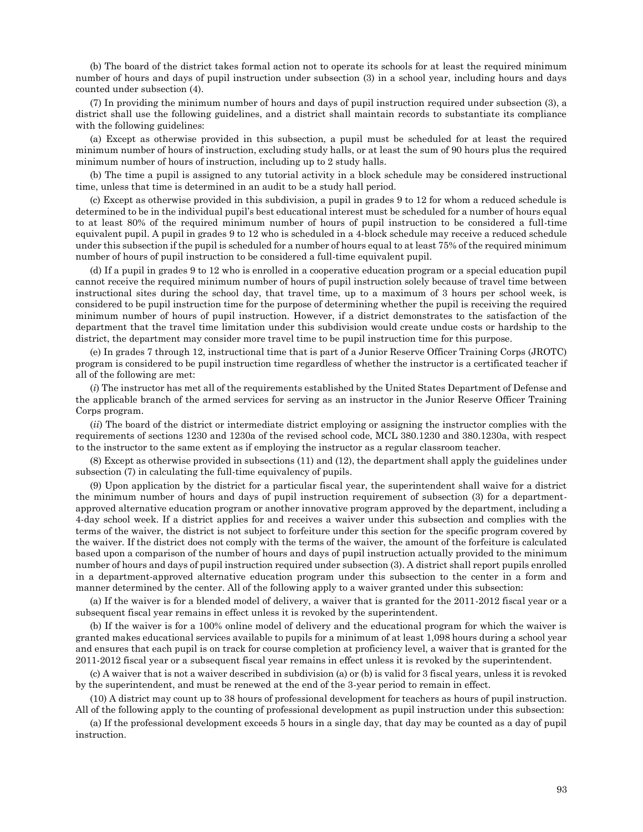(b) The board of the district takes formal action not to operate its schools for at least the required minimum number of hours and days of pupil instruction under subsection (3) in a school year, including hours and days counted under subsection (4).

(7) In providing the minimum number of hours and days of pupil instruction required under subsection (3), a district shall use the following guidelines, and a district shall maintain records to substantiate its compliance with the following guidelines:

(a) Except as otherwise provided in this subsection, a pupil must be scheduled for at least the required minimum number of hours of instruction, excluding study halls, or at least the sum of 90 hours plus the required minimum number of hours of instruction, including up to 2 study halls.

(b) The time a pupil is assigned to any tutorial activity in a block schedule may be considered instructional time, unless that time is determined in an audit to be a study hall period.

(c) Except as otherwise provided in this subdivision, a pupil in grades 9 to 12 for whom a reduced schedule is determined to be in the individual pupil's best educational interest must be scheduled for a number of hours equal to at least 80% of the required minimum number of hours of pupil instruction to be considered a full-time equivalent pupil. A pupil in grades 9 to 12 who is scheduled in a 4-block schedule may receive a reduced schedule under this subsection if the pupil is scheduled for a number of hours equal to at least 75% of the required minimum number of hours of pupil instruction to be considered a full-time equivalent pupil.

(d) If a pupil in grades 9 to 12 who is enrolled in a cooperative education program or a special education pupil cannot receive the required minimum number of hours of pupil instruction solely because of travel time between instructional sites during the school day, that travel time, up to a maximum of 3 hours per school week, is considered to be pupil instruction time for the purpose of determining whether the pupil is receiving the required minimum number of hours of pupil instruction. However, if a district demonstrates to the satisfaction of the department that the travel time limitation under this subdivision would create undue costs or hardship to the district, the department may consider more travel time to be pupil instruction time for this purpose.

(e) In grades 7 through 12, instructional time that is part of a Junior Reserve Officer Training Corps (JROTC) program is considered to be pupil instruction time regardless of whether the instructor is a certificated teacher if all of the following are met:

(*i*) The instructor has met all of the requirements established by the United States Department of Defense and the applicable branch of the armed services for serving as an instructor in the Junior Reserve Officer Training Corps program.

(*ii*) The board of the district or intermediate district employing or assigning the instructor complies with the requirements of sections 1230 and 1230a of the revised school code, MCL 380.1230 and 380.1230a, with respect to the instructor to the same extent as if employing the instructor as a regular classroom teacher.

(8) Except as otherwise provided in subsections (11) and (12), the department shall apply the guidelines under subsection (7) in calculating the full-time equivalency of pupils.

(9) Upon application by the district for a particular fiscal year, the superintendent shall waive for a district the minimum number of hours and days of pupil instruction requirement of subsection (3) for a departmentapproved alternative education program or another innovative program approved by the department, including a 4-day school week. If a district applies for and receives a waiver under this subsection and complies with the terms of the waiver, the district is not subject to forfeiture under this section for the specific program covered by the waiver. If the district does not comply with the terms of the waiver, the amount of the forfeiture is calculated based upon a comparison of the number of hours and days of pupil instruction actually provided to the minimum number of hours and days of pupil instruction required under subsection (3). A district shall report pupils enrolled in a department-approved alternative education program under this subsection to the center in a form and manner determined by the center. All of the following apply to a waiver granted under this subsection:

(a) If the waiver is for a blended model of delivery, a waiver that is granted for the 2011-2012 fiscal year or a subsequent fiscal year remains in effect unless it is revoked by the superintendent.

(b) If the waiver is for a 100% online model of delivery and the educational program for which the waiver is granted makes educational services available to pupils for a minimum of at least 1,098 hours during a school year and ensures that each pupil is on track for course completion at proficiency level, a waiver that is granted for the 2011-2012 fiscal year or a subsequent fiscal year remains in effect unless it is revoked by the superintendent.

(c) A waiver that is not a waiver described in subdivision (a) or (b) is valid for 3 fiscal years, unless it is revoked by the superintendent, and must be renewed at the end of the 3-year period to remain in effect.

(10) A district may count up to 38 hours of professional development for teachers as hours of pupil instruction. All of the following apply to the counting of professional development as pupil instruction under this subsection:

(a) If the professional development exceeds 5 hours in a single day, that day may be counted as a day of pupil instruction.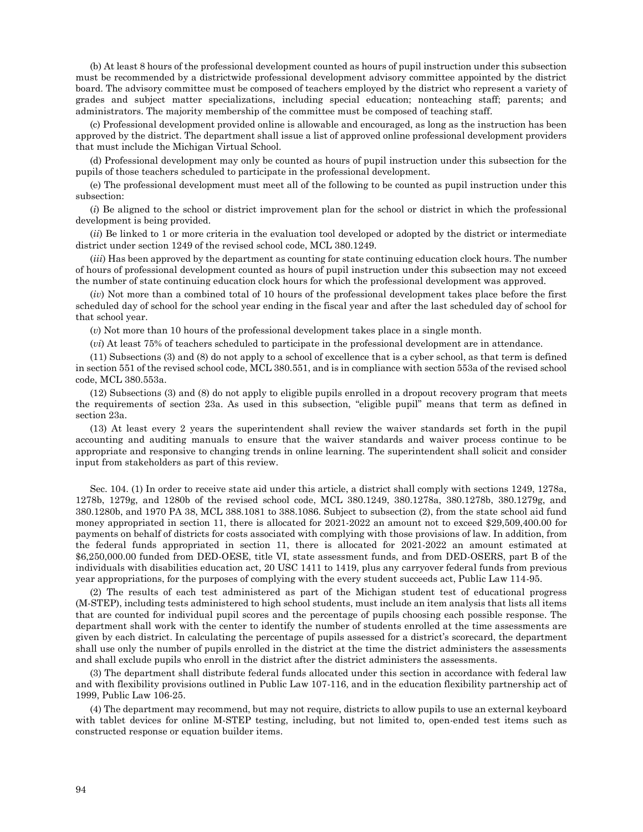(b) At least 8 hours of the professional development counted as hours of pupil instruction under this subsection must be recommended by a districtwide professional development advisory committee appointed by the district board. The advisory committee must be composed of teachers employed by the district who represent a variety of grades and subject matter specializations, including special education; nonteaching staff; parents; and administrators. The majority membership of the committee must be composed of teaching staff.

(c) Professional development provided online is allowable and encouraged, as long as the instruction has been approved by the district. The department shall issue a list of approved online professional development providers that must include the Michigan Virtual School.

(d) Professional development may only be counted as hours of pupil instruction under this subsection for the pupils of those teachers scheduled to participate in the professional development.

(e) The professional development must meet all of the following to be counted as pupil instruction under this subsection:

(*i*) Be aligned to the school or district improvement plan for the school or district in which the professional development is being provided.

(*ii*) Be linked to 1 or more criteria in the evaluation tool developed or adopted by the district or intermediate district under section 1249 of the revised school code, MCL 380.1249.

(*iii*) Has been approved by the department as counting for state continuing education clock hours. The number of hours of professional development counted as hours of pupil instruction under this subsection may not exceed the number of state continuing education clock hours for which the professional development was approved.

(*iv*) Not more than a combined total of 10 hours of the professional development takes place before the first scheduled day of school for the school year ending in the fiscal year and after the last scheduled day of school for that school year.

(*v*) Not more than 10 hours of the professional development takes place in a single month.

(*vi*) At least 75% of teachers scheduled to participate in the professional development are in attendance.

(11) Subsections (3) and (8) do not apply to a school of excellence that is a cyber school, as that term is defined in section 551 of the revised school code, MCL 380.551, and is in compliance with section 553a of the revised school code, MCL 380.553a.

(12) Subsections (3) and (8) do not apply to eligible pupils enrolled in a dropout recovery program that meets the requirements of section 23a. As used in this subsection, "eligible pupil" means that term as defined in section 23a.

(13) At least every 2 years the superintendent shall review the waiver standards set forth in the pupil accounting and auditing manuals to ensure that the waiver standards and waiver process continue to be appropriate and responsive to changing trends in online learning. The superintendent shall solicit and consider input from stakeholders as part of this review.

Sec. 104. (1) In order to receive state aid under this article, a district shall comply with sections 1249, 1278a, 1278b, 1279g, and 1280b of the revised school code, MCL 380.1249, 380.1278a, 380.1278b, 380.1279g, and 380.1280b, and 1970 PA 38, MCL 388.1081 to 388.1086. Subject to subsection (2), from the state school aid fund money appropriated in section 11, there is allocated for 2021-2022 an amount not to exceed \$29,509,400.00 for payments on behalf of districts for costs associated with complying with those provisions of law. In addition, from the federal funds appropriated in section 11, there is allocated for 2021-2022 an amount estimated at \$6,250,000.00 funded from DED-OESE, title VI, state assessment funds, and from DED-OSERS, part B of the individuals with disabilities education act, 20 USC 1411 to 1419, plus any carryover federal funds from previous year appropriations, for the purposes of complying with the every student succeeds act, Public Law 114-95.

(2) The results of each test administered as part of the Michigan student test of educational progress (M-STEP), including tests administered to high school students, must include an item analysis that lists all items that are counted for individual pupil scores and the percentage of pupils choosing each possible response. The department shall work with the center to identify the number of students enrolled at the time assessments are given by each district. In calculating the percentage of pupils assessed for a district's scorecard, the department shall use only the number of pupils enrolled in the district at the time the district administers the assessments and shall exclude pupils who enroll in the district after the district administers the assessments.

(3) The department shall distribute federal funds allocated under this section in accordance with federal law and with flexibility provisions outlined in Public Law 107-116, and in the education flexibility partnership act of 1999, Public Law 106-25.

(4) The department may recommend, but may not require, districts to allow pupils to use an external keyboard with tablet devices for online M-STEP testing, including, but not limited to, open-ended test items such as constructed response or equation builder items.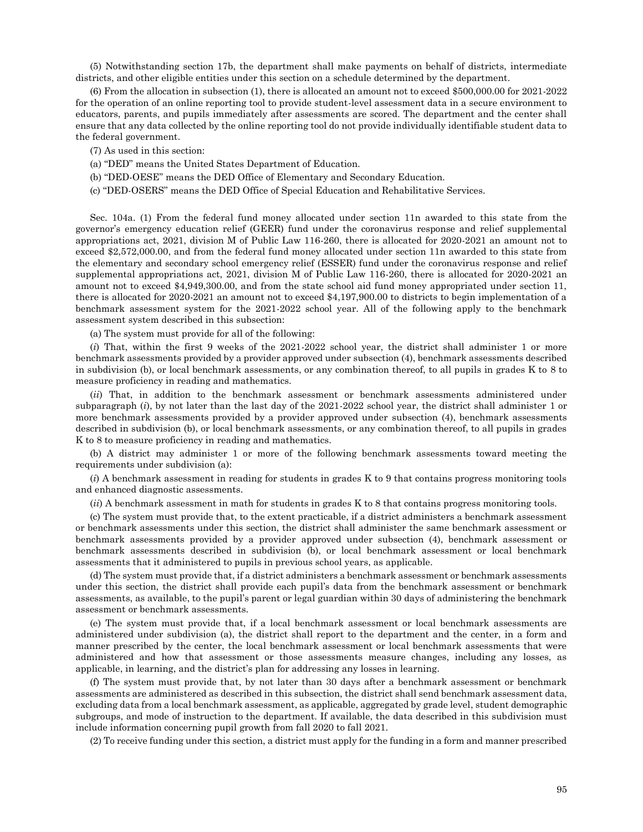(5) Notwithstanding section 17b, the department shall make payments on behalf of districts, intermediate districts, and other eligible entities under this section on a schedule determined by the department.

(6) From the allocation in subsection (1), there is allocated an amount not to exceed \$500,000.00 for 2021-2022 for the operation of an online reporting tool to provide student-level assessment data in a secure environment to educators, parents, and pupils immediately after assessments are scored. The department and the center shall ensure that any data collected by the online reporting tool do not provide individually identifiable student data to the federal government.

- (7) As used in this section:
- (a) "DED" means the United States Department of Education.
- (b) "DED-OESE" means the DED Office of Elementary and Secondary Education.
- (c) "DED-OSERS" means the DED Office of Special Education and Rehabilitative Services.

Sec. 104a. (1) From the federal fund money allocated under section 11n awarded to this state from the governor's emergency education relief (GEER) fund under the coronavirus response and relief supplemental appropriations act, 2021, division M of Public Law 116-260, there is allocated for 2020-2021 an amount not to exceed \$2,572,000.00, and from the federal fund money allocated under section 11n awarded to this state from the elementary and secondary school emergency relief (ESSER) fund under the coronavirus response and relief supplemental appropriations act, 2021, division M of Public Law 116-260, there is allocated for 2020-2021 an amount not to exceed \$4,949,300.00, and from the state school aid fund money appropriated under section 11, there is allocated for 2020-2021 an amount not to exceed \$4,197,900.00 to districts to begin implementation of a benchmark assessment system for the 2021-2022 school year. All of the following apply to the benchmark assessment system described in this subsection:

(a) The system must provide for all of the following:

(*i*) That, within the first 9 weeks of the 2021-2022 school year, the district shall administer 1 or more benchmark assessments provided by a provider approved under subsection (4), benchmark assessments described in subdivision (b), or local benchmark assessments, or any combination thereof, to all pupils in grades K to 8 to measure proficiency in reading and mathematics.

(*ii*) That, in addition to the benchmark assessment or benchmark assessments administered under subparagraph (*i*), by not later than the last day of the 2021-2022 school year, the district shall administer 1 or more benchmark assessments provided by a provider approved under subsection (4), benchmark assessments described in subdivision (b), or local benchmark assessments, or any combination thereof, to all pupils in grades K to 8 to measure proficiency in reading and mathematics.

(b) A district may administer 1 or more of the following benchmark assessments toward meeting the requirements under subdivision (a):

(*i*) A benchmark assessment in reading for students in grades K to 9 that contains progress monitoring tools and enhanced diagnostic assessments.

(*ii*) A benchmark assessment in math for students in grades K to 8 that contains progress monitoring tools.

(c) The system must provide that, to the extent practicable, if a district administers a benchmark assessment or benchmark assessments under this section, the district shall administer the same benchmark assessment or benchmark assessments provided by a provider approved under subsection (4), benchmark assessment or benchmark assessments described in subdivision (b), or local benchmark assessment or local benchmark assessments that it administered to pupils in previous school years, as applicable.

(d) The system must provide that, if a district administers a benchmark assessment or benchmark assessments under this section, the district shall provide each pupil's data from the benchmark assessment or benchmark assessments, as available, to the pupil's parent or legal guardian within 30 days of administering the benchmark assessment or benchmark assessments.

(e) The system must provide that, if a local benchmark assessment or local benchmark assessments are administered under subdivision (a), the district shall report to the department and the center, in a form and manner prescribed by the center, the local benchmark assessment or local benchmark assessments that were administered and how that assessment or those assessments measure changes, including any losses, as applicable, in learning, and the district's plan for addressing any losses in learning.

(f) The system must provide that, by not later than 30 days after a benchmark assessment or benchmark assessments are administered as described in this subsection, the district shall send benchmark assessment data, excluding data from a local benchmark assessment, as applicable, aggregated by grade level, student demographic subgroups, and mode of instruction to the department. If available, the data described in this subdivision must include information concerning pupil growth from fall 2020 to fall 2021.

(2) To receive funding under this section, a district must apply for the funding in a form and manner prescribed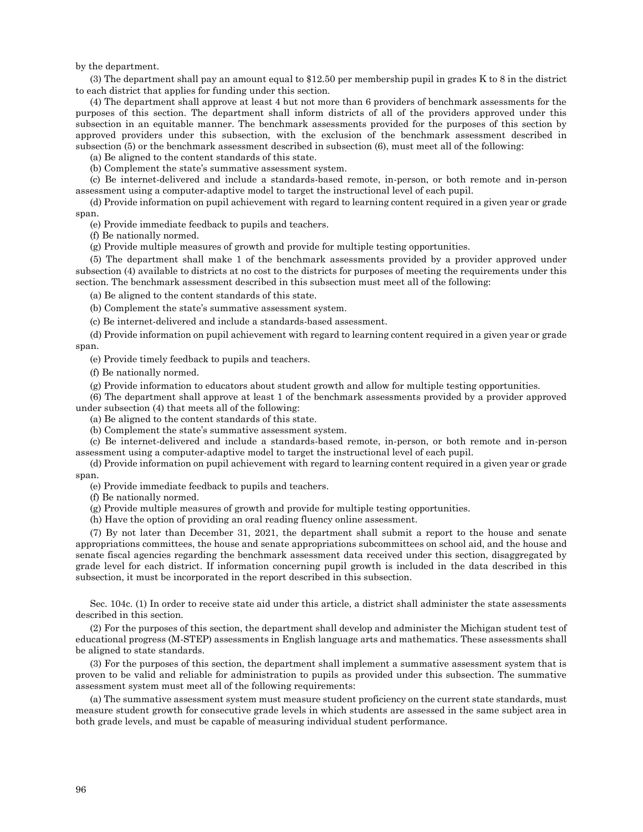by the department.

(3) The department shall pay an amount equal to \$12.50 per membership pupil in grades K to 8 in the district to each district that applies for funding under this section.

(4) The department shall approve at least 4 but not more than 6 providers of benchmark assessments for the purposes of this section. The department shall inform districts of all of the providers approved under this subsection in an equitable manner. The benchmark assessments provided for the purposes of this section by approved providers under this subsection, with the exclusion of the benchmark assessment described in subsection (5) or the benchmark assessment described in subsection (6), must meet all of the following:

(a) Be aligned to the content standards of this state.

(b) Complement the state's summative assessment system.

(c) Be internet-delivered and include a standards-based remote, in-person, or both remote and in-person assessment using a computer-adaptive model to target the instructional level of each pupil.

(d) Provide information on pupil achievement with regard to learning content required in a given year or grade span.

(e) Provide immediate feedback to pupils and teachers.

(f) Be nationally normed.

(g) Provide multiple measures of growth and provide for multiple testing opportunities.

(5) The department shall make 1 of the benchmark assessments provided by a provider approved under subsection (4) available to districts at no cost to the districts for purposes of meeting the requirements under this section. The benchmark assessment described in this subsection must meet all of the following:

(a) Be aligned to the content standards of this state.

(b) Complement the state's summative assessment system.

(c) Be internet-delivered and include a standards-based assessment.

(d) Provide information on pupil achievement with regard to learning content required in a given year or grade span.

(e) Provide timely feedback to pupils and teachers.

(f) Be nationally normed.

(g) Provide information to educators about student growth and allow for multiple testing opportunities.

(6) The department shall approve at least 1 of the benchmark assessments provided by a provider approved under subsection (4) that meets all of the following:

(a) Be aligned to the content standards of this state.

(b) Complement the state's summative assessment system.

(c) Be internet-delivered and include a standards-based remote, in-person, or both remote and in-person assessment using a computer-adaptive model to target the instructional level of each pupil.

(d) Provide information on pupil achievement with regard to learning content required in a given year or grade span.

(e) Provide immediate feedback to pupils and teachers.

(f) Be nationally normed.

(g) Provide multiple measures of growth and provide for multiple testing opportunities.

(h) Have the option of providing an oral reading fluency online assessment.

(7) By not later than December 31, 2021, the department shall submit a report to the house and senate appropriations committees, the house and senate appropriations subcommittees on school aid, and the house and senate fiscal agencies regarding the benchmark assessment data received under this section, disaggregated by grade level for each district. If information concerning pupil growth is included in the data described in this subsection, it must be incorporated in the report described in this subsection.

Sec. 104c. (1) In order to receive state aid under this article, a district shall administer the state assessments described in this section.

(2) For the purposes of this section, the department shall develop and administer the Michigan student test of educational progress (M-STEP) assessments in English language arts and mathematics. These assessments shall be aligned to state standards.

(3) For the purposes of this section, the department shall implement a summative assessment system that is proven to be valid and reliable for administration to pupils as provided under this subsection. The summative assessment system must meet all of the following requirements:

(a) The summative assessment system must measure student proficiency on the current state standards, must measure student growth for consecutive grade levels in which students are assessed in the same subject area in both grade levels, and must be capable of measuring individual student performance.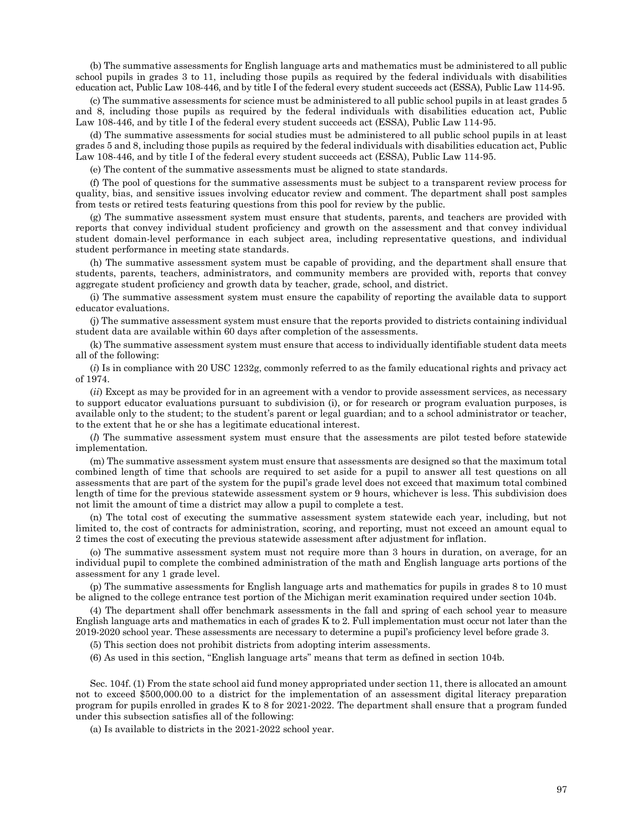(b) The summative assessments for English language arts and mathematics must be administered to all public school pupils in grades 3 to 11, including those pupils as required by the federal individuals with disabilities education act, Public Law 108-446, and by title I of the federal every student succeeds act (ESSA), Public Law 114-95.

(c) The summative assessments for science must be administered to all public school pupils in at least grades 5 and 8, including those pupils as required by the federal individuals with disabilities education act, Public Law 108-446, and by title I of the federal every student succeeds act (ESSA), Public Law 114-95.

(d) The summative assessments for social studies must be administered to all public school pupils in at least grades 5 and 8, including those pupils as required by the federal individuals with disabilities education act, Public Law 108-446, and by title I of the federal every student succeeds act (ESSA), Public Law 114-95.

(e) The content of the summative assessments must be aligned to state standards.

(f) The pool of questions for the summative assessments must be subject to a transparent review process for quality, bias, and sensitive issues involving educator review and comment. The department shall post samples from tests or retired tests featuring questions from this pool for review by the public.

(g) The summative assessment system must ensure that students, parents, and teachers are provided with reports that convey individual student proficiency and growth on the assessment and that convey individual student domain-level performance in each subject area, including representative questions, and individual student performance in meeting state standards.

(h) The summative assessment system must be capable of providing, and the department shall ensure that students, parents, teachers, administrators, and community members are provided with, reports that convey aggregate student proficiency and growth data by teacher, grade, school, and district.

(i) The summative assessment system must ensure the capability of reporting the available data to support educator evaluations.

(j) The summative assessment system must ensure that the reports provided to districts containing individual student data are available within 60 days after completion of the assessments.

(k) The summative assessment system must ensure that access to individually identifiable student data meets all of the following:

(*i*) Is in compliance with 20 USC 1232g, commonly referred to as the family educational rights and privacy act of 1974.

(*ii*) Except as may be provided for in an agreement with a vendor to provide assessment services, as necessary to support educator evaluations pursuant to subdivision (i), or for research or program evaluation purposes, is available only to the student; to the student's parent or legal guardian; and to a school administrator or teacher, to the extent that he or she has a legitimate educational interest.

(*l*) The summative assessment system must ensure that the assessments are pilot tested before statewide implementation.

(m) The summative assessment system must ensure that assessments are designed so that the maximum total combined length of time that schools are required to set aside for a pupil to answer all test questions on all assessments that are part of the system for the pupil's grade level does not exceed that maximum total combined length of time for the previous statewide assessment system or 9 hours, whichever is less. This subdivision does not limit the amount of time a district may allow a pupil to complete a test.

(n) The total cost of executing the summative assessment system statewide each year, including, but not limited to, the cost of contracts for administration, scoring, and reporting, must not exceed an amount equal to 2 times the cost of executing the previous statewide assessment after adjustment for inflation.

(o) The summative assessment system must not require more than 3 hours in duration, on average, for an individual pupil to complete the combined administration of the math and English language arts portions of the assessment for any 1 grade level.

(p) The summative assessments for English language arts and mathematics for pupils in grades 8 to 10 must be aligned to the college entrance test portion of the Michigan merit examination required under section 104b.

(4) The department shall offer benchmark assessments in the fall and spring of each school year to measure English language arts and mathematics in each of grades K to 2. Full implementation must occur not later than the 2019-2020 school year. These assessments are necessary to determine a pupil's proficiency level before grade 3.

(5) This section does not prohibit districts from adopting interim assessments.

(6) As used in this section, "English language arts" means that term as defined in section 104b.

Sec. 104f. (1) From the state school aid fund money appropriated under section 11, there is allocated an amount not to exceed \$500,000.00 to a district for the implementation of an assessment digital literacy preparation program for pupils enrolled in grades K to 8 for 2021-2022. The department shall ensure that a program funded under this subsection satisfies all of the following:

(a) Is available to districts in the 2021-2022 school year.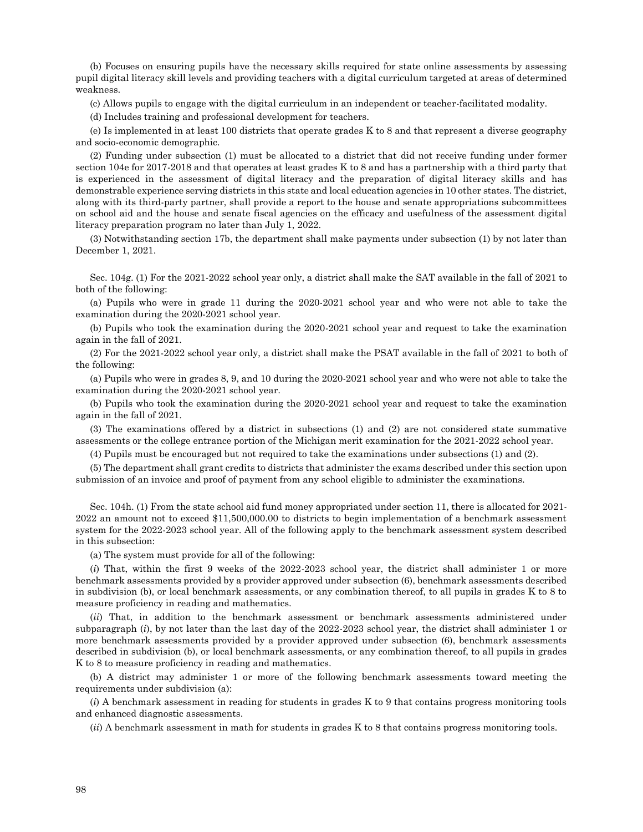(b) Focuses on ensuring pupils have the necessary skills required for state online assessments by assessing pupil digital literacy skill levels and providing teachers with a digital curriculum targeted at areas of determined weakness.

(c) Allows pupils to engage with the digital curriculum in an independent or teacher-facilitated modality.

(d) Includes training and professional development for teachers.

(e) Is implemented in at least 100 districts that operate grades K to 8 and that represent a diverse geography and socio-economic demographic.

(2) Funding under subsection (1) must be allocated to a district that did not receive funding under former section 104e for 2017-2018 and that operates at least grades K to 8 and has a partnership with a third party that is experienced in the assessment of digital literacy and the preparation of digital literacy skills and has demonstrable experience serving districts in this state and local education agencies in 10 other states. The district, along with its third-party partner, shall provide a report to the house and senate appropriations subcommittees on school aid and the house and senate fiscal agencies on the efficacy and usefulness of the assessment digital literacy preparation program no later than July 1, 2022.

(3) Notwithstanding section 17b, the department shall make payments under subsection (1) by not later than December 1, 2021.

Sec. 104g. (1) For the 2021-2022 school year only, a district shall make the SAT available in the fall of 2021 to both of the following:

(a) Pupils who were in grade 11 during the 2020-2021 school year and who were not able to take the examination during the 2020-2021 school year.

(b) Pupils who took the examination during the 2020-2021 school year and request to take the examination again in the fall of 2021.

(2) For the 2021-2022 school year only, a district shall make the PSAT available in the fall of 2021 to both of the following:

(a) Pupils who were in grades 8, 9, and 10 during the 2020-2021 school year and who were not able to take the examination during the 2020-2021 school year.

(b) Pupils who took the examination during the 2020-2021 school year and request to take the examination again in the fall of 2021.

(3) The examinations offered by a district in subsections (1) and (2) are not considered state summative assessments or the college entrance portion of the Michigan merit examination for the 2021-2022 school year.

(4) Pupils must be encouraged but not required to take the examinations under subsections (1) and (2).

(5) The department shall grant credits to districts that administer the exams described under this section upon submission of an invoice and proof of payment from any school eligible to administer the examinations.

Sec. 104h. (1) From the state school aid fund money appropriated under section 11, there is allocated for 2021- 2022 an amount not to exceed \$11,500,000.00 to districts to begin implementation of a benchmark assessment system for the 2022-2023 school year. All of the following apply to the benchmark assessment system described in this subsection:

(a) The system must provide for all of the following:

(*i*) That, within the first 9 weeks of the 2022-2023 school year, the district shall administer 1 or more benchmark assessments provided by a provider approved under subsection (6), benchmark assessments described in subdivision (b), or local benchmark assessments, or any combination thereof, to all pupils in grades K to 8 to measure proficiency in reading and mathematics.

(*ii*) That, in addition to the benchmark assessment or benchmark assessments administered under subparagraph (*i*), by not later than the last day of the 2022-2023 school year, the district shall administer 1 or more benchmark assessments provided by a provider approved under subsection (6), benchmark assessments described in subdivision (b), or local benchmark assessments, or any combination thereof, to all pupils in grades K to 8 to measure proficiency in reading and mathematics.

(b) A district may administer 1 or more of the following benchmark assessments toward meeting the requirements under subdivision (a):

(*i*) A benchmark assessment in reading for students in grades K to 9 that contains progress monitoring tools and enhanced diagnostic assessments.

(*ii*) A benchmark assessment in math for students in grades K to 8 that contains progress monitoring tools.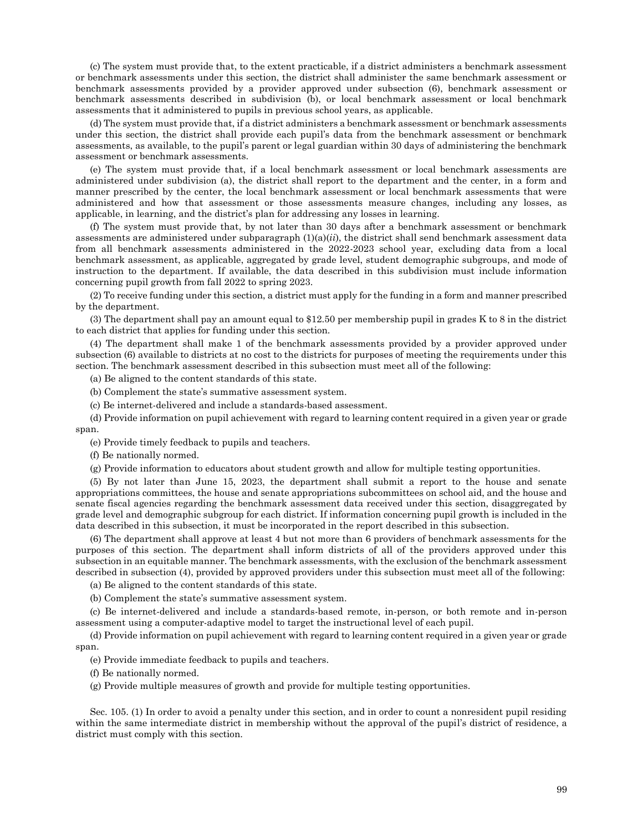(c) The system must provide that, to the extent practicable, if a district administers a benchmark assessment or benchmark assessments under this section, the district shall administer the same benchmark assessment or benchmark assessments provided by a provider approved under subsection (6), benchmark assessment or benchmark assessments described in subdivision (b), or local benchmark assessment or local benchmark assessments that it administered to pupils in previous school years, as applicable.

(d) The system must provide that, if a district administers a benchmark assessment or benchmark assessments under this section, the district shall provide each pupil's data from the benchmark assessment or benchmark assessments, as available, to the pupil's parent or legal guardian within 30 days of administering the benchmark assessment or benchmark assessments.

(e) The system must provide that, if a local benchmark assessment or local benchmark assessments are administered under subdivision (a), the district shall report to the department and the center, in a form and manner prescribed by the center, the local benchmark assessment or local benchmark assessments that were administered and how that assessment or those assessments measure changes, including any losses, as applicable, in learning, and the district's plan for addressing any losses in learning.

(f) The system must provide that, by not later than 30 days after a benchmark assessment or benchmark assessments are administered under subparagraph (1)(a)(*ii*), the district shall send benchmark assessment data from all benchmark assessments administered in the 2022-2023 school year, excluding data from a local benchmark assessment, as applicable, aggregated by grade level, student demographic subgroups, and mode of instruction to the department. If available, the data described in this subdivision must include information concerning pupil growth from fall 2022 to spring 2023.

(2) To receive funding under this section, a district must apply for the funding in a form and manner prescribed by the department.

(3) The department shall pay an amount equal to \$12.50 per membership pupil in grades K to 8 in the district to each district that applies for funding under this section.

(4) The department shall make 1 of the benchmark assessments provided by a provider approved under subsection (6) available to districts at no cost to the districts for purposes of meeting the requirements under this section. The benchmark assessment described in this subsection must meet all of the following:

(a) Be aligned to the content standards of this state.

- (b) Complement the state's summative assessment system.
- (c) Be internet-delivered and include a standards-based assessment.

(d) Provide information on pupil achievement with regard to learning content required in a given year or grade span.

(e) Provide timely feedback to pupils and teachers.

(f) Be nationally normed.

(g) Provide information to educators about student growth and allow for multiple testing opportunities.

(5) By not later than June 15, 2023, the department shall submit a report to the house and senate appropriations committees, the house and senate appropriations subcommittees on school aid, and the house and senate fiscal agencies regarding the benchmark assessment data received under this section, disaggregated by grade level and demographic subgroup for each district. If information concerning pupil growth is included in the data described in this subsection, it must be incorporated in the report described in this subsection.

(6) The department shall approve at least 4 but not more than 6 providers of benchmark assessments for the purposes of this section. The department shall inform districts of all of the providers approved under this subsection in an equitable manner. The benchmark assessments, with the exclusion of the benchmark assessment described in subsection (4), provided by approved providers under this subsection must meet all of the following:

(a) Be aligned to the content standards of this state.

(b) Complement the state's summative assessment system.

(c) Be internet-delivered and include a standards-based remote, in-person, or both remote and in-person assessment using a computer-adaptive model to target the instructional level of each pupil.

(d) Provide information on pupil achievement with regard to learning content required in a given year or grade span.

(e) Provide immediate feedback to pupils and teachers.

(f) Be nationally normed.

(g) Provide multiple measures of growth and provide for multiple testing opportunities.

Sec. 105. (1) In order to avoid a penalty under this section, and in order to count a nonresident pupil residing within the same intermediate district in membership without the approval of the pupil's district of residence, a district must comply with this section.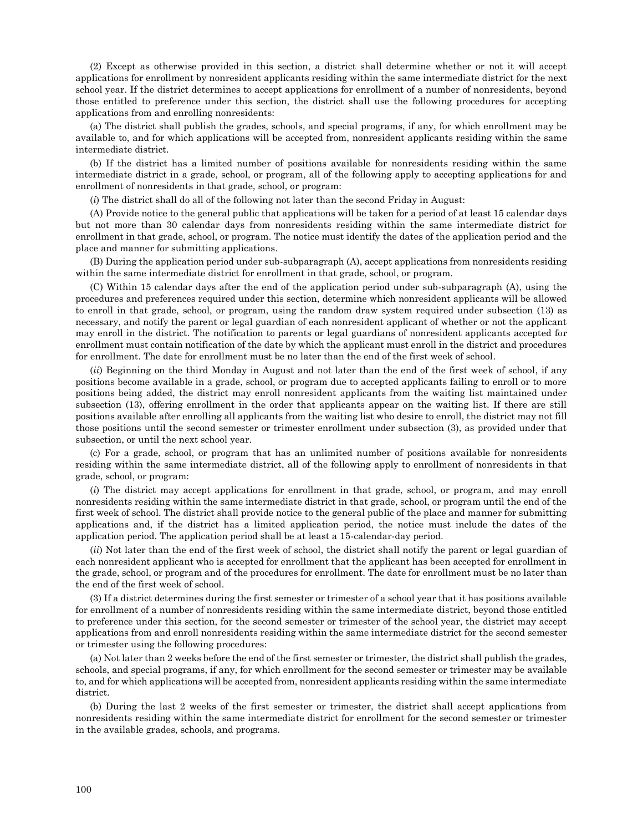(2) Except as otherwise provided in this section, a district shall determine whether or not it will accept applications for enrollment by nonresident applicants residing within the same intermediate district for the next school year. If the district determines to accept applications for enrollment of a number of nonresidents, beyond those entitled to preference under this section, the district shall use the following procedures for accepting applications from and enrolling nonresidents:

(a) The district shall publish the grades, schools, and special programs, if any, for which enrollment may be available to, and for which applications will be accepted from, nonresident applicants residing within the same intermediate district.

(b) If the district has a limited number of positions available for nonresidents residing within the same intermediate district in a grade, school, or program, all of the following apply to accepting applications for and enrollment of nonresidents in that grade, school, or program:

(*i*) The district shall do all of the following not later than the second Friday in August:

(A) Provide notice to the general public that applications will be taken for a period of at least 15 calendar days but not more than 30 calendar days from nonresidents residing within the same intermediate district for enrollment in that grade, school, or program. The notice must identify the dates of the application period and the place and manner for submitting applications.

(B) During the application period under sub-subparagraph (A), accept applications from nonresidents residing within the same intermediate district for enrollment in that grade, school, or program.

(C) Within 15 calendar days after the end of the application period under sub-subparagraph (A), using the procedures and preferences required under this section, determine which nonresident applicants will be allowed to enroll in that grade, school, or program, using the random draw system required under subsection (13) as necessary, and notify the parent or legal guardian of each nonresident applicant of whether or not the applicant may enroll in the district. The notification to parents or legal guardians of nonresident applicants accepted for enrollment must contain notification of the date by which the applicant must enroll in the district and procedures for enrollment. The date for enrollment must be no later than the end of the first week of school.

(*ii*) Beginning on the third Monday in August and not later than the end of the first week of school, if any positions become available in a grade, school, or program due to accepted applicants failing to enroll or to more positions being added, the district may enroll nonresident applicants from the waiting list maintained under subsection (13), offering enrollment in the order that applicants appear on the waiting list. If there are still positions available after enrolling all applicants from the waiting list who desire to enroll, the district may not fill those positions until the second semester or trimester enrollment under subsection (3), as provided under that subsection, or until the next school year.

(c) For a grade, school, or program that has an unlimited number of positions available for nonresidents residing within the same intermediate district, all of the following apply to enrollment of nonresidents in that grade, school, or program:

(*i*) The district may accept applications for enrollment in that grade, school, or program, and may enroll nonresidents residing within the same intermediate district in that grade, school, or program until the end of the first week of school. The district shall provide notice to the general public of the place and manner for submitting applications and, if the district has a limited application period, the notice must include the dates of the application period. The application period shall be at least a 15-calendar-day period.

(*ii*) Not later than the end of the first week of school, the district shall notify the parent or legal guardian of each nonresident applicant who is accepted for enrollment that the applicant has been accepted for enrollment in the grade, school, or program and of the procedures for enrollment. The date for enrollment must be no later than the end of the first week of school.

(3) If a district determines during the first semester or trimester of a school year that it has positions available for enrollment of a number of nonresidents residing within the same intermediate district, beyond those entitled to preference under this section, for the second semester or trimester of the school year, the district may accept applications from and enroll nonresidents residing within the same intermediate district for the second semester or trimester using the following procedures:

(a) Not later than 2 weeks before the end of the first semester or trimester, the district shall publish the grades, schools, and special programs, if any, for which enrollment for the second semester or trimester may be available to, and for which applications will be accepted from, nonresident applicants residing within the same intermediate district.

(b) During the last 2 weeks of the first semester or trimester, the district shall accept applications from nonresidents residing within the same intermediate district for enrollment for the second semester or trimester in the available grades, schools, and programs.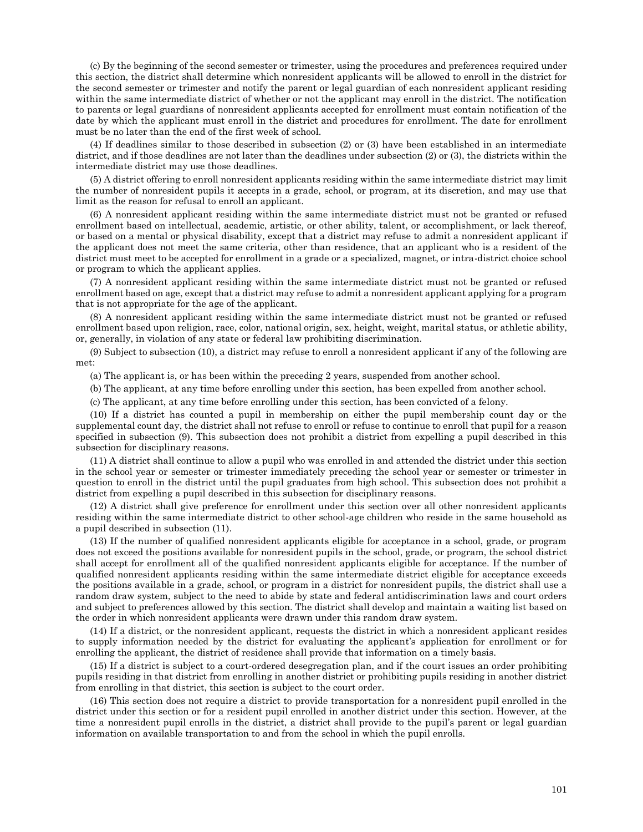(c) By the beginning of the second semester or trimester, using the procedures and preferences required under this section, the district shall determine which nonresident applicants will be allowed to enroll in the district for the second semester or trimester and notify the parent or legal guardian of each nonresident applicant residing within the same intermediate district of whether or not the applicant may enroll in the district. The notification to parents or legal guardians of nonresident applicants accepted for enrollment must contain notification of the date by which the applicant must enroll in the district and procedures for enrollment. The date for enrollment must be no later than the end of the first week of school.

(4) If deadlines similar to those described in subsection (2) or (3) have been established in an intermediate district, and if those deadlines are not later than the deadlines under subsection (2) or (3), the districts within the intermediate district may use those deadlines.

(5) A district offering to enroll nonresident applicants residing within the same intermediate district may limit the number of nonresident pupils it accepts in a grade, school, or program, at its discretion, and may use that limit as the reason for refusal to enroll an applicant.

(6) A nonresident applicant residing within the same intermediate district must not be granted or refused enrollment based on intellectual, academic, artistic, or other ability, talent, or accomplishment, or lack thereof, or based on a mental or physical disability, except that a district may refuse to admit a nonresident applicant if the applicant does not meet the same criteria, other than residence, that an applicant who is a resident of the district must meet to be accepted for enrollment in a grade or a specialized, magnet, or intra-district choice school or program to which the applicant applies.

(7) A nonresident applicant residing within the same intermediate district must not be granted or refused enrollment based on age, except that a district may refuse to admit a nonresident applicant applying for a program that is not appropriate for the age of the applicant.

(8) A nonresident applicant residing within the same intermediate district must not be granted or refused enrollment based upon religion, race, color, national origin, sex, height, weight, marital status, or athletic ability, or, generally, in violation of any state or federal law prohibiting discrimination.

(9) Subject to subsection (10), a district may refuse to enroll a nonresident applicant if any of the following are met:

(a) The applicant is, or has been within the preceding 2 years, suspended from another school.

(b) The applicant, at any time before enrolling under this section, has been expelled from another school.

(c) The applicant, at any time before enrolling under this section, has been convicted of a felony.

(10) If a district has counted a pupil in membership on either the pupil membership count day or the supplemental count day, the district shall not refuse to enroll or refuse to continue to enroll that pupil for a reason specified in subsection (9). This subsection does not prohibit a district from expelling a pupil described in this subsection for disciplinary reasons.

(11) A district shall continue to allow a pupil who was enrolled in and attended the district under this section in the school year or semester or trimester immediately preceding the school year or semester or trimester in question to enroll in the district until the pupil graduates from high school. This subsection does not prohibit a district from expelling a pupil described in this subsection for disciplinary reasons.

(12) A district shall give preference for enrollment under this section over all other nonresident applicants residing within the same intermediate district to other school-age children who reside in the same household as a pupil described in subsection (11).

(13) If the number of qualified nonresident applicants eligible for acceptance in a school, grade, or program does not exceed the positions available for nonresident pupils in the school, grade, or program, the school district shall accept for enrollment all of the qualified nonresident applicants eligible for acceptance. If the number of qualified nonresident applicants residing within the same intermediate district eligible for acceptance exceeds the positions available in a grade, school, or program in a district for nonresident pupils, the district shall use a random draw system, subject to the need to abide by state and federal antidiscrimination laws and court orders and subject to preferences allowed by this section. The district shall develop and maintain a waiting list based on the order in which nonresident applicants were drawn under this random draw system.

(14) If a district, or the nonresident applicant, requests the district in which a nonresident applicant resides to supply information needed by the district for evaluating the applicant's application for enrollment or for enrolling the applicant, the district of residence shall provide that information on a timely basis.

(15) If a district is subject to a court-ordered desegregation plan, and if the court issues an order prohibiting pupils residing in that district from enrolling in another district or prohibiting pupils residing in another district from enrolling in that district, this section is subject to the court order.

(16) This section does not require a district to provide transportation for a nonresident pupil enrolled in the district under this section or for a resident pupil enrolled in another district under this section. However, at the time a nonresident pupil enrolls in the district, a district shall provide to the pupil's parent or legal guardian information on available transportation to and from the school in which the pupil enrolls.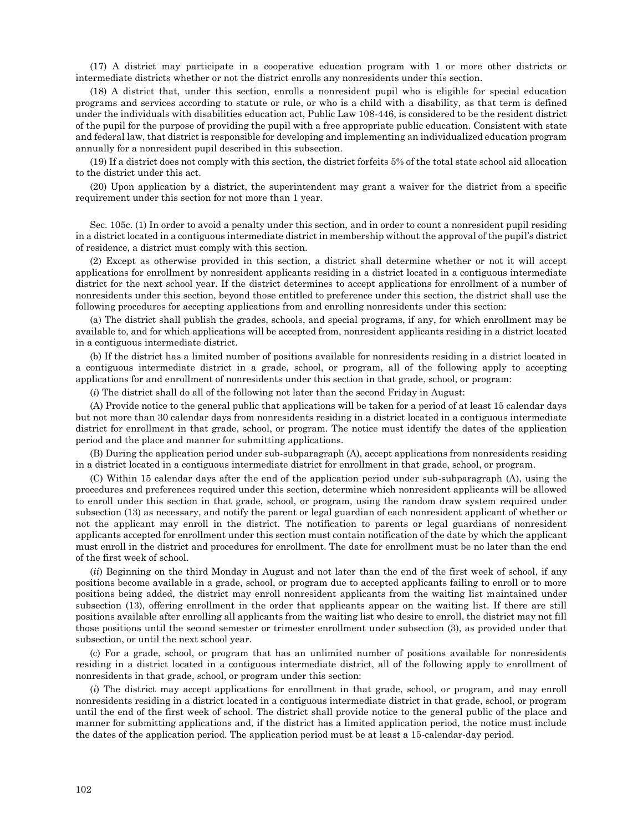(17) A district may participate in a cooperative education program with 1 or more other districts or intermediate districts whether or not the district enrolls any nonresidents under this section.

(18) A district that, under this section, enrolls a nonresident pupil who is eligible for special education programs and services according to statute or rule, or who is a child with a disability, as that term is defined under the individuals with disabilities education act, Public Law 108-446, is considered to be the resident district of the pupil for the purpose of providing the pupil with a free appropriate public education. Consistent with state and federal law, that district is responsible for developing and implementing an individualized education program annually for a nonresident pupil described in this subsection.

(19) If a district does not comply with this section, the district forfeits 5% of the total state school aid allocation to the district under this act.

(20) Upon application by a district, the superintendent may grant a waiver for the district from a specific requirement under this section for not more than 1 year.

Sec. 105c. (1) In order to avoid a penalty under this section, and in order to count a nonresident pupil residing in a district located in a contiguous intermediate district in membership without the approval of the pupil's district of residence, a district must comply with this section.

(2) Except as otherwise provided in this section, a district shall determine whether or not it will accept applications for enrollment by nonresident applicants residing in a district located in a contiguous intermediate district for the next school year. If the district determines to accept applications for enrollment of a number of nonresidents under this section, beyond those entitled to preference under this section, the district shall use the following procedures for accepting applications from and enrolling nonresidents under this section:

(a) The district shall publish the grades, schools, and special programs, if any, for which enrollment may be available to, and for which applications will be accepted from, nonresident applicants residing in a district located in a contiguous intermediate district.

(b) If the district has a limited number of positions available for nonresidents residing in a district located in a contiguous intermediate district in a grade, school, or program, all of the following apply to accepting applications for and enrollment of nonresidents under this section in that grade, school, or program:

(*i*) The district shall do all of the following not later than the second Friday in August:

(A) Provide notice to the general public that applications will be taken for a period of at least 15 calendar days but not more than 30 calendar days from nonresidents residing in a district located in a contiguous intermediate district for enrollment in that grade, school, or program. The notice must identify the dates of the application period and the place and manner for submitting applications.

(B) During the application period under sub-subparagraph (A), accept applications from nonresidents residing in a district located in a contiguous intermediate district for enrollment in that grade, school, or program.

(C) Within 15 calendar days after the end of the application period under sub-subparagraph (A), using the procedures and preferences required under this section, determine which nonresident applicants will be allowed to enroll under this section in that grade, school, or program, using the random draw system required under subsection (13) as necessary, and notify the parent or legal guardian of each nonresident applicant of whether or not the applicant may enroll in the district. The notification to parents or legal guardians of nonresident applicants accepted for enrollment under this section must contain notification of the date by which the applicant must enroll in the district and procedures for enrollment. The date for enrollment must be no later than the end of the first week of school.

(*ii*) Beginning on the third Monday in August and not later than the end of the first week of school, if any positions become available in a grade, school, or program due to accepted applicants failing to enroll or to more positions being added, the district may enroll nonresident applicants from the waiting list maintained under subsection (13), offering enrollment in the order that applicants appear on the waiting list. If there are still positions available after enrolling all applicants from the waiting list who desire to enroll, the district may not fill those positions until the second semester or trimester enrollment under subsection (3), as provided under that subsection, or until the next school year.

(c) For a grade, school, or program that has an unlimited number of positions available for nonresidents residing in a district located in a contiguous intermediate district, all of the following apply to enrollment of nonresidents in that grade, school, or program under this section:

(*i*) The district may accept applications for enrollment in that grade, school, or program, and may enroll nonresidents residing in a district located in a contiguous intermediate district in that grade, school, or program until the end of the first week of school. The district shall provide notice to the general public of the place and manner for submitting applications and, if the district has a limited application period, the notice must include the dates of the application period. The application period must be at least a 15-calendar-day period.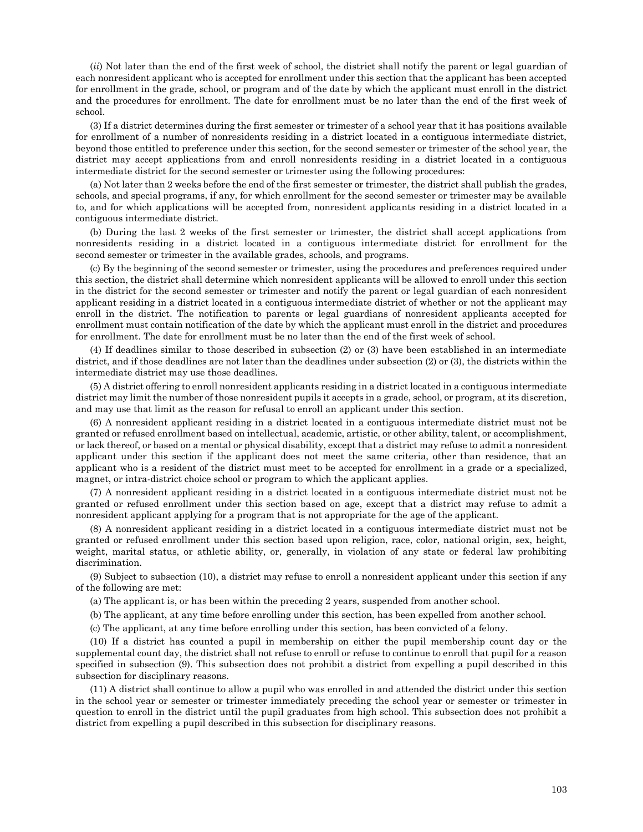(*ii*) Not later than the end of the first week of school, the district shall notify the parent or legal guardian of each nonresident applicant who is accepted for enrollment under this section that the applicant has been accepted for enrollment in the grade, school, or program and of the date by which the applicant must enroll in the district and the procedures for enrollment. The date for enrollment must be no later than the end of the first week of school.

(3) If a district determines during the first semester or trimester of a school year that it has positions available for enrollment of a number of nonresidents residing in a district located in a contiguous intermediate district, beyond those entitled to preference under this section, for the second semester or trimester of the school year, the district may accept applications from and enroll nonresidents residing in a district located in a contiguous intermediate district for the second semester or trimester using the following procedures:

(a) Not later than 2 weeks before the end of the first semester or trimester, the district shall publish the grades, schools, and special programs, if any, for which enrollment for the second semester or trimester may be available to, and for which applications will be accepted from, nonresident applicants residing in a district located in a contiguous intermediate district.

(b) During the last 2 weeks of the first semester or trimester, the district shall accept applications from nonresidents residing in a district located in a contiguous intermediate district for enrollment for the second semester or trimester in the available grades, schools, and programs.

(c) By the beginning of the second semester or trimester, using the procedures and preferences required under this section, the district shall determine which nonresident applicants will be allowed to enroll under this section in the district for the second semester or trimester and notify the parent or legal guardian of each nonresident applicant residing in a district located in a contiguous intermediate district of whether or not the applicant may enroll in the district. The notification to parents or legal guardians of nonresident applicants accepted for enrollment must contain notification of the date by which the applicant must enroll in the district and procedures for enrollment. The date for enrollment must be no later than the end of the first week of school.

(4) If deadlines similar to those described in subsection (2) or (3) have been established in an intermediate district, and if those deadlines are not later than the deadlines under subsection (2) or (3), the districts within the intermediate district may use those deadlines.

(5) A district offering to enroll nonresident applicants residing in a district located in a contiguous intermediate district may limit the number of those nonresident pupils it accepts in a grade, school, or program, at its discretion, and may use that limit as the reason for refusal to enroll an applicant under this section.

(6) A nonresident applicant residing in a district located in a contiguous intermediate district must not be granted or refused enrollment based on intellectual, academic, artistic, or other ability, talent, or accomplishment, or lack thereof, or based on a mental or physical disability, except that a district may refuse to admit a nonresident applicant under this section if the applicant does not meet the same criteria, other than residence, that an applicant who is a resident of the district must meet to be accepted for enrollment in a grade or a specialized, magnet, or intra-district choice school or program to which the applicant applies.

(7) A nonresident applicant residing in a district located in a contiguous intermediate district must not be granted or refused enrollment under this section based on age, except that a district may refuse to admit a nonresident applicant applying for a program that is not appropriate for the age of the applicant.

(8) A nonresident applicant residing in a district located in a contiguous intermediate district must not be granted or refused enrollment under this section based upon religion, race, color, national origin, sex, height, weight, marital status, or athletic ability, or, generally, in violation of any state or federal law prohibiting discrimination.

(9) Subject to subsection (10), a district may refuse to enroll a nonresident applicant under this section if any of the following are met:

(a) The applicant is, or has been within the preceding 2 years, suspended from another school.

(b) The applicant, at any time before enrolling under this section, has been expelled from another school.

(c) The applicant, at any time before enrolling under this section, has been convicted of a felony.

(10) If a district has counted a pupil in membership on either the pupil membership count day or the supplemental count day, the district shall not refuse to enroll or refuse to continue to enroll that pupil for a reason specified in subsection (9). This subsection does not prohibit a district from expelling a pupil described in this subsection for disciplinary reasons.

(11) A district shall continue to allow a pupil who was enrolled in and attended the district under this section in the school year or semester or trimester immediately preceding the school year or semester or trimester in question to enroll in the district until the pupil graduates from high school. This subsection does not prohibit a district from expelling a pupil described in this subsection for disciplinary reasons.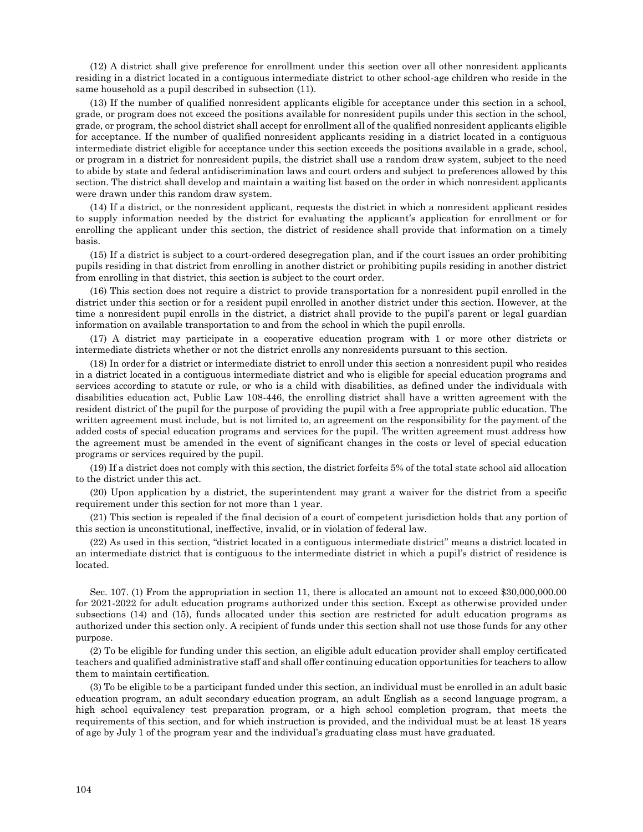(12) A district shall give preference for enrollment under this section over all other nonresident applicants residing in a district located in a contiguous intermediate district to other school-age children who reside in the same household as a pupil described in subsection (11).

(13) If the number of qualified nonresident applicants eligible for acceptance under this section in a school, grade, or program does not exceed the positions available for nonresident pupils under this section in the school, grade, or program, the school district shall accept for enrollment all of the qualified nonresident applicants eligible for acceptance. If the number of qualified nonresident applicants residing in a district located in a contiguous intermediate district eligible for acceptance under this section exceeds the positions available in a grade, school, or program in a district for nonresident pupils, the district shall use a random draw system, subject to the need to abide by state and federal antidiscrimination laws and court orders and subject to preferences allowed by this section. The district shall develop and maintain a waiting list based on the order in which nonresident applicants were drawn under this random draw system.

(14) If a district, or the nonresident applicant, requests the district in which a nonresident applicant resides to supply information needed by the district for evaluating the applicant's application for enrollment or for enrolling the applicant under this section, the district of residence shall provide that information on a timely basis.

(15) If a district is subject to a court-ordered desegregation plan, and if the court issues an order prohibiting pupils residing in that district from enrolling in another district or prohibiting pupils residing in another district from enrolling in that district, this section is subject to the court order.

(16) This section does not require a district to provide transportation for a nonresident pupil enrolled in the district under this section or for a resident pupil enrolled in another district under this section. However, at the time a nonresident pupil enrolls in the district, a district shall provide to the pupil's parent or legal guardian information on available transportation to and from the school in which the pupil enrolls.

(17) A district may participate in a cooperative education program with 1 or more other districts or intermediate districts whether or not the district enrolls any nonresidents pursuant to this section.

(18) In order for a district or intermediate district to enroll under this section a nonresident pupil who resides in a district located in a contiguous intermediate district and who is eligible for special education programs and services according to statute or rule, or who is a child with disabilities, as defined under the individuals with disabilities education act, Public Law 108-446, the enrolling district shall have a written agreement with the resident district of the pupil for the purpose of providing the pupil with a free appropriate public education. The written agreement must include, but is not limited to, an agreement on the responsibility for the payment of the added costs of special education programs and services for the pupil. The written agreement must address how the agreement must be amended in the event of significant changes in the costs or level of special education programs or services required by the pupil.

(19) If a district does not comply with this section, the district forfeits 5% of the total state school aid allocation to the district under this act.

(20) Upon application by a district, the superintendent may grant a waiver for the district from a specific requirement under this section for not more than 1 year.

(21) This section is repealed if the final decision of a court of competent jurisdiction holds that any portion of this section is unconstitutional, ineffective, invalid, or in violation of federal law.

(22) As used in this section, "district located in a contiguous intermediate district" means a district located in an intermediate district that is contiguous to the intermediate district in which a pupil's district of residence is located.

Sec. 107. (1) From the appropriation in section 11, there is allocated an amount not to exceed \$30,000,000.00 for 2021-2022 for adult education programs authorized under this section. Except as otherwise provided under subsections (14) and (15), funds allocated under this section are restricted for adult education programs as authorized under this section only. A recipient of funds under this section shall not use those funds for any other purpose.

(2) To be eligible for funding under this section, an eligible adult education provider shall employ certificated teachers and qualified administrative staff and shall offer continuing education opportunities for teachers to allow them to maintain certification.

(3) To be eligible to be a participant funded under this section, an individual must be enrolled in an adult basic education program, an adult secondary education program, an adult English as a second language program, a high school equivalency test preparation program, or a high school completion program, that meets the requirements of this section, and for which instruction is provided, and the individual must be at least 18 years of age by July 1 of the program year and the individual's graduating class must have graduated.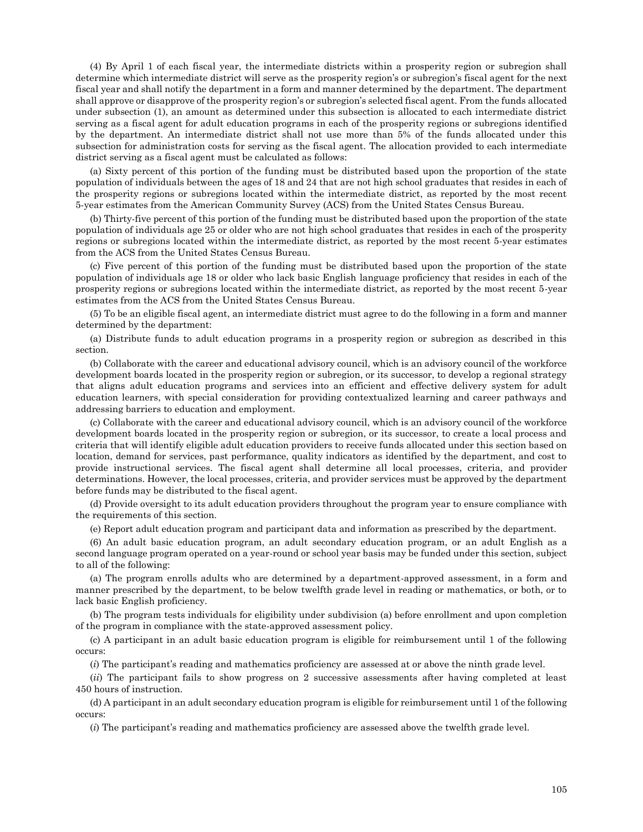(4) By April 1 of each fiscal year, the intermediate districts within a prosperity region or subregion shall determine which intermediate district will serve as the prosperity region's or subregion's fiscal agent for the next fiscal year and shall notify the department in a form and manner determined by the department. The department shall approve or disapprove of the prosperity region's or subregion's selected fiscal agent. From the funds allocated under subsection (1), an amount as determined under this subsection is allocated to each intermediate district serving as a fiscal agent for adult education programs in each of the prosperity regions or subregions identified by the department. An intermediate district shall not use more than 5% of the funds allocated under this subsection for administration costs for serving as the fiscal agent. The allocation provided to each intermediate district serving as a fiscal agent must be calculated as follows:

(a) Sixty percent of this portion of the funding must be distributed based upon the proportion of the state population of individuals between the ages of 18 and 24 that are not high school graduates that resides in each of the prosperity regions or subregions located within the intermediate district, as reported by the most recent 5-year estimates from the American Community Survey (ACS) from the United States Census Bureau.

(b) Thirty-five percent of this portion of the funding must be distributed based upon the proportion of the state population of individuals age 25 or older who are not high school graduates that resides in each of the prosperity regions or subregions located within the intermediate district, as reported by the most recent 5-year estimates from the ACS from the United States Census Bureau.

(c) Five percent of this portion of the funding must be distributed based upon the proportion of the state population of individuals age 18 or older who lack basic English language proficiency that resides in each of the prosperity regions or subregions located within the intermediate district, as reported by the most recent 5-year estimates from the ACS from the United States Census Bureau.

(5) To be an eligible fiscal agent, an intermediate district must agree to do the following in a form and manner determined by the department:

(a) Distribute funds to adult education programs in a prosperity region or subregion as described in this section.

(b) Collaborate with the career and educational advisory council, which is an advisory council of the workforce development boards located in the prosperity region or subregion, or its successor, to develop a regional strategy that aligns adult education programs and services into an efficient and effective delivery system for adult education learners, with special consideration for providing contextualized learning and career pathways and addressing barriers to education and employment.

(c) Collaborate with the career and educational advisory council, which is an advisory council of the workforce development boards located in the prosperity region or subregion, or its successor, to create a local process and criteria that will identify eligible adult education providers to receive funds allocated under this section based on location, demand for services, past performance, quality indicators as identified by the department, and cost to provide instructional services. The fiscal agent shall determine all local processes, criteria, and provider determinations. However, the local processes, criteria, and provider services must be approved by the department before funds may be distributed to the fiscal agent.

(d) Provide oversight to its adult education providers throughout the program year to ensure compliance with the requirements of this section.

(e) Report adult education program and participant data and information as prescribed by the department.

(6) An adult basic education program, an adult secondary education program, or an adult English as a second language program operated on a year-round or school year basis may be funded under this section, subject to all of the following:

(a) The program enrolls adults who are determined by a department-approved assessment, in a form and manner prescribed by the department, to be below twelfth grade level in reading or mathematics, or both, or to lack basic English proficiency.

(b) The program tests individuals for eligibility under subdivision (a) before enrollment and upon completion of the program in compliance with the state-approved assessment policy.

(c) A participant in an adult basic education program is eligible for reimbursement until 1 of the following occurs:

(*i*) The participant's reading and mathematics proficiency are assessed at or above the ninth grade level.

(*ii*) The participant fails to show progress on 2 successive assessments after having completed at least 450 hours of instruction.

(d) A participant in an adult secondary education program is eligible for reimbursement until 1 of the following occurs:

(*i*) The participant's reading and mathematics proficiency are assessed above the twelfth grade level.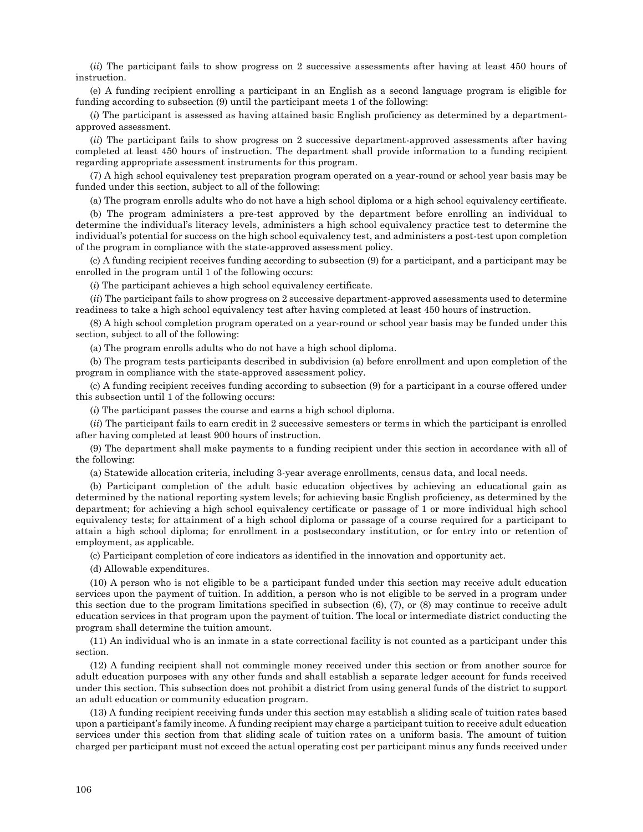(*ii*) The participant fails to show progress on 2 successive assessments after having at least 450 hours of instruction.

(e) A funding recipient enrolling a participant in an English as a second language program is eligible for funding according to subsection (9) until the participant meets 1 of the following:

(*i*) The participant is assessed as having attained basic English proficiency as determined by a departmentapproved assessment.

(*ii*) The participant fails to show progress on 2 successive department-approved assessments after having completed at least 450 hours of instruction. The department shall provide information to a funding recipient regarding appropriate assessment instruments for this program.

(7) A high school equivalency test preparation program operated on a year-round or school year basis may be funded under this section, subject to all of the following:

(a) The program enrolls adults who do not have a high school diploma or a high school equivalency certificate.

(b) The program administers a pre-test approved by the department before enrolling an individual to determine the individual's literacy levels, administers a high school equivalency practice test to determine the individual's potential for success on the high school equivalency test, and administers a post-test upon completion of the program in compliance with the state-approved assessment policy.

(c) A funding recipient receives funding according to subsection (9) for a participant, and a participant may be enrolled in the program until 1 of the following occurs:

(*i*) The participant achieves a high school equivalency certificate.

(*ii*) The participant fails to show progress on 2 successive department-approved assessments used to determine readiness to take a high school equivalency test after having completed at least 450 hours of instruction.

(8) A high school completion program operated on a year-round or school year basis may be funded under this section, subject to all of the following:

(a) The program enrolls adults who do not have a high school diploma.

(b) The program tests participants described in subdivision (a) before enrollment and upon completion of the program in compliance with the state-approved assessment policy.

(c) A funding recipient receives funding according to subsection (9) for a participant in a course offered under this subsection until 1 of the following occurs:

(*i*) The participant passes the course and earns a high school diploma.

(*ii*) The participant fails to earn credit in 2 successive semesters or terms in which the participant is enrolled after having completed at least 900 hours of instruction.

(9) The department shall make payments to a funding recipient under this section in accordance with all of the following:

(a) Statewide allocation criteria, including 3-year average enrollments, census data, and local needs.

(b) Participant completion of the adult basic education objectives by achieving an educational gain as determined by the national reporting system levels; for achieving basic English proficiency, as determined by the department; for achieving a high school equivalency certificate or passage of 1 or more individual high school equivalency tests; for attainment of a high school diploma or passage of a course required for a participant to attain a high school diploma; for enrollment in a postsecondary institution, or for entry into or retention of employment, as applicable.

(c) Participant completion of core indicators as identified in the innovation and opportunity act.

(d) Allowable expenditures.

(10) A person who is not eligible to be a participant funded under this section may receive adult education services upon the payment of tuition. In addition, a person who is not eligible to be served in a program under this section due to the program limitations specified in subsection (6), (7), or (8) may continue to receive adult education services in that program upon the payment of tuition. The local or intermediate district conducting the program shall determine the tuition amount.

(11) An individual who is an inmate in a state correctional facility is not counted as a participant under this section.

(12) A funding recipient shall not commingle money received under this section or from another source for adult education purposes with any other funds and shall establish a separate ledger account for funds received under this section. This subsection does not prohibit a district from using general funds of the district to support an adult education or community education program.

(13) A funding recipient receiving funds under this section may establish a sliding scale of tuition rates based upon a participant's family income. A funding recipient may charge a participant tuition to receive adult education services under this section from that sliding scale of tuition rates on a uniform basis. The amount of tuition charged per participant must not exceed the actual operating cost per participant minus any funds received under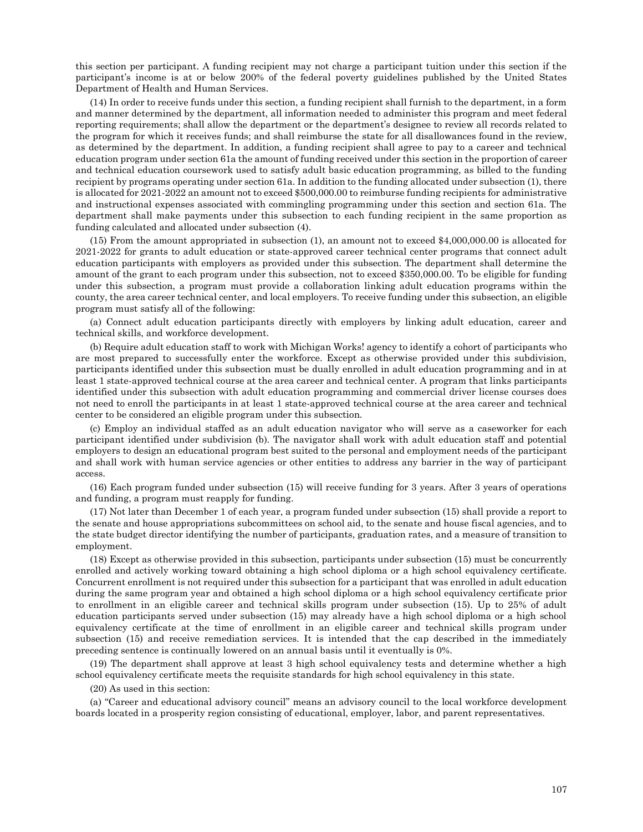this section per participant. A funding recipient may not charge a participant tuition under this section if the participant's income is at or below 200% of the federal poverty guidelines published by the United States Department of Health and Human Services.

(14) In order to receive funds under this section, a funding recipient shall furnish to the department, in a form and manner determined by the department, all information needed to administer this program and meet federal reporting requirements; shall allow the department or the department's designee to review all records related to the program for which it receives funds; and shall reimburse the state for all disallowances found in the review, as determined by the department. In addition, a funding recipient shall agree to pay to a career and technical education program under section 61a the amount of funding received under this section in the proportion of career and technical education coursework used to satisfy adult basic education programming, as billed to the funding recipient by programs operating under section 61a. In addition to the funding allocated under subsection (1), there is allocated for 2021-2022 an amount not to exceed \$500,000.00 to reimburse funding recipients for administrative and instructional expenses associated with commingling programming under this section and section 61a. The department shall make payments under this subsection to each funding recipient in the same proportion as funding calculated and allocated under subsection (4).

(15) From the amount appropriated in subsection (1), an amount not to exceed \$4,000,000.00 is allocated for 2021-2022 for grants to adult education or state-approved career technical center programs that connect adult education participants with employers as provided under this subsection. The department shall determine the amount of the grant to each program under this subsection, not to exceed \$350,000.00. To be eligible for funding under this subsection, a program must provide a collaboration linking adult education programs within the county, the area career technical center, and local employers. To receive funding under this subsection, an eligible program must satisfy all of the following:

(a) Connect adult education participants directly with employers by linking adult education, career and technical skills, and workforce development.

(b) Require adult education staff to work with Michigan Works! agency to identify a cohort of participants who are most prepared to successfully enter the workforce. Except as otherwise provided under this subdivision, participants identified under this subsection must be dually enrolled in adult education programming and in at least 1 state-approved technical course at the area career and technical center. A program that links participants identified under this subsection with adult education programming and commercial driver license courses does not need to enroll the participants in at least 1 state-approved technical course at the area career and technical center to be considered an eligible program under this subsection.

(c) Employ an individual staffed as an adult education navigator who will serve as a caseworker for each participant identified under subdivision (b). The navigator shall work with adult education staff and potential employers to design an educational program best suited to the personal and employment needs of the participant and shall work with human service agencies or other entities to address any barrier in the way of participant access.

(16) Each program funded under subsection (15) will receive funding for 3 years. After 3 years of operations and funding, a program must reapply for funding.

(17) Not later than December 1 of each year, a program funded under subsection (15) shall provide a report to the senate and house appropriations subcommittees on school aid, to the senate and house fiscal agencies, and to the state budget director identifying the number of participants, graduation rates, and a measure of transition to employment.

(18) Except as otherwise provided in this subsection, participants under subsection (15) must be concurrently enrolled and actively working toward obtaining a high school diploma or a high school equivalency certificate. Concurrent enrollment is not required under this subsection for a participant that was enrolled in adult education during the same program year and obtained a high school diploma or a high school equivalency certificate prior to enrollment in an eligible career and technical skills program under subsection (15). Up to 25% of adult education participants served under subsection (15) may already have a high school diploma or a high school equivalency certificate at the time of enrollment in an eligible career and technical skills program under subsection (15) and receive remediation services. It is intended that the cap described in the immediately preceding sentence is continually lowered on an annual basis until it eventually is 0%.

(19) The department shall approve at least 3 high school equivalency tests and determine whether a high school equivalency certificate meets the requisite standards for high school equivalency in this state.

(20) As used in this section:

(a) "Career and educational advisory council" means an advisory council to the local workforce development boards located in a prosperity region consisting of educational, employer, labor, and parent representatives.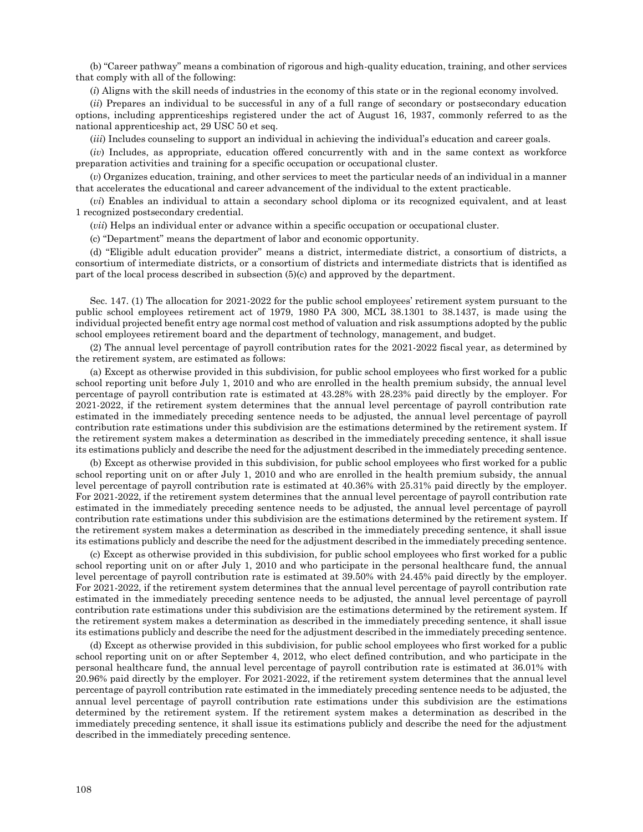(b) "Career pathway" means a combination of rigorous and high-quality education, training, and other services that comply with all of the following:

(*i*) Aligns with the skill needs of industries in the economy of this state or in the regional economy involved.

(*ii*) Prepares an individual to be successful in any of a full range of secondary or postsecondary education options, including apprenticeships registered under the act of August 16, 1937, commonly referred to as the national apprenticeship act, 29 USC 50 et seq.

(*iii*) Includes counseling to support an individual in achieving the individual's education and career goals.

(*iv*) Includes, as appropriate, education offered concurrently with and in the same context as workforce preparation activities and training for a specific occupation or occupational cluster.

(*v*) Organizes education, training, and other services to meet the particular needs of an individual in a manner that accelerates the educational and career advancement of the individual to the extent practicable.

(*vi*) Enables an individual to attain a secondary school diploma or its recognized equivalent, and at least 1 recognized postsecondary credential.

(*vii*) Helps an individual enter or advance within a specific occupation or occupational cluster.

(c) "Department" means the department of labor and economic opportunity.

(d) "Eligible adult education provider" means a district, intermediate district, a consortium of districts, a consortium of intermediate districts, or a consortium of districts and intermediate districts that is identified as part of the local process described in subsection (5)(c) and approved by the department.

Sec. 147. (1) The allocation for 2021-2022 for the public school employees' retirement system pursuant to the public school employees retirement act of 1979, 1980 PA 300, MCL 38.1301 to 38.1437, is made using the individual projected benefit entry age normal cost method of valuation and risk assumptions adopted by the public school employees retirement board and the department of technology, management, and budget.

(2) The annual level percentage of payroll contribution rates for the 2021-2022 fiscal year, as determined by the retirement system, are estimated as follows:

(a) Except as otherwise provided in this subdivision, for public school employees who first worked for a public school reporting unit before July 1, 2010 and who are enrolled in the health premium subsidy, the annual level percentage of payroll contribution rate is estimated at 43.28% with 28.23% paid directly by the employer. For 2021-2022, if the retirement system determines that the annual level percentage of payroll contribution rate estimated in the immediately preceding sentence needs to be adjusted, the annual level percentage of payroll contribution rate estimations under this subdivision are the estimations determined by the retirement system. If the retirement system makes a determination as described in the immediately preceding sentence, it shall issue its estimations publicly and describe the need for the adjustment described in the immediately preceding sentence.

(b) Except as otherwise provided in this subdivision, for public school employees who first worked for a public school reporting unit on or after July 1, 2010 and who are enrolled in the health premium subsidy, the annual level percentage of payroll contribution rate is estimated at 40.36% with 25.31% paid directly by the employer. For 2021-2022, if the retirement system determines that the annual level percentage of payroll contribution rate estimated in the immediately preceding sentence needs to be adjusted, the annual level percentage of payroll contribution rate estimations under this subdivision are the estimations determined by the retirement system. If the retirement system makes a determination as described in the immediately preceding sentence, it shall issue its estimations publicly and describe the need for the adjustment described in the immediately preceding sentence.

(c) Except as otherwise provided in this subdivision, for public school employees who first worked for a public school reporting unit on or after July 1, 2010 and who participate in the personal healthcare fund, the annual level percentage of payroll contribution rate is estimated at 39.50% with 24.45% paid directly by the employer. For 2021-2022, if the retirement system determines that the annual level percentage of payroll contribution rate estimated in the immediately preceding sentence needs to be adjusted, the annual level percentage of payroll contribution rate estimations under this subdivision are the estimations determined by the retirement system. If the retirement system makes a determination as described in the immediately preceding sentence, it shall issue its estimations publicly and describe the need for the adjustment described in the immediately preceding sentence.

(d) Except as otherwise provided in this subdivision, for public school employees who first worked for a public school reporting unit on or after September 4, 2012, who elect defined contribution, and who participate in the personal healthcare fund, the annual level percentage of payroll contribution rate is estimated at 36.01% with 20.96% paid directly by the employer. For 2021-2022, if the retirement system determines that the annual level percentage of payroll contribution rate estimated in the immediately preceding sentence needs to be adjusted, the annual level percentage of payroll contribution rate estimations under this subdivision are the estimations determined by the retirement system. If the retirement system makes a determination as described in the immediately preceding sentence, it shall issue its estimations publicly and describe the need for the adjustment described in the immediately preceding sentence.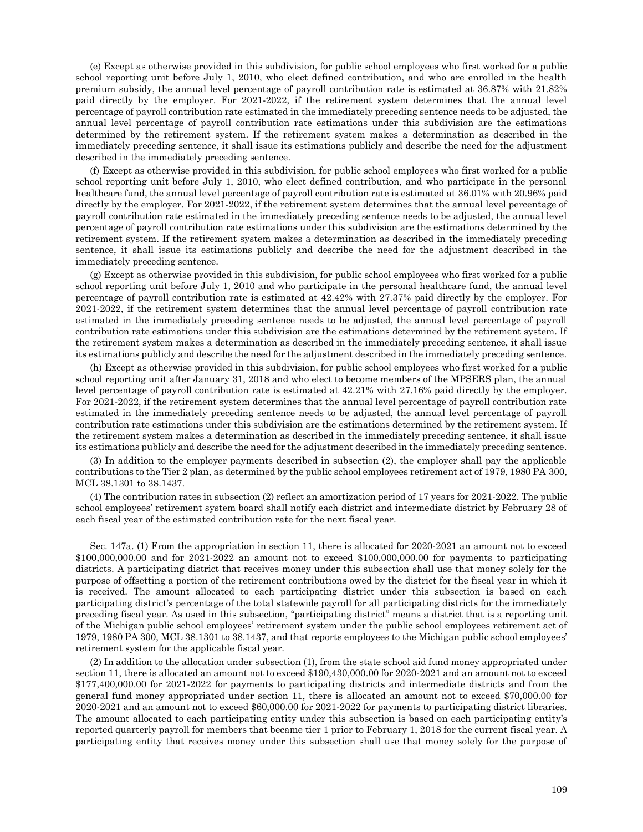(e) Except as otherwise provided in this subdivision, for public school employees who first worked for a public school reporting unit before July 1, 2010, who elect defined contribution, and who are enrolled in the health premium subsidy, the annual level percentage of payroll contribution rate is estimated at 36.87% with 21.82% paid directly by the employer. For 2021-2022, if the retirement system determines that the annual level percentage of payroll contribution rate estimated in the immediately preceding sentence needs to be adjusted, the annual level percentage of payroll contribution rate estimations under this subdivision are the estimations determined by the retirement system. If the retirement system makes a determination as described in the immediately preceding sentence, it shall issue its estimations publicly and describe the need for the adjustment described in the immediately preceding sentence.

(f) Except as otherwise provided in this subdivision, for public school employees who first worked for a public school reporting unit before July 1, 2010, who elect defined contribution, and who participate in the personal healthcare fund, the annual level percentage of payroll contribution rate is estimated at 36.01% with 20.96% paid directly by the employer. For 2021-2022, if the retirement system determines that the annual level percentage of payroll contribution rate estimated in the immediately preceding sentence needs to be adjusted, the annual level percentage of payroll contribution rate estimations under this subdivision are the estimations determined by the retirement system. If the retirement system makes a determination as described in the immediately preceding sentence, it shall issue its estimations publicly and describe the need for the adjustment described in the immediately preceding sentence.

(g) Except as otherwise provided in this subdivision, for public school employees who first worked for a public school reporting unit before July 1, 2010 and who participate in the personal healthcare fund, the annual level percentage of payroll contribution rate is estimated at 42.42% with 27.37% paid directly by the employer. For 2021-2022, if the retirement system determines that the annual level percentage of payroll contribution rate estimated in the immediately preceding sentence needs to be adjusted, the annual level percentage of payroll contribution rate estimations under this subdivision are the estimations determined by the retirement system. If the retirement system makes a determination as described in the immediately preceding sentence, it shall issue its estimations publicly and describe the need for the adjustment described in the immediately preceding sentence.

(h) Except as otherwise provided in this subdivision, for public school employees who first worked for a public school reporting unit after January 31, 2018 and who elect to become members of the MPSERS plan, the annual level percentage of payroll contribution rate is estimated at 42.21% with 27.16% paid directly by the employer. For 2021-2022, if the retirement system determines that the annual level percentage of payroll contribution rate estimated in the immediately preceding sentence needs to be adjusted, the annual level percentage of payroll contribution rate estimations under this subdivision are the estimations determined by the retirement system. If the retirement system makes a determination as described in the immediately preceding sentence, it shall issue its estimations publicly and describe the need for the adjustment described in the immediately preceding sentence.

(3) In addition to the employer payments described in subsection (2), the employer shall pay the applicable contributions to the Tier 2 plan, as determined by the public school employees retirement act of 1979, 1980 PA 300, MCL 38.1301 to 38.1437.

(4) The contribution rates in subsection (2) reflect an amortization period of 17 years for 2021-2022. The public school employees' retirement system board shall notify each district and intermediate district by February 28 of each fiscal year of the estimated contribution rate for the next fiscal year.

Sec. 147a. (1) From the appropriation in section 11, there is allocated for 2020-2021 an amount not to exceed \$100,000,000.00 and for 2021-2022 an amount not to exceed \$100,000,000.00 for payments to participating districts. A participating district that receives money under this subsection shall use that money solely for the purpose of offsetting a portion of the retirement contributions owed by the district for the fiscal year in which it is received. The amount allocated to each participating district under this subsection is based on each participating district's percentage of the total statewide payroll for all participating districts for the immediately preceding fiscal year. As used in this subsection, "participating district" means a district that is a reporting unit of the Michigan public school employees' retirement system under the public school employees retirement act of 1979, 1980 PA 300, MCL 38.1301 to 38.1437, and that reports employees to the Michigan public school employees' retirement system for the applicable fiscal year.

(2) In addition to the allocation under subsection (1), from the state school aid fund money appropriated under section 11, there is allocated an amount not to exceed \$190,430,000.00 for 2020-2021 and an amount not to exceed \$177,400,000.00 for 2021-2022 for payments to participating districts and intermediate districts and from the general fund money appropriated under section 11, there is allocated an amount not to exceed \$70,000.00 for 2020-2021 and an amount not to exceed \$60,000.00 for 2021-2022 for payments to participating district libraries. The amount allocated to each participating entity under this subsection is based on each participating entity's reported quarterly payroll for members that became tier 1 prior to February 1, 2018 for the current fiscal year. A participating entity that receives money under this subsection shall use that money solely for the purpose of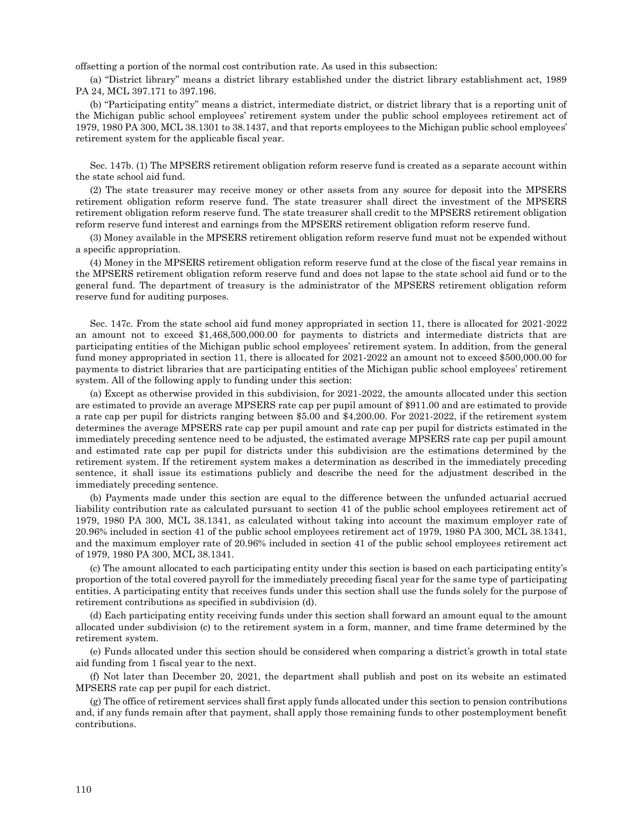offsetting a portion of the normal cost contribution rate. As used in this subsection:

(a) "District library" means a district library established under the district library establishment act, 1989 PA 24, MCL 397.171 to 397.196.

(b) "Participating entity" means a district, intermediate district, or district library that is a reporting unit of the Michigan public school employees' retirement system under the public school employees retirement act of 1979, 1980 PA 300, MCL 38.1301 to 38.1437, and that reports employees to the Michigan public school employees' retirement system for the applicable fiscal year.

Sec. 147b. (1) The MPSERS retirement obligation reform reserve fund is created as a separate account within the state school aid fund.

(2) The state treasurer may receive money or other assets from any source for deposit into the MPSERS retirement obligation reform reserve fund. The state treasurer shall direct the investment of the MPSERS retirement obligation reform reserve fund. The state treasurer shall credit to the MPSERS retirement obligation reform reserve fund interest and earnings from the MPSERS retirement obligation reform reserve fund.

(3) Money available in the MPSERS retirement obligation reform reserve fund must not be expended without a specific appropriation.

(4) Money in the MPSERS retirement obligation reform reserve fund at the close of the fiscal year remains in the MPSERS retirement obligation reform reserve fund and does not lapse to the state school aid fund or to the general fund. The department of treasury is the administrator of the MPSERS retirement obligation reform reserve fund for auditing purposes.

Sec. 147c. From the state school aid fund money appropriated in section 11, there is allocated for 2021-2022 an amount not to exceed \$1,468,500,000.00 for payments to districts and intermediate districts that are participating entities of the Michigan public school employees' retirement system. In addition, from the general fund money appropriated in section 11, there is allocated for 2021-2022 an amount not to exceed \$500,000.00 for payments to district libraries that are participating entities of the Michigan public school employees' retirement system. All of the following apply to funding under this section:

(a) Except as otherwise provided in this subdivision, for 2021-2022, the amounts allocated under this section are estimated to provide an average MPSERS rate cap per pupil amount of \$911.00 and are estimated to provide a rate cap per pupil for districts ranging between \$5.00 and \$4,200.00. For 2021-2022, if the retirement system determines the average MPSERS rate cap per pupil amount and rate cap per pupil for districts estimated in the immediately preceding sentence need to be adjusted, the estimated average MPSERS rate cap per pupil amount and estimated rate cap per pupil for districts under this subdivision are the estimations determined by the retirement system. If the retirement system makes a determination as described in the immediately preceding sentence, it shall issue its estimations publicly and describe the need for the adjustment described in the immediately preceding sentence.

(b) Payments made under this section are equal to the difference between the unfunded actuarial accrued liability contribution rate as calculated pursuant to section 41 of the public school employees retirement act of 1979, 1980 PA 300, MCL 38.1341, as calculated without taking into account the maximum employer rate of 20.96% included in section 41 of the public school employees retirement act of 1979, 1980 PA 300, MCL 38.1341, and the maximum employer rate of 20.96% included in section 41 of the public school employees retirement act of 1979, 1980 PA 300, MCL 38.1341.

(c) The amount allocated to each participating entity under this section is based on each participating entity's proportion of the total covered payroll for the immediately preceding fiscal year for the same type of participating entities. A participating entity that receives funds under this section shall use the funds solely for the purpose of retirement contributions as specified in subdivision (d).

(d) Each participating entity receiving funds under this section shall forward an amount equal to the amount allocated under subdivision (c) to the retirement system in a form, manner, and time frame determined by the retirement system.

(e) Funds allocated under this section should be considered when comparing a district's growth in total state aid funding from 1 fiscal year to the next.

(f) Not later than December 20, 2021, the department shall publish and post on its website an estimated MPSERS rate cap per pupil for each district.

(g) The office of retirement services shall first apply funds allocated under this section to pension contributions and, if any funds remain after that payment, shall apply those remaining funds to other postemployment benefit contributions.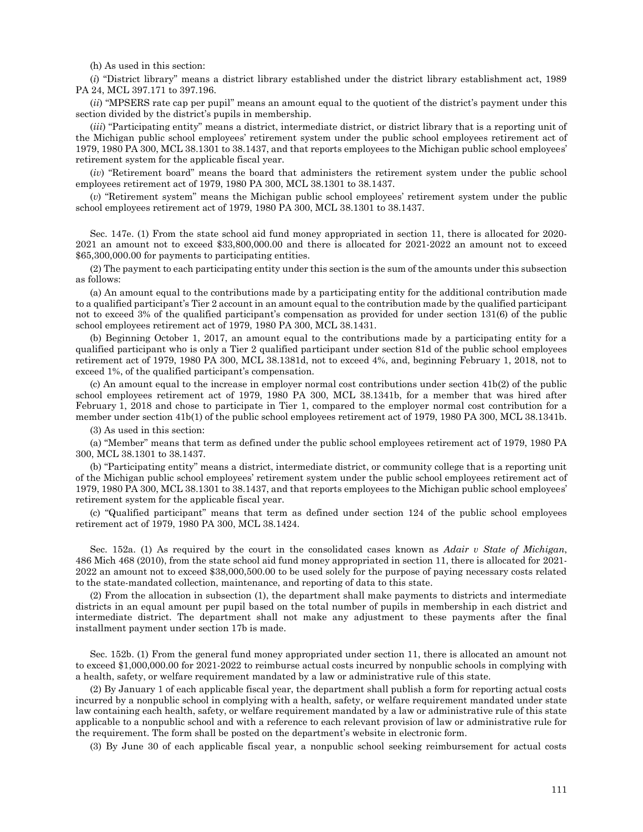(h) As used in this section:

(*i*) "District library" means a district library established under the district library establishment act, 1989 PA 24, MCL 397.171 to 397.196.

(*ii*) "MPSERS rate cap per pupil" means an amount equal to the quotient of the district's payment under this section divided by the district's pupils in membership.

(*iii*) "Participating entity" means a district, intermediate district, or district library that is a reporting unit of the Michigan public school employees' retirement system under the public school employees retirement act of 1979, 1980 PA 300, MCL 38.1301 to 38.1437, and that reports employees to the Michigan public school employees' retirement system for the applicable fiscal year.

(*iv*) "Retirement board" means the board that administers the retirement system under the public school employees retirement act of 1979, 1980 PA 300, MCL 38.1301 to 38.1437.

(*v*) "Retirement system" means the Michigan public school employees' retirement system under the public school employees retirement act of 1979, 1980 PA 300, MCL 38.1301 to 38.1437.

Sec. 147e. (1) From the state school aid fund money appropriated in section 11, there is allocated for 2020- 2021 an amount not to exceed \$33,800,000.00 and there is allocated for 2021-2022 an amount not to exceed \$65,300,000.00 for payments to participating entities.

(2) The payment to each participating entity under this section is the sum of the amounts under this subsection as follows:

(a) An amount equal to the contributions made by a participating entity for the additional contribution made to a qualified participant's Tier 2 account in an amount equal to the contribution made by the qualified participant not to exceed 3% of the qualified participant's compensation as provided for under section 131(6) of the public school employees retirement act of 1979, 1980 PA 300, MCL 38.1431.

(b) Beginning October 1, 2017, an amount equal to the contributions made by a participating entity for a qualified participant who is only a Tier 2 qualified participant under section 81d of the public school employees retirement act of 1979, 1980 PA 300, MCL 38.1381d, not to exceed 4%, and, beginning February 1, 2018, not to exceed 1%, of the qualified participant's compensation.

(c) An amount equal to the increase in employer normal cost contributions under section 41b(2) of the public school employees retirement act of 1979, 1980 PA 300, MCL 38.1341b, for a member that was hired after February 1, 2018 and chose to participate in Tier 1, compared to the employer normal cost contribution for a member under section 41b(1) of the public school employees retirement act of 1979, 1980 PA 300, MCL 38.1341b.

(3) As used in this section:

(a) "Member" means that term as defined under the public school employees retirement act of 1979, 1980 PA 300, MCL 38.1301 to 38.1437.

(b) "Participating entity" means a district, intermediate district, or community college that is a reporting unit of the Michigan public school employees' retirement system under the public school employees retirement act of 1979, 1980 PA 300, MCL 38.1301 to 38.1437, and that reports employees to the Michigan public school employees' retirement system for the applicable fiscal year.

(c) "Qualified participant" means that term as defined under section 124 of the public school employees retirement act of 1979, 1980 PA 300, MCL 38.1424.

Sec. 152a. (1) As required by the court in the consolidated cases known as *Adair v State of Michigan*, 486 Mich 468 (2010), from the state school aid fund money appropriated in section 11, there is allocated for 2021- 2022 an amount not to exceed \$38,000,500.00 to be used solely for the purpose of paying necessary costs related to the state-mandated collection, maintenance, and reporting of data to this state.

(2) From the allocation in subsection (1), the department shall make payments to districts and intermediate districts in an equal amount per pupil based on the total number of pupils in membership in each district and intermediate district. The department shall not make any adjustment to these payments after the final installment payment under section 17b is made.

Sec. 152b. (1) From the general fund money appropriated under section 11, there is allocated an amount not to exceed \$1,000,000.00 for 2021-2022 to reimburse actual costs incurred by nonpublic schools in complying with a health, safety, or welfare requirement mandated by a law or administrative rule of this state.

(2) By January 1 of each applicable fiscal year, the department shall publish a form for reporting actual costs incurred by a nonpublic school in complying with a health, safety, or welfare requirement mandated under state law containing each health, safety, or welfare requirement mandated by a law or administrative rule of this state applicable to a nonpublic school and with a reference to each relevant provision of law or administrative rule for the requirement. The form shall be posted on the department's website in electronic form.

(3) By June 30 of each applicable fiscal year, a nonpublic school seeking reimbursement for actual costs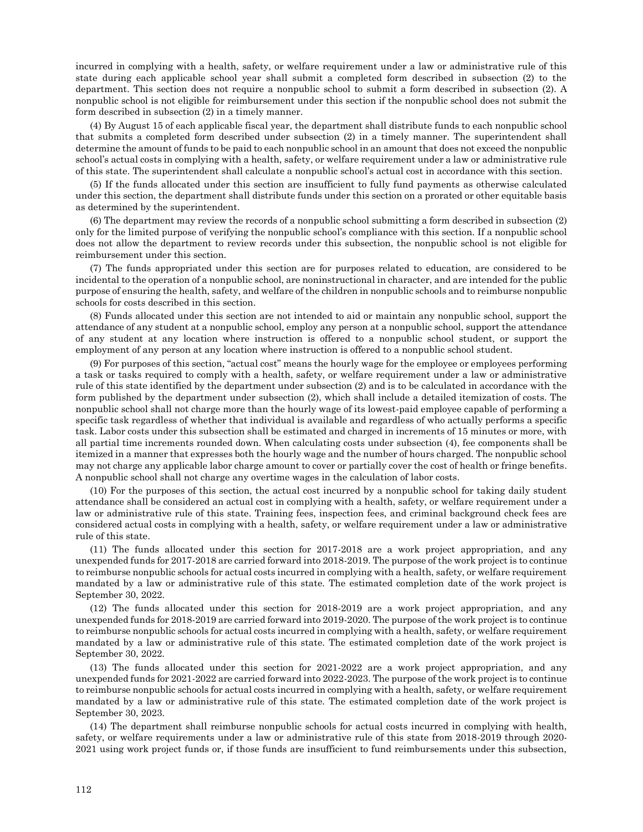incurred in complying with a health, safety, or welfare requirement under a law or administrative rule of this state during each applicable school year shall submit a completed form described in subsection (2) to the department. This section does not require a nonpublic school to submit a form described in subsection (2). A nonpublic school is not eligible for reimbursement under this section if the nonpublic school does not submit the form described in subsection (2) in a timely manner.

(4) By August 15 of each applicable fiscal year, the department shall distribute funds to each nonpublic school that submits a completed form described under subsection (2) in a timely manner. The superintendent shall determine the amount of funds to be paid to each nonpublic school in an amount that does not exceed the nonpublic school's actual costs in complying with a health, safety, or welfare requirement under a law or administrative rule of this state. The superintendent shall calculate a nonpublic school's actual cost in accordance with this section.

(5) If the funds allocated under this section are insufficient to fully fund payments as otherwise calculated under this section, the department shall distribute funds under this section on a prorated or other equitable basis as determined by the superintendent.

(6) The department may review the records of a nonpublic school submitting a form described in subsection (2) only for the limited purpose of verifying the nonpublic school's compliance with this section. If a nonpublic school does not allow the department to review records under this subsection, the nonpublic school is not eligible for reimbursement under this section.

(7) The funds appropriated under this section are for purposes related to education, are considered to be incidental to the operation of a nonpublic school, are noninstructional in character, and are intended for the public purpose of ensuring the health, safety, and welfare of the children in nonpublic schools and to reimburse nonpublic schools for costs described in this section.

(8) Funds allocated under this section are not intended to aid or maintain any nonpublic school, support the attendance of any student at a nonpublic school, employ any person at a nonpublic school, support the attendance of any student at any location where instruction is offered to a nonpublic school student, or support the employment of any person at any location where instruction is offered to a nonpublic school student.

(9) For purposes of this section, "actual cost" means the hourly wage for the employee or employees performing a task or tasks required to comply with a health, safety, or welfare requirement under a law or administrative rule of this state identified by the department under subsection (2) and is to be calculated in accordance with the form published by the department under subsection (2), which shall include a detailed itemization of costs. The nonpublic school shall not charge more than the hourly wage of its lowest-paid employee capable of performing a specific task regardless of whether that individual is available and regardless of who actually performs a specific task. Labor costs under this subsection shall be estimated and charged in increments of 15 minutes or more, with all partial time increments rounded down. When calculating costs under subsection (4), fee components shall be itemized in a manner that expresses both the hourly wage and the number of hours charged. The nonpublic school may not charge any applicable labor charge amount to cover or partially cover the cost of health or fringe benefits. A nonpublic school shall not charge any overtime wages in the calculation of labor costs.

(10) For the purposes of this section, the actual cost incurred by a nonpublic school for taking daily student attendance shall be considered an actual cost in complying with a health, safety, or welfare requirement under a law or administrative rule of this state. Training fees, inspection fees, and criminal background check fees are considered actual costs in complying with a health, safety, or welfare requirement under a law or administrative rule of this state.

(11) The funds allocated under this section for 2017-2018 are a work project appropriation, and any unexpended funds for 2017-2018 are carried forward into 2018-2019. The purpose of the work project is to continue to reimburse nonpublic schools for actual costs incurred in complying with a health, safety, or welfare requirement mandated by a law or administrative rule of this state. The estimated completion date of the work project is September 30, 2022.

(12) The funds allocated under this section for 2018-2019 are a work project appropriation, and any unexpended funds for 2018-2019 are carried forward into 2019-2020. The purpose of the work project is to continue to reimburse nonpublic schools for actual costs incurred in complying with a health, safety, or welfare requirement mandated by a law or administrative rule of this state. The estimated completion date of the work project is September 30, 2022.

(13) The funds allocated under this section for 2021-2022 are a work project appropriation, and any unexpended funds for 2021-2022 are carried forward into 2022-2023. The purpose of the work project is to continue to reimburse nonpublic schools for actual costs incurred in complying with a health, safety, or welfare requirement mandated by a law or administrative rule of this state. The estimated completion date of the work project is September 30, 2023.

(14) The department shall reimburse nonpublic schools for actual costs incurred in complying with health, safety, or welfare requirements under a law or administrative rule of this state from 2018-2019 through 2020- 2021 using work project funds or, if those funds are insufficient to fund reimbursements under this subsection,